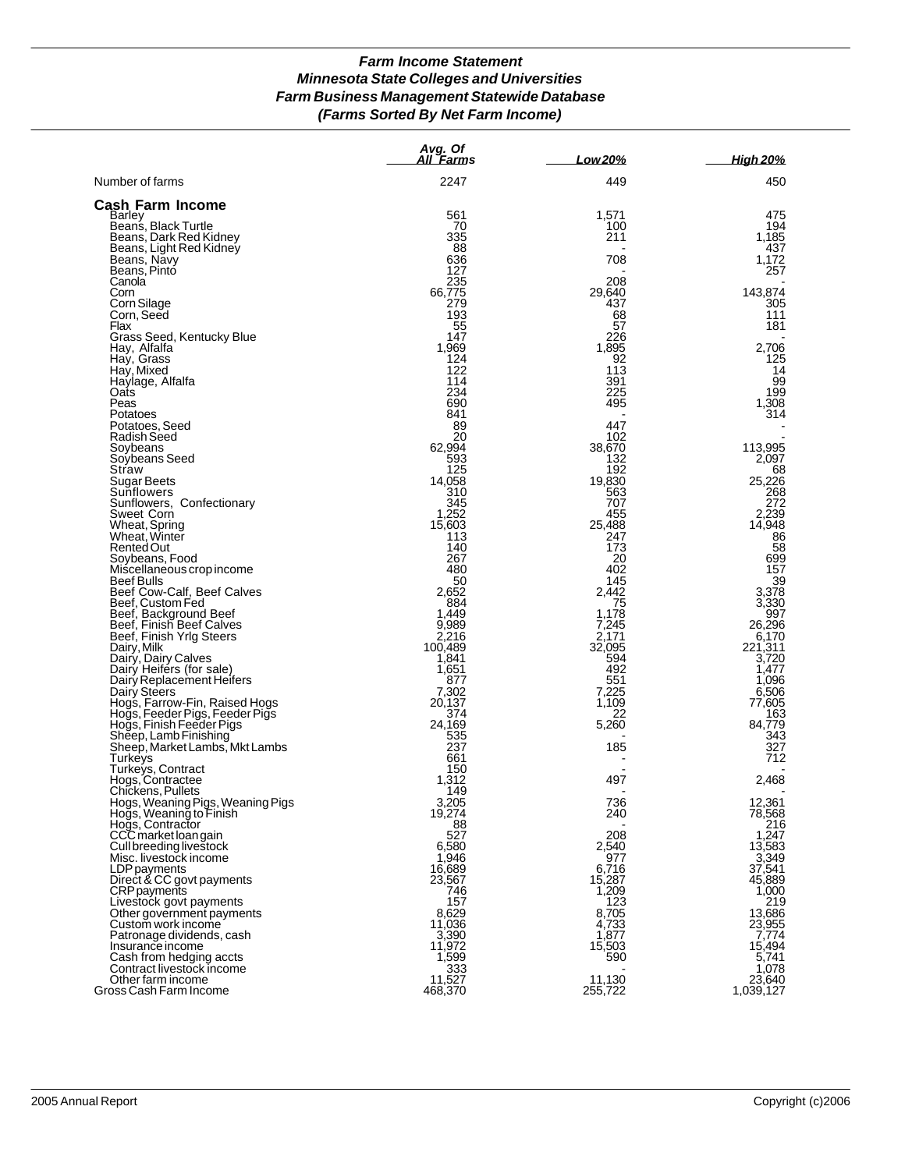# *Farm Income Statement Minnesota State Colleges and Universities Farm Business Management Statewide Database (Farms Sorted By Net Farm Income)*

|                                                                                             | Avg. Of<br>All Farms | Low 20%         | <u>High 20%</u>  |
|---------------------------------------------------------------------------------------------|----------------------|-----------------|------------------|
| Number of farms                                                                             | 2247                 | 449             | 450              |
| Cash Farm Income                                                                            |                      |                 |                  |
| Barley                                                                                      | 561                  | 1,571           | 475              |
| Beans, Black Turtle<br>Beans, Dark Red Kidney                                               | 70<br>335            | 100<br>211      | 194<br>1,185     |
| Beans, Light Red Kidney                                                                     | 88                   |                 | 437              |
| Beans, Navy                                                                                 | 636                  | 708             | 1,172            |
| Beans, Pinto                                                                                | 127                  |                 | 257              |
| Canola                                                                                      | 235                  | 208             |                  |
| Corn                                                                                        | 66,775<br>279        | 29,640          | 143,874          |
| Corn Silage<br>Corn, Seed                                                                   | 193                  | 437<br>68       | 305<br>111       |
| Flax                                                                                        | 55                   | 57              | 181              |
| Grass Seed, Kentucky Blue                                                                   | 147                  | 226             |                  |
| Hay, Alfalfa                                                                                | 1,969                | 1,895           | 2,706            |
| Hay, Grass<br>Hay, Mixed                                                                    | 124<br>122           | 92<br>113       | 125<br>14        |
| Haylage, Alfalfa                                                                            | 114                  | 391             | 99               |
| Oats                                                                                        | 234                  | 225             | 199              |
| Peas                                                                                        | 690                  | 495             | 1,308            |
| Potatoes                                                                                    | 841                  |                 | 314              |
| Potatoes, Seed<br>Radish Seed                                                               | 89<br>20             | 447<br>102      |                  |
| Soybeans                                                                                    | 62,994               | 38,670          | 113,995          |
| Soybeans Seed                                                                               | 593                  | 132             | 2,097            |
| Straw                                                                                       | 125                  | 192             | 68               |
| Sugar Beets                                                                                 | 14,058               | 19,830          | 25,226           |
| Sunflowers                                                                                  | 310<br>345           | 563<br>707      | 268<br>272       |
| Sunflowers, Confectionary<br>Sweet Corn                                                     | 1,252                | 455             | 2,239            |
| Wheat, Spring                                                                               | 15,603               | 25,488          | 14,948           |
| Wheat, Winter                                                                               | 113                  | 247             | 86               |
| Rented Out                                                                                  | 140                  | 173             | 58               |
| Soybeans, Food<br>Miscellaneous crop income                                                 | 267<br>480           | 20<br>402       | 699<br>157       |
| Beef Bulls                                                                                  | 50                   | 145             | 39               |
| Beef Cow-Calf, Beef Calves                                                                  | 2,652                | 2,442           | 3,378            |
| Beef, Custom Fed                                                                            | 884                  | 75              | 3,330            |
| Beef, Background Beef<br>Beef, Finish Beef Calves<br>Beef, Finish Yrlg Steers               | 1,449<br>9,989       | 1,178<br>7,245  | 997<br>26,296    |
|                                                                                             | 2,216                | 2,171           | 6,170            |
| Dairy, Milk<br>Dairy, Dairy Calves<br>Dairy Heifers (for sale)<br>Dairy Replacement Heifers | 100,489              | 32,095          | 221,311          |
|                                                                                             | 1,841                | 594             | 3,720            |
|                                                                                             | 1,651                | 492             | 1,477            |
| Dairy Steers                                                                                | 877<br>7,302         | 551<br>7,225    | 1,096<br>6,506   |
|                                                                                             | 20,137               | 1,109           | 77,605           |
|                                                                                             | 374                  | 22              | 163              |
| Hogs, Farrow-Fin, Raised Hogs<br>Hogs, Feeder Pigs, Feeder Pigs<br>Hogs, Finish Feeder Pigs | 24,169               | 5,260           | 84,779           |
| Sheep, Lamb Finishing<br>Sheep, Market Lambs, Mkt Lambs                                     | 535<br>237           |                 | 343              |
| Turkeys                                                                                     | 661                  | 185             | 327<br>712       |
| Turkeys, Contract                                                                           | 150                  |                 |                  |
| Hogs, Contractee                                                                            | 1,312                | 497             | 2,468            |
| Chickens, Pullets                                                                           | 149                  |                 |                  |
| Hogs, Weaning Pigs, Weaning Pigs<br>Hogs, Weaning to Finish                                 | 3,205<br>19,274      | 736<br>240      | 12,361<br>78,568 |
|                                                                                             | 88                   |                 | 216              |
| Hogs, Contractor<br>CCC market loan gain                                                    | 527                  | 208             | 1,247            |
| Cull breeding livestock                                                                     | 6,580                | 2,540           | 13,583           |
| Misc. livestock income                                                                      | 1,946                | 977             | 3,349            |
| LDP payments<br>Direct & CC govt payments<br>CRP payments                                   | 16,689<br>23,567     | 6,716<br>15,287 | 37,541<br>45,889 |
|                                                                                             | 746                  | 1,209           | 1,000            |
| Livestock govt payments                                                                     | 157                  | 123             | 219              |
| Other government payments                                                                   | 8,629                | 8,705           | 13,686           |
| Custom work income                                                                          | 11,036               | 4,733           | 23,955           |
| Patronage dividends, cash<br>Insurance income                                               | 3,390<br>11,972      | 1,877<br>15,503 | 7,774<br>15,494  |
|                                                                                             | 1,599                | 590             | 5,741            |
| Cash from hedging accts<br>Contract livestock income                                        | 333                  |                 | 1,078            |
| Other farm income                                                                           | 11,527               | 11,130          | 23,640           |
| Gross Cash Farm Income                                                                      | 468,370              | 255,722         | 1,039,127        |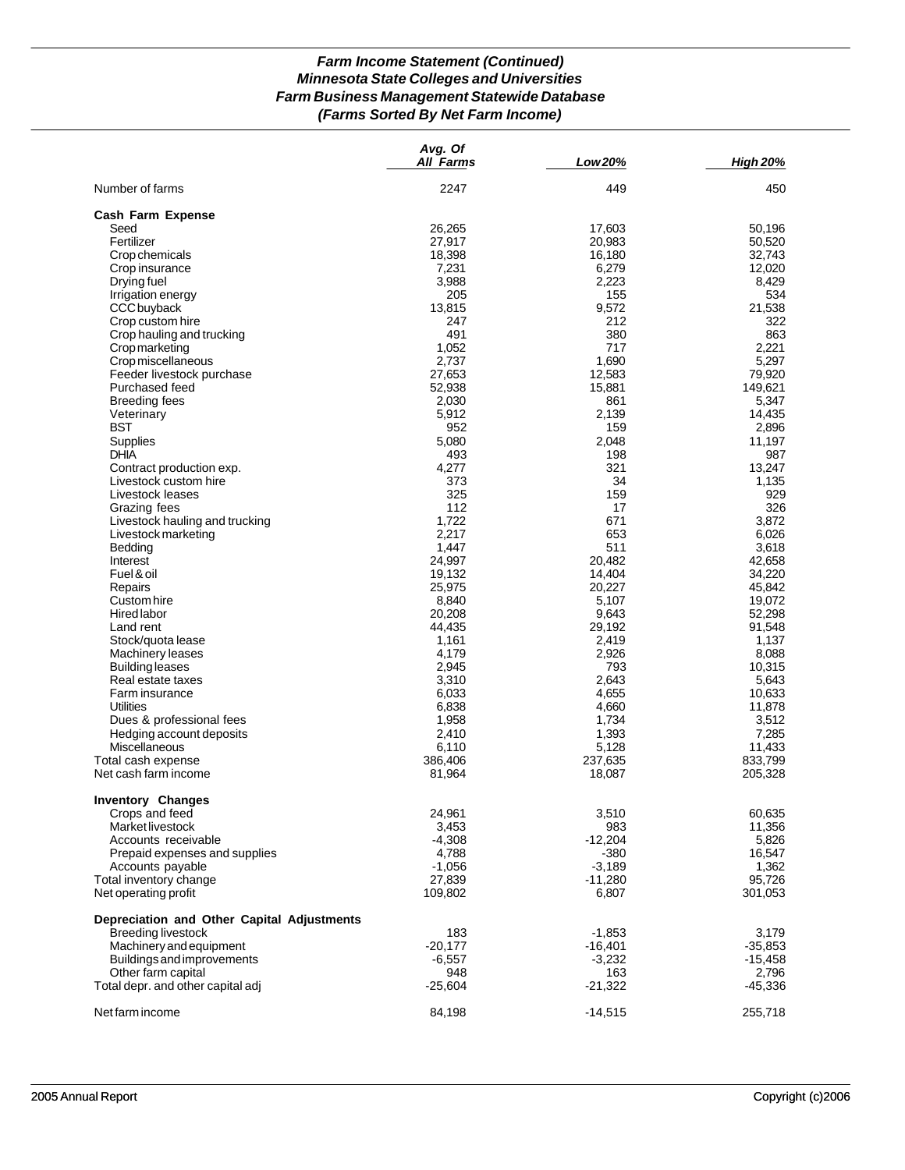# *Farm Income Statement (Continued) Minnesota State Colleges and Universities Farm Business Management Statewide Database (Farms Sorted By Net Farm Income)*

|                                            | Avg. Of<br><b>All Farms</b> | Low 20%   | <b>High 20%</b> |
|--------------------------------------------|-----------------------------|-----------|-----------------|
| Number of farms                            | 2247                        | 449       | 450             |
| Cash Farm Expense                          |                             |           |                 |
| Seed                                       | 26,265                      | 17,603    | 50,196          |
| Fertilizer                                 | 27,917                      | 20,983    | 50,520          |
| Crop chemicals                             | 18,398                      | 16,180    | 32,743          |
| Crop insurance                             | 7,231                       | 6,279     | 12,020          |
| Drying fuel                                | 3,988                       | 2,223     | 8,429           |
| Irrigation energy                          | 205                         | 155       | 534             |
| CCC buyback                                | 13,815                      | 9,572     | 21,538          |
| Crop custom hire                           | 247                         | 212       | 322             |
| Crop hauling and trucking                  | 491                         | 380       | 863             |
| <b>Crop marketing</b>                      | 1,052                       | 717       | 2,221           |
| Crop miscellaneous                         | 2,737                       | 1,690     | 5,297           |
| Feeder livestock purchase                  | 27,653                      | 12,583    | 79,920          |
| Purchased feed                             | 52,938                      | 15,881    | 149,621         |
| <b>Breeding fees</b>                       | 2,030                       | 861       | 5,347           |
| Veterinary                                 | 5,912                       | 2,139     | 14,435          |
| <b>BST</b>                                 | 952                         | 159       | 2,896           |
| Supplies                                   | 5,080                       | 2,048     | 11,197          |
| <b>DHIA</b>                                | 493                         | 198       | 987             |
| Contract production exp.                   | 4,277                       | 321       | 13,247          |
| Livestock custom hire                      | 373                         | 34        | 1,135           |
| Livestock leases                           | 325                         | 159       | 929             |
| Grazing fees                               | 112                         | 17        | 326             |
| Livestock hauling and trucking             | 1,722                       | 671       | 3,872           |
| Livestock marketing                        | 2,217                       | 653       | 6,026           |
| Bedding                                    | 1,447                       | 511       | 3,618           |
| Interest                                   | 24,997                      | 20,482    | 42,658          |
| Fuel & oil                                 | 19,132                      | 14,404    | 34,220          |
| Repairs                                    | 25,975                      | 20,227    | 45,842          |
| Custom hire                                | 8,840                       | 5,107     | 19,072          |
| <b>Hired labor</b>                         | 20,208                      | 9,643     | 52,298          |
| Land rent                                  | 44,435                      | 29,192    | 91,548          |
| Stock/quota lease                          | 1,161                       | 2,419     | 1,137           |
| <b>Machinery leases</b>                    | 4,179                       | 2,926     | 8,088           |
| <b>Building leases</b>                     | 2,945                       | 793       | 10,315          |
| Real estate taxes                          | 3,310                       | 2,643     | 5,643           |
| Farm insurance                             | 6,033                       | 4,655     | 10,633          |
| Utilities                                  | 6,838                       | 4,660     | 11,878          |
| Dues & professional fees                   | 1,958                       | 1,734     | 3,512           |
| Hedging account deposits                   | 2,410                       | 1,393     | 7,285           |
| Miscellaneous                              | 6,110                       | 5,128     | 11,433          |
| Total cash expense                         | 386,406                     | 237,635   | 833,799         |
| Net cash farm income                       | 81,964                      | 18,087    | 205,328         |
| <b>Inventory Changes</b>                   |                             |           |                 |
| Crops and feed                             | 24,961                      | 3,510     | 60,635          |
| Market livestock                           | 3,453                       | 983       | 11,356          |
| Accounts receivable                        | $-4,308$                    | -12,204   | 5,826           |
| Prepaid expenses and supplies              | 4,788                       | -380      | 16,547          |
| Accounts payable                           | $-1,056$                    | $-3,189$  | 1,362           |
| Total inventory change                     | 27,839                      | $-11,280$ | 95,726          |
| Net operating profit                       | 109,802                     | 6,807     | 301,053         |
| Depreciation and Other Capital Adjustments |                             |           |                 |
| <b>Breeding livestock</b>                  | 183                         | $-1,853$  | 3,179           |
| Machinery and equipment                    | $-20,177$                   | -16,401   | $-35,853$       |
| Buildings and improvements                 | $-6,557$                    | $-3,232$  | -15,458         |
| Other farm capital                         | 948                         | 163       | 2,796           |
| Total depr. and other capital adj          | $-25,604$                   | $-21,322$ | $-45,336$       |
|                                            |                             |           |                 |
| Net farm income                            | 84,198                      | $-14,515$ | 255,718         |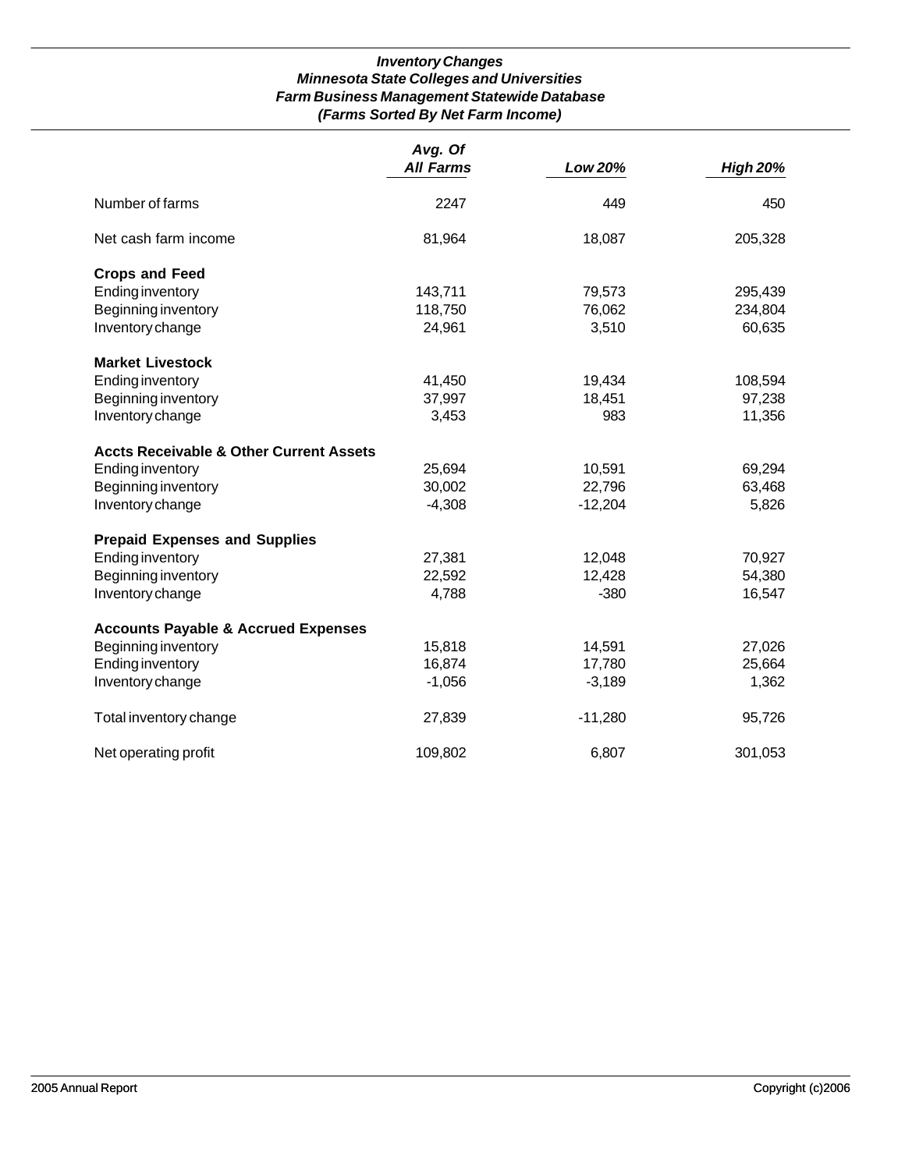# *Inventory Changes Minnesota State Colleges and Universities Farm Business Management Statewide Database (Farms Sorted By Net Farm Income)*

|                                                    | Avg. Of          |           |                 |
|----------------------------------------------------|------------------|-----------|-----------------|
|                                                    | <b>All Farms</b> | Low 20%   | <b>High 20%</b> |
| Number of farms                                    | 2247             | 449       | 450             |
| Net cash farm income                               | 81,964           | 18,087    | 205,328         |
| <b>Crops and Feed</b>                              |                  |           |                 |
| <b>Ending inventory</b>                            | 143,711          | 79,573    | 295,439         |
| Beginning inventory                                | 118,750          | 76,062    | 234,804         |
| Inventory change                                   | 24,961           | 3,510     | 60,635          |
| <b>Market Livestock</b>                            |                  |           |                 |
| <b>Ending inventory</b>                            | 41,450           | 19,434    | 108,594         |
| Beginning inventory                                | 37,997           | 18,451    | 97,238          |
| Inventory change                                   | 3,453            | 983       | 11,356          |
| <b>Accts Receivable &amp; Other Current Assets</b> |                  |           |                 |
| <b>Ending inventory</b>                            | 25,694           | 10,591    | 69,294          |
| Beginning inventory                                | 30,002           | 22,796    | 63,468          |
| Inventory change                                   | $-4,308$         | $-12,204$ | 5,826           |
| <b>Prepaid Expenses and Supplies</b>               |                  |           |                 |
| <b>Ending inventory</b>                            | 27,381           | 12,048    | 70,927          |
| Beginning inventory                                | 22,592           | 12,428    | 54,380          |
| Inventory change                                   | 4,788            | $-380$    | 16,547          |
| <b>Accounts Payable &amp; Accrued Expenses</b>     |                  |           |                 |
| Beginning inventory                                | 15,818           | 14,591    | 27,026          |
| Ending inventory                                   | 16,874           | 17,780    | 25,664          |
| Inventory change                                   | $-1,056$         | $-3,189$  | 1,362           |
| Total inventory change                             | 27,839           | $-11,280$ | 95,726          |
| Net operating profit                               | 109,802          | 6,807     | 301,053         |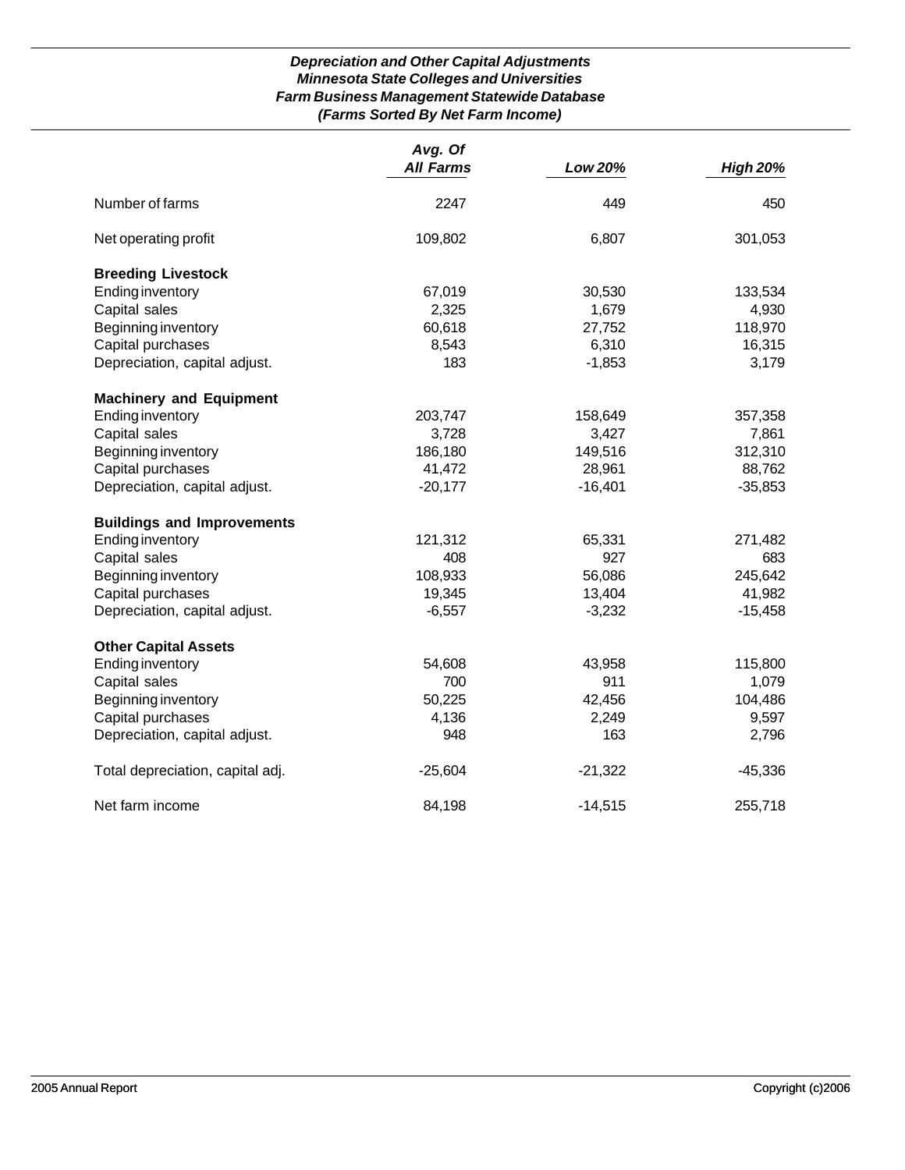# *Depreciation and Other Capital Adjustments Minnesota State Colleges and Universities Farm Business Management Statewide Database (Farms Sorted By Net Farm Income)*

|                                   | Avg. Of<br><b>All Farms</b> | Low 20%   | <b>High 20%</b> |
|-----------------------------------|-----------------------------|-----------|-----------------|
|                                   |                             |           |                 |
| Number of farms                   | 2247                        | 449       | 450             |
| Net operating profit              | 109,802                     | 6,807     | 301,053         |
| <b>Breeding Livestock</b>         |                             |           |                 |
| <b>Ending inventory</b>           | 67,019                      | 30,530    | 133,534         |
| Capital sales                     | 2,325                       | 1,679     | 4,930           |
| Beginning inventory               | 60,618                      | 27,752    | 118,970         |
| Capital purchases                 | 8,543                       | 6,310     | 16,315          |
| Depreciation, capital adjust.     | 183                         | $-1,853$  | 3,179           |
| <b>Machinery and Equipment</b>    |                             |           |                 |
| <b>Ending inventory</b>           | 203,747                     | 158,649   | 357,358         |
| Capital sales                     | 3,728                       | 3,427     | 7,861           |
| Beginning inventory               | 186,180                     | 149,516   | 312,310         |
| Capital purchases                 | 41,472                      | 28,961    | 88,762          |
| Depreciation, capital adjust.     | $-20,177$                   | $-16,401$ | $-35,853$       |
| <b>Buildings and Improvements</b> |                             |           |                 |
| <b>Ending inventory</b>           | 121,312                     | 65,331    | 271,482         |
| Capital sales                     | 408                         | 927       | 683             |
| Beginning inventory               | 108,933                     | 56,086    | 245,642         |
| Capital purchases                 | 19,345                      | 13,404    | 41,982          |
| Depreciation, capital adjust.     | $-6,557$                    | $-3,232$  | $-15,458$       |
| <b>Other Capital Assets</b>       |                             |           |                 |
| <b>Ending inventory</b>           | 54,608                      | 43,958    | 115,800         |
| Capital sales                     | 700                         | 911       | 1,079           |
| Beginning inventory               | 50,225                      | 42,456    | 104,486         |
| Capital purchases                 | 4,136                       | 2,249     | 9,597           |
| Depreciation, capital adjust.     | 948                         | 163       | 2,796           |
| Total depreciation, capital adj.  | $-25,604$                   | $-21,322$ | $-45,336$       |
| Net farm income                   | 84,198                      | $-14,515$ | 255,718         |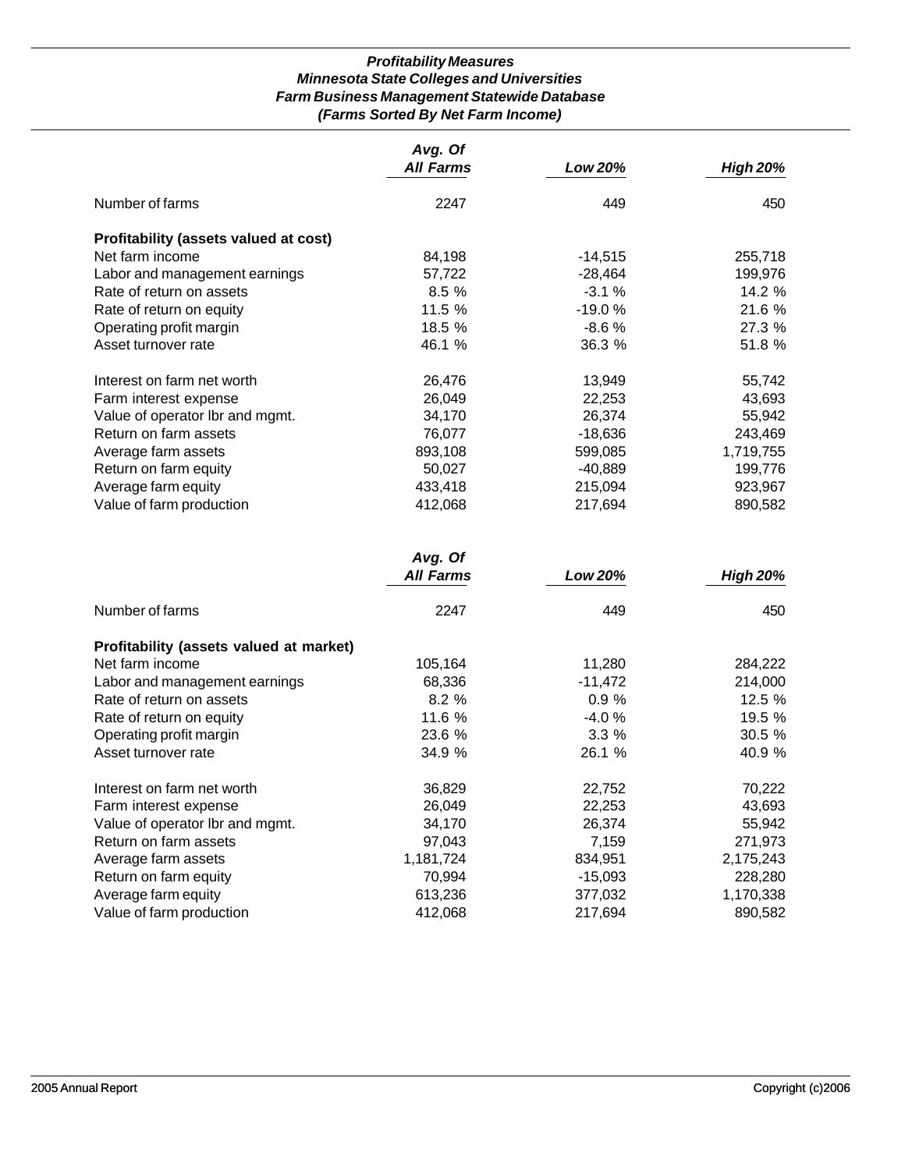# *Profitability Measures Minnesota State Colleges and Universities Farm Business Management Statewide Database (Farms Sorted By Net Farm Income)*

|                                       | Avg. Of          |           |                 |
|---------------------------------------|------------------|-----------|-----------------|
|                                       | <b>All Farms</b> | Low 20%   | <b>High 20%</b> |
| Number of farms                       | 2247             | 449       | 450             |
| Profitability (assets valued at cost) |                  |           |                 |
| Net farm income                       | 84,198           | $-14,515$ | 255,718         |
| Labor and management earnings         | 57,722           | -28,464   | 199,976         |
| Rate of return on assets              | 8.5%             | $-3.1%$   | 14.2 %          |
| Rate of return on equity              | 11.5 %           | $-19.0%$  | 21.6 %          |
| Operating profit margin               | 18.5 %           | $-8.6\%$  | 27.3 %          |
| Asset turnover rate                   | 46.1 %           | 36.3%     | 51.8 %          |
| Interest on farm net worth            | 26,476           | 13,949    | 55,742          |
| Farm interest expense                 | 26,049           | 22,253    | 43,693          |
| Value of operator Ibr and mgmt.       | 34,170           | 26,374    | 55,942          |
| Return on farm assets                 | 76,077           | -18,636   | 243,469         |
| Average farm assets                   | 893,108          | 599,085   | 1,719,755       |
| Return on farm equity                 | 50,027           | $-40,889$ | 199,776         |
| Average farm equity                   | 433,418          | 215,094   | 923,967         |
| Value of farm production              | 412,068          | 217,694   | 890,582         |

|                                         | Avg. Of<br><b>All Farms</b> | Low 20%   | <b>High 20%</b> |
|-----------------------------------------|-----------------------------|-----------|-----------------|
|                                         |                             |           |                 |
| Number of farms                         | 2247                        | 449       | 450             |
| Profitability (assets valued at market) |                             |           |                 |
| Net farm income                         | 105,164                     | 11,280    | 284,222         |
| Labor and management earnings           | 68,336                      | $-11,472$ | 214,000         |
| Rate of return on assets                | 8.2%                        | 0.9%      | 12.5%           |
| Rate of return on equity                | 11.6 %                      | $-4.0%$   | 19.5 %          |
| Operating profit margin                 | 23.6 %                      | 3.3%      | 30.5%           |
| Asset turnover rate                     | 34.9 %                      | 26.1 %    | 40.9 %          |
| Interest on farm net worth              | 36,829                      | 22,752    | 70,222          |
| Farm interest expense                   | 26,049                      | 22,253    | 43,693          |
| Value of operator Ibr and mgmt.         | 34,170                      | 26,374    | 55,942          |
| Return on farm assets                   | 97,043                      | 7,159     | 271,973         |
| Average farm assets                     | 1,181,724                   | 834,951   | 2,175,243       |
| Return on farm equity                   | 70,994                      | $-15,093$ | 228,280         |
| Average farm equity                     | 613,236                     | 377,032   | 1,170,338       |
| Value of farm production                | 412,068                     | 217,694   | 890,582         |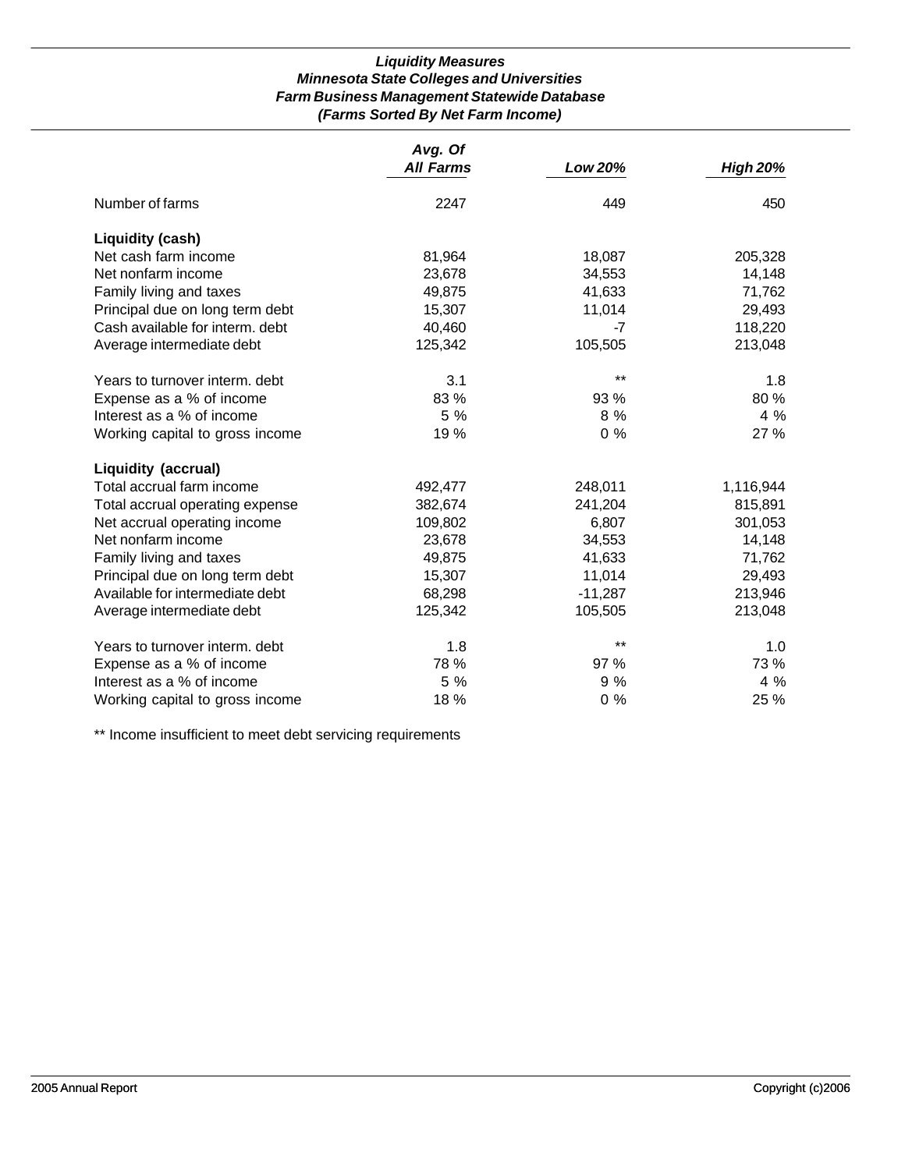## *Liquidity Measures Minnesota State Colleges and Universities Farm Business Management Statewide Database (Farms Sorted By Net Farm Income)*

|                                 | Avg. Of          |                |                 |
|---------------------------------|------------------|----------------|-----------------|
|                                 | <b>All Farms</b> | <b>Low 20%</b> | <b>High 20%</b> |
| Number of farms                 | 2247             | 449            | 450             |
| Liquidity (cash)                |                  |                |                 |
| Net cash farm income            | 81,964           | 18,087         | 205,328         |
| Net nonfarm income              | 23,678           | 34,553         | 14,148          |
| Family living and taxes         | 49,875           | 41,633         | 71,762          |
| Principal due on long term debt | 15,307           | 11,014         | 29,493          |
| Cash available for interm. debt | 40,460           | -7             | 118,220         |
| Average intermediate debt       | 125,342          | 105,505        | 213,048         |
| Years to turnover interm, debt  | 3.1              | $***$          | 1.8             |
| Expense as a % of income        | 83 %             | 93 %           | 80 %            |
| Interest as a % of income       | 5 %              | 8 %            | 4%              |
| Working capital to gross income | 19 %             | $0\%$          | 27 %            |
| <b>Liquidity (accrual)</b>      |                  |                |                 |
| Total accrual farm income       | 492,477          | 248,011        | 1,116,944       |
| Total accrual operating expense | 382,674          | 241,204        | 815,891         |
| Net accrual operating income    | 109,802          | 6,807          | 301,053         |
| Net nonfarm income              | 23,678           | 34,553         | 14,148          |
| Family living and taxes         | 49,875           | 41,633         | 71,762          |
| Principal due on long term debt | 15,307           | 11,014         | 29,493          |
| Available for intermediate debt | 68,298           | $-11,287$      | 213,946         |
| Average intermediate debt       | 125,342          | 105,505        | 213,048         |
| Years to turnover interm. debt  | 1.8              | $***$          | 1.0             |
| Expense as a % of income        | 78 %             | 97 %           | 73 %            |
| Interest as a % of income       | 5 %              | 9%             | 4%              |
| Working capital to gross income | 18 %             | $0\%$          | 25 %            |

\*\* Income insufficient to meet debt servicing requirements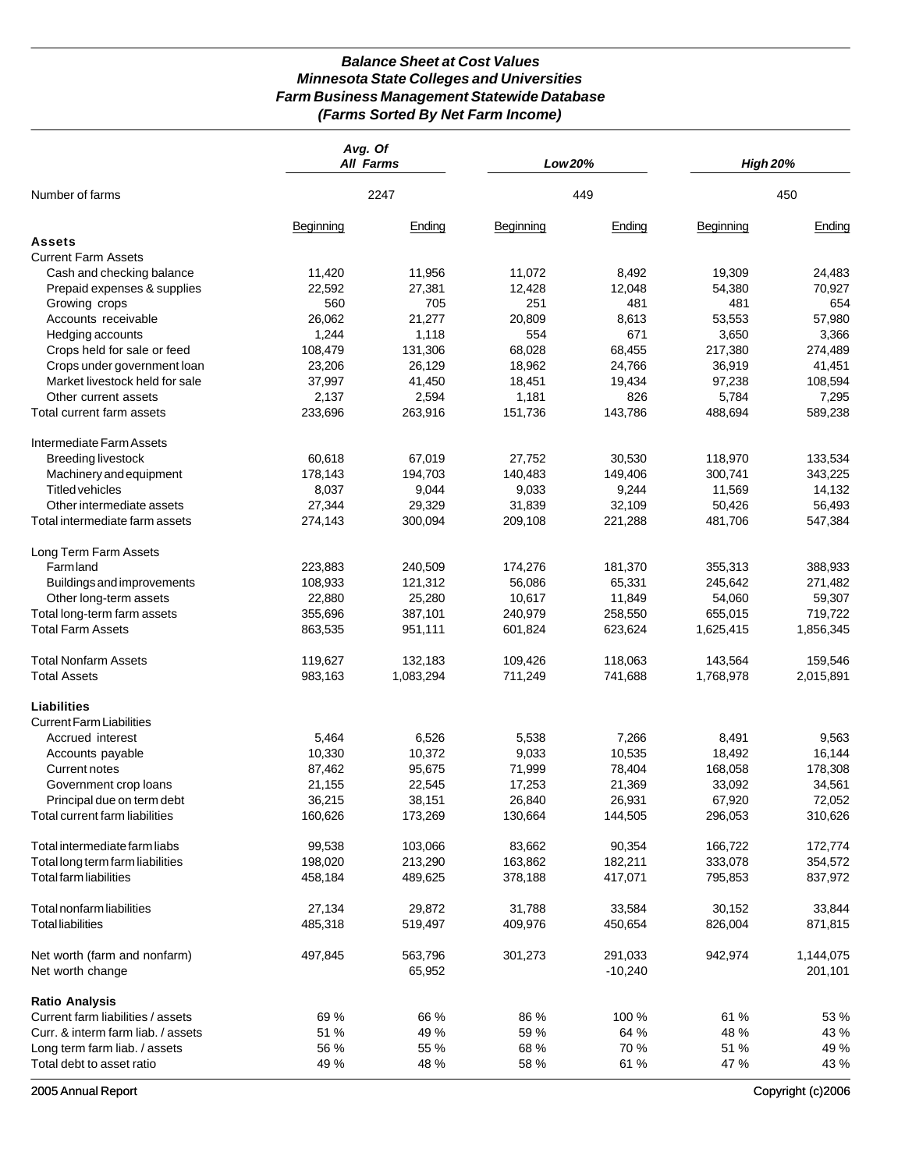# *Balance Sheet at Cost Values Minnesota State Colleges and Universities Farm Business Management Statewide Database (Farms Sorted By Net Farm Income)*

|                                    | Avg. Of   | <b>All Farms</b> | Low 20%   |           | <b>High 20%</b> |           |
|------------------------------------|-----------|------------------|-----------|-----------|-----------------|-----------|
| Number of farms                    |           | 2247             |           | 449       |                 | 450       |
|                                    | Beginning | Ending           | Beginning | Ending    | Beginning       | Ending    |
| Assets                             |           |                  |           |           |                 |           |
| <b>Current Farm Assets</b>         |           |                  |           |           |                 |           |
| Cash and checking balance          | 11,420    | 11,956           | 11,072    | 8,492     | 19,309          | 24,483    |
| Prepaid expenses & supplies        | 22,592    | 27,381           | 12,428    | 12,048    | 54,380          | 70,927    |
| Growing crops                      | 560       | 705              | 251       | 481       | 481             | 654       |
| Accounts receivable                | 26,062    | 21,277           | 20,809    | 8,613     | 53,553          | 57,980    |
| Hedging accounts                   | 1,244     | 1,118            | 554       | 671       | 3,650           | 3,366     |
| Crops held for sale or feed        | 108,479   | 131,306          | 68,028    | 68,455    | 217,380         | 274,489   |
| Crops under government loan        | 23,206    | 26,129           | 18,962    | 24,766    | 36,919          | 41,451    |
| Market livestock held for sale     | 37,997    | 41,450           | 18,451    | 19,434    | 97,238          | 108,594   |
| Other current assets               | 2,137     | 2,594            | 1,181     | 826       | 5,784           | 7,295     |
| Total current farm assets          | 233,696   | 263,916          | 151,736   | 143,786   | 488,694         | 589,238   |
| Intermediate Farm Assets           |           |                  |           |           |                 |           |
| <b>Breeding livestock</b>          | 60,618    | 67,019           | 27,752    | 30,530    | 118,970         | 133,534   |
| Machinery and equipment            | 178,143   | 194,703          | 140,483   | 149,406   | 300,741         | 343,225   |
| <b>Titled vehicles</b>             | 8,037     | 9,044            | 9,033     | 9,244     | 11,569          | 14,132    |
|                                    |           |                  |           |           |                 |           |
| Other intermediate assets          | 27,344    | 29,329           | 31,839    | 32,109    | 50,426          | 56,493    |
| Total intermediate farm assets     | 274,143   | 300,094          | 209,108   | 221,288   | 481,706         | 547,384   |
| Long Term Farm Assets              |           |                  |           |           |                 |           |
| <b>Farmland</b>                    | 223,883   | 240,509          | 174,276   | 181,370   | 355,313         | 388,933   |
| Buildings and improvements         | 108,933   | 121,312          | 56,086    | 65,331    | 245,642         | 271,482   |
| Other long-term assets             | 22,880    | 25,280           | 10,617    | 11,849    | 54,060          | 59,307    |
| Total long-term farm assets        | 355,696   | 387,101          | 240,979   | 258,550   | 655,015         | 719,722   |
| <b>Total Farm Assets</b>           | 863,535   | 951,111          | 601,824   | 623,624   | 1,625,415       | 1,856,345 |
| <b>Total Nonfarm Assets</b>        | 119,627   | 132,183          | 109,426   | 118,063   | 143,564         | 159,546   |
| <b>Total Assets</b>                | 983,163   | 1,083,294        | 711,249   | 741,688   | 1,768,978       | 2,015,891 |
| Liabilities                        |           |                  |           |           |                 |           |
| <b>Current Farm Liabilities</b>    |           |                  |           |           |                 |           |
| Accrued interest                   | 5,464     | 6,526            | 5,538     | 7,266     | 8,491           | 9,563     |
| Accounts payable                   | 10,330    | 10,372           | 9,033     | 10,535    | 18,492          | 16,144    |
| Current notes                      | 87,462    | 95,675           | 71,999    | 78,404    | 168,058         | 178,308   |
| Government crop loans              | 21,155    | 22,545           | 17,253    | 21,369    | 33,092          | 34,561    |
| Principal due on term debt         | 36,215    | 38,151           | 26,840    | 26,931    | 67,920          | 72,052    |
| Total current farm liabilities     | 160,626   | 173,269          | 130,664   | 144,505   | 296,053         | 310,626   |
| Total intermediate farm liabs      | 99,538    | 103,066          | 83,662    | 90,354    | 166,722         | 172,774   |
| Total long term farm liabilities   | 198,020   | 213,290          | 163,862   | 182,211   | 333,078         | 354,572   |
| Total farm liabilities             | 458,184   | 489,625          | 378,188   | 417,071   | 795,853         | 837,972   |
| Total nonfarm liabilities          | 27,134    | 29,872           | 31,788    | 33,584    | 30,152          | 33,844    |
|                                    |           |                  |           |           |                 |           |
| <b>Total liabilities</b>           | 485,318   | 519,497          | 409,976   | 450,654   | 826,004         | 871,815   |
| Net worth (farm and nonfarm)       | 497,845   | 563,796          | 301,273   | 291,033   | 942,974         | 1,144,075 |
| Net worth change                   |           | 65,952           |           | $-10,240$ |                 | 201,101   |
| <b>Ratio Analysis</b>              |           |                  |           |           |                 |           |
| Current farm liabilities / assets  | 69 %      | 66 %             | 86 %      | 100 %     | 61 %            | 53 %      |
| Curr. & interm farm liab. / assets | 51 %      | 49 %             | 59 %      | 64 %      | 48 %            | 43 %      |
| Long term farm liab. / assets      | 56 %      | 55 %             | 68 %      | 70 %      | 51 %            | 49 %      |
| Total debt to asset ratio          | 49 %      | 48 %             | 58 %      | 61 %      | 47 %            | 43 %      |

2005 Annual Report Copyright (c)2006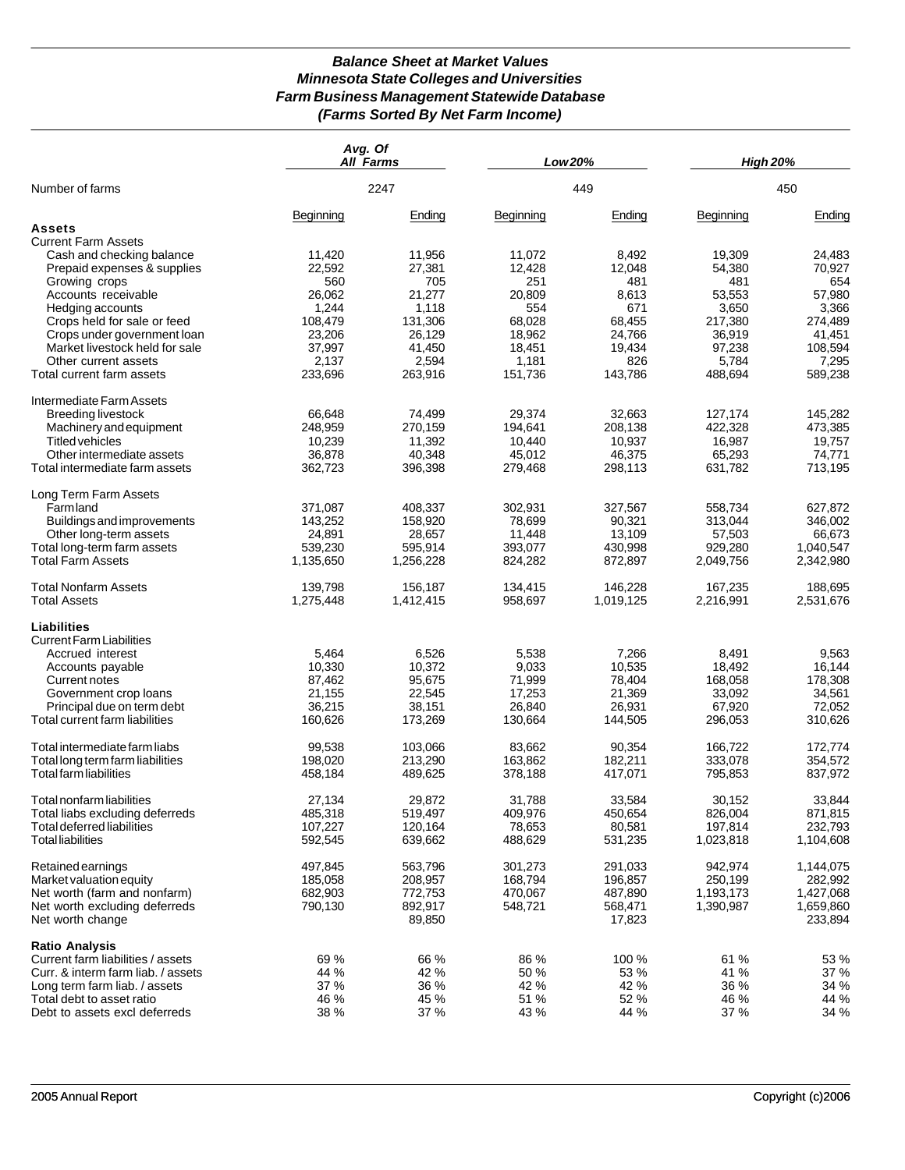# *Balance Sheet at Market Values Minnesota State Colleges and Universities Farm Business Management Statewide Database (Farms Sorted By Net Farm Income)*

| 2247<br>449<br>Number of farms<br>450<br>Beginning<br>Ending<br>Beginning<br>Ending<br>Beginning<br>Ending<br>Assets<br><b>Current Farm Assets</b><br>Cash and checking balance<br>11,420<br>11,956<br>11,072<br>19,309<br>8,492<br>24,483<br>22,592<br>27,381<br>Prepaid expenses & supplies<br>12,428<br>12,048<br>54,380<br>70,927<br>560<br>705<br>251<br>654<br>Growing crops<br>481<br>481<br>26,062<br>21,277<br>57,980<br>Accounts receivable<br>20,809<br>8,613<br>53.553<br>1,244<br>1,118<br>554<br>671<br>3,650<br>3,366<br>Hedging accounts<br>108,479<br>131,306<br>217,380<br>Crops held for sale or feed<br>68.028<br>68,455<br>274,489<br>26,129<br>18,962<br>24,766<br>Crops under government loan<br>23,206<br>36,919<br>41,451<br>37,997<br>41,450<br>108,594<br>Market livestock held for sale<br>18,451<br>19,434<br>97,238<br>2,594<br>1,181<br>826<br>5,784<br>7,295<br>Other current assets<br>2,137<br>Total current farm assets<br>233,696<br>263,916<br>151,736<br>143,786<br>488,694<br>589,238<br>Intermediate Farm Assets<br><b>Breeding livestock</b><br>66,648<br>74,499<br>29,374<br>32,663<br>127,174<br>145,282<br>473,385<br>Machinery and equipment<br>248,959<br>270,159<br>194.641<br>208.138<br>422,328<br>11,392<br>16,987<br><b>Titled vehicles</b><br>10,239<br>10,440<br>10,937<br>19.757<br>36,878<br>40.348<br>45.012<br>46,375<br>65,293<br>Other intermediate assets<br>74,771<br>Total intermediate farm assets<br>396,398<br>279,468<br>298,113<br>631,782<br>713,195<br>362,723<br>Long Term Farm Assets<br><b>Farmland</b><br>371,087<br>408,337<br>302,931<br>327,567<br>558.734<br>627,872<br>143,252<br>158,920<br>78,699<br>90,321<br>313,044<br>Buildings and improvements<br>346.002<br>28,657<br>13,109<br>57,503<br>66.673<br>Other long-term assets<br>24,891<br>11.448<br>595,914<br>393,077<br>430,998<br>929,280<br>1,040,547<br>Total long-term farm assets<br>539,230<br><b>Total Farm Assets</b><br>1,135,650<br>1,256,228<br>824,282<br>872,897<br>2,049,756<br>2,342,980<br>139,798<br>156,187<br>146,228<br>188,695<br><b>Total Nonfarm Assets</b><br>134,415<br>167,235<br><b>Total Assets</b><br>1,412,415<br>958,697<br>1,019,125<br>2,216,991<br>1,275,448<br>2,531,676<br>Liabilities<br><b>Current Farm Liabilities</b><br>6,526<br>5,464<br>5,538<br>7,266<br>9,563<br>Accrued interest<br>8,491<br>10,330<br>10,372<br>9,033<br>10,535<br>18,492<br>16,144<br>Accounts payable<br>95,675<br>87,462<br>71,999<br>78,404<br>168,058<br>178,308<br>Current notes<br>22,545<br>17,253<br>21,369<br>33,092<br>34,561<br>Government crop loans<br>21,155<br>38,151<br>26,840<br>67,920<br>Principal due on term debt<br>36,215<br>26,931<br>72,052<br>Total current farm liabilities<br>160,626<br>173,269<br>130,664<br>144,505<br>296,053<br>310,626<br>Total intermediate farm liabs<br>172,774<br>99,538<br>103,066<br>83,662<br>90,354<br>166.722<br>213,290<br>163,862<br>333,078<br>354,572<br>Total long term farm liabilities<br>198,020<br>182,211<br>795,853<br><b>Total farm liabilities</b><br>458,184<br>489,625<br>378,188<br>417,071<br>837,972<br>29,872<br>33,844<br>27,134<br>31,788<br>33,584<br>30,152<br>Total nonfarm liabilities<br>Total liabs excluding deferreds<br>485,318<br>409,976<br>450,654<br>826,004<br>871,815<br>519,497<br><b>Total deferred liabilities</b><br>107,227<br>120,164<br>78,653<br>80,581<br>197,814<br>232,793<br><b>Total liabilities</b><br>592,545<br>639,662<br>488,629<br>1,104,608<br>531,235<br>1,023,818<br>497,845<br>563,796<br>301,273<br>291,033<br>942,974<br>1,144,075<br>Retained earnings<br>185,058<br>208,957<br>168,794<br>196,857<br>250,199<br>282,992<br>Market valuation equity<br>Net worth (farm and nonfarm)<br>682,903<br>772,753<br>470,067<br>487,890<br>1,193,173<br>1,427,068<br>790,130<br>892,917<br>548,721<br>568,471<br>1,390,987<br>1,659,860<br>Net worth excluding deferreds<br>89,850<br>17,823<br>233,894<br>Net worth change<br><b>Ratio Analysis</b><br>69 %<br>66 %<br>86 %<br>100 %<br>61 %<br>53 %<br>Current farm liabilities / assets<br>53 %<br>37 %<br>Curr. & interm farm liab. / assets<br>44 %<br>42 %<br>50 %<br>41 %<br>37 %<br>36 %<br>42 %<br>42 %<br>36 %<br>34 %<br>Long term farm liab. / assets<br>44 %<br>46 %<br>45 %<br>51 %<br>52 %<br>46 %<br>Total debt to asset ratio<br>34 %<br>38 %<br>37 %<br>43 %<br>44 %<br>37 %<br>Debt to assets excl deferreds | Avg. Of | <b>All Farms</b> | Low 20% | <b>High 20%</b> |  |
|---------------------------------------------------------------------------------------------------------------------------------------------------------------------------------------------------------------------------------------------------------------------------------------------------------------------------------------------------------------------------------------------------------------------------------------------------------------------------------------------------------------------------------------------------------------------------------------------------------------------------------------------------------------------------------------------------------------------------------------------------------------------------------------------------------------------------------------------------------------------------------------------------------------------------------------------------------------------------------------------------------------------------------------------------------------------------------------------------------------------------------------------------------------------------------------------------------------------------------------------------------------------------------------------------------------------------------------------------------------------------------------------------------------------------------------------------------------------------------------------------------------------------------------------------------------------------------------------------------------------------------------------------------------------------------------------------------------------------------------------------------------------------------------------------------------------------------------------------------------------------------------------------------------------------------------------------------------------------------------------------------------------------------------------------------------------------------------------------------------------------------------------------------------------------------------------------------------------------------------------------------------------------------------------------------------------------------------------------------------------------------------------------------------------------------------------------------------------------------------------------------------------------------------------------------------------------------------------------------------------------------------------------------------------------------------------------------------------------------------------------------------------------------------------------------------------------------------------------------------------------------------------------------------------------------------------------------------------------------------------------------------------------------------------------------------------------------------------------------------------------------------------------------------------------------------------------------------------------------------------------------------------------------------------------------------------------------------------------------------------------------------------------------------------------------------------------------------------------------------------------------------------------------------------------------------------------------------------------------------------------------------------------------------------------------------------------------------------------------------------------------------------------------------------------------------------------------------------------------------------------------------------------------------------------------------------------------------------------------------------------------------------------------------------------------------------------------------------------------------------------------------------------------------------------------------------------------------------------------------------------------------------------------------------------------------------------------------------------------------------------------------------------------------------------------------------------------|---------|------------------|---------|-----------------|--|
|                                                                                                                                                                                                                                                                                                                                                                                                                                                                                                                                                                                                                                                                                                                                                                                                                                                                                                                                                                                                                                                                                                                                                                                                                                                                                                                                                                                                                                                                                                                                                                                                                                                                                                                                                                                                                                                                                                                                                                                                                                                                                                                                                                                                                                                                                                                                                                                                                                                                                                                                                                                                                                                                                                                                                                                                                                                                                                                                                                                                                                                                                                                                                                                                                                                                                                                                                                                                                                                                                                                                                                                                                                                                                                                                                                                                                                                                                                                                                                                                                                                                                                                                                                                                                                                                                                                                                                                                                                                         |         |                  |         |                 |  |
|                                                                                                                                                                                                                                                                                                                                                                                                                                                                                                                                                                                                                                                                                                                                                                                                                                                                                                                                                                                                                                                                                                                                                                                                                                                                                                                                                                                                                                                                                                                                                                                                                                                                                                                                                                                                                                                                                                                                                                                                                                                                                                                                                                                                                                                                                                                                                                                                                                                                                                                                                                                                                                                                                                                                                                                                                                                                                                                                                                                                                                                                                                                                                                                                                                                                                                                                                                                                                                                                                                                                                                                                                                                                                                                                                                                                                                                                                                                                                                                                                                                                                                                                                                                                                                                                                                                                                                                                                                                         |         |                  |         |                 |  |
|                                                                                                                                                                                                                                                                                                                                                                                                                                                                                                                                                                                                                                                                                                                                                                                                                                                                                                                                                                                                                                                                                                                                                                                                                                                                                                                                                                                                                                                                                                                                                                                                                                                                                                                                                                                                                                                                                                                                                                                                                                                                                                                                                                                                                                                                                                                                                                                                                                                                                                                                                                                                                                                                                                                                                                                                                                                                                                                                                                                                                                                                                                                                                                                                                                                                                                                                                                                                                                                                                                                                                                                                                                                                                                                                                                                                                                                                                                                                                                                                                                                                                                                                                                                                                                                                                                                                                                                                                                                         |         |                  |         |                 |  |
|                                                                                                                                                                                                                                                                                                                                                                                                                                                                                                                                                                                                                                                                                                                                                                                                                                                                                                                                                                                                                                                                                                                                                                                                                                                                                                                                                                                                                                                                                                                                                                                                                                                                                                                                                                                                                                                                                                                                                                                                                                                                                                                                                                                                                                                                                                                                                                                                                                                                                                                                                                                                                                                                                                                                                                                                                                                                                                                                                                                                                                                                                                                                                                                                                                                                                                                                                                                                                                                                                                                                                                                                                                                                                                                                                                                                                                                                                                                                                                                                                                                                                                                                                                                                                                                                                                                                                                                                                                                         |         |                  |         |                 |  |
|                                                                                                                                                                                                                                                                                                                                                                                                                                                                                                                                                                                                                                                                                                                                                                                                                                                                                                                                                                                                                                                                                                                                                                                                                                                                                                                                                                                                                                                                                                                                                                                                                                                                                                                                                                                                                                                                                                                                                                                                                                                                                                                                                                                                                                                                                                                                                                                                                                                                                                                                                                                                                                                                                                                                                                                                                                                                                                                                                                                                                                                                                                                                                                                                                                                                                                                                                                                                                                                                                                                                                                                                                                                                                                                                                                                                                                                                                                                                                                                                                                                                                                                                                                                                                                                                                                                                                                                                                                                         |         |                  |         |                 |  |
|                                                                                                                                                                                                                                                                                                                                                                                                                                                                                                                                                                                                                                                                                                                                                                                                                                                                                                                                                                                                                                                                                                                                                                                                                                                                                                                                                                                                                                                                                                                                                                                                                                                                                                                                                                                                                                                                                                                                                                                                                                                                                                                                                                                                                                                                                                                                                                                                                                                                                                                                                                                                                                                                                                                                                                                                                                                                                                                                                                                                                                                                                                                                                                                                                                                                                                                                                                                                                                                                                                                                                                                                                                                                                                                                                                                                                                                                                                                                                                                                                                                                                                                                                                                                                                                                                                                                                                                                                                                         |         |                  |         |                 |  |
|                                                                                                                                                                                                                                                                                                                                                                                                                                                                                                                                                                                                                                                                                                                                                                                                                                                                                                                                                                                                                                                                                                                                                                                                                                                                                                                                                                                                                                                                                                                                                                                                                                                                                                                                                                                                                                                                                                                                                                                                                                                                                                                                                                                                                                                                                                                                                                                                                                                                                                                                                                                                                                                                                                                                                                                                                                                                                                                                                                                                                                                                                                                                                                                                                                                                                                                                                                                                                                                                                                                                                                                                                                                                                                                                                                                                                                                                                                                                                                                                                                                                                                                                                                                                                                                                                                                                                                                                                                                         |         |                  |         |                 |  |
|                                                                                                                                                                                                                                                                                                                                                                                                                                                                                                                                                                                                                                                                                                                                                                                                                                                                                                                                                                                                                                                                                                                                                                                                                                                                                                                                                                                                                                                                                                                                                                                                                                                                                                                                                                                                                                                                                                                                                                                                                                                                                                                                                                                                                                                                                                                                                                                                                                                                                                                                                                                                                                                                                                                                                                                                                                                                                                                                                                                                                                                                                                                                                                                                                                                                                                                                                                                                                                                                                                                                                                                                                                                                                                                                                                                                                                                                                                                                                                                                                                                                                                                                                                                                                                                                                                                                                                                                                                                         |         |                  |         |                 |  |
|                                                                                                                                                                                                                                                                                                                                                                                                                                                                                                                                                                                                                                                                                                                                                                                                                                                                                                                                                                                                                                                                                                                                                                                                                                                                                                                                                                                                                                                                                                                                                                                                                                                                                                                                                                                                                                                                                                                                                                                                                                                                                                                                                                                                                                                                                                                                                                                                                                                                                                                                                                                                                                                                                                                                                                                                                                                                                                                                                                                                                                                                                                                                                                                                                                                                                                                                                                                                                                                                                                                                                                                                                                                                                                                                                                                                                                                                                                                                                                                                                                                                                                                                                                                                                                                                                                                                                                                                                                                         |         |                  |         |                 |  |
|                                                                                                                                                                                                                                                                                                                                                                                                                                                                                                                                                                                                                                                                                                                                                                                                                                                                                                                                                                                                                                                                                                                                                                                                                                                                                                                                                                                                                                                                                                                                                                                                                                                                                                                                                                                                                                                                                                                                                                                                                                                                                                                                                                                                                                                                                                                                                                                                                                                                                                                                                                                                                                                                                                                                                                                                                                                                                                                                                                                                                                                                                                                                                                                                                                                                                                                                                                                                                                                                                                                                                                                                                                                                                                                                                                                                                                                                                                                                                                                                                                                                                                                                                                                                                                                                                                                                                                                                                                                         |         |                  |         |                 |  |
|                                                                                                                                                                                                                                                                                                                                                                                                                                                                                                                                                                                                                                                                                                                                                                                                                                                                                                                                                                                                                                                                                                                                                                                                                                                                                                                                                                                                                                                                                                                                                                                                                                                                                                                                                                                                                                                                                                                                                                                                                                                                                                                                                                                                                                                                                                                                                                                                                                                                                                                                                                                                                                                                                                                                                                                                                                                                                                                                                                                                                                                                                                                                                                                                                                                                                                                                                                                                                                                                                                                                                                                                                                                                                                                                                                                                                                                                                                                                                                                                                                                                                                                                                                                                                                                                                                                                                                                                                                                         |         |                  |         |                 |  |
|                                                                                                                                                                                                                                                                                                                                                                                                                                                                                                                                                                                                                                                                                                                                                                                                                                                                                                                                                                                                                                                                                                                                                                                                                                                                                                                                                                                                                                                                                                                                                                                                                                                                                                                                                                                                                                                                                                                                                                                                                                                                                                                                                                                                                                                                                                                                                                                                                                                                                                                                                                                                                                                                                                                                                                                                                                                                                                                                                                                                                                                                                                                                                                                                                                                                                                                                                                                                                                                                                                                                                                                                                                                                                                                                                                                                                                                                                                                                                                                                                                                                                                                                                                                                                                                                                                                                                                                                                                                         |         |                  |         |                 |  |
|                                                                                                                                                                                                                                                                                                                                                                                                                                                                                                                                                                                                                                                                                                                                                                                                                                                                                                                                                                                                                                                                                                                                                                                                                                                                                                                                                                                                                                                                                                                                                                                                                                                                                                                                                                                                                                                                                                                                                                                                                                                                                                                                                                                                                                                                                                                                                                                                                                                                                                                                                                                                                                                                                                                                                                                                                                                                                                                                                                                                                                                                                                                                                                                                                                                                                                                                                                                                                                                                                                                                                                                                                                                                                                                                                                                                                                                                                                                                                                                                                                                                                                                                                                                                                                                                                                                                                                                                                                                         |         |                  |         |                 |  |
|                                                                                                                                                                                                                                                                                                                                                                                                                                                                                                                                                                                                                                                                                                                                                                                                                                                                                                                                                                                                                                                                                                                                                                                                                                                                                                                                                                                                                                                                                                                                                                                                                                                                                                                                                                                                                                                                                                                                                                                                                                                                                                                                                                                                                                                                                                                                                                                                                                                                                                                                                                                                                                                                                                                                                                                                                                                                                                                                                                                                                                                                                                                                                                                                                                                                                                                                                                                                                                                                                                                                                                                                                                                                                                                                                                                                                                                                                                                                                                                                                                                                                                                                                                                                                                                                                                                                                                                                                                                         |         |                  |         |                 |  |
|                                                                                                                                                                                                                                                                                                                                                                                                                                                                                                                                                                                                                                                                                                                                                                                                                                                                                                                                                                                                                                                                                                                                                                                                                                                                                                                                                                                                                                                                                                                                                                                                                                                                                                                                                                                                                                                                                                                                                                                                                                                                                                                                                                                                                                                                                                                                                                                                                                                                                                                                                                                                                                                                                                                                                                                                                                                                                                                                                                                                                                                                                                                                                                                                                                                                                                                                                                                                                                                                                                                                                                                                                                                                                                                                                                                                                                                                                                                                                                                                                                                                                                                                                                                                                                                                                                                                                                                                                                                         |         |                  |         |                 |  |
|                                                                                                                                                                                                                                                                                                                                                                                                                                                                                                                                                                                                                                                                                                                                                                                                                                                                                                                                                                                                                                                                                                                                                                                                                                                                                                                                                                                                                                                                                                                                                                                                                                                                                                                                                                                                                                                                                                                                                                                                                                                                                                                                                                                                                                                                                                                                                                                                                                                                                                                                                                                                                                                                                                                                                                                                                                                                                                                                                                                                                                                                                                                                                                                                                                                                                                                                                                                                                                                                                                                                                                                                                                                                                                                                                                                                                                                                                                                                                                                                                                                                                                                                                                                                                                                                                                                                                                                                                                                         |         |                  |         |                 |  |
|                                                                                                                                                                                                                                                                                                                                                                                                                                                                                                                                                                                                                                                                                                                                                                                                                                                                                                                                                                                                                                                                                                                                                                                                                                                                                                                                                                                                                                                                                                                                                                                                                                                                                                                                                                                                                                                                                                                                                                                                                                                                                                                                                                                                                                                                                                                                                                                                                                                                                                                                                                                                                                                                                                                                                                                                                                                                                                                                                                                                                                                                                                                                                                                                                                                                                                                                                                                                                                                                                                                                                                                                                                                                                                                                                                                                                                                                                                                                                                                                                                                                                                                                                                                                                                                                                                                                                                                                                                                         |         |                  |         |                 |  |
|                                                                                                                                                                                                                                                                                                                                                                                                                                                                                                                                                                                                                                                                                                                                                                                                                                                                                                                                                                                                                                                                                                                                                                                                                                                                                                                                                                                                                                                                                                                                                                                                                                                                                                                                                                                                                                                                                                                                                                                                                                                                                                                                                                                                                                                                                                                                                                                                                                                                                                                                                                                                                                                                                                                                                                                                                                                                                                                                                                                                                                                                                                                                                                                                                                                                                                                                                                                                                                                                                                                                                                                                                                                                                                                                                                                                                                                                                                                                                                                                                                                                                                                                                                                                                                                                                                                                                                                                                                                         |         |                  |         |                 |  |
|                                                                                                                                                                                                                                                                                                                                                                                                                                                                                                                                                                                                                                                                                                                                                                                                                                                                                                                                                                                                                                                                                                                                                                                                                                                                                                                                                                                                                                                                                                                                                                                                                                                                                                                                                                                                                                                                                                                                                                                                                                                                                                                                                                                                                                                                                                                                                                                                                                                                                                                                                                                                                                                                                                                                                                                                                                                                                                                                                                                                                                                                                                                                                                                                                                                                                                                                                                                                                                                                                                                                                                                                                                                                                                                                                                                                                                                                                                                                                                                                                                                                                                                                                                                                                                                                                                                                                                                                                                                         |         |                  |         |                 |  |
|                                                                                                                                                                                                                                                                                                                                                                                                                                                                                                                                                                                                                                                                                                                                                                                                                                                                                                                                                                                                                                                                                                                                                                                                                                                                                                                                                                                                                                                                                                                                                                                                                                                                                                                                                                                                                                                                                                                                                                                                                                                                                                                                                                                                                                                                                                                                                                                                                                                                                                                                                                                                                                                                                                                                                                                                                                                                                                                                                                                                                                                                                                                                                                                                                                                                                                                                                                                                                                                                                                                                                                                                                                                                                                                                                                                                                                                                                                                                                                                                                                                                                                                                                                                                                                                                                                                                                                                                                                                         |         |                  |         |                 |  |
|                                                                                                                                                                                                                                                                                                                                                                                                                                                                                                                                                                                                                                                                                                                                                                                                                                                                                                                                                                                                                                                                                                                                                                                                                                                                                                                                                                                                                                                                                                                                                                                                                                                                                                                                                                                                                                                                                                                                                                                                                                                                                                                                                                                                                                                                                                                                                                                                                                                                                                                                                                                                                                                                                                                                                                                                                                                                                                                                                                                                                                                                                                                                                                                                                                                                                                                                                                                                                                                                                                                                                                                                                                                                                                                                                                                                                                                                                                                                                                                                                                                                                                                                                                                                                                                                                                                                                                                                                                                         |         |                  |         |                 |  |
|                                                                                                                                                                                                                                                                                                                                                                                                                                                                                                                                                                                                                                                                                                                                                                                                                                                                                                                                                                                                                                                                                                                                                                                                                                                                                                                                                                                                                                                                                                                                                                                                                                                                                                                                                                                                                                                                                                                                                                                                                                                                                                                                                                                                                                                                                                                                                                                                                                                                                                                                                                                                                                                                                                                                                                                                                                                                                                                                                                                                                                                                                                                                                                                                                                                                                                                                                                                                                                                                                                                                                                                                                                                                                                                                                                                                                                                                                                                                                                                                                                                                                                                                                                                                                                                                                                                                                                                                                                                         |         |                  |         |                 |  |
|                                                                                                                                                                                                                                                                                                                                                                                                                                                                                                                                                                                                                                                                                                                                                                                                                                                                                                                                                                                                                                                                                                                                                                                                                                                                                                                                                                                                                                                                                                                                                                                                                                                                                                                                                                                                                                                                                                                                                                                                                                                                                                                                                                                                                                                                                                                                                                                                                                                                                                                                                                                                                                                                                                                                                                                                                                                                                                                                                                                                                                                                                                                                                                                                                                                                                                                                                                                                                                                                                                                                                                                                                                                                                                                                                                                                                                                                                                                                                                                                                                                                                                                                                                                                                                                                                                                                                                                                                                                         |         |                  |         |                 |  |
|                                                                                                                                                                                                                                                                                                                                                                                                                                                                                                                                                                                                                                                                                                                                                                                                                                                                                                                                                                                                                                                                                                                                                                                                                                                                                                                                                                                                                                                                                                                                                                                                                                                                                                                                                                                                                                                                                                                                                                                                                                                                                                                                                                                                                                                                                                                                                                                                                                                                                                                                                                                                                                                                                                                                                                                                                                                                                                                                                                                                                                                                                                                                                                                                                                                                                                                                                                                                                                                                                                                                                                                                                                                                                                                                                                                                                                                                                                                                                                                                                                                                                                                                                                                                                                                                                                                                                                                                                                                         |         |                  |         |                 |  |
|                                                                                                                                                                                                                                                                                                                                                                                                                                                                                                                                                                                                                                                                                                                                                                                                                                                                                                                                                                                                                                                                                                                                                                                                                                                                                                                                                                                                                                                                                                                                                                                                                                                                                                                                                                                                                                                                                                                                                                                                                                                                                                                                                                                                                                                                                                                                                                                                                                                                                                                                                                                                                                                                                                                                                                                                                                                                                                                                                                                                                                                                                                                                                                                                                                                                                                                                                                                                                                                                                                                                                                                                                                                                                                                                                                                                                                                                                                                                                                                                                                                                                                                                                                                                                                                                                                                                                                                                                                                         |         |                  |         |                 |  |
|                                                                                                                                                                                                                                                                                                                                                                                                                                                                                                                                                                                                                                                                                                                                                                                                                                                                                                                                                                                                                                                                                                                                                                                                                                                                                                                                                                                                                                                                                                                                                                                                                                                                                                                                                                                                                                                                                                                                                                                                                                                                                                                                                                                                                                                                                                                                                                                                                                                                                                                                                                                                                                                                                                                                                                                                                                                                                                                                                                                                                                                                                                                                                                                                                                                                                                                                                                                                                                                                                                                                                                                                                                                                                                                                                                                                                                                                                                                                                                                                                                                                                                                                                                                                                                                                                                                                                                                                                                                         |         |                  |         |                 |  |
|                                                                                                                                                                                                                                                                                                                                                                                                                                                                                                                                                                                                                                                                                                                                                                                                                                                                                                                                                                                                                                                                                                                                                                                                                                                                                                                                                                                                                                                                                                                                                                                                                                                                                                                                                                                                                                                                                                                                                                                                                                                                                                                                                                                                                                                                                                                                                                                                                                                                                                                                                                                                                                                                                                                                                                                                                                                                                                                                                                                                                                                                                                                                                                                                                                                                                                                                                                                                                                                                                                                                                                                                                                                                                                                                                                                                                                                                                                                                                                                                                                                                                                                                                                                                                                                                                                                                                                                                                                                         |         |                  |         |                 |  |
|                                                                                                                                                                                                                                                                                                                                                                                                                                                                                                                                                                                                                                                                                                                                                                                                                                                                                                                                                                                                                                                                                                                                                                                                                                                                                                                                                                                                                                                                                                                                                                                                                                                                                                                                                                                                                                                                                                                                                                                                                                                                                                                                                                                                                                                                                                                                                                                                                                                                                                                                                                                                                                                                                                                                                                                                                                                                                                                                                                                                                                                                                                                                                                                                                                                                                                                                                                                                                                                                                                                                                                                                                                                                                                                                                                                                                                                                                                                                                                                                                                                                                                                                                                                                                                                                                                                                                                                                                                                         |         |                  |         |                 |  |
|                                                                                                                                                                                                                                                                                                                                                                                                                                                                                                                                                                                                                                                                                                                                                                                                                                                                                                                                                                                                                                                                                                                                                                                                                                                                                                                                                                                                                                                                                                                                                                                                                                                                                                                                                                                                                                                                                                                                                                                                                                                                                                                                                                                                                                                                                                                                                                                                                                                                                                                                                                                                                                                                                                                                                                                                                                                                                                                                                                                                                                                                                                                                                                                                                                                                                                                                                                                                                                                                                                                                                                                                                                                                                                                                                                                                                                                                                                                                                                                                                                                                                                                                                                                                                                                                                                                                                                                                                                                         |         |                  |         |                 |  |
|                                                                                                                                                                                                                                                                                                                                                                                                                                                                                                                                                                                                                                                                                                                                                                                                                                                                                                                                                                                                                                                                                                                                                                                                                                                                                                                                                                                                                                                                                                                                                                                                                                                                                                                                                                                                                                                                                                                                                                                                                                                                                                                                                                                                                                                                                                                                                                                                                                                                                                                                                                                                                                                                                                                                                                                                                                                                                                                                                                                                                                                                                                                                                                                                                                                                                                                                                                                                                                                                                                                                                                                                                                                                                                                                                                                                                                                                                                                                                                                                                                                                                                                                                                                                                                                                                                                                                                                                                                                         |         |                  |         |                 |  |
|                                                                                                                                                                                                                                                                                                                                                                                                                                                                                                                                                                                                                                                                                                                                                                                                                                                                                                                                                                                                                                                                                                                                                                                                                                                                                                                                                                                                                                                                                                                                                                                                                                                                                                                                                                                                                                                                                                                                                                                                                                                                                                                                                                                                                                                                                                                                                                                                                                                                                                                                                                                                                                                                                                                                                                                                                                                                                                                                                                                                                                                                                                                                                                                                                                                                                                                                                                                                                                                                                                                                                                                                                                                                                                                                                                                                                                                                                                                                                                                                                                                                                                                                                                                                                                                                                                                                                                                                                                                         |         |                  |         |                 |  |
|                                                                                                                                                                                                                                                                                                                                                                                                                                                                                                                                                                                                                                                                                                                                                                                                                                                                                                                                                                                                                                                                                                                                                                                                                                                                                                                                                                                                                                                                                                                                                                                                                                                                                                                                                                                                                                                                                                                                                                                                                                                                                                                                                                                                                                                                                                                                                                                                                                                                                                                                                                                                                                                                                                                                                                                                                                                                                                                                                                                                                                                                                                                                                                                                                                                                                                                                                                                                                                                                                                                                                                                                                                                                                                                                                                                                                                                                                                                                                                                                                                                                                                                                                                                                                                                                                                                                                                                                                                                         |         |                  |         |                 |  |
|                                                                                                                                                                                                                                                                                                                                                                                                                                                                                                                                                                                                                                                                                                                                                                                                                                                                                                                                                                                                                                                                                                                                                                                                                                                                                                                                                                                                                                                                                                                                                                                                                                                                                                                                                                                                                                                                                                                                                                                                                                                                                                                                                                                                                                                                                                                                                                                                                                                                                                                                                                                                                                                                                                                                                                                                                                                                                                                                                                                                                                                                                                                                                                                                                                                                                                                                                                                                                                                                                                                                                                                                                                                                                                                                                                                                                                                                                                                                                                                                                                                                                                                                                                                                                                                                                                                                                                                                                                                         |         |                  |         |                 |  |
|                                                                                                                                                                                                                                                                                                                                                                                                                                                                                                                                                                                                                                                                                                                                                                                                                                                                                                                                                                                                                                                                                                                                                                                                                                                                                                                                                                                                                                                                                                                                                                                                                                                                                                                                                                                                                                                                                                                                                                                                                                                                                                                                                                                                                                                                                                                                                                                                                                                                                                                                                                                                                                                                                                                                                                                                                                                                                                                                                                                                                                                                                                                                                                                                                                                                                                                                                                                                                                                                                                                                                                                                                                                                                                                                                                                                                                                                                                                                                                                                                                                                                                                                                                                                                                                                                                                                                                                                                                                         |         |                  |         |                 |  |
|                                                                                                                                                                                                                                                                                                                                                                                                                                                                                                                                                                                                                                                                                                                                                                                                                                                                                                                                                                                                                                                                                                                                                                                                                                                                                                                                                                                                                                                                                                                                                                                                                                                                                                                                                                                                                                                                                                                                                                                                                                                                                                                                                                                                                                                                                                                                                                                                                                                                                                                                                                                                                                                                                                                                                                                                                                                                                                                                                                                                                                                                                                                                                                                                                                                                                                                                                                                                                                                                                                                                                                                                                                                                                                                                                                                                                                                                                                                                                                                                                                                                                                                                                                                                                                                                                                                                                                                                                                                         |         |                  |         |                 |  |
|                                                                                                                                                                                                                                                                                                                                                                                                                                                                                                                                                                                                                                                                                                                                                                                                                                                                                                                                                                                                                                                                                                                                                                                                                                                                                                                                                                                                                                                                                                                                                                                                                                                                                                                                                                                                                                                                                                                                                                                                                                                                                                                                                                                                                                                                                                                                                                                                                                                                                                                                                                                                                                                                                                                                                                                                                                                                                                                                                                                                                                                                                                                                                                                                                                                                                                                                                                                                                                                                                                                                                                                                                                                                                                                                                                                                                                                                                                                                                                                                                                                                                                                                                                                                                                                                                                                                                                                                                                                         |         |                  |         |                 |  |
|                                                                                                                                                                                                                                                                                                                                                                                                                                                                                                                                                                                                                                                                                                                                                                                                                                                                                                                                                                                                                                                                                                                                                                                                                                                                                                                                                                                                                                                                                                                                                                                                                                                                                                                                                                                                                                                                                                                                                                                                                                                                                                                                                                                                                                                                                                                                                                                                                                                                                                                                                                                                                                                                                                                                                                                                                                                                                                                                                                                                                                                                                                                                                                                                                                                                                                                                                                                                                                                                                                                                                                                                                                                                                                                                                                                                                                                                                                                                                                                                                                                                                                                                                                                                                                                                                                                                                                                                                                                         |         |                  |         |                 |  |
|                                                                                                                                                                                                                                                                                                                                                                                                                                                                                                                                                                                                                                                                                                                                                                                                                                                                                                                                                                                                                                                                                                                                                                                                                                                                                                                                                                                                                                                                                                                                                                                                                                                                                                                                                                                                                                                                                                                                                                                                                                                                                                                                                                                                                                                                                                                                                                                                                                                                                                                                                                                                                                                                                                                                                                                                                                                                                                                                                                                                                                                                                                                                                                                                                                                                                                                                                                                                                                                                                                                                                                                                                                                                                                                                                                                                                                                                                                                                                                                                                                                                                                                                                                                                                                                                                                                                                                                                                                                         |         |                  |         |                 |  |
|                                                                                                                                                                                                                                                                                                                                                                                                                                                                                                                                                                                                                                                                                                                                                                                                                                                                                                                                                                                                                                                                                                                                                                                                                                                                                                                                                                                                                                                                                                                                                                                                                                                                                                                                                                                                                                                                                                                                                                                                                                                                                                                                                                                                                                                                                                                                                                                                                                                                                                                                                                                                                                                                                                                                                                                                                                                                                                                                                                                                                                                                                                                                                                                                                                                                                                                                                                                                                                                                                                                                                                                                                                                                                                                                                                                                                                                                                                                                                                                                                                                                                                                                                                                                                                                                                                                                                                                                                                                         |         |                  |         |                 |  |
|                                                                                                                                                                                                                                                                                                                                                                                                                                                                                                                                                                                                                                                                                                                                                                                                                                                                                                                                                                                                                                                                                                                                                                                                                                                                                                                                                                                                                                                                                                                                                                                                                                                                                                                                                                                                                                                                                                                                                                                                                                                                                                                                                                                                                                                                                                                                                                                                                                                                                                                                                                                                                                                                                                                                                                                                                                                                                                                                                                                                                                                                                                                                                                                                                                                                                                                                                                                                                                                                                                                                                                                                                                                                                                                                                                                                                                                                                                                                                                                                                                                                                                                                                                                                                                                                                                                                                                                                                                                         |         |                  |         |                 |  |
|                                                                                                                                                                                                                                                                                                                                                                                                                                                                                                                                                                                                                                                                                                                                                                                                                                                                                                                                                                                                                                                                                                                                                                                                                                                                                                                                                                                                                                                                                                                                                                                                                                                                                                                                                                                                                                                                                                                                                                                                                                                                                                                                                                                                                                                                                                                                                                                                                                                                                                                                                                                                                                                                                                                                                                                                                                                                                                                                                                                                                                                                                                                                                                                                                                                                                                                                                                                                                                                                                                                                                                                                                                                                                                                                                                                                                                                                                                                                                                                                                                                                                                                                                                                                                                                                                                                                                                                                                                                         |         |                  |         |                 |  |
|                                                                                                                                                                                                                                                                                                                                                                                                                                                                                                                                                                                                                                                                                                                                                                                                                                                                                                                                                                                                                                                                                                                                                                                                                                                                                                                                                                                                                                                                                                                                                                                                                                                                                                                                                                                                                                                                                                                                                                                                                                                                                                                                                                                                                                                                                                                                                                                                                                                                                                                                                                                                                                                                                                                                                                                                                                                                                                                                                                                                                                                                                                                                                                                                                                                                                                                                                                                                                                                                                                                                                                                                                                                                                                                                                                                                                                                                                                                                                                                                                                                                                                                                                                                                                                                                                                                                                                                                                                                         |         |                  |         |                 |  |
|                                                                                                                                                                                                                                                                                                                                                                                                                                                                                                                                                                                                                                                                                                                                                                                                                                                                                                                                                                                                                                                                                                                                                                                                                                                                                                                                                                                                                                                                                                                                                                                                                                                                                                                                                                                                                                                                                                                                                                                                                                                                                                                                                                                                                                                                                                                                                                                                                                                                                                                                                                                                                                                                                                                                                                                                                                                                                                                                                                                                                                                                                                                                                                                                                                                                                                                                                                                                                                                                                                                                                                                                                                                                                                                                                                                                                                                                                                                                                                                                                                                                                                                                                                                                                                                                                                                                                                                                                                                         |         |                  |         |                 |  |
|                                                                                                                                                                                                                                                                                                                                                                                                                                                                                                                                                                                                                                                                                                                                                                                                                                                                                                                                                                                                                                                                                                                                                                                                                                                                                                                                                                                                                                                                                                                                                                                                                                                                                                                                                                                                                                                                                                                                                                                                                                                                                                                                                                                                                                                                                                                                                                                                                                                                                                                                                                                                                                                                                                                                                                                                                                                                                                                                                                                                                                                                                                                                                                                                                                                                                                                                                                                                                                                                                                                                                                                                                                                                                                                                                                                                                                                                                                                                                                                                                                                                                                                                                                                                                                                                                                                                                                                                                                                         |         |                  |         |                 |  |
|                                                                                                                                                                                                                                                                                                                                                                                                                                                                                                                                                                                                                                                                                                                                                                                                                                                                                                                                                                                                                                                                                                                                                                                                                                                                                                                                                                                                                                                                                                                                                                                                                                                                                                                                                                                                                                                                                                                                                                                                                                                                                                                                                                                                                                                                                                                                                                                                                                                                                                                                                                                                                                                                                                                                                                                                                                                                                                                                                                                                                                                                                                                                                                                                                                                                                                                                                                                                                                                                                                                                                                                                                                                                                                                                                                                                                                                                                                                                                                                                                                                                                                                                                                                                                                                                                                                                                                                                                                                         |         |                  |         |                 |  |
|                                                                                                                                                                                                                                                                                                                                                                                                                                                                                                                                                                                                                                                                                                                                                                                                                                                                                                                                                                                                                                                                                                                                                                                                                                                                                                                                                                                                                                                                                                                                                                                                                                                                                                                                                                                                                                                                                                                                                                                                                                                                                                                                                                                                                                                                                                                                                                                                                                                                                                                                                                                                                                                                                                                                                                                                                                                                                                                                                                                                                                                                                                                                                                                                                                                                                                                                                                                                                                                                                                                                                                                                                                                                                                                                                                                                                                                                                                                                                                                                                                                                                                                                                                                                                                                                                                                                                                                                                                                         |         |                  |         |                 |  |
|                                                                                                                                                                                                                                                                                                                                                                                                                                                                                                                                                                                                                                                                                                                                                                                                                                                                                                                                                                                                                                                                                                                                                                                                                                                                                                                                                                                                                                                                                                                                                                                                                                                                                                                                                                                                                                                                                                                                                                                                                                                                                                                                                                                                                                                                                                                                                                                                                                                                                                                                                                                                                                                                                                                                                                                                                                                                                                                                                                                                                                                                                                                                                                                                                                                                                                                                                                                                                                                                                                                                                                                                                                                                                                                                                                                                                                                                                                                                                                                                                                                                                                                                                                                                                                                                                                                                                                                                                                                         |         |                  |         |                 |  |
|                                                                                                                                                                                                                                                                                                                                                                                                                                                                                                                                                                                                                                                                                                                                                                                                                                                                                                                                                                                                                                                                                                                                                                                                                                                                                                                                                                                                                                                                                                                                                                                                                                                                                                                                                                                                                                                                                                                                                                                                                                                                                                                                                                                                                                                                                                                                                                                                                                                                                                                                                                                                                                                                                                                                                                                                                                                                                                                                                                                                                                                                                                                                                                                                                                                                                                                                                                                                                                                                                                                                                                                                                                                                                                                                                                                                                                                                                                                                                                                                                                                                                                                                                                                                                                                                                                                                                                                                                                                         |         |                  |         |                 |  |
|                                                                                                                                                                                                                                                                                                                                                                                                                                                                                                                                                                                                                                                                                                                                                                                                                                                                                                                                                                                                                                                                                                                                                                                                                                                                                                                                                                                                                                                                                                                                                                                                                                                                                                                                                                                                                                                                                                                                                                                                                                                                                                                                                                                                                                                                                                                                                                                                                                                                                                                                                                                                                                                                                                                                                                                                                                                                                                                                                                                                                                                                                                                                                                                                                                                                                                                                                                                                                                                                                                                                                                                                                                                                                                                                                                                                                                                                                                                                                                                                                                                                                                                                                                                                                                                                                                                                                                                                                                                         |         |                  |         |                 |  |
|                                                                                                                                                                                                                                                                                                                                                                                                                                                                                                                                                                                                                                                                                                                                                                                                                                                                                                                                                                                                                                                                                                                                                                                                                                                                                                                                                                                                                                                                                                                                                                                                                                                                                                                                                                                                                                                                                                                                                                                                                                                                                                                                                                                                                                                                                                                                                                                                                                                                                                                                                                                                                                                                                                                                                                                                                                                                                                                                                                                                                                                                                                                                                                                                                                                                                                                                                                                                                                                                                                                                                                                                                                                                                                                                                                                                                                                                                                                                                                                                                                                                                                                                                                                                                                                                                                                                                                                                                                                         |         |                  |         |                 |  |
|                                                                                                                                                                                                                                                                                                                                                                                                                                                                                                                                                                                                                                                                                                                                                                                                                                                                                                                                                                                                                                                                                                                                                                                                                                                                                                                                                                                                                                                                                                                                                                                                                                                                                                                                                                                                                                                                                                                                                                                                                                                                                                                                                                                                                                                                                                                                                                                                                                                                                                                                                                                                                                                                                                                                                                                                                                                                                                                                                                                                                                                                                                                                                                                                                                                                                                                                                                                                                                                                                                                                                                                                                                                                                                                                                                                                                                                                                                                                                                                                                                                                                                                                                                                                                                                                                                                                                                                                                                                         |         |                  |         |                 |  |
|                                                                                                                                                                                                                                                                                                                                                                                                                                                                                                                                                                                                                                                                                                                                                                                                                                                                                                                                                                                                                                                                                                                                                                                                                                                                                                                                                                                                                                                                                                                                                                                                                                                                                                                                                                                                                                                                                                                                                                                                                                                                                                                                                                                                                                                                                                                                                                                                                                                                                                                                                                                                                                                                                                                                                                                                                                                                                                                                                                                                                                                                                                                                                                                                                                                                                                                                                                                                                                                                                                                                                                                                                                                                                                                                                                                                                                                                                                                                                                                                                                                                                                                                                                                                                                                                                                                                                                                                                                                         |         |                  |         |                 |  |
|                                                                                                                                                                                                                                                                                                                                                                                                                                                                                                                                                                                                                                                                                                                                                                                                                                                                                                                                                                                                                                                                                                                                                                                                                                                                                                                                                                                                                                                                                                                                                                                                                                                                                                                                                                                                                                                                                                                                                                                                                                                                                                                                                                                                                                                                                                                                                                                                                                                                                                                                                                                                                                                                                                                                                                                                                                                                                                                                                                                                                                                                                                                                                                                                                                                                                                                                                                                                                                                                                                                                                                                                                                                                                                                                                                                                                                                                                                                                                                                                                                                                                                                                                                                                                                                                                                                                                                                                                                                         |         |                  |         |                 |  |
|                                                                                                                                                                                                                                                                                                                                                                                                                                                                                                                                                                                                                                                                                                                                                                                                                                                                                                                                                                                                                                                                                                                                                                                                                                                                                                                                                                                                                                                                                                                                                                                                                                                                                                                                                                                                                                                                                                                                                                                                                                                                                                                                                                                                                                                                                                                                                                                                                                                                                                                                                                                                                                                                                                                                                                                                                                                                                                                                                                                                                                                                                                                                                                                                                                                                                                                                                                                                                                                                                                                                                                                                                                                                                                                                                                                                                                                                                                                                                                                                                                                                                                                                                                                                                                                                                                                                                                                                                                                         |         |                  |         |                 |  |
|                                                                                                                                                                                                                                                                                                                                                                                                                                                                                                                                                                                                                                                                                                                                                                                                                                                                                                                                                                                                                                                                                                                                                                                                                                                                                                                                                                                                                                                                                                                                                                                                                                                                                                                                                                                                                                                                                                                                                                                                                                                                                                                                                                                                                                                                                                                                                                                                                                                                                                                                                                                                                                                                                                                                                                                                                                                                                                                                                                                                                                                                                                                                                                                                                                                                                                                                                                                                                                                                                                                                                                                                                                                                                                                                                                                                                                                                                                                                                                                                                                                                                                                                                                                                                                                                                                                                                                                                                                                         |         |                  |         |                 |  |
|                                                                                                                                                                                                                                                                                                                                                                                                                                                                                                                                                                                                                                                                                                                                                                                                                                                                                                                                                                                                                                                                                                                                                                                                                                                                                                                                                                                                                                                                                                                                                                                                                                                                                                                                                                                                                                                                                                                                                                                                                                                                                                                                                                                                                                                                                                                                                                                                                                                                                                                                                                                                                                                                                                                                                                                                                                                                                                                                                                                                                                                                                                                                                                                                                                                                                                                                                                                                                                                                                                                                                                                                                                                                                                                                                                                                                                                                                                                                                                                                                                                                                                                                                                                                                                                                                                                                                                                                                                                         |         |                  |         |                 |  |
|                                                                                                                                                                                                                                                                                                                                                                                                                                                                                                                                                                                                                                                                                                                                                                                                                                                                                                                                                                                                                                                                                                                                                                                                                                                                                                                                                                                                                                                                                                                                                                                                                                                                                                                                                                                                                                                                                                                                                                                                                                                                                                                                                                                                                                                                                                                                                                                                                                                                                                                                                                                                                                                                                                                                                                                                                                                                                                                                                                                                                                                                                                                                                                                                                                                                                                                                                                                                                                                                                                                                                                                                                                                                                                                                                                                                                                                                                                                                                                                                                                                                                                                                                                                                                                                                                                                                                                                                                                                         |         |                  |         |                 |  |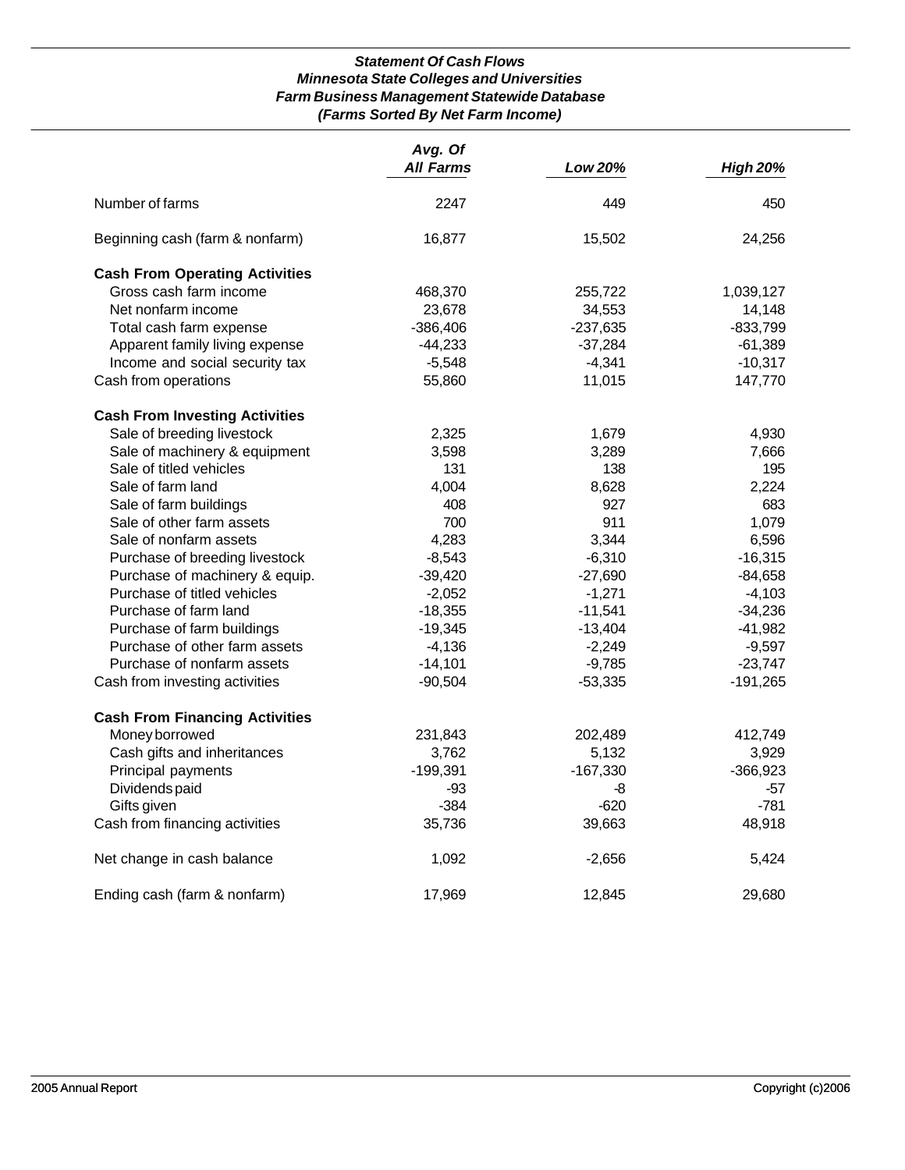# *Statement Of Cash Flows Minnesota State Colleges and Universities Farm Business Management Statewide Database (Farms Sorted By Net Farm Income)*

|                                       | Avg. Of<br><b>All Farms</b> | Low 20%    | <b>High 20%</b> |
|---------------------------------------|-----------------------------|------------|-----------------|
|                                       |                             |            |                 |
| Number of farms                       | 2247                        | 449        | 450             |
| Beginning cash (farm & nonfarm)       | 16,877                      | 15,502     | 24,256          |
| <b>Cash From Operating Activities</b> |                             |            |                 |
| Gross cash farm income                | 468,370                     | 255,722    | 1,039,127       |
| Net nonfarm income                    | 23,678                      | 34,553     | 14,148          |
| Total cash farm expense               | $-386,406$                  | $-237,635$ | $-833,799$      |
| Apparent family living expense        | $-44,233$                   | $-37,284$  | $-61,389$       |
| Income and social security tax        | $-5,548$                    | $-4,341$   | $-10,317$       |
| Cash from operations                  | 55,860                      | 11,015     | 147,770         |
| <b>Cash From Investing Activities</b> |                             |            |                 |
| Sale of breeding livestock            | 2,325                       | 1,679      | 4,930           |
| Sale of machinery & equipment         | 3,598                       | 3,289      | 7,666           |
| Sale of titled vehicles               | 131                         | 138        | 195             |
| Sale of farm land                     | 4,004                       | 8,628      | 2,224           |
| Sale of farm buildings                | 408                         | 927        | 683             |
| Sale of other farm assets             | 700                         | 911        | 1,079           |
| Sale of nonfarm assets                | 4,283                       | 3,344      | 6,596           |
| Purchase of breeding livestock        | $-8,543$                    | $-6,310$   | $-16,315$       |
| Purchase of machinery & equip.        | $-39,420$                   | $-27,690$  | $-84,658$       |
| Purchase of titled vehicles           | $-2,052$                    | $-1,271$   | $-4,103$        |
| Purchase of farm land                 | $-18,355$                   | $-11,541$  | $-34,236$       |
| Purchase of farm buildings            | $-19,345$                   | $-13,404$  | $-41,982$       |
| Purchase of other farm assets         | $-4,136$                    | $-2,249$   | $-9,597$        |
| Purchase of nonfarm assets            | $-14,101$                   | $-9,785$   | $-23,747$       |
| Cash from investing activities        | $-90,504$                   | $-53,335$  | $-191,265$      |
| <b>Cash From Financing Activities</b> |                             |            |                 |
| Money borrowed                        | 231,843                     | 202,489    | 412,749         |
| Cash gifts and inheritances           | 3,762                       | 5,132      | 3,929           |
| Principal payments                    | $-199,391$                  | $-167,330$ | $-366,923$      |
| Dividends paid                        | -93                         | -8         | -57             |
| Gifts given                           | -384                        | $-620$     | $-781$          |
| Cash from financing activities        | 35,736                      | 39,663     | 48,918          |
| Net change in cash balance            | 1,092                       | $-2,656$   | 5,424           |
| Ending cash (farm & nonfarm)          | 17,969                      | 12,845     | 29,680          |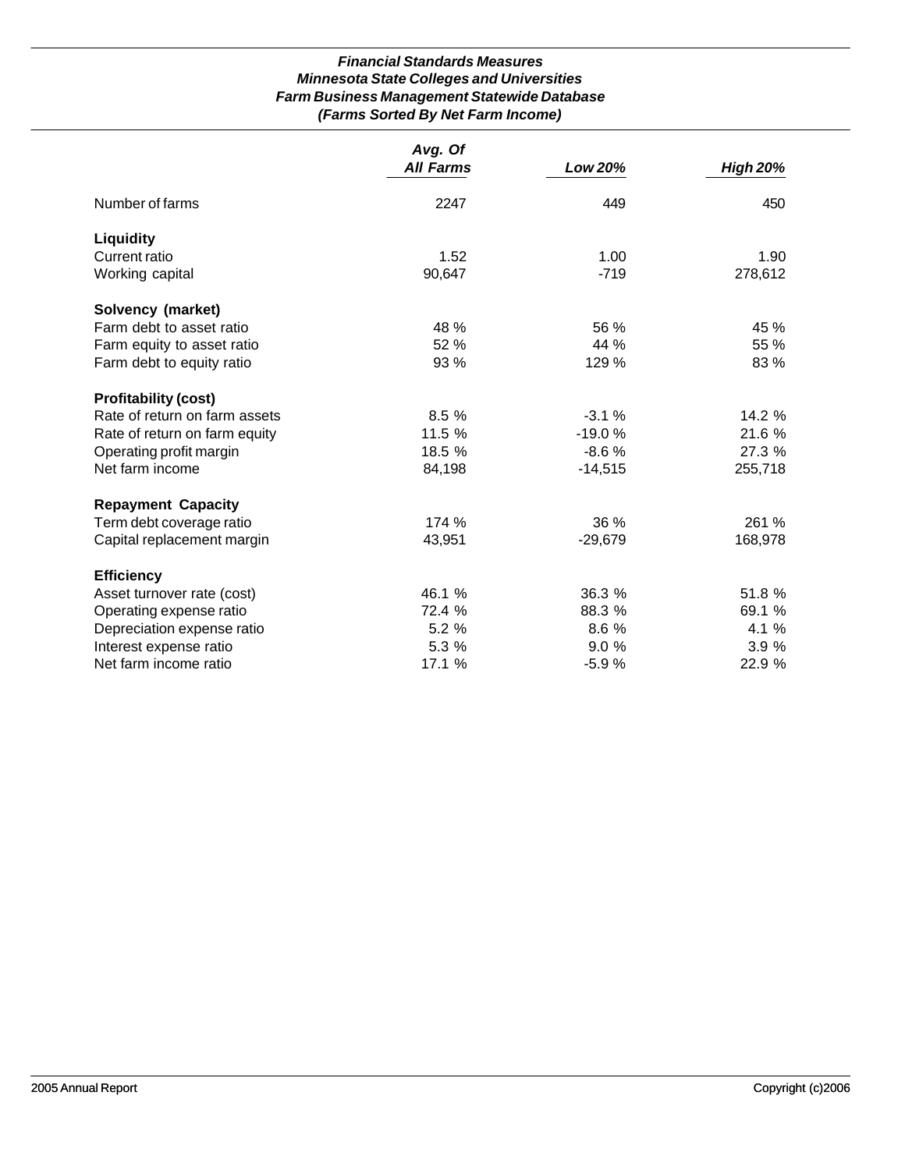# *Financial Standards Measures Minnesota State Colleges and Universities Farm Business Management Statewide Database (Farms Sorted By Net Farm Income)*

|                               | Avg. Of<br><b>All Farms</b> | Low 20%   | <b>High 20%</b> |
|-------------------------------|-----------------------------|-----------|-----------------|
|                               |                             |           |                 |
| Number of farms               | 2247                        | 449       | 450             |
| <b>Liquidity</b>              |                             |           |                 |
| Current ratio                 | 1.52                        | 1.00      | 1.90            |
| Working capital               | 90,647                      | $-719$    | 278,612         |
| Solvency (market)             |                             |           |                 |
| Farm debt to asset ratio      | 48 %                        | 56 %      | 45 %            |
| Farm equity to asset ratio    | 52 %                        | 44 %      | 55 %            |
| Farm debt to equity ratio     | 93 %                        | 129 %     | 83 %            |
| <b>Profitability (cost)</b>   |                             |           |                 |
| Rate of return on farm assets | 8.5 %                       | $-3.1%$   | 14.2 %          |
| Rate of return on farm equity | 11.5 %                      | $-19.0%$  | 21.6 %          |
| Operating profit margin       | 18.5 %                      | $-8.6%$   | 27.3 %          |
| Net farm income               | 84,198                      | $-14,515$ | 255,718         |
| <b>Repayment Capacity</b>     |                             |           |                 |
| Term debt coverage ratio      | 174 %                       | 36%       | 261 %           |
| Capital replacement margin    | 43,951                      | $-29,679$ | 168,978         |
| <b>Efficiency</b>             |                             |           |                 |
| Asset turnover rate (cost)    | 46.1 %                      | 36.3 %    | 51.8 %          |
| Operating expense ratio       | 72.4 %                      | 88.3 %    | 69.1 %          |
| Depreciation expense ratio    | 5.2 %                       | 8.6 %     | 4.1 %           |
| Interest expense ratio        | 5.3 %                       | 9.0%      | 3.9%            |
| Net farm income ratio         | 17.1 %                      | $-5.9%$   | 22.9 %          |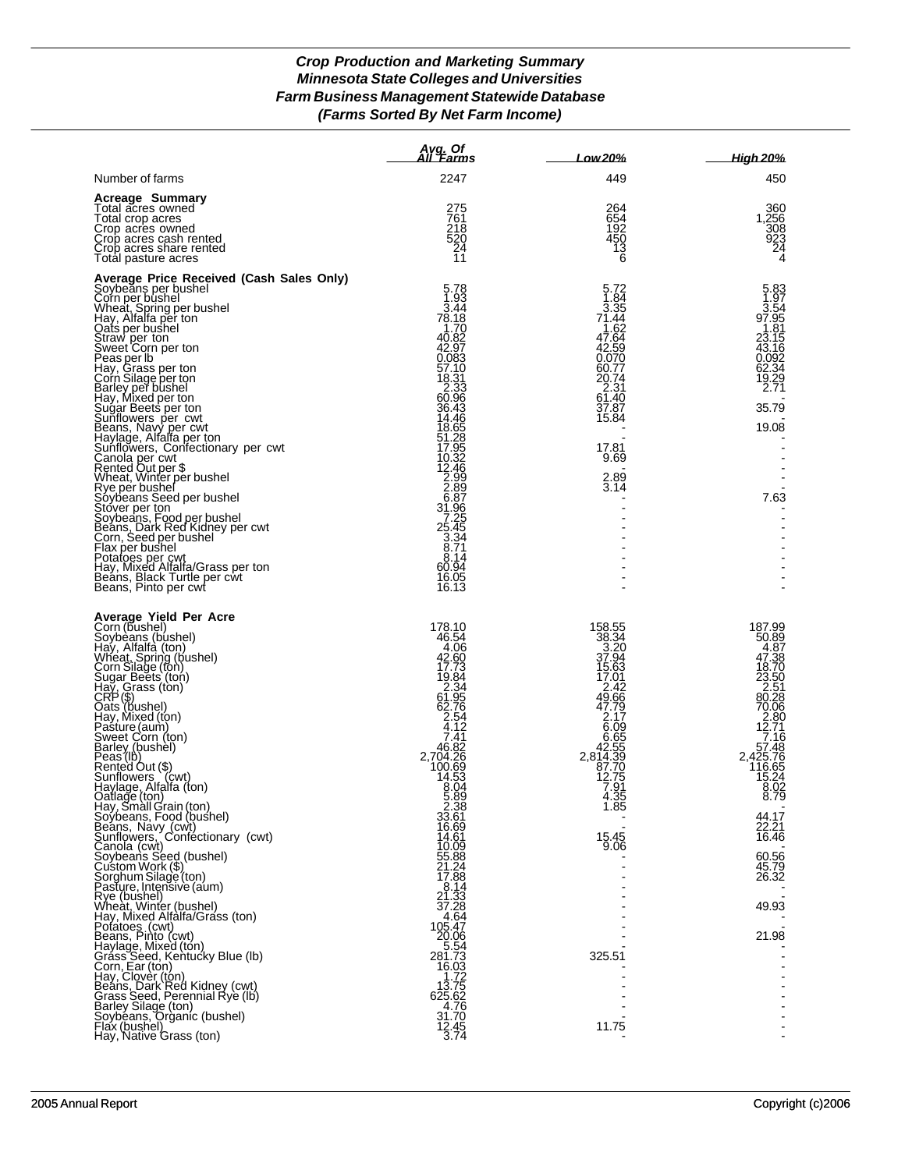# *Crop Production and Marketing Summary Minnesota State Colleges and Universities Farm Business Management Statewide Database (Farms Sorted By Net Farm Income)*

|                                                                                                                                                                                                                                                                                                                                                                                                                                                                                                                                                                                                                                                                                                                                                                                                                                                                                                                                                     | Avg. Of<br>All ´Farms                                                                                                                                                                                                                                                                                                                                                                                            | Low 20%                                                                                                                                                                                                       | High 20%                                                                                                                                                                                                                                                                      |
|-----------------------------------------------------------------------------------------------------------------------------------------------------------------------------------------------------------------------------------------------------------------------------------------------------------------------------------------------------------------------------------------------------------------------------------------------------------------------------------------------------------------------------------------------------------------------------------------------------------------------------------------------------------------------------------------------------------------------------------------------------------------------------------------------------------------------------------------------------------------------------------------------------------------------------------------------------|------------------------------------------------------------------------------------------------------------------------------------------------------------------------------------------------------------------------------------------------------------------------------------------------------------------------------------------------------------------------------------------------------------------|---------------------------------------------------------------------------------------------------------------------------------------------------------------------------------------------------------------|-------------------------------------------------------------------------------------------------------------------------------------------------------------------------------------------------------------------------------------------------------------------------------|
| Number of farms                                                                                                                                                                                                                                                                                                                                                                                                                                                                                                                                                                                                                                                                                                                                                                                                                                                                                                                                     | 2247                                                                                                                                                                                                                                                                                                                                                                                                             | 449                                                                                                                                                                                                           | 450                                                                                                                                                                                                                                                                           |
| <b>Acreage Summary</b><br>Total acres owned<br>Total crop acres<br>Crop acres owned<br>Crop acres cash rented<br>Crop acres share rented<br>Total pasture acres                                                                                                                                                                                                                                                                                                                                                                                                                                                                                                                                                                                                                                                                                                                                                                                     | 275<br>761<br>218<br>520<br>24<br>11                                                                                                                                                                                                                                                                                                                                                                             | 264<br>654<br>$\frac{192}{450}$<br>$\begin{matrix} 13 \\ 6 \end{matrix}$                                                                                                                                      | 360<br>1,256<br>308<br>$\frac{923}{24}$<br>4                                                                                                                                                                                                                                  |
| Average Price Received (Cash Sales Only)<br>Soybeans per bushel<br>Corn per bushel<br>Wheat, Spring per bushel<br>Hay, Alfalfa per ton<br>Qats per bushel<br>Oats per bushel<br>Straw per ton<br>Sweet Corn per ton<br>Peas per lb<br>Hay, Grass per ton<br>Corn Silage per ton<br>Barly per bushel<br>Sugar Beets per ton<br>Sugar Beets per cwt<br>Beans, Navy per cwt<br>Haylage, Alfalfa per ton<br>Canola per cwt<br>Canol<br>Sunflowers, Confectionary per cv<br>Canola per cwt<br>Rented Out per \$<br>Wheat, Winter per bushel<br>Rye per bushel<br>Rye per bushel<br>Soybeans Seed per bushel<br>Stover per ton<br>Soybeans, Food per bushel<br>Flax per sushel<br>Fax per bushel<br>Fax p                                                                                                                                                                                                                                                 | 5.78<br>1.93<br>3.44<br>$78.18$<br>1.70<br>40.82<br>42.97<br>0.083<br>57.10<br>18.31<br>2.33<br>60.96<br>36.43<br>14.46<br>18.5285285285285288879633745338774838877253388774838988772533887714<br>60.94<br>16.05<br>16.13                                                                                                                                                                                        | 5.72<br>1.84<br>3.35<br>71.44<br>1.62<br>47.64<br>42.59<br>0.070<br>60.77<br>20.74<br>2.31<br>61.40<br>37.87<br>15.84<br>17.81<br>9.69<br>2.89<br>3.14                                                        | 5.83<br>1.97<br>3.54<br>97.95<br>1.81<br>23.15<br>43.16<br>$0.092$<br>62.34<br>19.29<br>2.71<br>35.79<br>19.08<br>L,<br>7.63                                                                                                                                                  |
| Average Yield Per Acre<br>Corn (bushel)<br>Soybeans (bushel)<br>Hay, Alfalfa (ton)<br>Wheat, Spring (bushel)<br>Corn Silage (ton)<br>Sugar Beets (ton)<br>CRP (\$)<br>Cass (ton)<br>CRP (\$)<br>Oats (hushel)<br>Pasture (aum)<br>Sweet Corn (ton)<br>Barby (bushel)<br>Ba<br>Oatlage (ton)<br>Hay, Small Grain (ton)<br>Soýbeans, Food (bushel)<br>Beans, Navy (cwt)<br>Sunflowers, Confectionary (cwt)<br>Canola (cwt)<br>Soybeans Seed (bushel)<br>Custom Work (\$)<br>Sorghum Silage (ton)<br>Pasture, Intensive (aum)<br>Rye (bushel)<br>Wheat, Winter (bushel)<br>Hay, Mixed Altalfa/Grass (ton)<br>Pofatoes (cwt)<br>Beans, Pinto (cwt)<br>Haylage, Mixed (ton)<br>Grass Seed, Kentucky Blue (lb)<br>Corn, Ear (ton)<br>Corn, Ear (ton)<br>Beans, Dark Red Kidney (cwt)<br>Grass Seed, Perennial Rye (lb)<br>Grass Seed, Perennial Rye (lb)<br>Barley Silage (ton)<br>Soybeans, Organic (bushel)<br>Flax (bushel)<br>Hay, Native Grass (ton) | 178.10<br>46.54<br>4.06<br>42.60<br>17.73<br>19.84<br>19.84<br>62.76<br>2.76<br>2.74<br>4.7<br>7.41<br>$2,704.26$<br>$100.69$<br>$14.53$<br>$8.04$<br>5.89<br>2.38<br>33.61<br>16.69<br>14.61<br>10.09<br>55.88<br>21.24<br>17.88<br>8.14<br>21.33<br>37.28<br>4.64<br>105.47<br>20.06<br>$-5.54$<br>281.73<br>16.03<br>1.72<br>$\begin{array}{r} 13.75 \\ 625.62 \\ 4.76 \end{array}$<br>31.70<br>12.45<br>3.74 | 158.55<br>38.34<br>2.20<br>37.94<br>15.63<br>17.01<br>17.01<br>49.66<br>47.79<br>2.17<br>6.65<br>42.55<br>44.53<br>2,814.39<br>87.70<br>12.75<br>7.91<br>35<br>4.<br>1.85<br>15.45<br>9.06<br>325.51<br>11.75 | 187.99<br>50.89<br>4.87<br>47.38<br>18.70<br>$\frac{23.50}{2.51}$<br>80.28<br>70.06<br>$\begin{array}{r} 2.80 \\ 12.71 \\ 7.16 \end{array}$<br>57.48<br>2,425.76<br>116.65<br>$15.24$<br>8.02<br>8.79<br>44.17<br>22.21<br>16.46<br>60.56<br>45.79<br>26.32<br>49.93<br>21.98 |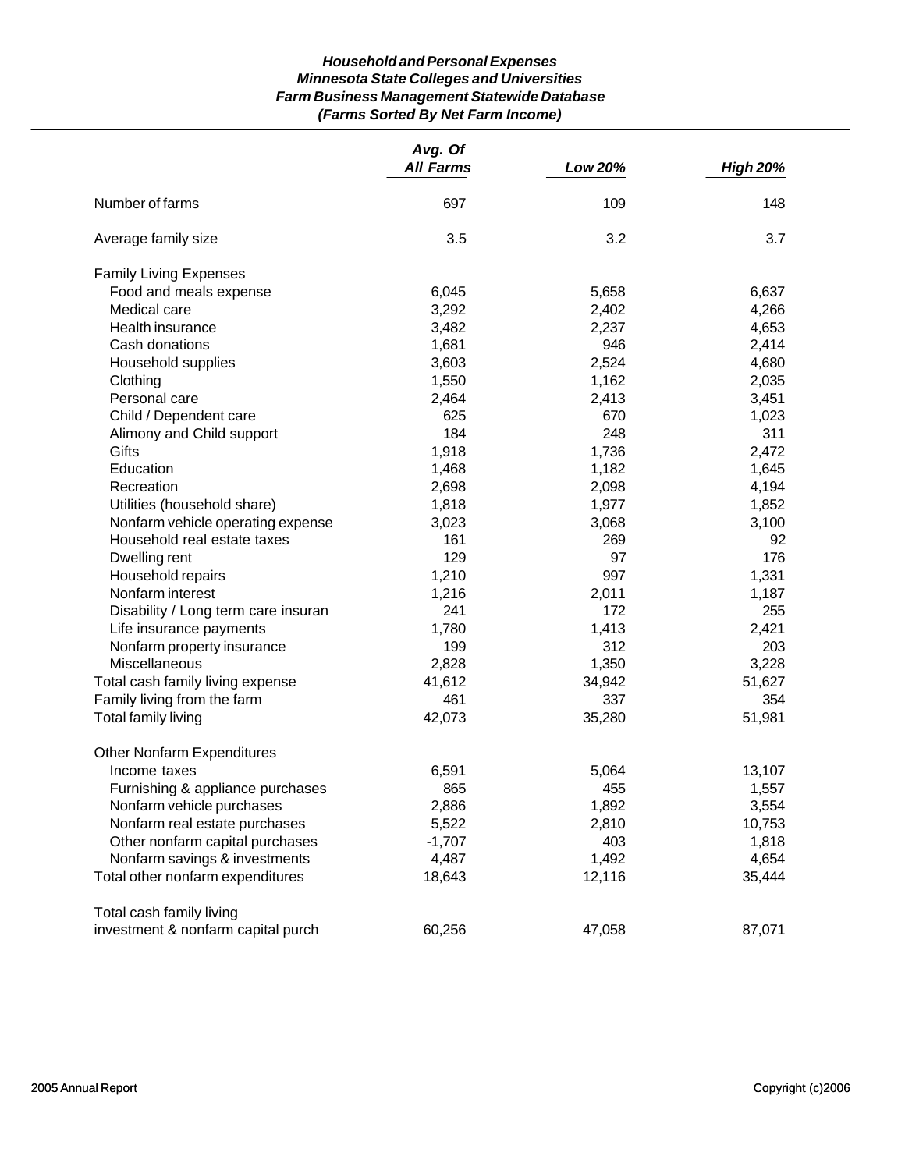# *Household and Personal Expenses Minnesota State Colleges and Universities Farm Business Management Statewide Database (Farms Sorted By Net Farm Income)*

|                                     | Avg. Of<br><b>All Farms</b> | Low 20% | <b>High 20%</b> |
|-------------------------------------|-----------------------------|---------|-----------------|
| Number of farms                     | 697                         | 109     | 148             |
| Average family size                 | 3.5                         | 3.2     | 3.7             |
| <b>Family Living Expenses</b>       |                             |         |                 |
| Food and meals expense              | 6,045                       | 5,658   | 6,637           |
| Medical care                        | 3,292                       | 2,402   | 4,266           |
| Health insurance                    | 3,482                       | 2,237   | 4,653           |
| Cash donations                      | 1,681                       | 946     | 2,414           |
| Household supplies                  | 3,603                       | 2,524   | 4,680           |
| Clothing                            | 1,550                       | 1,162   | 2,035           |
| Personal care                       | 2,464                       | 2,413   | 3,451           |
| Child / Dependent care              | 625                         | 670     | 1,023           |
| Alimony and Child support           | 184                         | 248     | 311             |
| Gifts                               | 1,918                       | 1,736   | 2,472           |
| Education                           | 1,468                       | 1,182   | 1,645           |
| Recreation                          | 2,698                       | 2,098   | 4,194           |
| Utilities (household share)         | 1,818                       | 1,977   | 1,852           |
| Nonfarm vehicle operating expense   | 3,023                       | 3,068   | 3,100           |
| Household real estate taxes         | 161                         | 269     | 92              |
| Dwelling rent                       | 129                         | 97      | 176             |
| Household repairs                   | 1,210                       | 997     | 1,331           |
| Nonfarm interest                    | 1,216                       | 2,011   | 1,187           |
| Disability / Long term care insuran | 241                         | 172     | 255             |
| Life insurance payments             | 1,780                       | 1,413   | 2,421           |
| Nonfarm property insurance          | 199                         | 312     | 203             |
| Miscellaneous                       | 2,828                       | 1,350   | 3,228           |
| Total cash family living expense    | 41,612                      | 34,942  | 51,627          |
| Family living from the farm         | 461                         | 337     | 354             |
| <b>Total family living</b>          | 42,073                      | 35,280  | 51,981          |
| <b>Other Nonfarm Expenditures</b>   |                             |         |                 |
| Income taxes                        | 6,591                       | 5,064   | 13,107          |
| Furnishing & appliance purchases    | 865                         | 455     | 1,557           |
| Nonfarm vehicle purchases           | 2,886                       | 1,892   | 3,554           |
| Nonfarm real estate purchases       | 5,522                       | 2,810   | 10,753          |
| Other nonfarm capital purchases     | $-1,707$                    | 403     | 1,818           |
| Nonfarm savings & investments       | 4,487                       | 1,492   | 4,654           |
| Total other nonfarm expenditures    | 18,643                      | 12,116  | 35,444          |
| Total cash family living            |                             |         |                 |
| investment & nonfarm capital purch  | 60,256                      | 47,058  | 87,071          |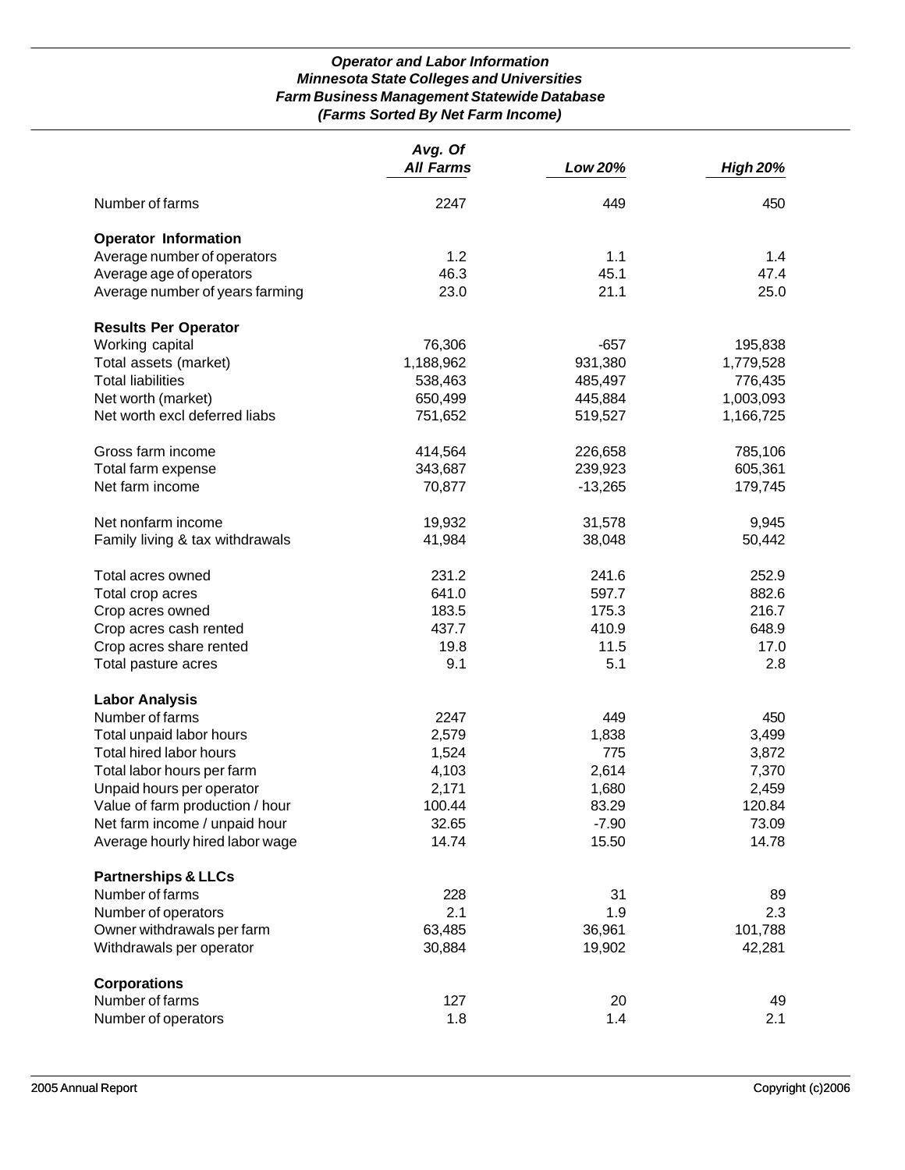# *Operator and Labor Information Minnesota State Colleges and Universities Farm Business Management Statewide Database (Farms Sorted By Net Farm Income)*

|                                 | Avg. Of<br><b>All Farms</b> |           |                 |
|---------------------------------|-----------------------------|-----------|-----------------|
|                                 |                             | Low 20%   | <b>High 20%</b> |
| Number of farms                 | 2247                        | 449       | 450             |
| <b>Operator Information</b>     |                             |           |                 |
| Average number of operators     | 1.2                         | 1.1       | 1.4             |
| Average age of operators        | 46.3                        | 45.1      | 47.4            |
| Average number of years farming | 23.0                        | 21.1      | 25.0            |
| <b>Results Per Operator</b>     |                             |           |                 |
| Working capital                 | 76,306                      | $-657$    | 195,838         |
| Total assets (market)           | 1,188,962                   | 931,380   | 1,779,528       |
| <b>Total liabilities</b>        | 538,463                     | 485,497   | 776,435         |
| Net worth (market)              | 650,499                     | 445,884   | 1,003,093       |
| Net worth excl deferred liabs   | 751,652                     | 519,527   | 1,166,725       |
| Gross farm income               | 414,564                     | 226,658   | 785,106         |
| Total farm expense              | 343,687                     | 239,923   | 605,361         |
| Net farm income                 | 70,877                      | $-13,265$ | 179,745         |
| Net nonfarm income              | 19,932                      | 31,578    | 9,945           |
| Family living & tax withdrawals | 41,984                      | 38,048    | 50,442          |
| Total acres owned               | 231.2                       | 241.6     | 252.9           |
| Total crop acres                | 641.0                       | 597.7     | 882.6           |
| Crop acres owned                | 183.5                       | 175.3     | 216.7           |
| Crop acres cash rented          | 437.7                       | 410.9     | 648.9           |
| Crop acres share rented         | 19.8                        | 11.5      | 17.0            |
| Total pasture acres             | 9.1                         | 5.1       | 2.8             |
| <b>Labor Analysis</b>           |                             |           |                 |
| Number of farms                 | 2247                        | 449       | 450             |
| Total unpaid labor hours        | 2,579                       | 1,838     | 3,499           |
| Total hired labor hours         | 1,524                       | 775       | 3,872           |
| Total labor hours per farm      | 4,103                       | 2,614     | 7,370           |
| Unpaid hours per operator       | 2,171                       | 1,680     | 2,459           |
| Value of farm production / hour | 100.44                      | 83.29     | 120.84          |
| Net farm income / unpaid hour   | 32.65                       | $-7.90$   | 73.09           |
| Average hourly hired labor wage | 14.74                       | 15.50     | 14.78           |
| <b>Partnerships &amp; LLCs</b>  |                             |           |                 |
| Number of farms                 | 228                         | 31        | 89              |
| Number of operators             | 2.1                         | 1.9       | 2.3             |
| Owner withdrawals per farm      | 63,485                      | 36,961    | 101,788         |
| Withdrawals per operator        | 30,884                      | 19,902    | 42,281          |
| <b>Corporations</b>             |                             |           |                 |
| Number of farms                 | 127                         | 20        | 49              |
| Number of operators             | 1.8                         | 1.4       | 2.1             |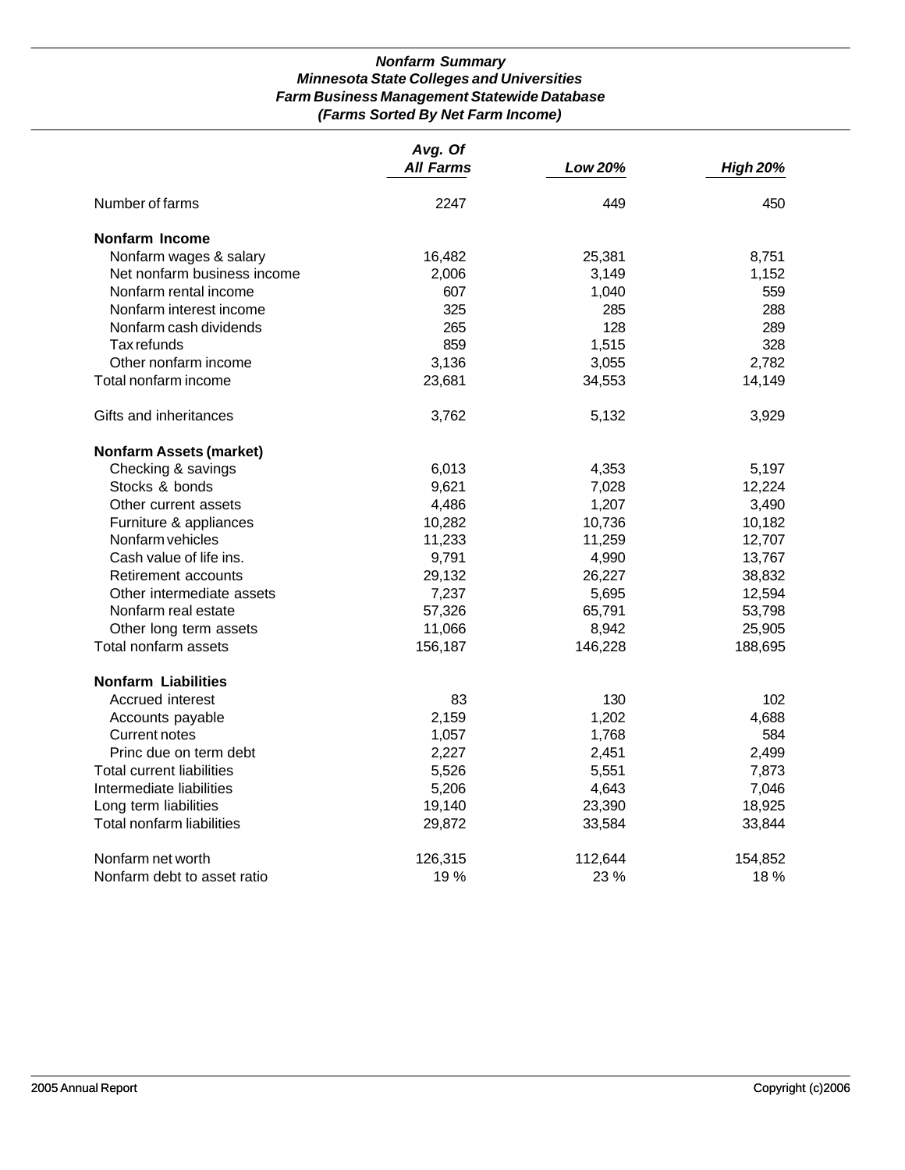# *Nonfarm Summary Minnesota State Colleges and Universities Farm Business Management Statewide Database (Farms Sorted By Net Farm Income)*

|                                | Avg. Of          |         |                 |
|--------------------------------|------------------|---------|-----------------|
|                                | <b>All Farms</b> | Low 20% | <b>High 20%</b> |
| Number of farms                | 2247             | 449     | 450             |
| Nonfarm Income                 |                  |         |                 |
| Nonfarm wages & salary         | 16,482           | 25,381  | 8,751           |
| Net nonfarm business income    | 2,006            | 3,149   | 1,152           |
| Nonfarm rental income          | 607              | 1,040   | 559             |
| Nonfarm interest income        | 325              | 285     | 288             |
| Nonfarm cash dividends         | 265              | 128     | 289             |
| Tax refunds                    | 859              | 1,515   | 328             |
| Other nonfarm income           | 3,136            | 3,055   | 2,782           |
| Total nonfarm income           | 23,681           | 34,553  | 14,149          |
| Gifts and inheritances         | 3,762            | 5,132   | 3,929           |
| <b>Nonfarm Assets (market)</b> |                  |         |                 |
| Checking & savings             | 6,013            | 4,353   | 5,197           |
| Stocks & bonds                 | 9,621            | 7,028   | 12,224          |
| Other current assets           | 4,486            | 1,207   | 3,490           |
| Furniture & appliances         | 10,282           | 10,736  | 10,182          |
| Nonfarm vehicles               | 11,233           | 11,259  | 12,707          |
| Cash value of life ins.        | 9,791            | 4,990   | 13,767          |
| Retirement accounts            | 29,132           | 26,227  | 38,832          |
| Other intermediate assets      | 7,237            | 5,695   | 12,594          |
| Nonfarm real estate            | 57,326           | 65,791  | 53,798          |
| Other long term assets         | 11,066           | 8,942   | 25,905          |
| Total nonfarm assets           | 156,187          | 146,228 | 188,695         |
| <b>Nonfarm Liabilities</b>     |                  |         |                 |
| Accrued interest               | 83               | 130     | 102             |
| Accounts payable               | 2,159            | 1,202   | 4,688           |
| <b>Current notes</b>           | 1,057            | 1,768   | 584             |
| Princ due on term debt         | 2,227            | 2,451   | 2,499           |
| Total current liabilities      | 5,526            | 5,551   | 7,873           |
| Intermediate liabilities       | 5,206            | 4,643   | 7,046           |
| Long term liabilities          | 19,140           | 23,390  | 18,925          |
| Total nonfarm liabilities      | 29,872           | 33,584  | 33,844          |
| Nonfarm net worth              | 126,315          | 112,644 | 154,852         |
| Nonfarm debt to asset ratio    | 19%              | 23 %    | 18 %            |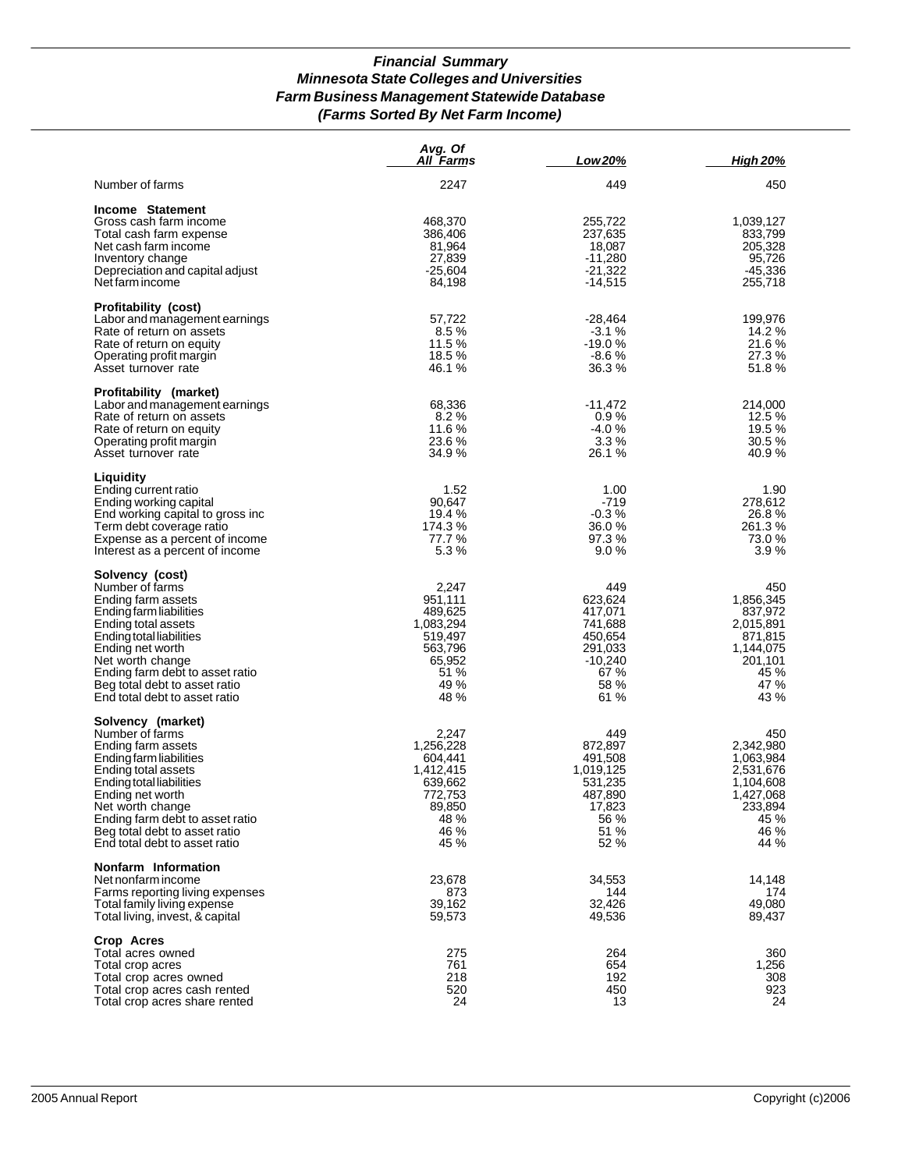# *Financial Summary Minnesota State Colleges and Universities Farm Business Management Statewide Database (Farms Sorted By Net Farm Income)*

|                                                                                                                                                                                                                                                                                       | Avg. Of<br>All Farms                                                                               | Low 20%                                                                                         | <b>High 20%</b>                                                                                         |
|---------------------------------------------------------------------------------------------------------------------------------------------------------------------------------------------------------------------------------------------------------------------------------------|----------------------------------------------------------------------------------------------------|-------------------------------------------------------------------------------------------------|---------------------------------------------------------------------------------------------------------|
| Number of farms                                                                                                                                                                                                                                                                       | 2247                                                                                               | 449                                                                                             | 450                                                                                                     |
| Income Statement<br>Gross cash farm income<br>Total cash farm expense<br>Net cash farm income<br>Inventory change<br>Depreciation and capital adjust<br>Net farm income                                                                                                               | 468,370<br>386,406<br>81,964<br>27,839<br>$-25,604$<br>84,198                                      | 255,722<br>237,635<br>18,087<br>$-11,280$<br>$-21,322$<br>$-14,515$                             | 1,039,127<br>833,799<br>205,328<br>95,726<br>$-45,336$<br>255,718                                       |
| Profitability (cost)<br>Labor and management earnings<br>Rate of return on assets<br>Rate of return on equity<br>Operating profit margin<br>Asset turnover rate                                                                                                                       | 57,722<br>8.5%<br>11.5%<br>18.5 %<br>46.1 %                                                        | $-28,464$<br>$-3.1%$<br>$-19.0%$<br>$-8.6%$<br>36.3%                                            | 199,976<br>14.2 %<br>21.6%<br>27.3%<br>51.8%                                                            |
| Profitability (market)<br>Labor and management earnings<br>Rate of return on assets<br>Rate of return on equity<br>Operating profit margin<br>Asset turnover rate                                                                                                                     | 68,336<br>8.2%<br>11.6 %<br>23.6 %<br>34.9 %                                                       | -11,472<br>0.9%<br>$-4.0%$<br>3.3%<br>26.1 %                                                    | 214,000<br>12.5 %<br>19.5 %<br>30.5%<br>40.9%                                                           |
| Liquidity<br>Ending current ratio<br>Ending working capital<br>End working capital to gross inc<br>Term debt coverage ratio<br>Expense as a percent of income<br>Interest as a percent of income                                                                                      | 1.52<br>90,647<br>19.4 %<br>174.3 %<br>77.7 %<br>5.3%                                              | 1.00<br>$-719$<br>$-0.3%$<br>36.0 %<br>97.3%<br>9.0%                                            | 1.90<br>278,612<br>26.8%<br>261.3 %<br>73.0 %<br>3.9%                                                   |
| Solvency (cost)<br>Number of farms<br>Ending farm assets<br>Ending farm liabilities<br>Ending total assets<br>Ending total liabilities<br>Ending net worth<br>Net worth change<br>Ending farm debt to asset ratio<br>Beg total debt to asset ratio<br>End total debt to asset ratio   | 2,247<br>951,111<br>489,625<br>1,083,294<br>519,497<br>563,796<br>65,952<br>51 %<br>49 %<br>48 %   | 449<br>623,624<br>417,071<br>741,688<br>450,654<br>291,033<br>$-10,240$<br>67 %<br>58 %<br>61 % | 450<br>1,856,345<br>837,972<br>2,015,891<br>871,815<br>1,144,075<br>201,101<br>45 %<br>47 %<br>43 %     |
| Solvency (market)<br>Number of farms<br>Ending farm assets<br>Ending farm liabilities<br>Ending total assets<br>Ending total liabilities<br>Ending net worth<br>Net worth change<br>Ending farm debt to asset ratio<br>Beg total debt to asset ratio<br>End total debt to asset ratio | 2,247<br>1,256,228<br>604,441<br>1,412,415<br>639,662<br>772.753<br>89,850<br>48 %<br>46 %<br>45 % | 449<br>872.897<br>491,508<br>1,019,125<br>531,235<br>487,890<br>17,823<br>56 %<br>51 %<br>52 %  | 450<br>2,342,980<br>1,063,984<br>2,531,676<br>1,104,608<br>1,427,068<br>233,894<br>45 %<br>46 %<br>44 % |
| Nonfarm Information<br>Net nonfarm income<br>Farms reporting living expenses<br>Total family living expense<br>Total living, invest, & capital                                                                                                                                        | 23,678<br>873<br>39,162<br>59,573                                                                  | 34,553<br>144<br>32,426<br>49,536                                                               | 14,148<br>174<br>49,080<br>89,437                                                                       |
| Crop Acres<br>Total acres owned<br>Total crop acres<br>Total crop acres owned<br>Total crop acres cash rented<br>Total crop acres share rented                                                                                                                                        | 275<br>761<br>218<br>520<br>24                                                                     | 264<br>654<br>192<br>450<br>13                                                                  | 360<br>1,256<br>308<br>923<br>24                                                                        |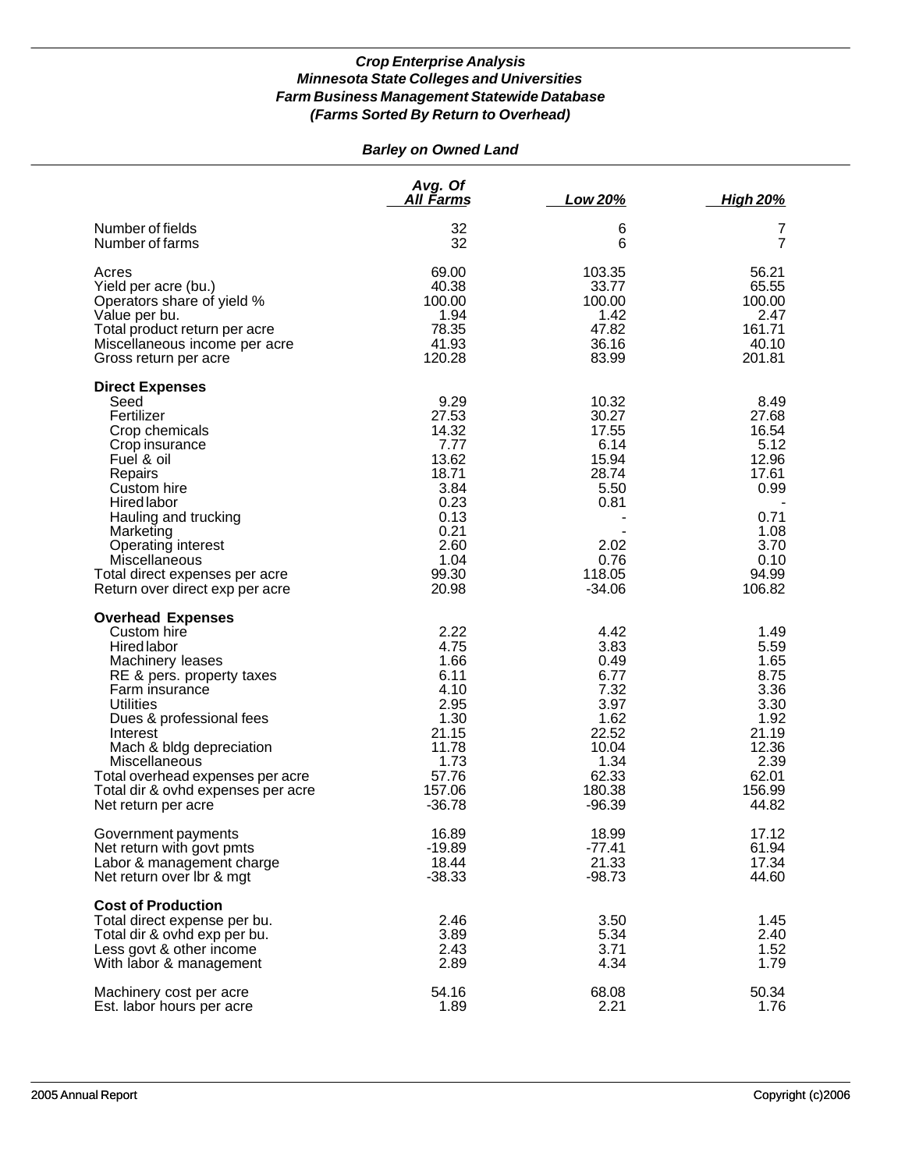# *Barley on Owned Land*

|                                                                                                                                                                                                                                                                                                                                            | Avg. Of<br><u>All Farms</u>                                                                                        | Low 20%                                                                                                       | <b>High 20%</b>                                                                                             |
|--------------------------------------------------------------------------------------------------------------------------------------------------------------------------------------------------------------------------------------------------------------------------------------------------------------------------------------------|--------------------------------------------------------------------------------------------------------------------|---------------------------------------------------------------------------------------------------------------|-------------------------------------------------------------------------------------------------------------|
| Number of fields                                                                                                                                                                                                                                                                                                                           | 32                                                                                                                 | 6                                                                                                             | 7                                                                                                           |
| Number of farms                                                                                                                                                                                                                                                                                                                            | 32                                                                                                                 | 6                                                                                                             | 7                                                                                                           |
| Acres                                                                                                                                                                                                                                                                                                                                      | 69.00                                                                                                              | 103.35                                                                                                        | 56.21                                                                                                       |
| Yield per acre (bu.)                                                                                                                                                                                                                                                                                                                       | 40.38                                                                                                              | 33.77                                                                                                         | 65.55                                                                                                       |
| Operators share of yield %                                                                                                                                                                                                                                                                                                                 | 100.00                                                                                                             | 100.00                                                                                                        | 100.00                                                                                                      |
| Value per bu.                                                                                                                                                                                                                                                                                                                              | 1.94                                                                                                               | 1.42                                                                                                          | 2.47                                                                                                        |
| Total product return per acre                                                                                                                                                                                                                                                                                                              | 78.35                                                                                                              | 47.82                                                                                                         | 161.71                                                                                                      |
| Miscellaneous income per acre                                                                                                                                                                                                                                                                                                              | 41.93                                                                                                              | 36.16                                                                                                         | 40.10                                                                                                       |
| Gross return per acre                                                                                                                                                                                                                                                                                                                      | 120.28                                                                                                             | 83.99                                                                                                         | 201.81                                                                                                      |
| <b>Direct Expenses</b><br>Seed<br>Fertilizer<br>Crop chemicals<br>Crop insurance<br>Fuel & oil<br>Repairs<br>Custom hire<br>Hired labor<br>Hauling and trucking<br>Marketing<br>Operating interest<br>Miscellaneous<br>Total direct expenses per acre<br>Return over direct exp per acre                                                   | 9.29<br>27.53<br>14.32<br>7.77<br>13.62<br>18.71<br>3.84<br>0.23<br>0.13<br>0.21<br>2.60<br>1.04<br>99.30<br>20.98 | 10.32<br>30.27<br>17.55<br>6.14<br>15.94<br>28.74<br>5.50<br>0.81<br>2.02<br>0.76<br>118.05<br>$-34.06$       | 8.49<br>27.68<br>16.54<br>5.12<br>12.96<br>17.61<br>0.99<br>0.71<br>1.08<br>3.70<br>0.10<br>94.99<br>106.82 |
| <b>Overhead Expenses</b><br>Custom hire<br><b>Hired labor</b><br>Machinery leases<br>RE & pers. property taxes<br>Farm insurance<br><b>Utilities</b><br>Dues & professional fees<br>Interest<br>Mach & bldg depreciation<br>Miscellaneous<br>Total overhead expenses per acre<br>Total dir & ovhd expenses per acre<br>Net return per acre | 2.22<br>4.75<br>1.66<br>6.11<br>4.10<br>2.95<br>1.30<br>21.15<br>11.78<br>1.73<br>57.76<br>157.06<br>$-36.78$      | 4.42<br>3.83<br>0.49<br>6.77<br>7.32<br>3.97<br>1.62<br>22.52<br>10.04<br>1.34<br>62.33<br>180.38<br>$-96.39$ | 1.49<br>5.59<br>1.65<br>8.75<br>3.36<br>3.30<br>1.92<br>21.19<br>12.36<br>2.39<br>62.01<br>156.99<br>44.82  |
| Government payments                                                                                                                                                                                                                                                                                                                        | 16.89                                                                                                              | 18.99                                                                                                         | 17.12                                                                                                       |
| Net return with govt pmts                                                                                                                                                                                                                                                                                                                  | $-19.89$                                                                                                           | $-77.41$                                                                                                      | 61.94                                                                                                       |
| Labor & management charge                                                                                                                                                                                                                                                                                                                  | 18.44                                                                                                              | 21.33                                                                                                         | 17.34                                                                                                       |
| Net return over Ibr & mgt                                                                                                                                                                                                                                                                                                                  | $-38.33$                                                                                                           | $-98.73$                                                                                                      | 44.60                                                                                                       |
| <b>Cost of Production</b><br>Total direct expense per bu.<br>Total dir & ovhd exp per bu.<br>Less govt & other income<br>With labor & management                                                                                                                                                                                           | 2.46<br>3.89<br>2.43<br>2.89                                                                                       | 3.50<br>5.34<br>3.71<br>4.34                                                                                  | 1.45<br>2.40<br>1.52<br>1.79                                                                                |
| Machinery cost per acre                                                                                                                                                                                                                                                                                                                    | 54.16                                                                                                              | 68.08                                                                                                         | 50.34                                                                                                       |
| Est. labor hours per acre                                                                                                                                                                                                                                                                                                                  | 1.89                                                                                                               | 2.21                                                                                                          | 1.76                                                                                                        |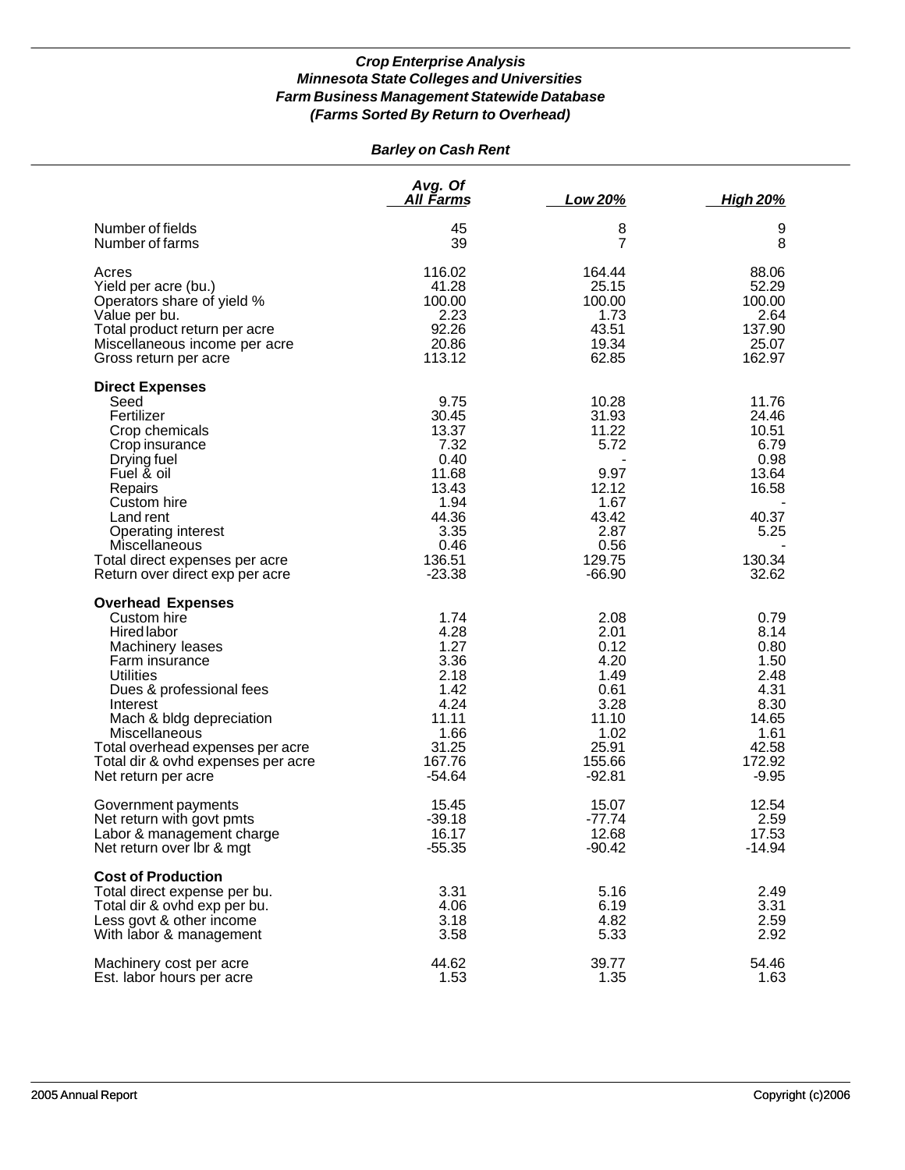# *Barley on Cash Rent*

|                                                                                                                                                                                                                                                                                                        | Avg. Of<br><u>All Farms</u>                                                                                     | <u>Low 20%</u>                                                                                          | <b>High 20%</b>                                                                                     |
|--------------------------------------------------------------------------------------------------------------------------------------------------------------------------------------------------------------------------------------------------------------------------------------------------------|-----------------------------------------------------------------------------------------------------------------|---------------------------------------------------------------------------------------------------------|-----------------------------------------------------------------------------------------------------|
| Number of fields                                                                                                                                                                                                                                                                                       | 45                                                                                                              | 8                                                                                                       | 9                                                                                                   |
| Number of farms                                                                                                                                                                                                                                                                                        | 39                                                                                                              | 7                                                                                                       | 8                                                                                                   |
| Acres                                                                                                                                                                                                                                                                                                  | 116.02                                                                                                          | 164.44                                                                                                  | 88.06                                                                                               |
| Yield per acre (bu.)                                                                                                                                                                                                                                                                                   | 41.28                                                                                                           | 25.15                                                                                                   | 52.29                                                                                               |
| Operators share of yield %                                                                                                                                                                                                                                                                             | 100.00                                                                                                          | 100.00                                                                                                  | 100.00                                                                                              |
| Value per bu.                                                                                                                                                                                                                                                                                          | 2.23                                                                                                            | 1.73                                                                                                    | 2.64                                                                                                |
| Total product return per acre                                                                                                                                                                                                                                                                          | 92.26                                                                                                           | 43.51                                                                                                   | 137.90                                                                                              |
| Miscellaneous income per acre                                                                                                                                                                                                                                                                          | 20.86                                                                                                           | 19.34                                                                                                   | 25.07                                                                                               |
| Gross return per acre                                                                                                                                                                                                                                                                                  | 113.12                                                                                                          | 62.85                                                                                                   | 162.97                                                                                              |
| <b>Direct Expenses</b><br>Seed<br>Fertilizer<br>Crop chemicals<br>Crop insurance<br>Drying fuel<br>Fuel & oil<br>Repairs<br>Custom hire<br>Land rent<br>Operating interest<br>Miscellaneous<br>Total direct expenses per acre<br>Return over direct exp per acre                                       | 9.75<br>30.45<br>13.37<br>7.32<br>0.40<br>11.68<br>13.43<br>1.94<br>44.36<br>3.35<br>0.46<br>136.51<br>$-23.38$ | 10.28<br>31.93<br>11.22<br>5.72<br>9.97<br>12.12<br>1.67<br>43.42<br>2.87<br>0.56<br>129.75<br>$-66.90$ | 11.76<br>24.46<br>10.51<br>6.79<br>0.98<br>13.64<br>16.58<br>40.37<br>5.25<br>130.34<br>32.62       |
| <b>Overhead Expenses</b><br>Custom hire<br>Hired labor<br>Machinery leases<br>Farm insurance<br><b>Utilities</b><br>Dues & professional fees<br>Interest<br>Mach & bldg depreciation<br>Miscellaneous<br>Total overhead expenses per acre<br>Total dir & ovhd expenses per acre<br>Net return per acre | 1.74<br>4.28<br>1.27<br>3.36<br>2.18<br>1.42<br>4.24<br>11.11<br>1.66<br>31.25<br>167.76<br>$-54.64$            | 2.08<br>2.01<br>0.12<br>4.20<br>1.49<br>0.61<br>3.28<br>11.10<br>1.02<br>25.91<br>155.66<br>$-92.81$    | 0.79<br>8.14<br>0.80<br>1.50<br>2.48<br>4.31<br>8.30<br>14.65<br>1.61<br>42.58<br>172.92<br>$-9.95$ |
| Government payments                                                                                                                                                                                                                                                                                    | 15.45                                                                                                           | 15.07                                                                                                   | 12.54                                                                                               |
| Net return with govt pmts                                                                                                                                                                                                                                                                              | $-39.18$                                                                                                        | $-77.74$                                                                                                | 2.59                                                                                                |
| Labor & management charge                                                                                                                                                                                                                                                                              | 16.17                                                                                                           | 12.68                                                                                                   | 17.53                                                                                               |
| Net return over Ibr & mgt                                                                                                                                                                                                                                                                              | $-55.35$                                                                                                        | $-90.42$                                                                                                | $-14.94$                                                                                            |
| <b>Cost of Production</b><br>Total direct expense per bu.<br>Total dir & ovhd exp per bu.<br>Less govt & other income<br>With labor & management                                                                                                                                                       | 3.31<br>4.06<br>3.18<br>3.58                                                                                    | 5.16<br>6.19<br>4.82<br>5.33                                                                            | 2.49<br>3.31<br>2.59<br>2.92                                                                        |
| Machinery cost per acre                                                                                                                                                                                                                                                                                | 44.62                                                                                                           | 39.77                                                                                                   | 54.46                                                                                               |
| Est. labor hours per acre                                                                                                                                                                                                                                                                              | 1.53                                                                                                            | 1.35                                                                                                    | 1.63                                                                                                |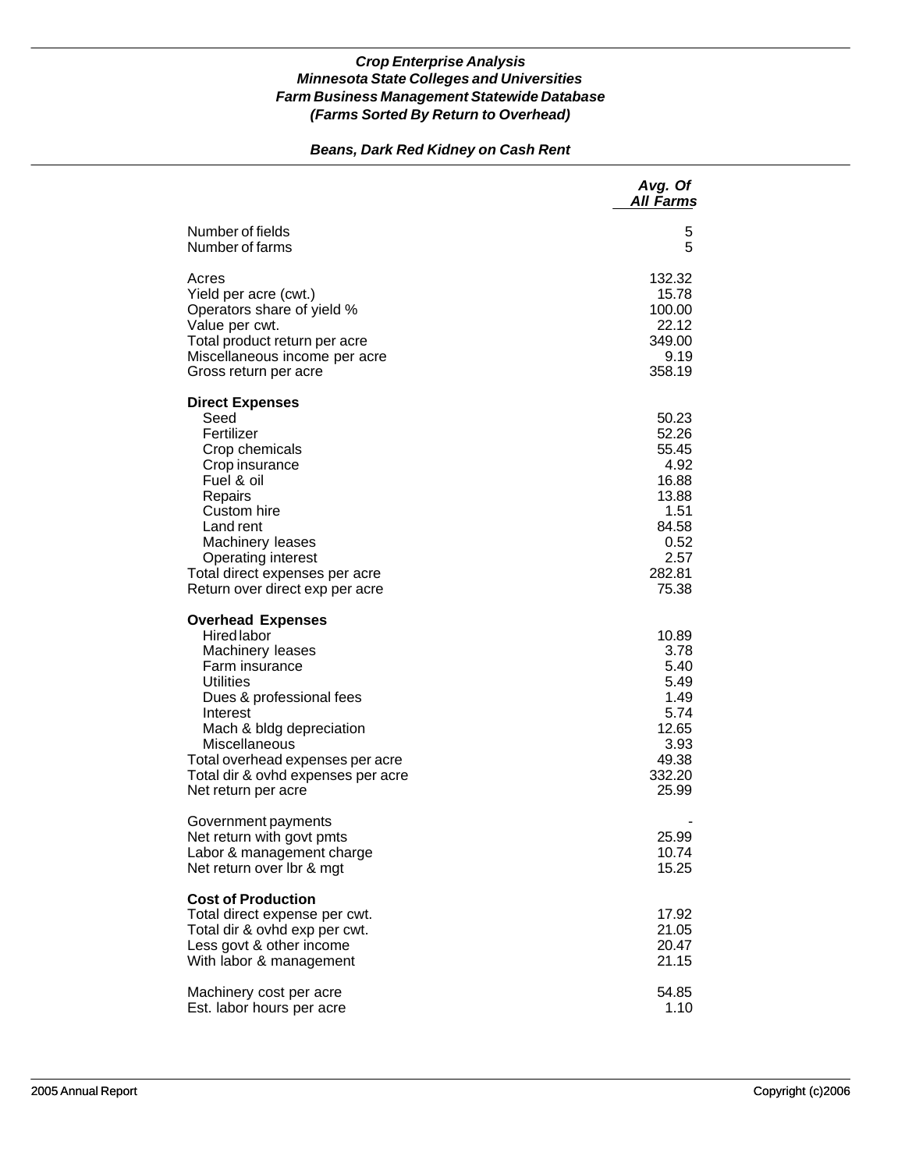# *Beans, Dark Red Kidney on Cash Rent*

|                                                                                                                                                                                                                                                                                                | Avg. Of<br><b>All Farms</b>                                                                           |
|------------------------------------------------------------------------------------------------------------------------------------------------------------------------------------------------------------------------------------------------------------------------------------------------|-------------------------------------------------------------------------------------------------------|
| Number of fields<br>Number of farms                                                                                                                                                                                                                                                            | 5<br>5                                                                                                |
| Acres<br>Yield per acre (cwt.)<br>Operators share of yield %<br>Value per cwt.<br>Total product return per acre<br>Miscellaneous income per acre<br>Gross return per acre                                                                                                                      | 132.32<br>15.78<br>100.00<br>22.12<br>349.00<br>9.19<br>358.19                                        |
| <b>Direct Expenses</b><br>Seed<br>Fertilizer<br>Crop chemicals<br>Crop insurance<br>Fuel & oil<br>Repairs<br>Custom hire<br>Land rent<br>Machinery leases<br>Operating interest<br>Total direct expenses per acre<br>Return over direct exp per acre                                           | 50.23<br>52.26<br>55.45<br>4.92<br>16.88<br>13.88<br>1.51<br>84.58<br>0.52<br>2.57<br>282.81<br>75.38 |
| <b>Overhead Expenses</b><br><b>Hired</b> labor<br>Machinery leases<br>Farm insurance<br><b>Utilities</b><br>Dues & professional fees<br>Interest<br>Mach & bldg depreciation<br>Miscellaneous<br>Total overhead expenses per acre<br>Total dir & ovhd expenses per acre<br>Net return per acre | 10.89<br>3.78<br>5.40<br>5.49<br>1.49<br>5.74<br>12.65<br>3.93<br>49.38<br>332.20<br>25.99            |
| Government payments<br>Net return with govt pmts<br>Labor & management charge<br>Net return over Ibr & mgt                                                                                                                                                                                     | 25.99<br>10.74<br>15.25                                                                               |
| <b>Cost of Production</b><br>Total direct expense per cwt.<br>Total dir & ovhd exp per cwt.<br>Less govt & other income<br>With labor & management                                                                                                                                             | 17.92<br>21.05<br>20.47<br>21.15                                                                      |
| Machinery cost per acre<br>Est. labor hours per acre                                                                                                                                                                                                                                           | 54.85<br>1.10                                                                                         |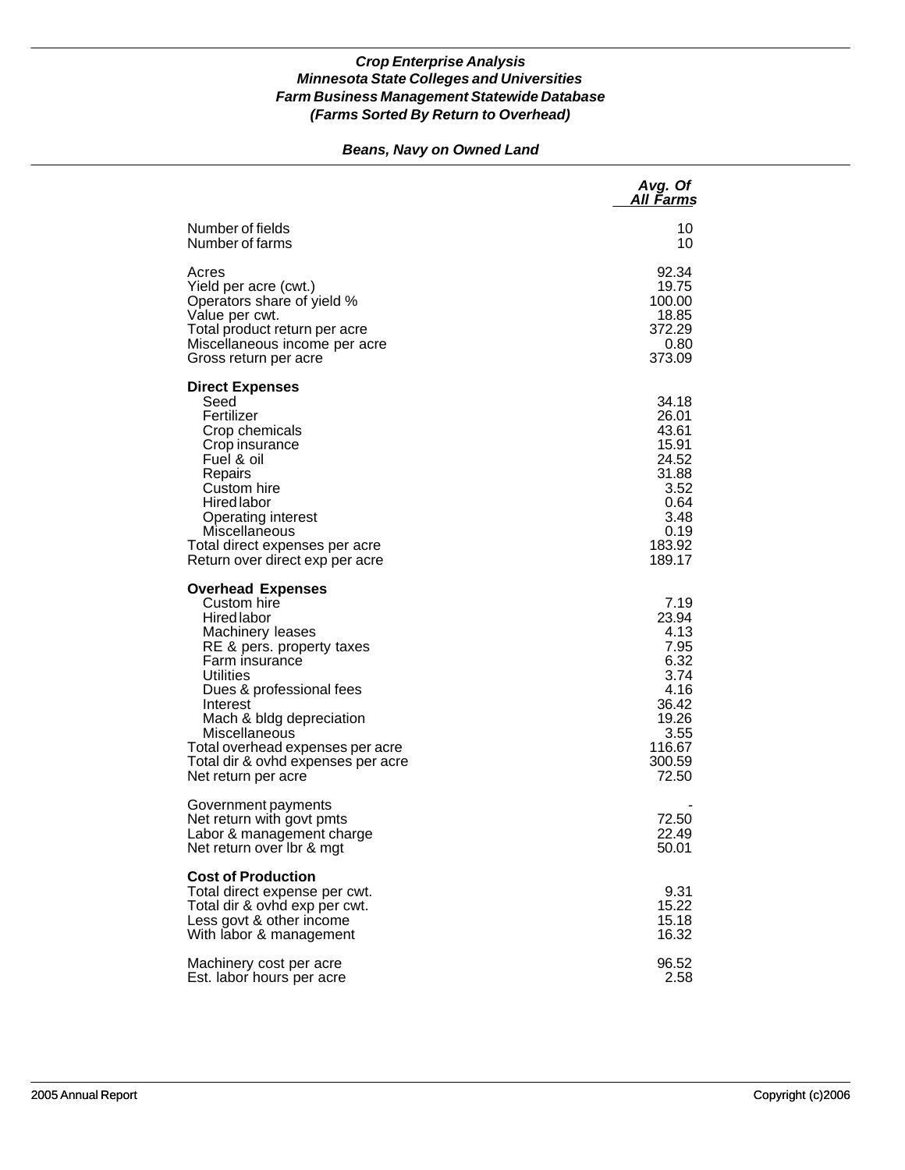# *Beans, Navy on Owned Land*

|                                                                                                                                                                                                                                                                                                                                     | Avg. Of<br>All Farms                                                                                         |
|-------------------------------------------------------------------------------------------------------------------------------------------------------------------------------------------------------------------------------------------------------------------------------------------------------------------------------------|--------------------------------------------------------------------------------------------------------------|
| Number of fields<br>Number of farms                                                                                                                                                                                                                                                                                                 | 10<br>10                                                                                                     |
| Acres<br>Yield per acre (cwt.)<br>Operators share of yield %<br>Value per cwt.<br>Total product return per acre<br>Miscellaneous income per acre<br>Gross return per acre                                                                                                                                                           | 92.34<br>19.75<br>100.00<br>18.85<br>372.29<br>0.80<br>373.09                                                |
| <b>Direct Expenses</b><br>Seed<br>Fertilizer<br>Crop chemicals<br>Crop insurance<br>Fuel & oil<br>Repairs<br>Custom hire<br><b>Hired labor</b><br><b>Operating interest</b><br>Miscellaneous<br>Total direct expenses per acre<br>Return over direct exp per acre                                                                   | 34.18<br>26.01<br>43.61<br>15.91<br>24.52<br>31.88<br>3.52<br>0.64<br>3.48<br>0.19<br>183.92<br>189.17       |
| <b>Overhead Expenses</b><br>Custom hire<br><b>Hired labor</b><br>Machinery leases<br>RE & pers. property taxes<br>Farm insurance<br>Utilities<br>Dues & professional fees<br>Interest<br>Mach & bldg depreciation<br>Miscellaneous<br>Total overhead expenses per acre<br>Total dir & ovhd expenses per acre<br>Net return per acre | 7.19<br>23.94<br>4.13<br>7.95<br>6.32<br>3.74<br>4.16<br>36.42<br>19.26<br>3.55<br>116.67<br>300.59<br>72.50 |
| Government payments<br>Net return with govt pmts<br>Labor & management charge<br>Net return over Ibr & mgt                                                                                                                                                                                                                          | 72.50<br>22.49<br>50.01                                                                                      |
| <b>Cost of Production</b><br>Total direct expense per cwt.<br>Total dir & ovhd exp per cwt.<br>Less govt & other income<br>With labor & management                                                                                                                                                                                  | 9.31<br>15.22<br>15.18<br>16.32                                                                              |
| Machinery cost per acre<br>Est. labor hours per acre                                                                                                                                                                                                                                                                                | 96.52<br>2.58                                                                                                |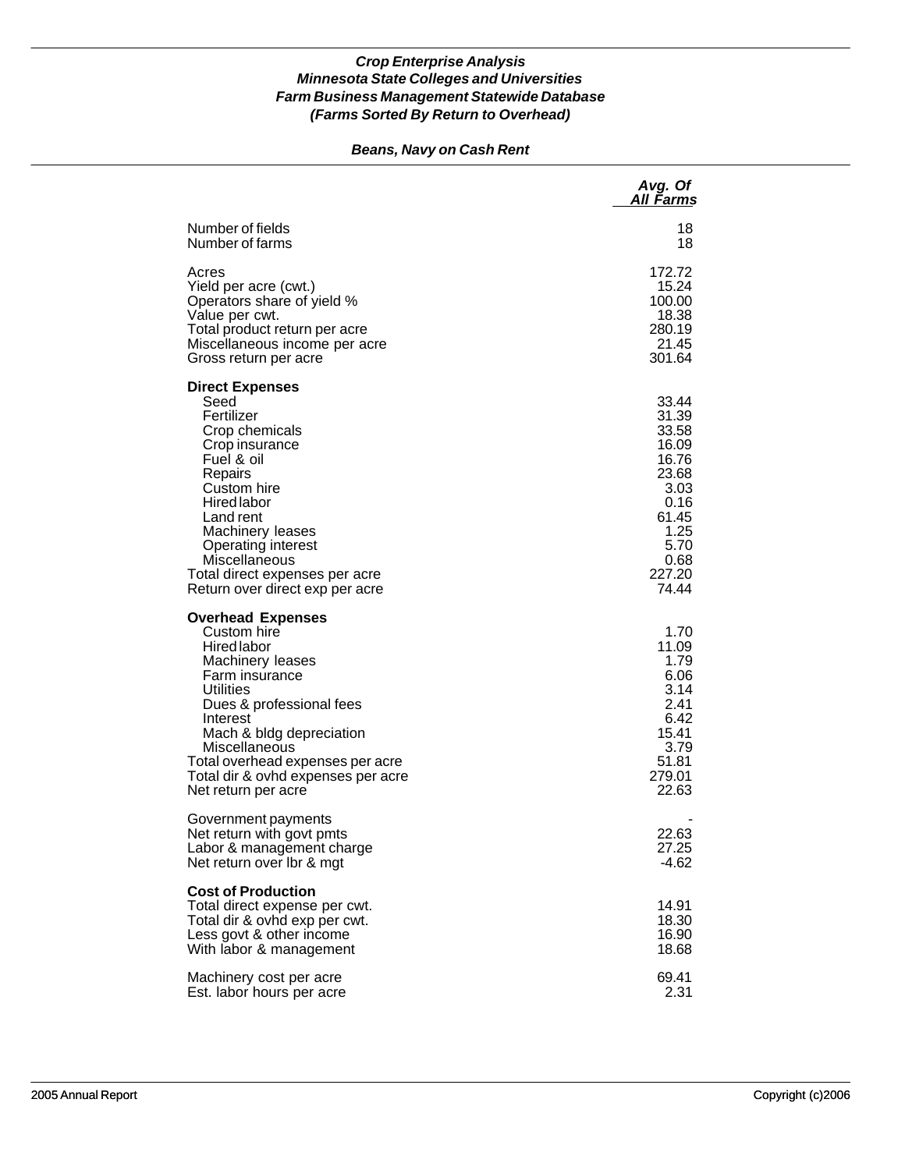# *Beans, Navy on Cash Rent*

|                                                                                                                                                                                                                                                                                                 | Avg. Of<br>All Farms                                                                                                   |
|-------------------------------------------------------------------------------------------------------------------------------------------------------------------------------------------------------------------------------------------------------------------------------------------------|------------------------------------------------------------------------------------------------------------------------|
| Number of fields<br>Number of farms                                                                                                                                                                                                                                                             | 18<br>18                                                                                                               |
| Acres<br>Yield per acre (cwt.)<br>Operators share of yield %<br>Value per cwt.<br>Total product return per acre<br>Miscellaneous income per acre<br>Gross return per acre                                                                                                                       | 172.72<br>15.24<br>100.00<br>18.38<br>280.19<br>21.45<br>301.64                                                        |
| <b>Direct Expenses</b><br>Seed<br>Fertilizer<br>Crop chemicals<br>Crop insurance<br>Fuel & oil<br>Repairs<br>Custom hire<br><b>Hired labor</b><br>Land rent<br>Machinery leases<br>Operating interest<br>Miscellaneous<br>Total direct expenses per acre<br>Return over direct exp per acre     | 33.44<br>31.39<br>33.58<br>16.09<br>16.76<br>23.68<br>3.03<br>0.16<br>61.45<br>1.25<br>5.70<br>0.68<br>227.20<br>74.44 |
| <b>Overhead Expenses</b><br>Custom hire<br>Hired labor<br>Machinery leases<br>Farm insurance<br>Utilities<br>Dues & professional fees<br>Interest<br>Mach & bldg depreciation<br>Miscellaneous<br>Total overhead expenses per acre<br>Total dir & ovhd expenses per acre<br>Net return per acre | 1.70<br>11.09<br>1.79<br>6.06<br>3.14<br>2.41<br>6.42<br>15.41<br>3.79<br>51.81<br>279.01<br>22.63                     |
| Government payments<br>Net return with govt pmts<br>Labor & management charge<br>Net return over Ibr & mgt                                                                                                                                                                                      | 22.63<br>27.25<br>$-4.62$                                                                                              |
| <b>Cost of Production</b><br>Total direct expense per cwt.<br>Total dir & ovhd exp per cwt.<br>Less govt & other income<br>With labor & management                                                                                                                                              | 14.91<br>18.30<br>16.90<br>18.68                                                                                       |
| Machinery cost per acre<br>Est. labor hours per acre                                                                                                                                                                                                                                            | 69.41<br>2.31                                                                                                          |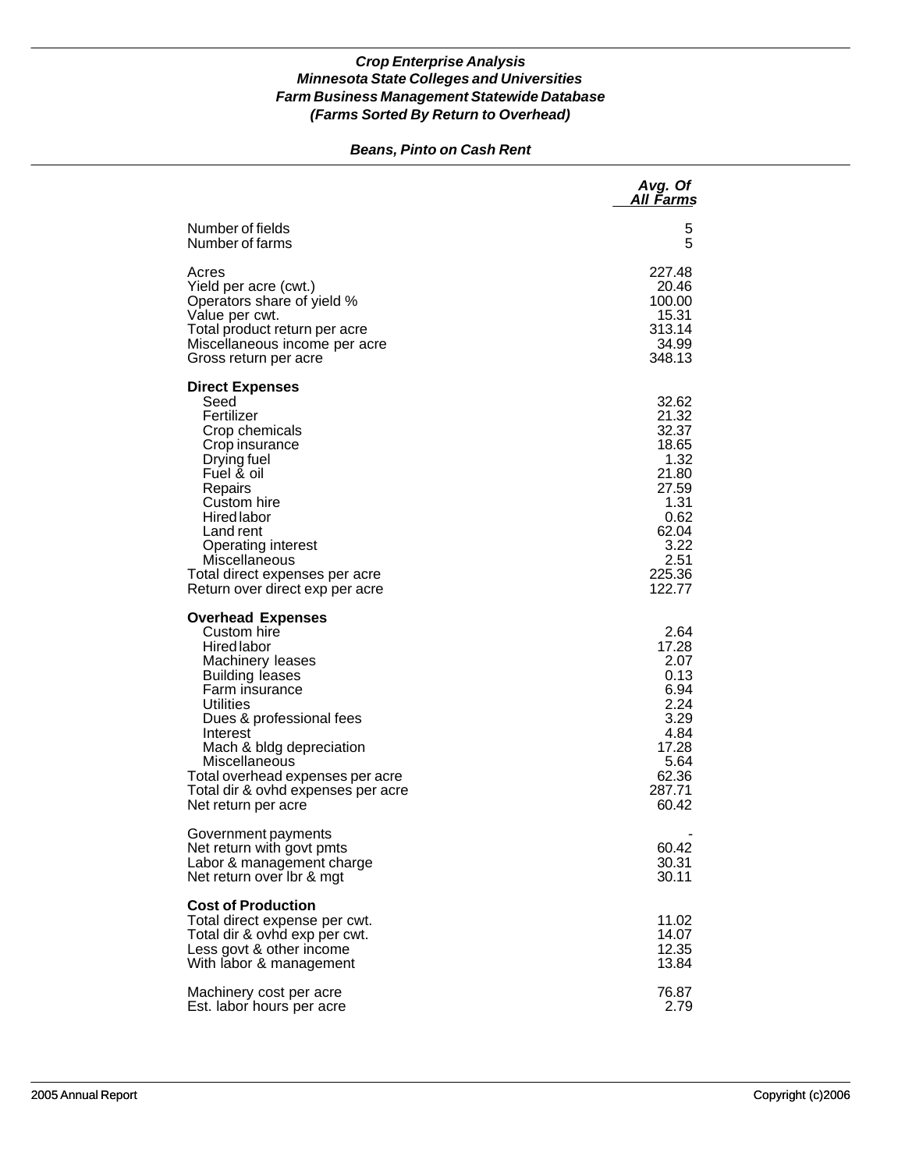# *Beans, Pinto on Cash Rent*

|                                                                                                                                                                                                                                                                                                                           | Avg. Of<br>All Farms                                                                                                    |
|---------------------------------------------------------------------------------------------------------------------------------------------------------------------------------------------------------------------------------------------------------------------------------------------------------------------------|-------------------------------------------------------------------------------------------------------------------------|
| Number of fields<br>Number of farms                                                                                                                                                                                                                                                                                       | 5<br>5                                                                                                                  |
| Acres<br>Yield per acre (cwt.)<br>Operators share of yield %<br>Value per cwt.<br>Total product return per acre<br>Miscellaneous income per acre<br>Gross return per acre                                                                                                                                                 | 227.48<br>20.46<br>100.00<br>15.31<br>313.14<br>34.99<br>348.13                                                         |
| <b>Direct Expenses</b><br>Seed<br>Fertilizer<br>Crop chemicals<br>Crop insurance<br>Drying fuel<br>Fuel & oil<br>Repairs<br>Custom hire<br><b>Hired</b> labor<br>Land rent<br>Operating interest<br>Miscellaneous<br>Total direct expenses per acre<br>Return over direct exp per acre                                    | 32.62<br>21.32<br>32.37<br>18.65<br>1.32<br>21.80<br>27.59<br>1.31<br>0.62<br>62.04<br>3.22<br>2.51<br>225.36<br>122.77 |
| <b>Overhead Expenses</b><br>Custom hire<br>Hired labor<br>Machinery leases<br><b>Building leases</b><br>Farm insurance<br>Utilities<br>Dues & professional fees<br>Interest<br>Mach & bldg depreciation<br>Miscellaneous<br>Total overhead expenses per acre<br>Total dir & ovhd expenses per acre<br>Net return per acre | 2.64<br>17.28<br>2.07<br>0.13<br>6.94<br>2.24<br>3.29<br>4.84<br>17.28<br>5.64<br>62.36<br>287.71<br>60.42              |
| Government payments<br>Net return with govt pmts<br>Labor & management charge<br>Net return over Ibr & mgt                                                                                                                                                                                                                | 60.42<br>30.31<br>30.11                                                                                                 |
| <b>Cost of Production</b><br>Total direct expense per cwt.<br>Total dir & ovhd exp per cwt.<br>Less govt & other income<br>With labor & management                                                                                                                                                                        | 11.02<br>14.07<br>12.35<br>13.84                                                                                        |
| Machinery cost per acre<br>Est. labor hours per acre                                                                                                                                                                                                                                                                      | 76.87<br>2.79                                                                                                           |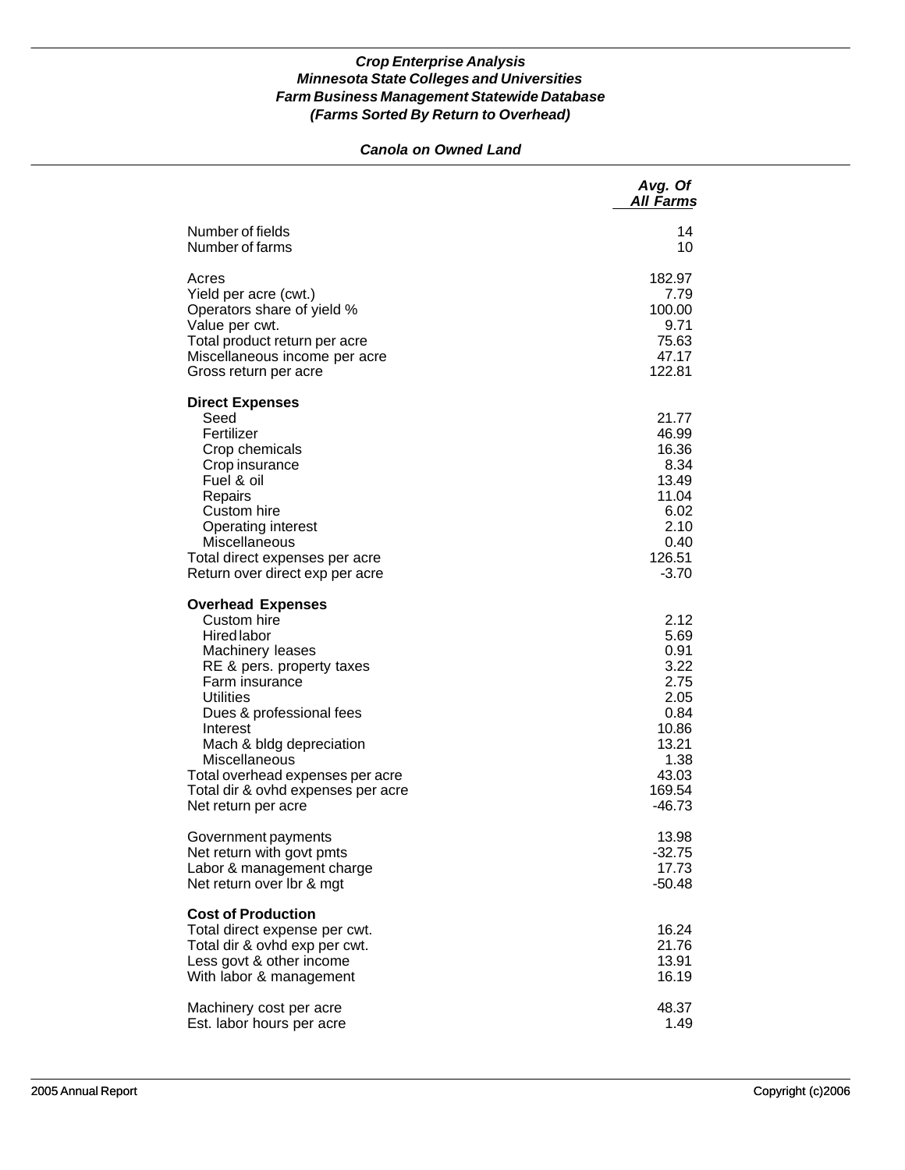# *Canola on Owned Land*

|                                                                                                                                                                                                                                                                                                                                                   | Avg. Of<br><b>All Farms</b>                                                                                   |
|---------------------------------------------------------------------------------------------------------------------------------------------------------------------------------------------------------------------------------------------------------------------------------------------------------------------------------------------------|---------------------------------------------------------------------------------------------------------------|
| Number of fields                                                                                                                                                                                                                                                                                                                                  | 14                                                                                                            |
| Number of farms                                                                                                                                                                                                                                                                                                                                   | 10                                                                                                            |
| Acres                                                                                                                                                                                                                                                                                                                                             | 182.97                                                                                                        |
| Yield per acre (cwt.)                                                                                                                                                                                                                                                                                                                             | 7.79                                                                                                          |
| Operators share of yield %                                                                                                                                                                                                                                                                                                                        | 100.00                                                                                                        |
| Value per cwt.                                                                                                                                                                                                                                                                                                                                    | 9.71                                                                                                          |
| Total product return per acre                                                                                                                                                                                                                                                                                                                     | 75.63                                                                                                         |
| Miscellaneous income per acre                                                                                                                                                                                                                                                                                                                     | 47.17                                                                                                         |
| Gross return per acre                                                                                                                                                                                                                                                                                                                             | 122.81                                                                                                        |
| <b>Direct Expenses</b><br>Seed<br>Fertilizer<br>Crop chemicals<br>Crop insurance<br>Fuel & oil<br>Repairs<br>Custom hire<br>Operating interest<br><b>Miscellaneous</b><br>Total direct expenses per acre<br>Return over direct exp per acre                                                                                                       | 21.77<br>46.99<br>16.36<br>8.34<br>13.49<br>11.04<br>6.02<br>2.10<br>0.40<br>126.51<br>$-3.70$                |
| <b>Overhead Expenses</b><br>Custom hire<br><b>Hired labor</b><br>Machinery leases<br>RE & pers. property taxes<br>Farm insurance<br><b>Utilities</b><br>Dues & professional fees<br>Interest<br>Mach & bldg depreciation<br><b>Miscellaneous</b><br>Total overhead expenses per acre<br>Total dir & ovhd expenses per acre<br>Net return per acre | 2.12<br>5.69<br>0.91<br>3.22<br>2.75<br>2.05<br>0.84<br>10.86<br>13.21<br>1.38<br>43.03<br>169.54<br>$-46.73$ |
| Government payments                                                                                                                                                                                                                                                                                                                               | 13.98                                                                                                         |
| Net return with govt pmts                                                                                                                                                                                                                                                                                                                         | $-32.75$                                                                                                      |
| Labor & management charge                                                                                                                                                                                                                                                                                                                         | 17.73                                                                                                         |
| Net return over lbr & mgt                                                                                                                                                                                                                                                                                                                         | $-50.48$                                                                                                      |
| <b>Cost of Production</b><br>Total direct expense per cwt.<br>Total dir & ovhd exp per cwt.<br>Less govt & other income<br>With labor & management                                                                                                                                                                                                | 16.24<br>21.76<br>13.91<br>16.19                                                                              |
| Machinery cost per acre                                                                                                                                                                                                                                                                                                                           | 48.37                                                                                                         |
| Est. labor hours per acre                                                                                                                                                                                                                                                                                                                         | 1.49                                                                                                          |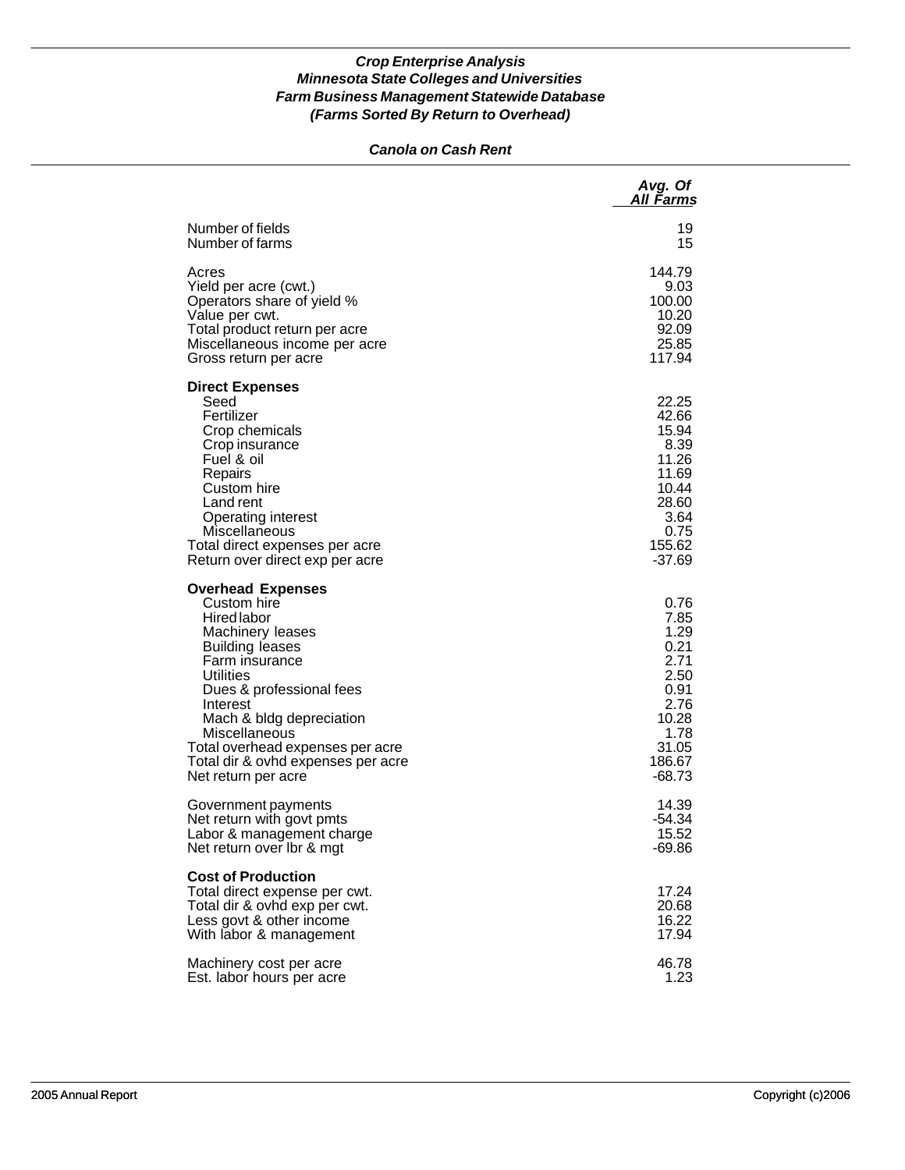# *Canola on Cash Rent*

|                                                                                                                                                                                                                                                                                                                           | Avg. Of<br>All Farms                                                                                         |
|---------------------------------------------------------------------------------------------------------------------------------------------------------------------------------------------------------------------------------------------------------------------------------------------------------------------------|--------------------------------------------------------------------------------------------------------------|
| Number of fields                                                                                                                                                                                                                                                                                                          | 19                                                                                                           |
| Number of farms                                                                                                                                                                                                                                                                                                           | 15                                                                                                           |
| Acres                                                                                                                                                                                                                                                                                                                     | 144.79                                                                                                       |
| Yield per acre (cwt.)                                                                                                                                                                                                                                                                                                     | 9.03                                                                                                         |
| Operators share of yield %                                                                                                                                                                                                                                                                                                | 100.00                                                                                                       |
| Value per cwt.                                                                                                                                                                                                                                                                                                            | 10.20                                                                                                        |
| Total product return per acre                                                                                                                                                                                                                                                                                             | 92.09                                                                                                        |
| Miscellaneous income per acre                                                                                                                                                                                                                                                                                             | 25.85                                                                                                        |
| Gross return per acre                                                                                                                                                                                                                                                                                                     | 117.94                                                                                                       |
| <b>Direct Expenses</b><br>Seed<br>Fertilizer<br>Crop chemicals<br>Crop insurance<br>Fuel & oil<br>Repairs<br>Custom hire<br>Land rent<br>Operating interest<br>Miscellaneous<br>Total direct expenses per acre<br>Return over direct exp per acre                                                                         | 22.25<br>42.66<br>15.94<br>8.39<br>11.26<br>11.69<br>10.44<br>28.60<br>3.64<br>0.75<br>155.62<br>$-37.69$    |
| <b>Overhead Expenses</b><br>Custom hire<br>Hired labor<br>Machinery leases<br><b>Building leases</b><br>Farm insurance<br>Utilities<br>Dues & professional fees<br>Interest<br>Mach & bldg depreciation<br>Miscellaneous<br>Total overhead expenses per acre<br>Total dir & ovhd expenses per acre<br>Net return per acre | 0.76<br>7.85<br>1.29<br>0.21<br>2.71<br>2.50<br>0.91<br>2.76<br>10.28<br>1.78<br>31.05<br>186.67<br>$-68.73$ |
| Government payments                                                                                                                                                                                                                                                                                                       | 14.39                                                                                                        |
| Net return with govt pmts                                                                                                                                                                                                                                                                                                 | -54.34                                                                                                       |
| Labor & management charge                                                                                                                                                                                                                                                                                                 | 15.52                                                                                                        |
| Net return over Ibr & mgt                                                                                                                                                                                                                                                                                                 | -69.86                                                                                                       |
| <b>Cost of Production</b><br>Total direct expense per cwt.<br>Total dir & ovhd exp per cwt.<br>Less govt & other income<br>With labor & management                                                                                                                                                                        | 17.24<br>20.68<br>16.22<br>17.94                                                                             |
| Machinery cost per acre                                                                                                                                                                                                                                                                                                   | 46.78                                                                                                        |
| Est. labor hours per acre                                                                                                                                                                                                                                                                                                 | 1.23                                                                                                         |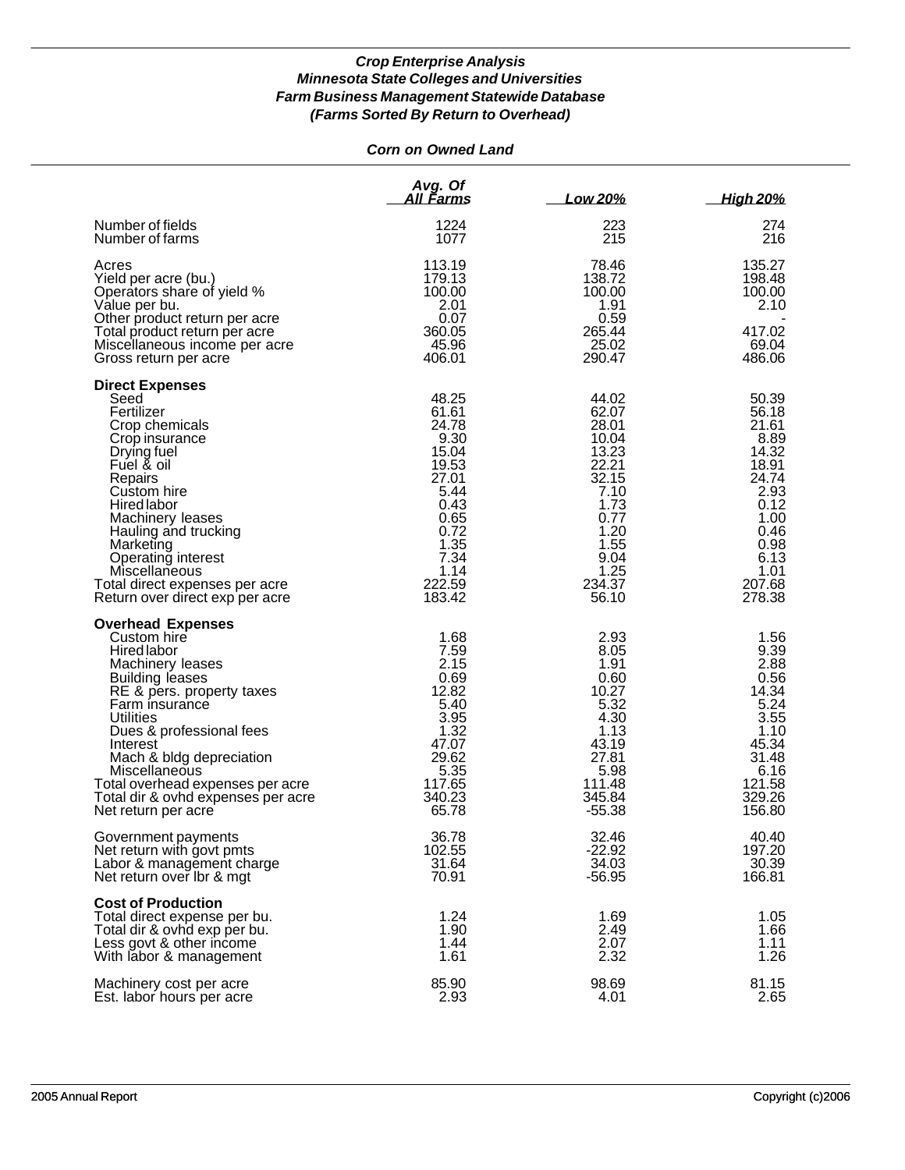# *Corn on Owned Land*

|                                                                                                                                                                                                                                                                                                                                                               | Avg. Of<br>All Farms                                                                                                                   | Low 20%                                                                                                                                | <b>High 20%</b>                                                                                                                        |
|---------------------------------------------------------------------------------------------------------------------------------------------------------------------------------------------------------------------------------------------------------------------------------------------------------------------------------------------------------------|----------------------------------------------------------------------------------------------------------------------------------------|----------------------------------------------------------------------------------------------------------------------------------------|----------------------------------------------------------------------------------------------------------------------------------------|
| Number of fields<br>Number of farms                                                                                                                                                                                                                                                                                                                           | 1224<br>1077                                                                                                                           | 223<br>215                                                                                                                             | 274<br>216                                                                                                                             |
| Acres<br>Yield per acre (bu.)<br>Operators share of yield %<br>Value per bu.<br>Other product return per acre<br>Total product return per acre<br>Miscellaneous income per acre<br>Gross return per acre                                                                                                                                                      | 113.19<br>179.13<br>100.00<br>2.01<br>0.07<br>360.05<br>45.96<br>406.01                                                                | 78.46<br>138.72<br>100.00<br>1.91<br>0.59<br>265.44<br>25.02<br>290.47                                                                 | 135.27<br>198.48<br>100.00<br>2.10<br>417.02<br>69.04<br>486.06                                                                        |
| <b>Direct Expenses</b><br>Seed<br>Fertilizer<br>Crop chemicals<br>Crop insurance<br>Drying fuel<br>Fuel & oil<br>Repairs<br>Custom hire<br><b>Hired labor</b><br>Machinery leases<br>Hauling and trucking<br>Marketing<br>Operating interest<br>Miscellaneous<br>Total direct expenses per acre<br>Return over direct exp per acre                            | 48.25<br>61.61<br>24.78<br>9.30<br>15.04<br>19.53<br>27.01<br>5.44<br>0.43<br>0.65<br>0.72<br>1.35<br>7.34<br>1.14<br>222.59<br>183.42 | 44.02<br>62.07<br>28.01<br>10.04<br>13.23<br>22.21<br>32.15<br>7.10<br>1.73<br>0.77<br>1.20<br>1.55<br>9.04<br>1.25<br>234.37<br>56.10 | 50.39<br>56.18<br>21.61<br>8.89<br>14.32<br>18.91<br>24.74<br>2.93<br>0.12<br>1.00<br>0.46<br>0.98<br>6.13<br>1.01<br>207.68<br>278.38 |
| <b>Overhead Expenses</b><br>Custom hire<br><b>Hired labor</b><br>Machinery leases<br><b>Building leases</b><br>RE & pers. property taxes<br>Farm insurance<br>Utilities<br>Dues & professional fees<br>Interest<br>Mach & bldg depreciation<br>Miscellaneous<br>Total overhead expenses per acre<br>Total dir & ovhd expenses per acre<br>Net return per acre | 1.68<br>7.59<br>2.15<br>0.69<br>12.82<br>5.40<br>3.95<br>1.32<br>47.07<br>29.62<br>5.35<br>117.65<br>340.23<br>65.78                   | 2.93<br>8.05<br>1.91<br>0.60<br>10.27<br>5.32<br>4.30<br>1.13<br>43.19<br>27.81<br>5.98<br>111.48<br>345.84<br>$-55.38$                | 1.56<br>9.39<br>2.88<br>0.56<br>14.34<br>5.24<br>3.55<br>1.10<br>45.34<br>31.48<br>6.16<br>121.58<br>329.26<br>156.80                  |
| Government payments<br>Net return with govt pmts<br>Labor & management charge<br>Net return over Ibr & mgt                                                                                                                                                                                                                                                    | 36.78<br>102.55<br>31.64<br>70.91                                                                                                      | 32.46<br>$-22.92$<br>34.03<br>$-56.95$                                                                                                 | 40.40<br>197.20<br>30.39<br>166.81                                                                                                     |
| <b>Cost of Production</b><br>Total direct expense per bu.<br>Total dir & ovhd exp per bu.<br>Less govt & other income<br>With labor & management                                                                                                                                                                                                              | 1.24<br>1.90<br>1.44<br>1.61                                                                                                           | 1.69<br>2.49<br>2.07<br>2.32                                                                                                           | 1.05<br>1.66<br>1.11<br>1.26                                                                                                           |
| Machinery cost per acre<br>Est. labor hours per acre                                                                                                                                                                                                                                                                                                          | 85.90<br>2.93                                                                                                                          | 98.69<br>4.01                                                                                                                          | 81.15<br>2.65                                                                                                                          |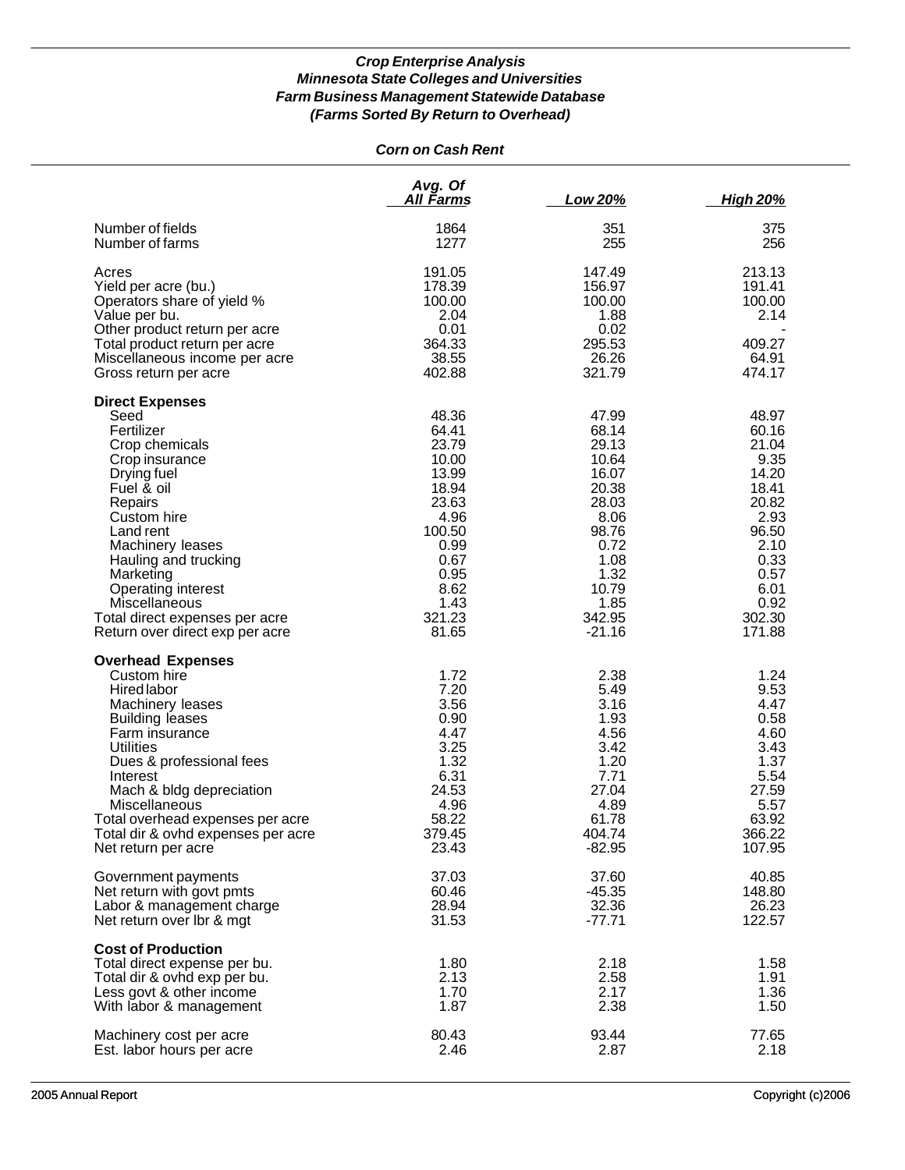| <b>Corn on Cash Rent</b> |
|--------------------------|
|--------------------------|

|                                                                                                                                                                                                                                                                                                                                         | Avg. Of<br>All Farms                                                                                                                     | Low 20%                                                                                                                                     | <b>High 20%</b>                                                                                                                         |
|-----------------------------------------------------------------------------------------------------------------------------------------------------------------------------------------------------------------------------------------------------------------------------------------------------------------------------------------|------------------------------------------------------------------------------------------------------------------------------------------|---------------------------------------------------------------------------------------------------------------------------------------------|-----------------------------------------------------------------------------------------------------------------------------------------|
| Number of fields<br>Number of farms                                                                                                                                                                                                                                                                                                     | 1864<br>1277                                                                                                                             | 351<br>255                                                                                                                                  | 375<br>256                                                                                                                              |
| Acres<br>Yield per acre (bu.)<br>Operators share of yield %<br>Value per bu.<br>Other product return per acre<br>Total product return per acre<br>Miscellaneous income per acre<br>Gross return per acre                                                                                                                                | 191.05<br>178.39<br>100.00<br>2.04<br>0.01<br>364.33<br>38.55<br>402.88                                                                  | 147.49<br>156.97<br>100.00<br>1.88<br>0.02<br>295.53<br>26.26<br>321.79                                                                     | 213.13<br>191.41<br>100.00<br>2.14<br>409.27<br>64.91<br>474.17                                                                         |
| <b>Direct Expenses</b><br>Seed<br>Fertilizer<br>Crop chemicals<br>Crop insurance<br>Drying fuel<br>Fuel & oil<br>Repairs<br>Custom hire<br>Land rent<br>Machinery leases<br>Hauling and trucking<br>Marketing<br>Operating interest<br>Miscellaneous<br>Total direct expenses per acre<br>Return over direct exp per acre               | 48.36<br>64.41<br>23.79<br>10.00<br>13.99<br>18.94<br>23.63<br>4.96<br>100.50<br>0.99<br>0.67<br>0.95<br>8.62<br>1.43<br>321.23<br>81.65 | 47.99<br>68.14<br>29.13<br>10.64<br>16.07<br>20.38<br>28.03<br>8.06<br>98.76<br>0.72<br>1.08<br>1.32<br>10.79<br>1.85<br>342.95<br>$-21.16$ | 48.97<br>60.16<br>21.04<br>9.35<br>14.20<br>18.41<br>20.82<br>2.93<br>96.50<br>2.10<br>0.33<br>0.57<br>6.01<br>0.92<br>302.30<br>171.88 |
| <b>Overhead Expenses</b><br>Custom hire<br><b>Hired labor</b><br>Machinery leases<br><b>Building leases</b><br>Farm insurance<br><b>Utilities</b><br>Dues & professional fees<br>Interest<br>Mach & bldg depreciation<br>Miscellaneous<br>Total overhead expenses per acre<br>Total dir & ovhd expenses per acre<br>Net return per acre | 1.72<br>7.20<br>3.56<br>0.90<br>4.47<br>3.25<br>1.32<br>6.31<br>24.53<br>4.96<br>58.22<br>379.45<br>23.43                                | 2.38<br>5.49<br>3.16<br>1.93<br>4.56<br>3.42<br>1.20<br>7.71<br>27.04<br>4.89<br>61.78<br>404.74<br>$-82.95$                                | 1.24<br>9.53<br>4.47<br>0.58<br>4.60<br>3.43<br>1.37<br>5.54<br>27.59<br>5.57<br>63.92<br>366.22<br>107.95                              |
| Government payments<br>Net return with govt pmts<br>Labor & management charge<br>Net return over Ibr & mgt                                                                                                                                                                                                                              | 37.03<br>60.46<br>28.94<br>31.53                                                                                                         | 37.60<br>$-45.35$<br>32.36<br>$-77.71$                                                                                                      | 40.85<br>148.80<br>26.23<br>122.57                                                                                                      |
| <b>Cost of Production</b><br>Total direct expense per bu.<br>Total dir & ovhd exp per bu.<br>Less govt & other income<br>With labor & management                                                                                                                                                                                        | 1.80<br>2.13<br>1.70<br>1.87                                                                                                             | 2.18<br>2.58<br>2.17<br>2.38                                                                                                                | 1.58<br>1.91<br>1.36<br>1.50                                                                                                            |
| Machinery cost per acre<br>Est. labor hours per acre                                                                                                                                                                                                                                                                                    | 80.43<br>2.46                                                                                                                            | 93.44<br>2.87                                                                                                                               | 77.65<br>2.18                                                                                                                           |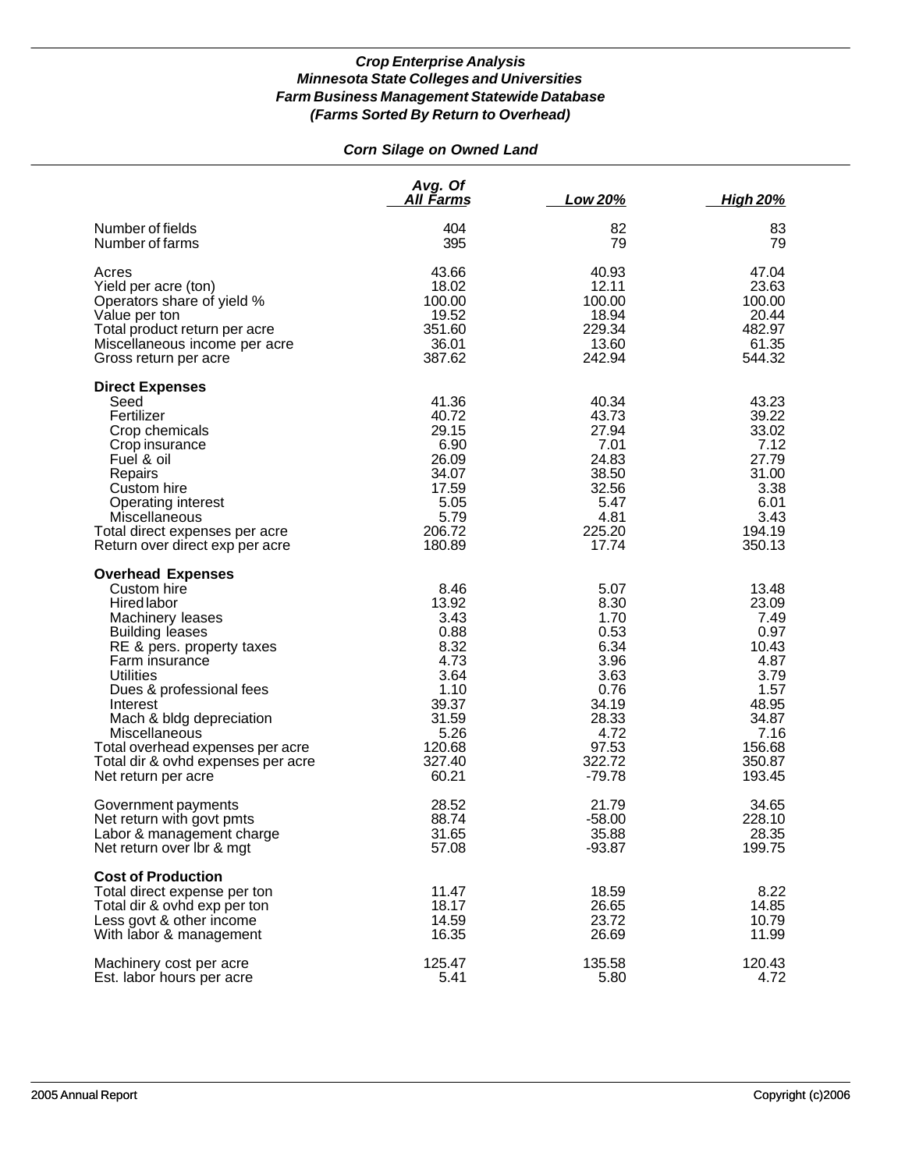# *Corn Silage on Owned Land*

|                                                                                                                                                                                                                                                                                                                                                                      | Avg. Of<br><u>All Farms</u>                                                                                          | Low 20%                                                                                                               | <u>High 20%</u>                                                                                                         |
|----------------------------------------------------------------------------------------------------------------------------------------------------------------------------------------------------------------------------------------------------------------------------------------------------------------------------------------------------------------------|----------------------------------------------------------------------------------------------------------------------|-----------------------------------------------------------------------------------------------------------------------|-------------------------------------------------------------------------------------------------------------------------|
| Number of fields                                                                                                                                                                                                                                                                                                                                                     | 404                                                                                                                  | 82                                                                                                                    | 83                                                                                                                      |
| Number of farms                                                                                                                                                                                                                                                                                                                                                      | 395                                                                                                                  | 79                                                                                                                    | 79                                                                                                                      |
| Acres                                                                                                                                                                                                                                                                                                                                                                | 43.66                                                                                                                | 40.93                                                                                                                 | 47.04                                                                                                                   |
| Yield per acre (ton)                                                                                                                                                                                                                                                                                                                                                 | 18.02                                                                                                                | 12.11                                                                                                                 | 23.63                                                                                                                   |
| Operators share of yield %                                                                                                                                                                                                                                                                                                                                           | 100.00                                                                                                               | 100.00                                                                                                                | 100.00                                                                                                                  |
| Value per ton                                                                                                                                                                                                                                                                                                                                                        | 19.52                                                                                                                | 18.94                                                                                                                 | 20.44                                                                                                                   |
| Total product return per acre                                                                                                                                                                                                                                                                                                                                        | 351.60                                                                                                               | 229.34                                                                                                                | 482.97                                                                                                                  |
| Miscellaneous income per acre                                                                                                                                                                                                                                                                                                                                        | 36.01                                                                                                                | 13.60                                                                                                                 | 61.35                                                                                                                   |
| Gross return per acre                                                                                                                                                                                                                                                                                                                                                | 387.62                                                                                                               | 242.94                                                                                                                | 544.32                                                                                                                  |
| <b>Direct Expenses</b><br>Seed<br>Fertilizer<br>Crop chemicals<br>Crop insurance<br>Fuel & oil<br>Repairs<br>Custom hire<br>Operating interest<br>Miscellaneous<br>Total direct expenses per acre<br>Return over direct exp per acre                                                                                                                                 | 41.36<br>40.72<br>29.15<br>6.90<br>26.09<br>34.07<br>17.59<br>5.05<br>5.79<br>206.72<br>180.89                       | 40.34<br>43.73<br>27.94<br>7.01<br>24.83<br>38.50<br>32.56<br>5.47<br>4.81<br>225.20<br>17.74                         | 43.23<br>39.22<br>33.02<br>7.12<br>27.79<br>31.00<br>3.38<br>6.01<br>3.43<br>194.19<br>350.13                           |
| <b>Overhead Expenses</b><br>Custom hire<br><b>Hired labor</b><br>Machinery leases<br><b>Building leases</b><br>RE & pers. property taxes<br>Farm insurance<br><b>Utilities</b><br>Dues & professional fees<br>Interest<br>Mach & bldg depreciation<br>Miscellaneous<br>Total overhead expenses per acre<br>Total dir & ovhd expenses per acre<br>Net return per acre | 8.46<br>13.92<br>3.43<br>0.88<br>8.32<br>4.73<br>3.64<br>1.10<br>39.37<br>31.59<br>5.26<br>120.68<br>327.40<br>60.21 | 5.07<br>8.30<br>1.70<br>0.53<br>6.34<br>3.96<br>3.63<br>0.76<br>34.19<br>28.33<br>4.72<br>97.53<br>322.72<br>$-79.78$ | 13.48<br>23.09<br>7.49<br>0.97<br>10.43<br>4.87<br>3.79<br>1.57<br>48.95<br>34.87<br>7.16<br>156.68<br>350.87<br>193.45 |
| Government payments                                                                                                                                                                                                                                                                                                                                                  | 28.52                                                                                                                | 21.79                                                                                                                 | 34.65                                                                                                                   |
| Net return with govt pmts                                                                                                                                                                                                                                                                                                                                            | 88.74                                                                                                                | $-58.00$                                                                                                              | 228.10                                                                                                                  |
| Labor & management charge                                                                                                                                                                                                                                                                                                                                            | 31.65                                                                                                                | 35.88                                                                                                                 | 28.35                                                                                                                   |
| Net return over Ibr & mgt                                                                                                                                                                                                                                                                                                                                            | 57.08                                                                                                                | $-93.87$                                                                                                              | 199.75                                                                                                                  |
| <b>Cost of Production</b><br>Total direct expense per ton<br>Total dir & ovhd exp per ton<br>Less govt & other income<br>With labor & management                                                                                                                                                                                                                     | 11.47<br>18.17<br>14.59<br>16.35                                                                                     | 18.59<br>26.65<br>23.72<br>26.69                                                                                      | 8.22<br>14.85<br>10.79<br>11.99                                                                                         |
| Machinery cost per acre                                                                                                                                                                                                                                                                                                                                              | 125.47                                                                                                               | 135.58                                                                                                                | 120.43                                                                                                                  |
| Est. labor hours per acre                                                                                                                                                                                                                                                                                                                                            | 5.41                                                                                                                 | 5.80                                                                                                                  | 4.72                                                                                                                    |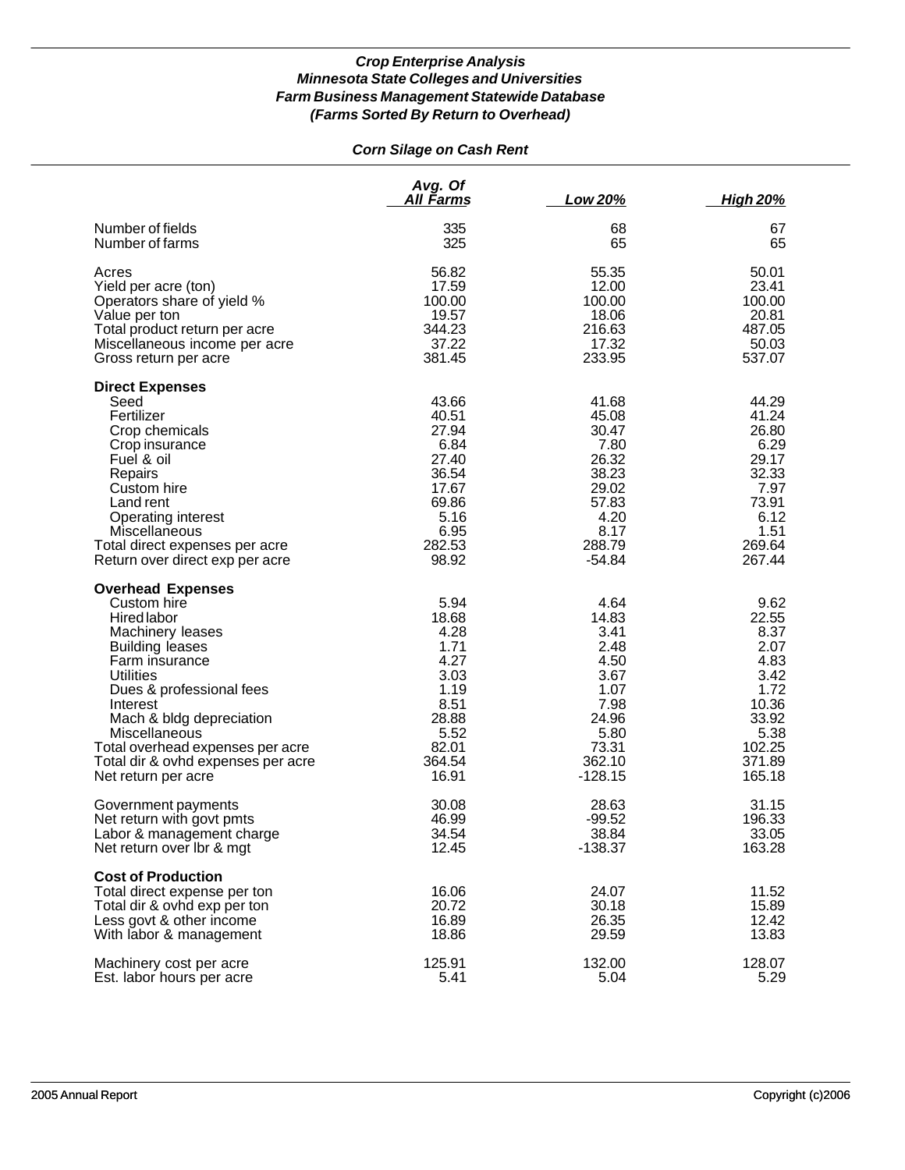# *Corn Silage on Cash Rent*

|                                                                                                                                                                                                                                                                                                                                  | Avg. Of<br><u>All Farms</u>                                                                                | Low 20%                                                                                                        | <b>High 20%</b>                                                                                               |
|----------------------------------------------------------------------------------------------------------------------------------------------------------------------------------------------------------------------------------------------------------------------------------------------------------------------------------|------------------------------------------------------------------------------------------------------------|----------------------------------------------------------------------------------------------------------------|---------------------------------------------------------------------------------------------------------------|
| Number of fields                                                                                                                                                                                                                                                                                                                 | 335                                                                                                        | 68                                                                                                             | 67                                                                                                            |
| Number of farms                                                                                                                                                                                                                                                                                                                  | 325                                                                                                        | 65                                                                                                             | 65                                                                                                            |
| Acres                                                                                                                                                                                                                                                                                                                            | 56.82                                                                                                      | 55.35                                                                                                          | 50.01                                                                                                         |
| Yield per acre (ton)                                                                                                                                                                                                                                                                                                             | 17.59                                                                                                      | 12.00                                                                                                          | 23.41                                                                                                         |
| Operators share of yield %                                                                                                                                                                                                                                                                                                       | 100.00                                                                                                     | 100.00                                                                                                         | 100.00                                                                                                        |
| Value per ton                                                                                                                                                                                                                                                                                                                    | 19.57                                                                                                      | 18.06                                                                                                          | 20.81                                                                                                         |
| Total product return per acre                                                                                                                                                                                                                                                                                                    | 344.23                                                                                                     | 216.63                                                                                                         | 487.05                                                                                                        |
| Miscellaneous income per acre                                                                                                                                                                                                                                                                                                    | 37.22                                                                                                      | 17.32                                                                                                          | 50.03                                                                                                         |
| Gross return per acre                                                                                                                                                                                                                                                                                                            | 381.45                                                                                                     | 233.95                                                                                                         | 537.07                                                                                                        |
| <b>Direct Expenses</b><br>Seed<br>Fertilizer<br>Crop chemicals<br>Crop insurance<br>Fuel & oil<br>Repairs<br>Custom hire<br>Land rent<br>Operating interest<br>Miscellaneous<br>Total direct expenses per acre<br>Return over direct exp per acre                                                                                | 43.66<br>40.51<br>27.94<br>6.84<br>27.40<br>36.54<br>17.67<br>69.86<br>5.16<br>6.95<br>282.53<br>98.92     | 41.68<br>45.08<br>30.47<br>7.80<br>26.32<br>38.23<br>29.02<br>57.83<br>4.20<br>8.17<br>288.79<br>$-54.84$      | 44.29<br>41.24<br>26.80<br>6.29<br>29.17<br>32.33<br>7.97<br>73.91<br>6.12<br>1.51<br>269.64<br>267.44        |
| <b>Overhead Expenses</b><br>Custom hire<br>Hired labor<br>Machinery leases<br><b>Building leases</b><br>Farm insurance<br><b>Utilities</b><br>Dues & professional fees<br>Interest<br>Mach & bldg depreciation<br>Miscellaneous<br>Total overhead expenses per acre<br>Total dir & ovhd expenses per acre<br>Net return per acre | 5.94<br>18.68<br>4.28<br>1.71<br>4.27<br>3.03<br>1.19<br>8.51<br>28.88<br>5.52<br>82.01<br>364.54<br>16.91 | 4.64<br>14.83<br>3.41<br>2.48<br>4.50<br>3.67<br>1.07<br>7.98<br>24.96<br>5.80<br>73.31<br>362.10<br>$-128.15$ | 9.62<br>22.55<br>8.37<br>2.07<br>4.83<br>3.42<br>1.72<br>10.36<br>33.92<br>5.38<br>102.25<br>371.89<br>165.18 |
| Government payments                                                                                                                                                                                                                                                                                                              | 30.08                                                                                                      | 28.63                                                                                                          | 31.15                                                                                                         |
| Net return with govt pmts                                                                                                                                                                                                                                                                                                        | 46.99                                                                                                      | $-99.52$                                                                                                       | 196.33                                                                                                        |
| Labor & management charge                                                                                                                                                                                                                                                                                                        | 34.54                                                                                                      | 38.84                                                                                                          | 33.05                                                                                                         |
| Net return over Ibr & mgt                                                                                                                                                                                                                                                                                                        | 12.45                                                                                                      | $-138.37$                                                                                                      | 163.28                                                                                                        |
| <b>Cost of Production</b><br>Total direct expense per ton<br>Total dir & ovhd exp per ton<br>Less govt & other income<br>With labor & management                                                                                                                                                                                 | 16.06<br>20.72<br>16.89<br>18.86                                                                           | 24.07<br>30.18<br>26.35<br>29.59                                                                               | 11.52<br>15.89<br>12.42<br>13.83                                                                              |
| Machinery cost per acre                                                                                                                                                                                                                                                                                                          | 125.91                                                                                                     | 132.00                                                                                                         | 128.07                                                                                                        |
| Est. labor hours per acre                                                                                                                                                                                                                                                                                                        | 5.41                                                                                                       | 5.04                                                                                                           | 5.29                                                                                                          |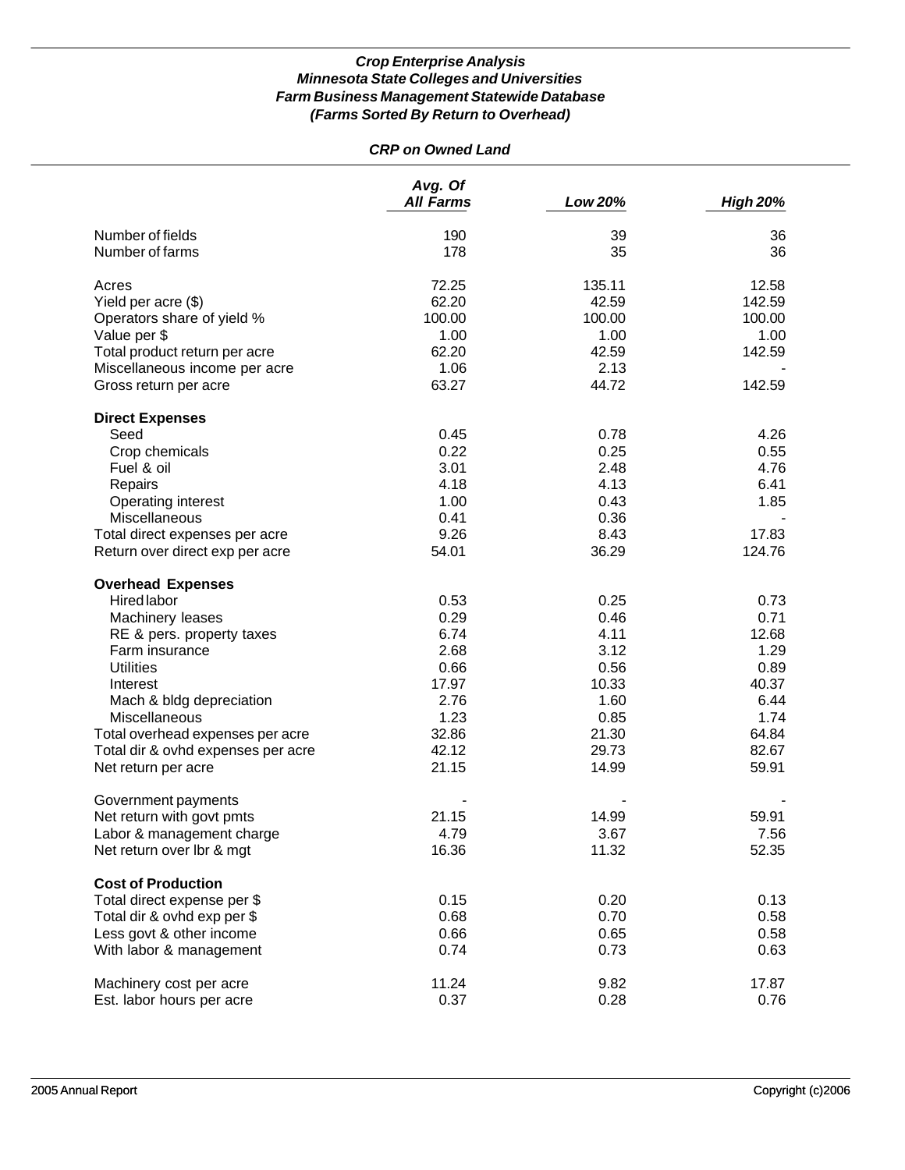# *CRP on Owned Land*

|                                    | Avg. Of<br><b>All Farms</b> | Low 20% | <b>High 20%</b> |
|------------------------------------|-----------------------------|---------|-----------------|
| Number of fields                   | 190                         | 39      | 36              |
| Number of farms                    | 178                         | 35      | 36              |
|                                    |                             |         |                 |
| Acres                              | 72.25                       | 135.11  | 12.58           |
| Yield per acre (\$)                | 62.20                       | 42.59   | 142.59          |
| Operators share of yield %         | 100.00                      | 100.00  | 100.00          |
| Value per \$                       | 1.00                        | 1.00    | 1.00            |
| Total product return per acre      | 62.20                       | 42.59   | 142.59          |
| Miscellaneous income per acre      | 1.06                        | 2.13    |                 |
| Gross return per acre              | 63.27                       | 44.72   | 142.59          |
| <b>Direct Expenses</b>             |                             |         |                 |
| Seed                               | 0.45                        | 0.78    | 4.26            |
| Crop chemicals                     | 0.22                        | 0.25    | 0.55            |
| Fuel & oil                         | 3.01                        | 2.48    | 4.76            |
| Repairs                            | 4.18                        | 4.13    | 6.41            |
| Operating interest                 | 1.00                        | 0.43    | 1.85            |
| Miscellaneous                      | 0.41                        | 0.36    |                 |
| Total direct expenses per acre     | 9.26                        | 8.43    | 17.83           |
| Return over direct exp per acre    | 54.01                       | 36.29   | 124.76          |
|                                    |                             |         |                 |
| <b>Overhead Expenses</b>           |                             |         |                 |
| <b>Hired labor</b>                 | 0.53                        | 0.25    | 0.73            |
| Machinery leases                   | 0.29                        | 0.46    | 0.71            |
| RE & pers. property taxes          | 6.74                        | 4.11    | 12.68           |
| Farm insurance                     | 2.68                        | 3.12    | 1.29            |
| <b>Utilities</b>                   | 0.66                        | 0.56    | 0.89            |
| Interest                           | 17.97                       | 10.33   | 40.37           |
| Mach & bldg depreciation           | 2.76                        | 1.60    | 6.44            |
| Miscellaneous                      | 1.23                        | 0.85    | 1.74            |
| Total overhead expenses per acre   | 32.86                       | 21.30   | 64.84           |
| Total dir & ovhd expenses per acre | 42.12                       | 29.73   | 82.67           |
| Net return per acre                | 21.15                       | 14.99   | 59.91           |
|                                    |                             |         |                 |
| Government payments                |                             |         |                 |
| Net return with govt pmts          | 21.15                       | 14.99   | 59.91           |
| Labor & management charge          | 4.79                        | 3.67    | 7.56            |
| Net return over lbr & mgt          | 16.36                       | 11.32   | 52.35           |
| <b>Cost of Production</b>          |                             |         |                 |
| Total direct expense per \$        | 0.15                        | 0.20    | 0.13            |
| Total dir & ovhd exp per \$        | 0.68                        | 0.70    | 0.58            |
| Less govt & other income           | 0.66                        | 0.65    | 0.58            |
| With labor & management            | 0.74                        | 0.73    | 0.63            |
|                                    |                             |         |                 |
| Machinery cost per acre            | 11.24                       | 9.82    | 17.87           |
| Est. labor hours per acre          | 0.37                        | 0.28    | 0.76            |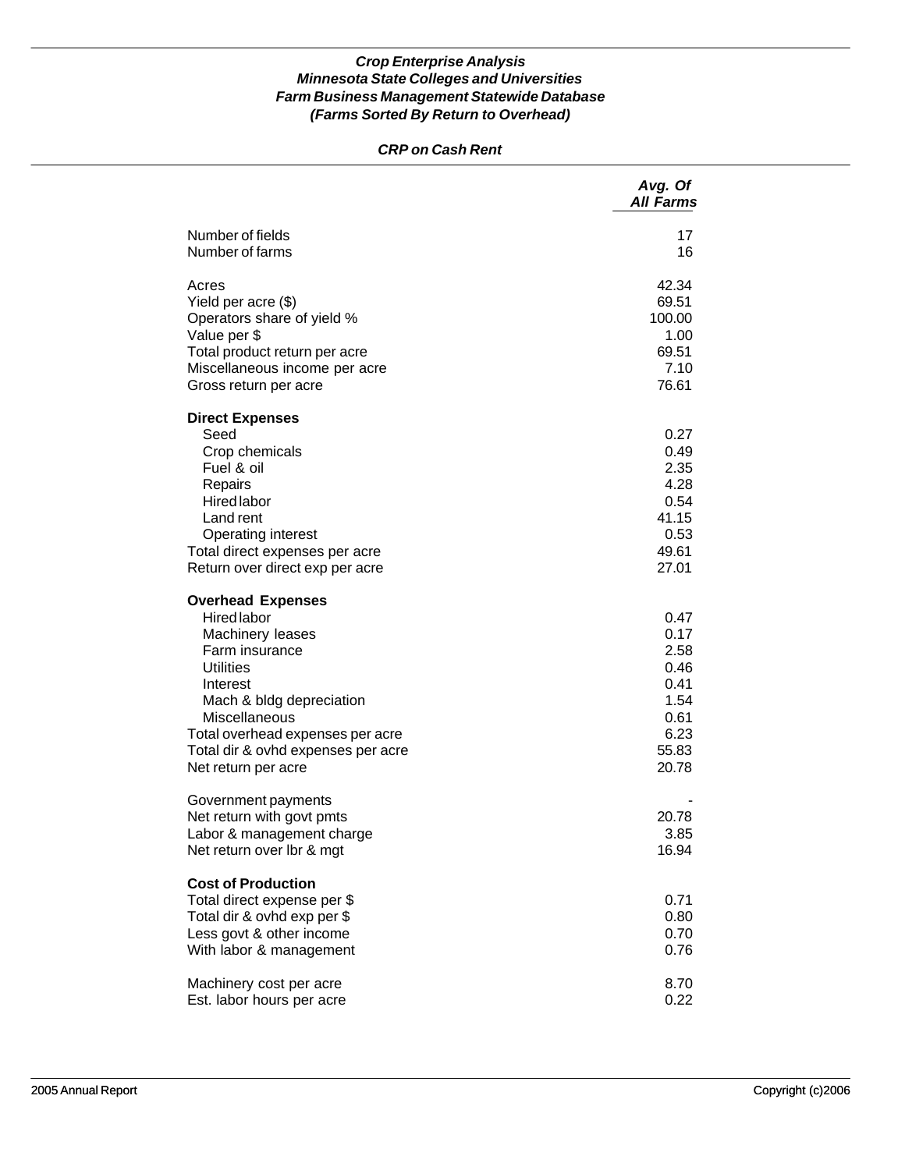# *CRP on Cash Rent*

|                                                                                                                                                                                                                                                             | Avg. Of<br><b>All Farms</b>                                                    |
|-------------------------------------------------------------------------------------------------------------------------------------------------------------------------------------------------------------------------------------------------------------|--------------------------------------------------------------------------------|
| Number of fields<br>Number of farms                                                                                                                                                                                                                         | 17<br>16                                                                       |
| Acres<br>Yield per acre (\$)<br>Operators share of yield %<br>Value per \$<br>Total product return per acre<br>Miscellaneous income per acre<br>Gross return per acre                                                                                       | 42.34<br>69.51<br>100.00<br>1.00<br>69.51<br>7.10<br>76.61                     |
| <b>Direct Expenses</b><br>Seed<br>Crop chemicals<br>Fuel & oil<br>Repairs<br><b>Hired labor</b><br>Land rent<br>Operating interest<br>Total direct expenses per acre<br>Return over direct exp per acre                                                     | 0.27<br>0.49<br>2.35<br>4.28<br>0.54<br>41.15<br>0.53<br>49.61<br>27.01        |
| <b>Overhead Expenses</b><br>Hired labor<br>Machinery leases<br>Farm insurance<br><b>Utilities</b><br>Interest<br>Mach & bldg depreciation<br>Miscellaneous<br>Total overhead expenses per acre<br>Total dir & ovhd expenses per acre<br>Net return per acre | 0.47<br>0.17<br>2.58<br>0.46<br>0.41<br>1.54<br>0.61<br>6.23<br>55.83<br>20.78 |
| Government payments<br>Net return with govt pmts<br>Labor & management charge<br>Net return over lbr & mgt                                                                                                                                                  | 20.78<br>3.85<br>16.94                                                         |
| <b>Cost of Production</b><br>Total direct expense per \$<br>Total dir & ovhd exp per \$<br>Less govt & other income<br>With labor & management                                                                                                              | 0.71<br>0.80<br>0.70<br>0.76                                                   |
| Machinery cost per acre<br>Est. labor hours per acre                                                                                                                                                                                                        | 8.70<br>0.22                                                                   |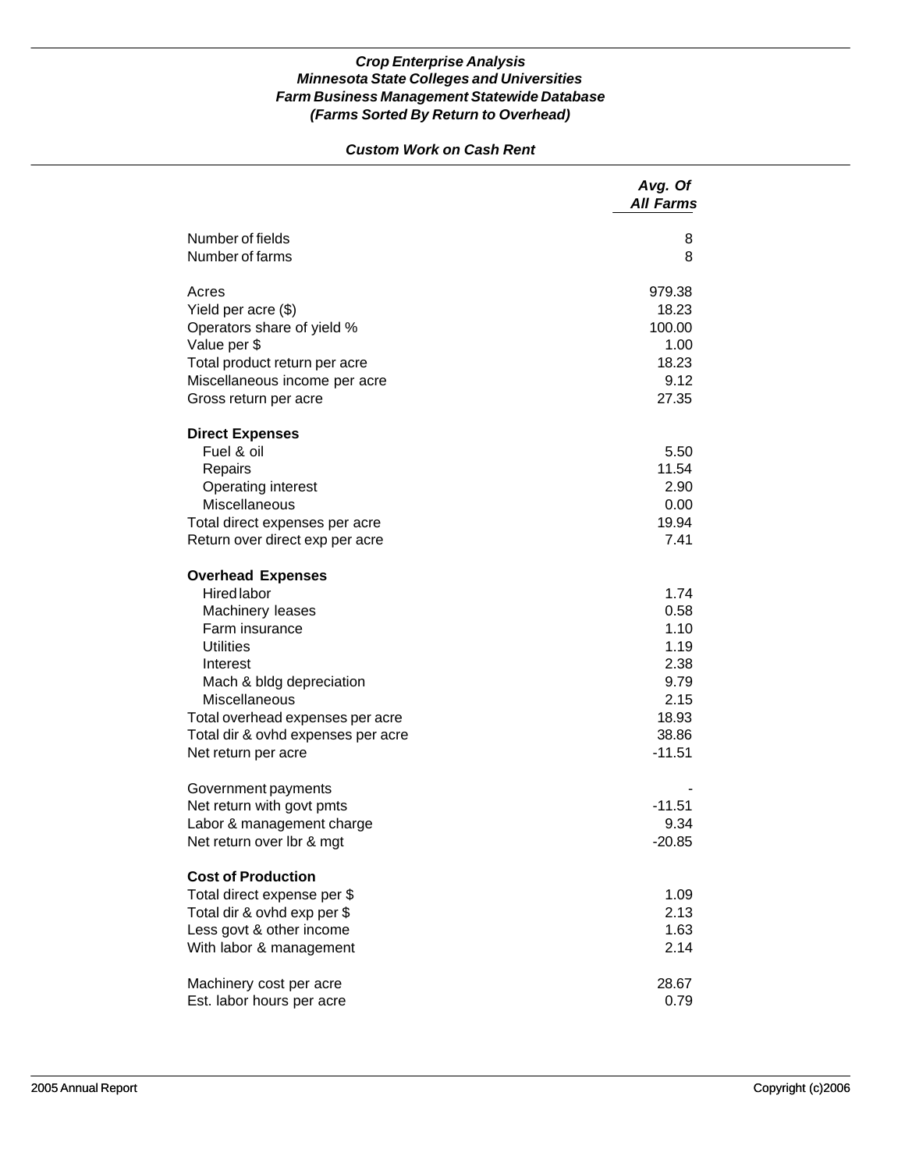# *Custom Work on Cash Rent*

|                                    | Avg. Of<br><b>All Farms</b> |
|------------------------------------|-----------------------------|
| Number of fields                   | 8                           |
| Number of farms                    | 8                           |
| Acres                              | 979.38                      |
| Yield per acre (\$)                | 18.23                       |
| Operators share of yield %         | 100.00                      |
| Value per \$                       | 1.00                        |
| Total product return per acre      | 18.23                       |
| Miscellaneous income per acre      | 9.12                        |
| Gross return per acre              | 27.35                       |
| <b>Direct Expenses</b>             |                             |
| Fuel & oil                         | 5.50                        |
| Repairs                            | 11.54                       |
| <b>Operating interest</b>          | 2.90                        |
| Miscellaneous                      | 0.00                        |
| Total direct expenses per acre     | 19.94                       |
| Return over direct exp per acre    | 7.41                        |
| <b>Overhead Expenses</b>           |                             |
| <b>Hired labor</b>                 | 1.74                        |
| Machinery leases                   | 0.58                        |
| Farm insurance                     | 1.10                        |
| <b>Utilities</b>                   | 1.19                        |
| Interest                           | 2.38                        |
| Mach & bldg depreciation           | 9.79                        |
| <b>Miscellaneous</b>               | 2.15                        |
| Total overhead expenses per acre   | 18.93                       |
| Total dir & ovhd expenses per acre | 38.86                       |
| Net return per acre                | $-11.51$                    |
| Government payments                |                             |
| Net return with govt pmts          | $-11.51$                    |
| Labor & management charge          | 9.34                        |
| Net return over lbr & mgt          | $-20.85$                    |
| <b>Cost of Production</b>          |                             |
| Total direct expense per \$        | 1.09                        |
| Total dir & ovhd exp per \$        | 2.13                        |
| Less govt & other income           | 1.63                        |
| With labor & management            | 2.14                        |
| Machinery cost per acre            | 28.67                       |
| Est. labor hours per acre          | 0.79                        |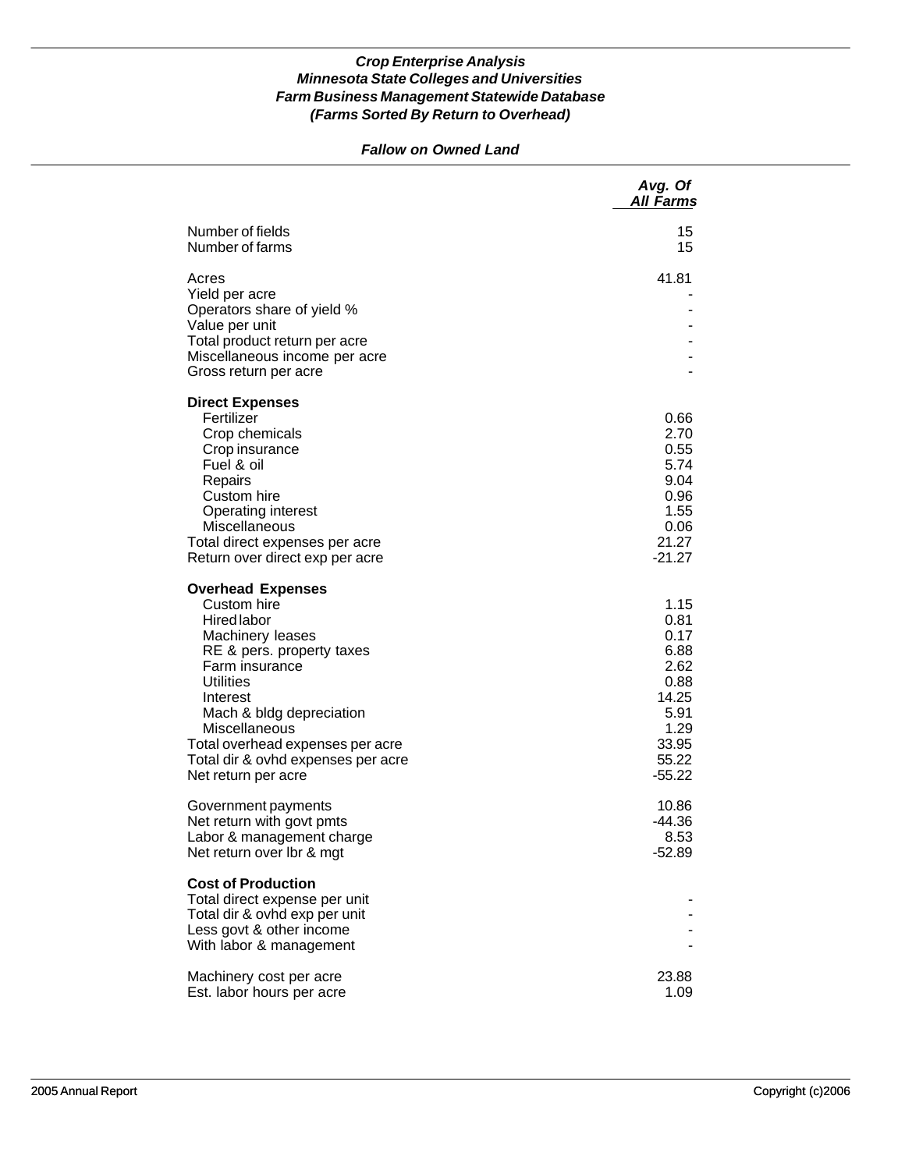# *Fallow on Owned Land*

|                                                                | Avg. Of<br><b>All Farms</b> |
|----------------------------------------------------------------|-----------------------------|
| Number of fields<br>Number of farms                            | 15<br>15                    |
| Acres<br>Yield per acre                                        | 41.81                       |
| Operators share of yield %<br>Value per unit                   |                             |
| Total product return per acre<br>Miscellaneous income per acre |                             |
| Gross return per acre                                          |                             |
| <b>Direct Expenses</b>                                         |                             |
| Fertilizer<br>Crop chemicals                                   | 0.66<br>2.70                |
| Crop insurance                                                 | 0.55                        |
| Fuel & oil<br>Repairs                                          | 5.74<br>9.04                |
| Custom hire                                                    | 0.96                        |
| Operating interest                                             | 1.55                        |
| Miscellaneous<br>Total direct expenses per acre                | 0.06<br>21.27               |
| Return over direct exp per acre                                | $-21.27$                    |
| <b>Overhead Expenses</b>                                       |                             |
| Custom hire<br><b>Hired labor</b>                              | 1.15<br>0.81                |
| Machinery leases                                               | 0.17                        |
| RE & pers. property taxes<br>Farm insurance                    | 6.88<br>2.62                |
| <b>Utilities</b>                                               | 0.88                        |
| Interest                                                       | 14.25                       |
| Mach & bldg depreciation<br>Miscellaneous                      | 5.91<br>1.29                |
| Total overhead expenses per acre                               | 33.95                       |
| Total dir & ovhd expenses per acre<br>Net return per acre      | 55.22<br>$-55.22$           |
|                                                                |                             |
| Government payments<br>Net return with govt pmts               | 10.86<br>$-44.36$           |
| Labor & management charge                                      | 8.53                        |
| Net return over Ibr & mgt                                      | $-52.89$                    |
| <b>Cost of Production</b><br>Total direct expense per unit     |                             |
| Total dir & ovhd exp per unit                                  |                             |
| Less govt & other income<br>With labor & management            |                             |
| Machinery cost per acre                                        | 23.88                       |
| Est. labor hours per acre                                      | 1.09                        |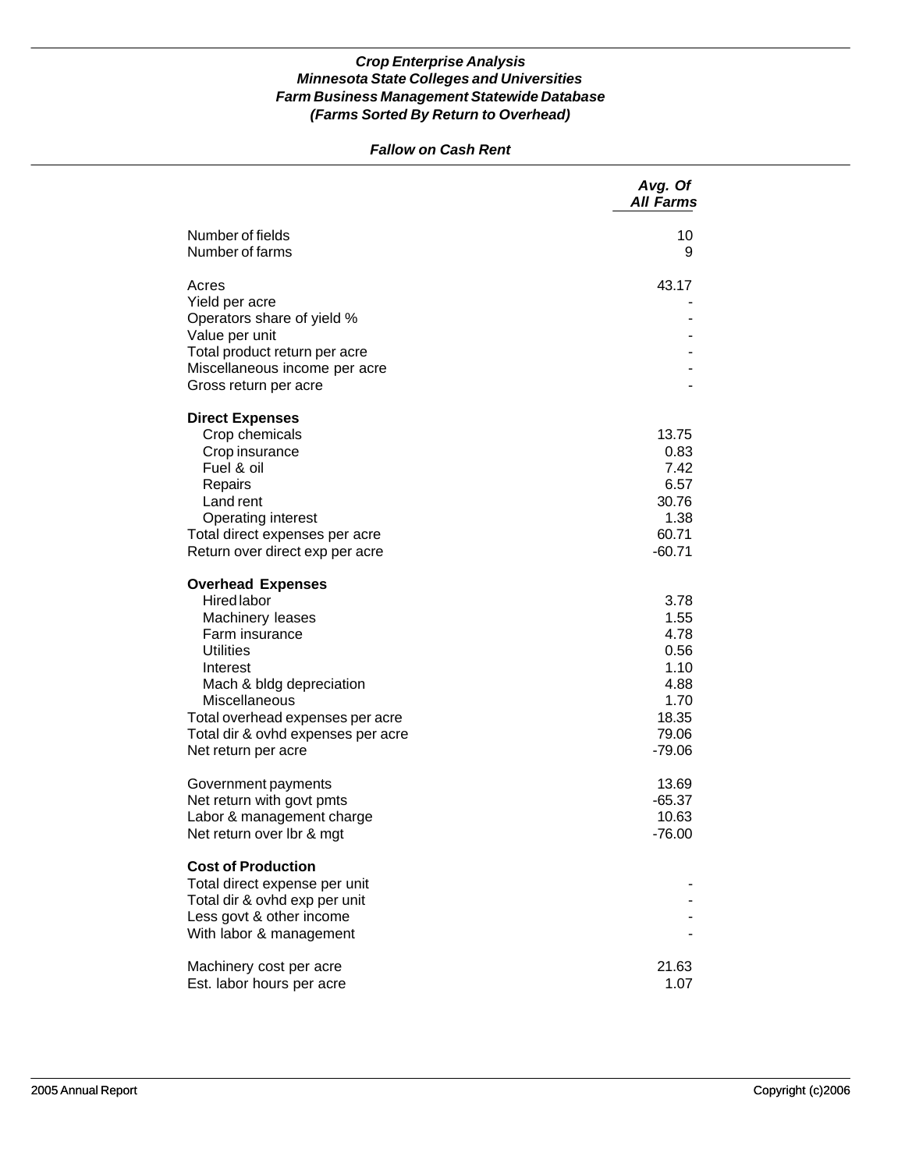# *Fallow on Cash Rent*

|                                                                                                                                                                                                                                                                    | Avg. Of<br><b>All Farms</b>                                                        |
|--------------------------------------------------------------------------------------------------------------------------------------------------------------------------------------------------------------------------------------------------------------------|------------------------------------------------------------------------------------|
| Number of fields<br>Number of farms                                                                                                                                                                                                                                | 10<br>9                                                                            |
| Acres<br>Yield per acre<br>Operators share of yield %<br>Value per unit                                                                                                                                                                                            | 43.17                                                                              |
| Total product return per acre<br>Miscellaneous income per acre<br>Gross return per acre                                                                                                                                                                            |                                                                                    |
| <b>Direct Expenses</b><br>Crop chemicals<br>Crop insurance<br>Fuel & oil<br>Repairs<br>Land rent<br><b>Operating interest</b><br>Total direct expenses per acre<br>Return over direct exp per acre                                                                 | 13.75<br>0.83<br>7.42<br>6.57<br>30.76<br>1.38<br>60.71<br>$-60.71$                |
| <b>Overhead Expenses</b><br><b>Hired labor</b><br>Machinery leases<br>Farm insurance<br><b>Utilities</b><br>Interest<br>Mach & bldg depreciation<br>Miscellaneous<br>Total overhead expenses per acre<br>Total dir & ovhd expenses per acre<br>Net return per acre | 3.78<br>1.55<br>4.78<br>0.56<br>1.10<br>4.88<br>1.70<br>18.35<br>79.06<br>$-79.06$ |
| Government payments<br>Net return with govt pmts<br>Labor & management charge<br>Net return over Ibr & mgt                                                                                                                                                         | 13.69<br>$-65.37$<br>10.63<br>$-76.00$                                             |
| <b>Cost of Production</b><br>Total direct expense per unit<br>Total dir & ovhd exp per unit<br>Less govt & other income<br>With labor & management                                                                                                                 |                                                                                    |
| Machinery cost per acre<br>Est. labor hours per acre                                                                                                                                                                                                               | 21.63<br>1.07                                                                      |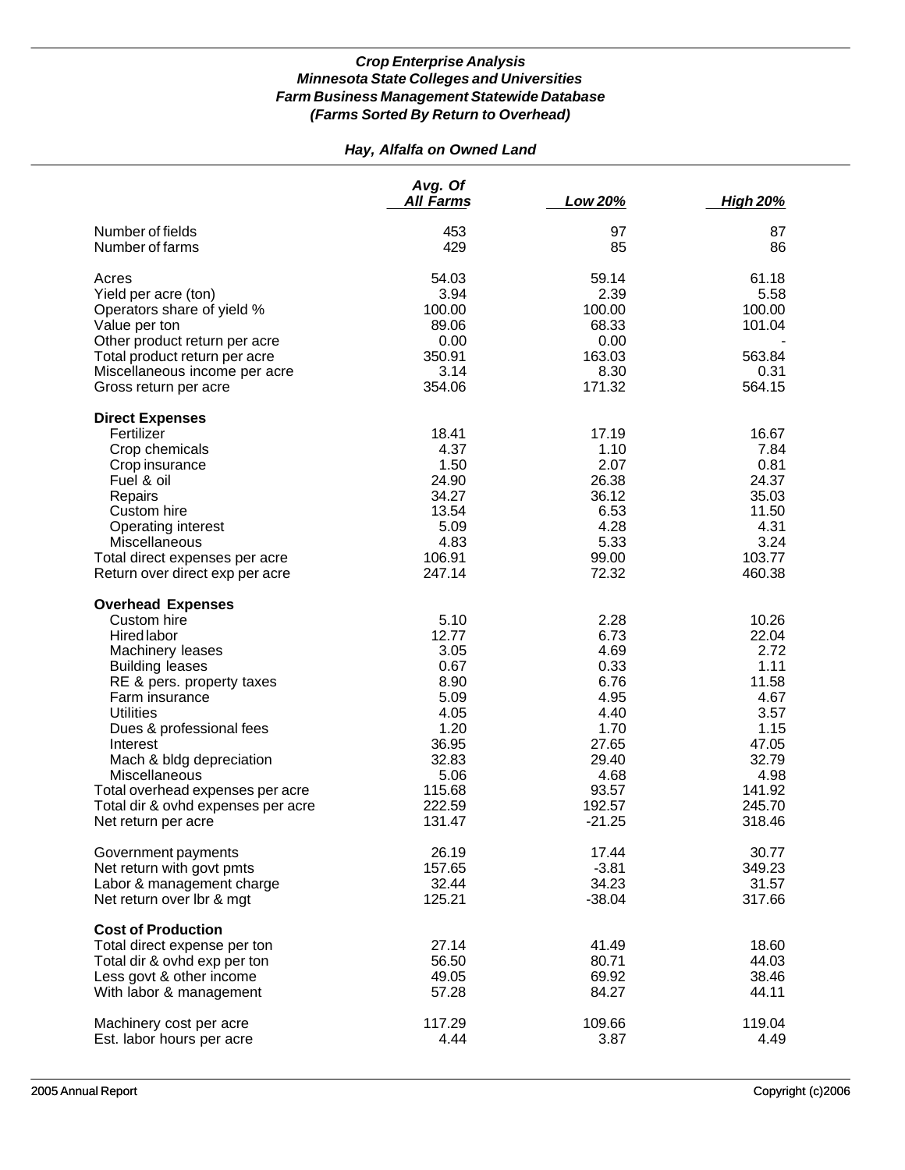# *Hay, Alfalfa on Owned Land*

|                                                                                                                                                                                                                                                                                                                                                                      | Avg. Of<br><b>All Farms</b>                                                                                           | Low 20%                                                                                                               | <b>High 20%</b>                                                                                                         |
|----------------------------------------------------------------------------------------------------------------------------------------------------------------------------------------------------------------------------------------------------------------------------------------------------------------------------------------------------------------------|-----------------------------------------------------------------------------------------------------------------------|-----------------------------------------------------------------------------------------------------------------------|-------------------------------------------------------------------------------------------------------------------------|
| Number of fields<br>Number of farms                                                                                                                                                                                                                                                                                                                                  | 453<br>429                                                                                                            | 97<br>85                                                                                                              | 87<br>86                                                                                                                |
| Acres<br>Yield per acre (ton)<br>Operators share of yield %<br>Value per ton<br>Other product return per acre<br>Total product return per acre<br>Miscellaneous income per acre<br>Gross return per acre                                                                                                                                                             | 54.03<br>3.94<br>100.00<br>89.06<br>0.00<br>350.91<br>3.14<br>354.06                                                  | 59.14<br>2.39<br>100.00<br>68.33<br>0.00<br>163.03<br>8.30<br>171.32                                                  | 61.18<br>5.58<br>100.00<br>101.04<br>563.84<br>0.31<br>564.15                                                           |
| <b>Direct Expenses</b><br>Fertilizer<br>Crop chemicals<br>Crop insurance<br>Fuel & oil<br>Repairs<br>Custom hire<br>Operating interest<br>Miscellaneous<br>Total direct expenses per acre<br>Return over direct exp per acre                                                                                                                                         | 18.41<br>4.37<br>1.50<br>24.90<br>34.27<br>13.54<br>5.09<br>4.83<br>106.91<br>247.14                                  | 17.19<br>1.10<br>2.07<br>26.38<br>36.12<br>6.53<br>4.28<br>5.33<br>99.00<br>72.32                                     | 16.67<br>7.84<br>0.81<br>24.37<br>35.03<br>11.50<br>4.31<br>3.24<br>103.77<br>460.38                                    |
| <b>Overhead Expenses</b><br>Custom hire<br><b>Hired labor</b><br>Machinery leases<br><b>Building leases</b><br>RE & pers. property taxes<br>Farm insurance<br><b>Utilities</b><br>Dues & professional fees<br>Interest<br>Mach & bldg depreciation<br>Miscellaneous<br>Total overhead expenses per acre<br>Total dir & ovhd expenses per acre<br>Net return per acre | 5.10<br>12.77<br>3.05<br>0.67<br>8.90<br>5.09<br>4.05<br>1.20<br>36.95<br>32.83<br>5.06<br>115.68<br>222.59<br>131.47 | 2.28<br>6.73<br>4.69<br>0.33<br>6.76<br>4.95<br>4.40<br>1.70<br>27.65<br>29.40<br>4.68<br>93.57<br>192.57<br>$-21.25$ | 10.26<br>22.04<br>2.72<br>1.11<br>11.58<br>4.67<br>3.57<br>1.15<br>47.05<br>32.79<br>4.98<br>141.92<br>245.70<br>318.46 |
| Government payments<br>Net return with govt pmts<br>Labor & management charge<br>Net return over lbr & mgt                                                                                                                                                                                                                                                           | 26.19<br>157.65<br>32.44<br>125.21                                                                                    | 17.44<br>$-3.81$<br>34.23<br>$-38.04$                                                                                 | 30.77<br>349.23<br>31.57<br>317.66                                                                                      |
| <b>Cost of Production</b><br>Total direct expense per ton<br>Total dir & ovhd exp per ton<br>Less govt & other income<br>With labor & management                                                                                                                                                                                                                     | 27.14<br>56.50<br>49.05<br>57.28                                                                                      | 41.49<br>80.71<br>69.92<br>84.27                                                                                      | 18.60<br>44.03<br>38.46<br>44.11                                                                                        |
| Machinery cost per acre<br>Est. labor hours per acre                                                                                                                                                                                                                                                                                                                 | 117.29<br>4.44                                                                                                        | 109.66<br>3.87                                                                                                        | 119.04<br>4.49                                                                                                          |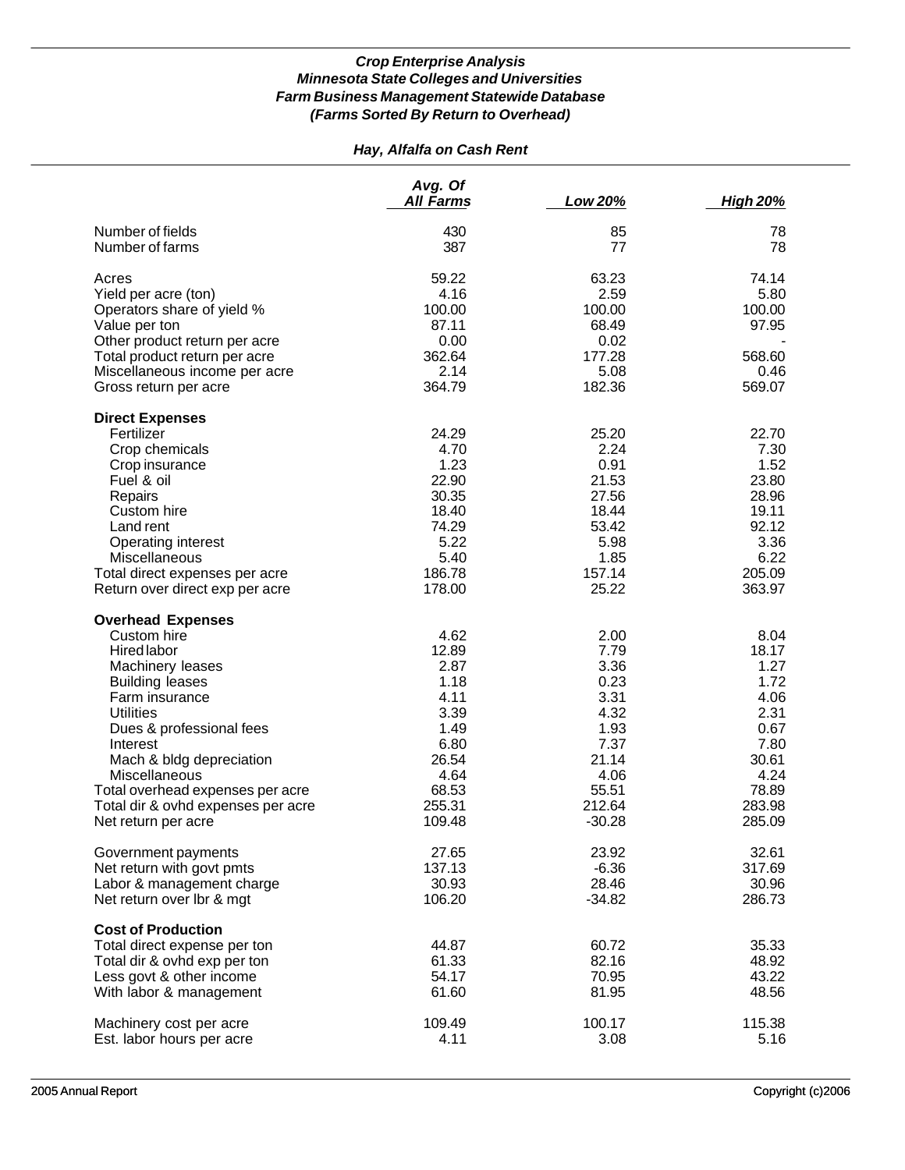# *Hay, Alfalfa on Cash Rent*

|                                                                                                                                                                                                                                                                                                                                         | Avg. Of<br><b>All Farms</b>                                                                                 | Low 20%                                                                                                      | <b>High 20%</b>                                                                                             |
|-----------------------------------------------------------------------------------------------------------------------------------------------------------------------------------------------------------------------------------------------------------------------------------------------------------------------------------------|-------------------------------------------------------------------------------------------------------------|--------------------------------------------------------------------------------------------------------------|-------------------------------------------------------------------------------------------------------------|
| Number of fields<br>Number of farms                                                                                                                                                                                                                                                                                                     | 430<br>387                                                                                                  | 85<br>77                                                                                                     | 78<br>78                                                                                                    |
| Acres<br>Yield per acre (ton)<br>Operators share of yield %<br>Value per ton<br>Other product return per acre<br>Total product return per acre<br>Miscellaneous income per acre<br>Gross return per acre                                                                                                                                | 59.22<br>4.16<br>100.00<br>87.11<br>0.00<br>362.64<br>2.14<br>364.79                                        | 63.23<br>2.59<br>100.00<br>68.49<br>0.02<br>177.28<br>5.08<br>182.36                                         | 74.14<br>5.80<br>100.00<br>97.95<br>568.60<br>0.46<br>569.07                                                |
| <b>Direct Expenses</b><br>Fertilizer<br>Crop chemicals<br>Crop insurance<br>Fuel & oil<br>Repairs<br>Custom hire<br>Land rent<br>Operating interest<br>Miscellaneous<br>Total direct expenses per acre<br>Return over direct exp per acre                                                                                               | 24.29<br>4.70<br>1.23<br>22.90<br>30.35<br>18.40<br>74.29<br>5.22<br>5.40<br>186.78<br>178.00               | 25.20<br>2.24<br>0.91<br>21.53<br>27.56<br>18.44<br>53.42<br>5.98<br>1.85<br>157.14<br>25.22                 | 22.70<br>7.30<br>1.52<br>23.80<br>28.96<br>19.11<br>92.12<br>3.36<br>6.22<br>205.09<br>363.97               |
| <b>Overhead Expenses</b><br>Custom hire<br><b>Hired labor</b><br>Machinery leases<br><b>Building leases</b><br>Farm insurance<br><b>Utilities</b><br>Dues & professional fees<br>Interest<br>Mach & bldg depreciation<br>Miscellaneous<br>Total overhead expenses per acre<br>Total dir & ovhd expenses per acre<br>Net return per acre | 4.62<br>12.89<br>2.87<br>1.18<br>4.11<br>3.39<br>1.49<br>6.80<br>26.54<br>4.64<br>68.53<br>255.31<br>109.48 | 2.00<br>7.79<br>3.36<br>0.23<br>3.31<br>4.32<br>1.93<br>7.37<br>21.14<br>4.06<br>55.51<br>212.64<br>$-30.28$ | 8.04<br>18.17<br>1.27<br>1.72<br>4.06<br>2.31<br>0.67<br>7.80<br>30.61<br>4.24<br>78.89<br>283.98<br>285.09 |
| Government payments<br>Net return with govt pmts<br>Labor & management charge<br>Net return over lbr & mgt                                                                                                                                                                                                                              | 27.65<br>137.13<br>30.93<br>106.20                                                                          | 23.92<br>$-6.36$<br>28.46<br>$-34.82$                                                                        | 32.61<br>317.69<br>30.96<br>286.73                                                                          |
| <b>Cost of Production</b><br>Total direct expense per ton<br>Total dir & ovhd exp per ton<br>Less govt & other income<br>With labor & management                                                                                                                                                                                        | 44.87<br>61.33<br>54.17<br>61.60                                                                            | 60.72<br>82.16<br>70.95<br>81.95                                                                             | 35.33<br>48.92<br>43.22<br>48.56                                                                            |
| Machinery cost per acre<br>Est. labor hours per acre                                                                                                                                                                                                                                                                                    | 109.49<br>4.11                                                                                              | 100.17<br>3.08                                                                                               | 115.38<br>5.16                                                                                              |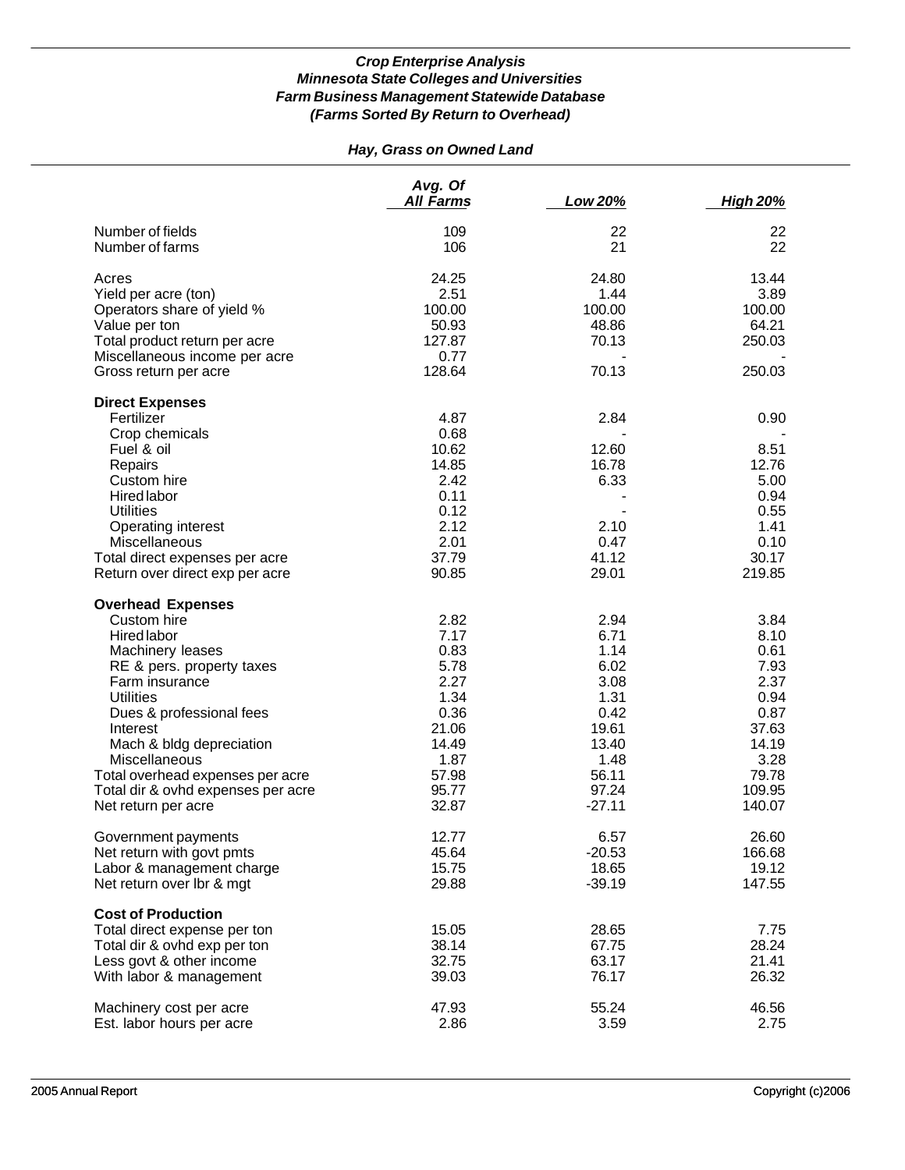# *Hay, Grass on Owned Land*

|                                         | Avg. Of<br><b>All Farms</b> | Low 20%  | <b>High 20%</b> |
|-----------------------------------------|-----------------------------|----------|-----------------|
| Number of fields                        | 109                         | 22       | 22              |
| Number of farms                         | 106                         | 21       | 22              |
| Acres                                   | 24.25                       | 24.80    | 13.44           |
| Yield per acre (ton)                    | 2.51                        | 1.44     | 3.89            |
| Operators share of yield %              | 100.00                      | 100.00   | 100.00          |
| Value per ton                           | 50.93                       | 48.86    | 64.21           |
| Total product return per acre           | 127.87                      | 70.13    | 250.03          |
| Miscellaneous income per acre           | 0.77                        |          |                 |
| Gross return per acre                   | 128.64                      | 70.13    | 250.03          |
| <b>Direct Expenses</b>                  |                             |          |                 |
| Fertilizer                              | 4.87                        | 2.84     | 0.90            |
| Crop chemicals                          | 0.68                        |          |                 |
| Fuel & oil                              | 10.62                       | 12.60    | 8.51            |
| Repairs                                 | 14.85                       | 16.78    | 12.76           |
| Custom hire                             | 2.42                        | 6.33     | 5.00            |
| <b>Hired labor</b>                      | 0.11                        |          | 0.94            |
| <b>Utilities</b>                        | 0.12                        |          | 0.55            |
| Operating interest                      | 2.12                        | 2.10     | 1.41            |
| Miscellaneous                           | 2.01                        | 0.47     | 0.10            |
| Total direct expenses per acre          | 37.79                       | 41.12    | 30.17           |
| Return over direct exp per acre         | 90.85                       | 29.01    | 219.85          |
|                                         |                             |          |                 |
| <b>Overhead Expenses</b><br>Custom hire | 2.82                        | 2.94     | 3.84            |
|                                         |                             |          |                 |
| Hired labor                             | 7.17                        | 6.71     | 8.10            |
| Machinery leases                        | 0.83                        | 1.14     | 0.61            |
| RE & pers. property taxes               | 5.78                        | 6.02     | 7.93            |
| Farm insurance                          | 2.27                        | 3.08     | 2.37            |
| <b>Utilities</b>                        | 1.34                        | 1.31     | 0.94            |
| Dues & professional fees                | 0.36                        | 0.42     | 0.87            |
| Interest                                | 21.06                       | 19.61    | 37.63           |
| Mach & bldg depreciation                | 14.49                       | 13.40    | 14.19           |
| Miscellaneous                           | 1.87                        | 1.48     | 3.28            |
| Total overhead expenses per acre        | 57.98                       | 56.11    | 79.78           |
| Total dir & ovhd expenses per acre      | 95.77                       | 97.24    | 109.95          |
| Net return per acre                     | 32.87                       | $-27.11$ | 140.07          |
| Government payments                     | 12.77                       | 6.57     | 26.60           |
| Net return with govt pmts               | 45.64                       | $-20.53$ | 166.68          |
| Labor & management charge               | 15.75                       | 18.65    | 19.12           |
| Net return over lbr & mgt               | 29.88                       | $-39.19$ | 147.55          |
| <b>Cost of Production</b>               |                             |          |                 |
| Total direct expense per ton            | 15.05                       | 28.65    | 7.75            |
| Total dir & ovhd exp per ton            | 38.14                       | 67.75    | 28.24           |
| Less govt & other income                | 32.75                       | 63.17    | 21.41           |
| With labor & management                 | 39.03                       | 76.17    | 26.32           |
| Machinery cost per acre                 | 47.93                       | 55.24    | 46.56           |
| Est. labor hours per acre               | 2.86                        | 3.59     | 2.75            |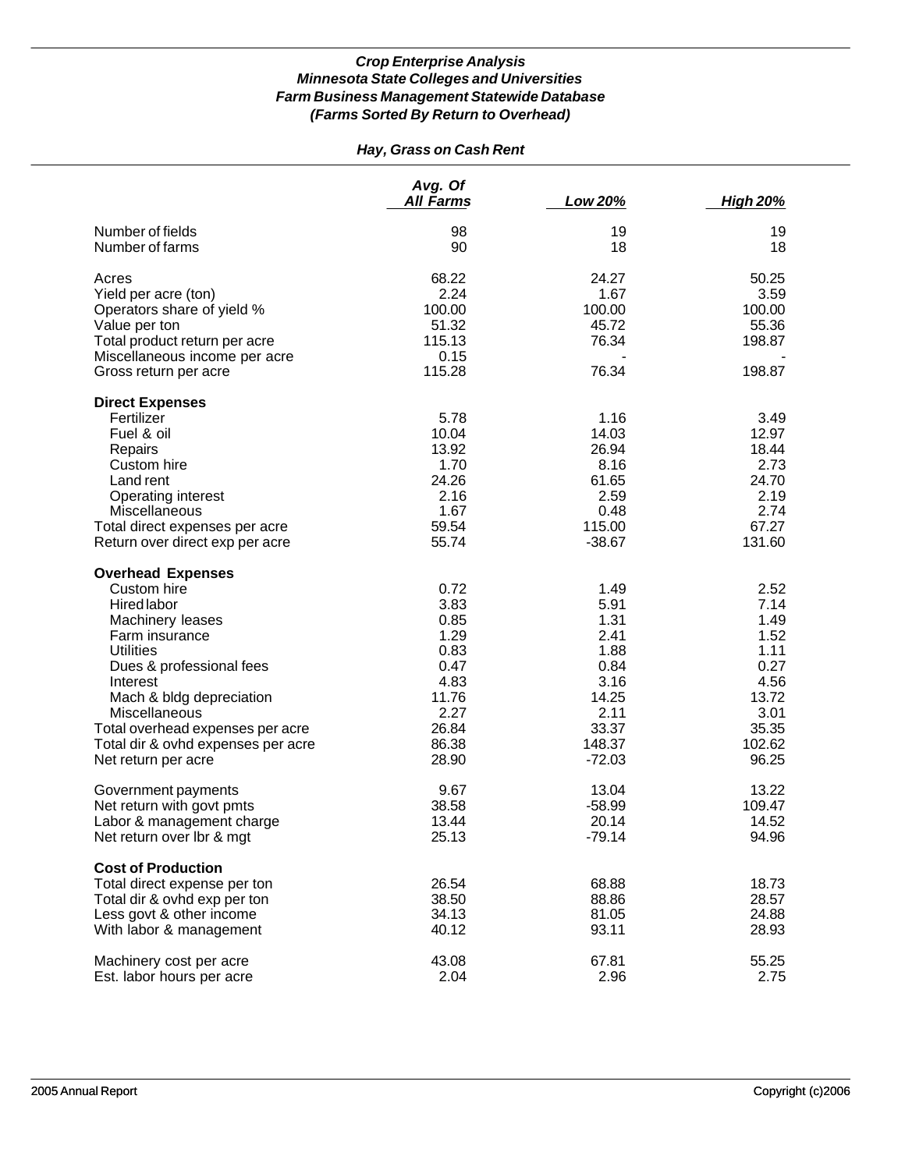# *Hay, Grass on Cash Rent*

|                                    | Avg. Of<br><b>All Farms</b> | Low 20%  | <b>High 20%</b> |
|------------------------------------|-----------------------------|----------|-----------------|
| Number of fields                   | 98                          | 19       | 19              |
| Number of farms                    | 90                          | 18       | 18              |
|                                    |                             |          |                 |
| Acres                              | 68.22                       | 24.27    | 50.25           |
| Yield per acre (ton)               | 2.24                        | 1.67     | 3.59            |
| Operators share of yield %         | 100.00                      | 100.00   | 100.00          |
| Value per ton                      | 51.32                       | 45.72    | 55.36           |
| Total product return per acre      | 115.13                      | 76.34    | 198.87          |
| Miscellaneous income per acre      | 0.15                        |          |                 |
| Gross return per acre              | 115.28                      | 76.34    | 198.87          |
| <b>Direct Expenses</b>             |                             |          |                 |
| Fertilizer                         | 5.78                        | 1.16     | 3.49            |
| Fuel & oil                         | 10.04                       | 14.03    | 12.97           |
| Repairs                            | 13.92                       | 26.94    | 18.44           |
| Custom hire                        | 1.70                        | 8.16     | 2.73            |
| Land rent                          | 24.26                       | 61.65    | 24.70           |
| <b>Operating interest</b>          | 2.16                        | 2.59     | 2.19            |
| Miscellaneous                      | 1.67                        | 0.48     | 2.74            |
| Total direct expenses per acre     | 59.54                       | 115.00   | 67.27           |
| Return over direct exp per acre    | 55.74                       | $-38.67$ | 131.60          |
| <b>Overhead Expenses</b>           |                             |          |                 |
| Custom hire                        | 0.72                        | 1.49     | 2.52            |
| Hired labor                        | 3.83                        | 5.91     | 7.14            |
| Machinery leases                   | 0.85                        | 1.31     | 1.49            |
| Farm insurance                     | 1.29                        | 2.41     | 1.52            |
| <b>Utilities</b>                   | 0.83                        | 1.88     | 1.11            |
| Dues & professional fees           | 0.47                        | 0.84     | 0.27            |
| Interest                           | 4.83                        | 3.16     | 4.56            |
| Mach & bldg depreciation           | 11.76                       | 14.25    | 13.72           |
| Miscellaneous                      | 2.27                        | 2.11     | 3.01            |
| Total overhead expenses per acre   | 26.84                       | 33.37    | 35.35           |
| Total dir & ovhd expenses per acre | 86.38                       | 148.37   | 102.62          |
| Net return per acre                | 28.90                       | $-72.03$ | 96.25           |
| Government payments                | 9.67                        | 13.04    | 13.22           |
| Net return with govt pmts          | 38.58                       | $-58.99$ | 109.47          |
| Labor & management charge          | 13.44                       | 20.14    | 14.52           |
| Net return over Ibr & mgt          | 25.13                       | $-79.14$ | 94.96           |
| <b>Cost of Production</b>          |                             |          |                 |
| Total direct expense per ton       | 26.54                       | 68.88    | 18.73           |
| Total dir & ovhd exp per ton       | 38.50                       | 88.86    | 28.57           |
| Less govt & other income           | 34.13                       | 81.05    | 24.88           |
| With labor & management            | 40.12                       | 93.11    | 28.93           |
| Machinery cost per acre            | 43.08                       | 67.81    | 55.25           |
| Est. labor hours per acre          | 2.04                        | 2.96     | 2.75            |
|                                    |                             |          |                 |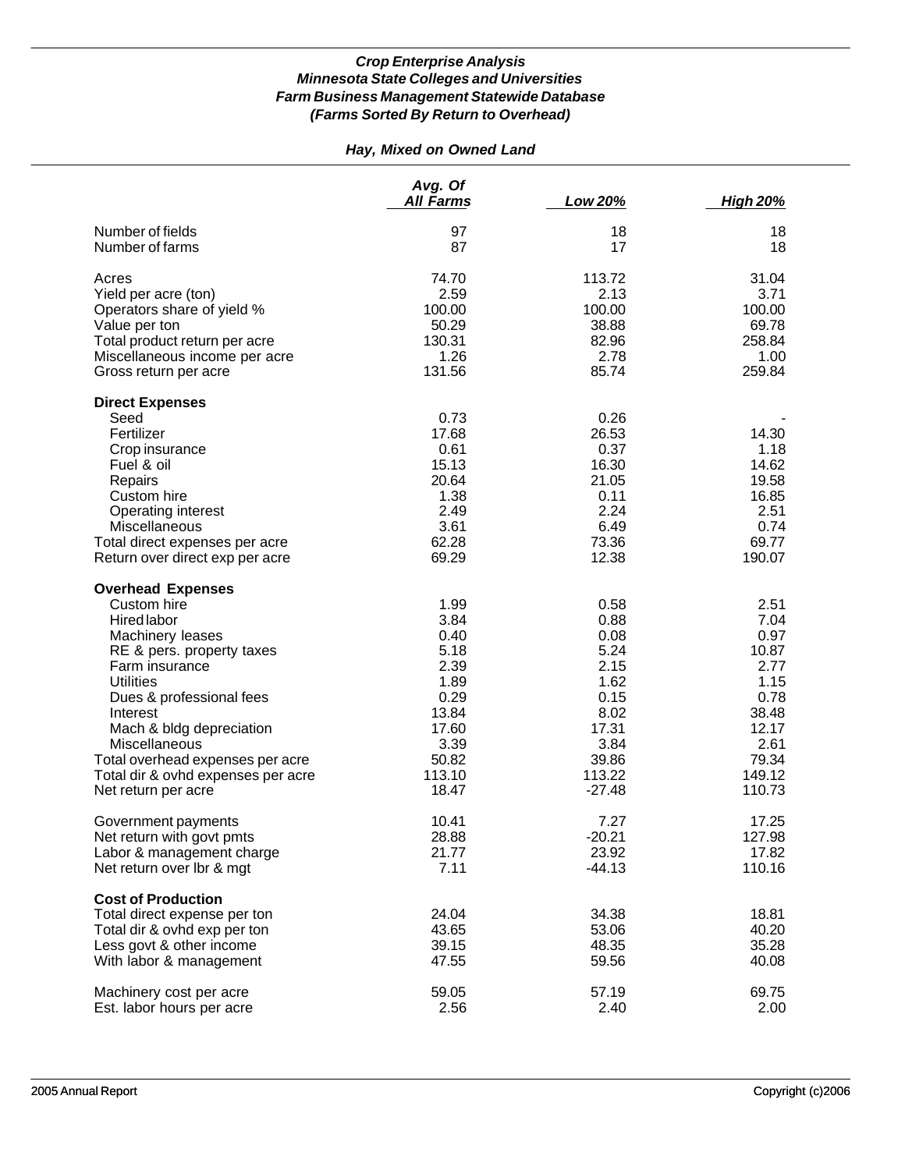# *Hay, Mixed on Owned Land*

|                                                                                                                                                                                                                                                                                                                                            | Avg. Of<br><b>All Farms</b>                                                                                | Low 20%                                                                                                      | <b>High 20%</b>                                                                                              |
|--------------------------------------------------------------------------------------------------------------------------------------------------------------------------------------------------------------------------------------------------------------------------------------------------------------------------------------------|------------------------------------------------------------------------------------------------------------|--------------------------------------------------------------------------------------------------------------|--------------------------------------------------------------------------------------------------------------|
| Number of fields                                                                                                                                                                                                                                                                                                                           | 97                                                                                                         | 18                                                                                                           | 18                                                                                                           |
| Number of farms                                                                                                                                                                                                                                                                                                                            | 87                                                                                                         | 17                                                                                                           | 18                                                                                                           |
| Acres                                                                                                                                                                                                                                                                                                                                      | 74.70                                                                                                      | 113.72                                                                                                       | 31.04                                                                                                        |
| Yield per acre (ton)                                                                                                                                                                                                                                                                                                                       | 2.59                                                                                                       | 2.13                                                                                                         | 3.71                                                                                                         |
| Operators share of yield %                                                                                                                                                                                                                                                                                                                 | 100.00                                                                                                     | 100.00                                                                                                       | 100.00                                                                                                       |
| Value per ton                                                                                                                                                                                                                                                                                                                              | 50.29                                                                                                      | 38.88                                                                                                        | 69.78                                                                                                        |
| Total product return per acre                                                                                                                                                                                                                                                                                                              | 130.31                                                                                                     | 82.96                                                                                                        | 258.84                                                                                                       |
| Miscellaneous income per acre                                                                                                                                                                                                                                                                                                              | 1.26                                                                                                       | 2.78                                                                                                         | 1.00                                                                                                         |
| Gross return per acre                                                                                                                                                                                                                                                                                                                      | 131.56                                                                                                     | 85.74                                                                                                        | 259.84                                                                                                       |
| <b>Direct Expenses</b><br>Seed<br>Fertilizer<br>Crop insurance<br>Fuel & oil<br>Repairs<br>Custom hire<br>Operating interest<br>Miscellaneous<br>Total direct expenses per acre<br>Return over direct exp per acre                                                                                                                         | 0.73<br>17.68<br>0.61<br>15.13<br>20.64<br>1.38<br>2.49<br>3.61<br>62.28<br>69.29                          | 0.26<br>26.53<br>0.37<br>16.30<br>21.05<br>0.11<br>2.24<br>6.49<br>73.36<br>12.38                            | 14.30<br>1.18<br>14.62<br>19.58<br>16.85<br>2.51<br>0.74<br>69.77<br>190.07                                  |
| <b>Overhead Expenses</b><br>Custom hire<br><b>Hired labor</b><br>Machinery leases<br>RE & pers. property taxes<br>Farm insurance<br><b>Utilities</b><br>Dues & professional fees<br>Interest<br>Mach & bldg depreciation<br>Miscellaneous<br>Total overhead expenses per acre<br>Total dir & ovhd expenses per acre<br>Net return per acre | 1.99<br>3.84<br>0.40<br>5.18<br>2.39<br>1.89<br>0.29<br>13.84<br>17.60<br>3.39<br>50.82<br>113.10<br>18.47 | 0.58<br>0.88<br>0.08<br>5.24<br>2.15<br>1.62<br>0.15<br>8.02<br>17.31<br>3.84<br>39.86<br>113.22<br>$-27.48$ | 2.51<br>7.04<br>0.97<br>10.87<br>2.77<br>1.15<br>0.78<br>38.48<br>12.17<br>2.61<br>79.34<br>149.12<br>110.73 |
| Government payments                                                                                                                                                                                                                                                                                                                        | 10.41                                                                                                      | 7.27                                                                                                         | 17.25                                                                                                        |
| Net return with govt pmts                                                                                                                                                                                                                                                                                                                  | 28.88                                                                                                      | $-20.21$                                                                                                     | 127.98                                                                                                       |
| Labor & management charge                                                                                                                                                                                                                                                                                                                  | 21.77                                                                                                      | 23.92                                                                                                        | 17.82                                                                                                        |
| Net return over lbr & mgt                                                                                                                                                                                                                                                                                                                  | 7.11                                                                                                       | $-44.13$                                                                                                     | 110.16                                                                                                       |
| <b>Cost of Production</b><br>Total direct expense per ton<br>Total dir & ovhd exp per ton<br>Less govt & other income<br>With labor & management                                                                                                                                                                                           | 24.04<br>43.65<br>39.15<br>47.55                                                                           | 34.38<br>53.06<br>48.35<br>59.56                                                                             | 18.81<br>40.20<br>35.28<br>40.08                                                                             |
| Machinery cost per acre                                                                                                                                                                                                                                                                                                                    | 59.05                                                                                                      | 57.19                                                                                                        | 69.75                                                                                                        |
| Est. labor hours per acre                                                                                                                                                                                                                                                                                                                  | 2.56                                                                                                       | 2.40                                                                                                         | 2.00                                                                                                         |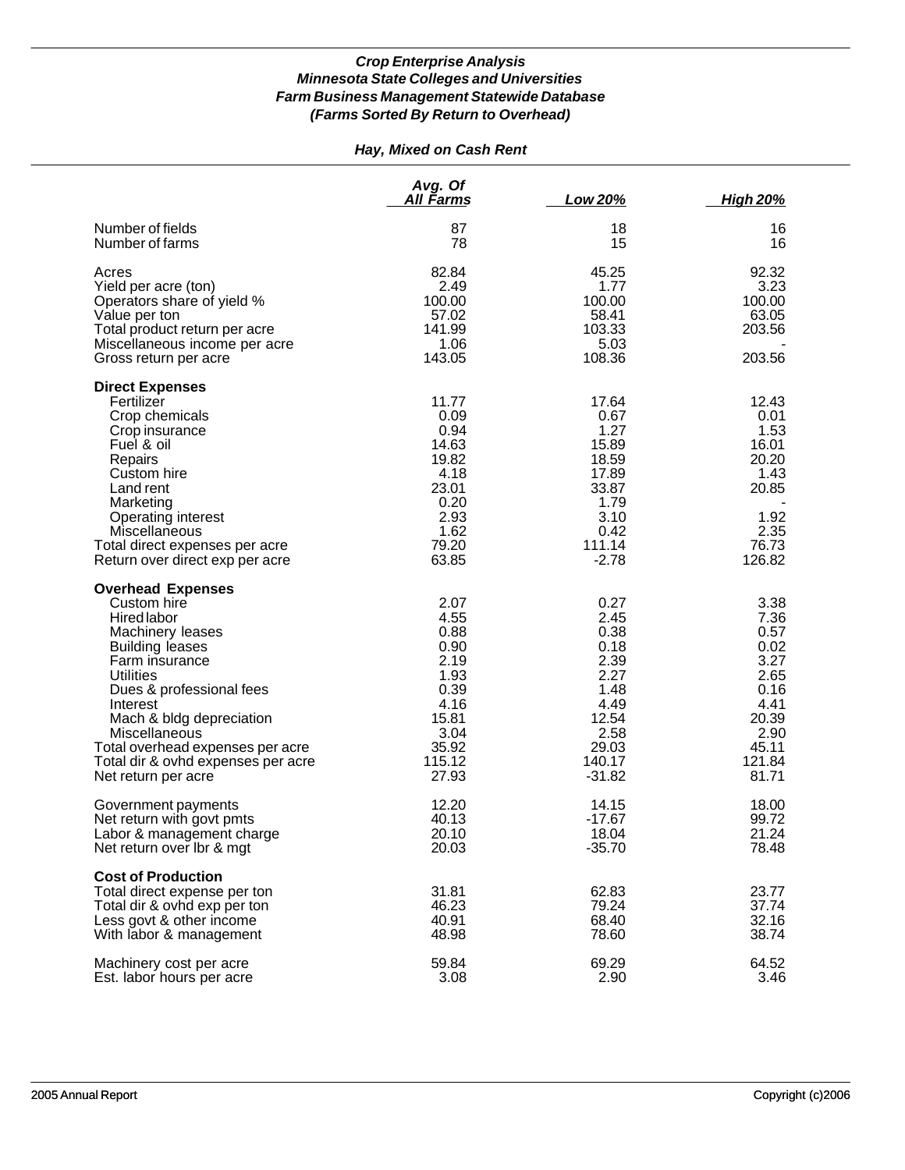# *Hay, Mixed on Cash Rent*

|                                                                                                                                                                                                                                                                                                                                         | Avg. Of<br><u>All Farms</u>                                                                               | Low 20%                                                                                                      | <b>High 20%</b>                                                                                           |
|-----------------------------------------------------------------------------------------------------------------------------------------------------------------------------------------------------------------------------------------------------------------------------------------------------------------------------------------|-----------------------------------------------------------------------------------------------------------|--------------------------------------------------------------------------------------------------------------|-----------------------------------------------------------------------------------------------------------|
| Number of fields<br>Number of farms                                                                                                                                                                                                                                                                                                     | 87<br>78                                                                                                  | 18<br>15                                                                                                     | 16<br>16                                                                                                  |
| Acres<br>Yield per acre (ton)<br>Operators share of yield %<br>Value per ton<br>Total product return per acre<br>Miscellaneous income per acre                                                                                                                                                                                          | 82.84<br>2.49<br>100.00<br>57.02<br>141.99<br>1.06                                                        | 45.25<br>1.77<br>100.00<br>58.41<br>103.33<br>5.03                                                           | 92.32<br>3.23<br>100.00<br>63.05<br>203.56                                                                |
| Gross return per acre                                                                                                                                                                                                                                                                                                                   | 143.05                                                                                                    | 108.36                                                                                                       | 203.56                                                                                                    |
| <b>Direct Expenses</b><br>Fertilizer<br>Crop chemicals<br>Crop insurance<br>Fuel & oil<br>Repairs<br>Custom hire<br>Land rent<br>Marketing<br>Operating interest<br>Miscellaneous<br>Total direct expenses per acre<br>Return over direct exp per acre                                                                                  | 11.77<br>0.09<br>0.94<br>14.63<br>19.82<br>4.18<br>23.01<br>0.20<br>2.93<br>1.62<br>79.20<br>63.85        | 17.64<br>0.67<br>1.27<br>15.89<br>18.59<br>17.89<br>33.87<br>1.79<br>3.10<br>0.42<br>111.14<br>$-2.78$       | 12.43<br>0.01<br>1.53<br>16.01<br>20.20<br>1.43<br>20.85<br>1.92<br>2.35<br>76.73<br>126.82               |
| <b>Overhead Expenses</b><br>Custom hire<br><b>Hired labor</b><br>Machinery leases<br><b>Building leases</b><br>Farm insurance<br><b>Utilities</b><br>Dues & professional fees<br>Interest<br>Mach & bldg depreciation<br>Miscellaneous<br>Total overhead expenses per acre<br>Total dir & ovhd expenses per acre<br>Net return per acre | 2.07<br>4.55<br>0.88<br>0.90<br>2.19<br>1.93<br>0.39<br>4.16<br>15.81<br>3.04<br>35.92<br>115.12<br>27.93 | 0.27<br>2.45<br>0.38<br>0.18<br>2.39<br>2.27<br>1.48<br>4.49<br>12.54<br>2.58<br>29.03<br>140.17<br>$-31.82$ | 3.38<br>7.36<br>0.57<br>0.02<br>3.27<br>2.65<br>0.16<br>4.41<br>20.39<br>2.90<br>45.11<br>121.84<br>81.71 |
| Government payments<br>Net return with govt pmts<br>Labor & management charge<br>Net return over Ibr & mgt                                                                                                                                                                                                                              | 12.20<br>40.13<br>20.10<br>20.03                                                                          | 14.15<br>$-17.67$<br>18.04<br>$-35.70$                                                                       | 18.00<br>99.72<br>21.24<br>78.48                                                                          |
| <b>Cost of Production</b><br>Total direct expense per ton<br>Total dir & ovhd exp per ton<br>Less govt & other income<br>With labor & management                                                                                                                                                                                        | 31.81<br>46.23<br>40.91<br>48.98                                                                          | 62.83<br>79.24<br>68.40<br>78.60                                                                             | 23.77<br>37.74<br>32.16<br>38.74                                                                          |
| Machinery cost per acre<br>Est. labor hours per acre                                                                                                                                                                                                                                                                                    | 59.84<br>3.08                                                                                             | 69.29<br>2.90                                                                                                | 64.52<br>3.46                                                                                             |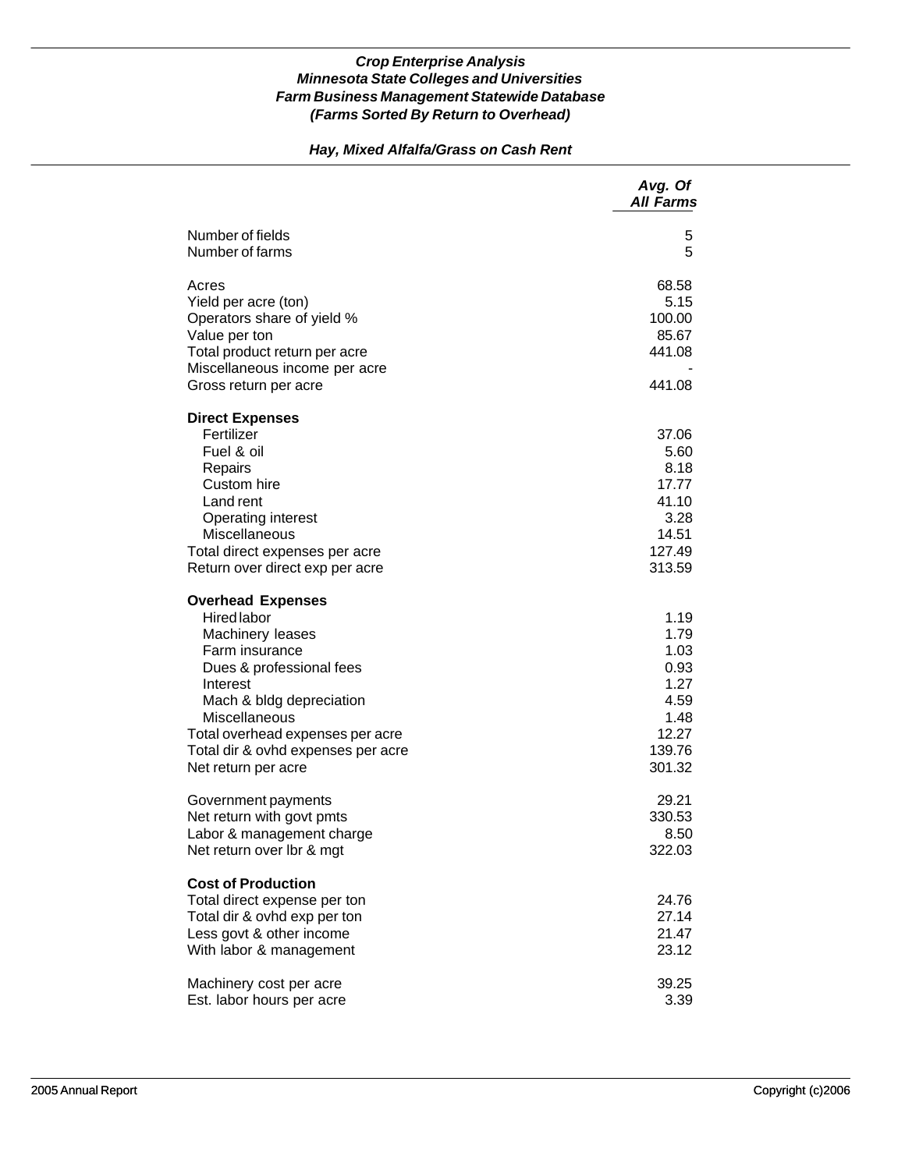### *Hay, Mixed Alfalfa/Grass on Cash Rent*

|                                                                                                                                                                                                                                                                     | Avg. Of<br><b>All Farms</b>                                                       |
|---------------------------------------------------------------------------------------------------------------------------------------------------------------------------------------------------------------------------------------------------------------------|-----------------------------------------------------------------------------------|
| Number of fields<br>Number of farms                                                                                                                                                                                                                                 | 5<br>5                                                                            |
| Acres<br>Yield per acre (ton)<br>Operators share of yield %<br>Value per ton<br>Total product return per acre<br>Miscellaneous income per acre<br>Gross return per acre                                                                                             | 68.58<br>5.15<br>100.00<br>85.67<br>441.08<br>441.08                              |
| <b>Direct Expenses</b><br>Fertilizer<br>Fuel & oil<br>Repairs<br>Custom hire<br>Land rent<br>Operating interest<br>Miscellaneous<br>Total direct expenses per acre<br>Return over direct exp per acre                                                               | 37.06<br>5.60<br>8.18<br>17.77<br>41.10<br>3.28<br>14.51<br>127.49<br>313.59      |
| <b>Overhead Expenses</b><br>Hired labor<br>Machinery leases<br>Farm insurance<br>Dues & professional fees<br>Interest<br>Mach & bldg depreciation<br>Miscellaneous<br>Total overhead expenses per acre<br>Total dir & ovhd expenses per acre<br>Net return per acre | 1.19<br>1.79<br>1.03<br>0.93<br>1.27<br>4.59<br>1.48<br>12.27<br>139.76<br>301.32 |
| Government payments<br>Net return with govt pmts<br>Labor & management charge<br>Net return over lbr & mgt                                                                                                                                                          | 29.21<br>330.53<br>8.50<br>322.03                                                 |
| <b>Cost of Production</b><br>Total direct expense per ton<br>Total dir & ovhd exp per ton<br>Less govt & other income<br>With labor & management                                                                                                                    | 24.76<br>27.14<br>21.47<br>23.12                                                  |
| Machinery cost per acre<br>Est. labor hours per acre                                                                                                                                                                                                                | 39.25<br>3.39                                                                     |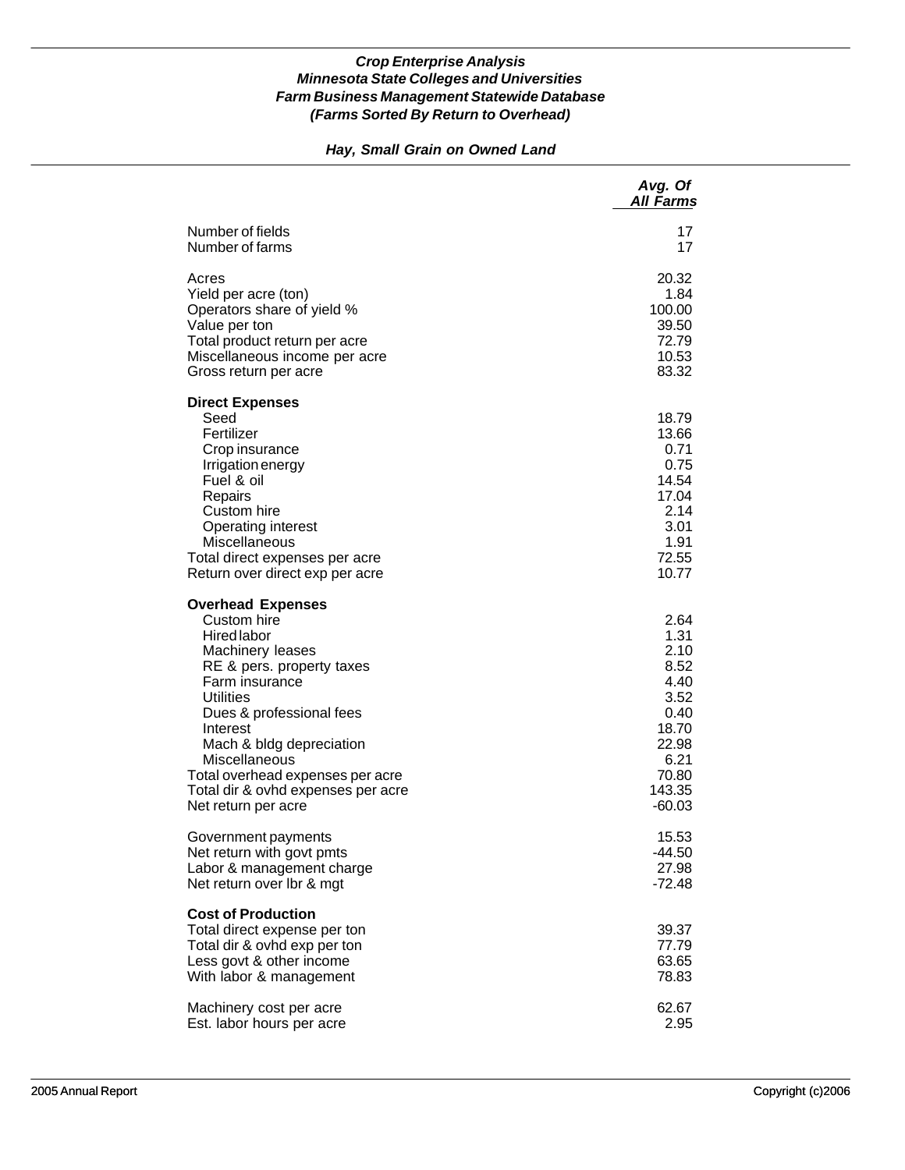### *Hay, Small Grain on Owned Land*

|                                                                                                                                                                                                                                                                                                                                            | Avg. Of<br><b>All Farms</b>                                                                                   |
|--------------------------------------------------------------------------------------------------------------------------------------------------------------------------------------------------------------------------------------------------------------------------------------------------------------------------------------------|---------------------------------------------------------------------------------------------------------------|
| Number of fields                                                                                                                                                                                                                                                                                                                           | 17                                                                                                            |
| Number of farms                                                                                                                                                                                                                                                                                                                            | 17                                                                                                            |
| Acres                                                                                                                                                                                                                                                                                                                                      | 20.32                                                                                                         |
| Yield per acre (ton)                                                                                                                                                                                                                                                                                                                       | 1.84                                                                                                          |
| Operators share of yield %                                                                                                                                                                                                                                                                                                                 | 100.00                                                                                                        |
| Value per ton                                                                                                                                                                                                                                                                                                                              | 39.50                                                                                                         |
| Total product return per acre                                                                                                                                                                                                                                                                                                              | 72.79                                                                                                         |
| Miscellaneous income per acre                                                                                                                                                                                                                                                                                                              | 10.53                                                                                                         |
| Gross return per acre                                                                                                                                                                                                                                                                                                                      | 83.32                                                                                                         |
| <b>Direct Expenses</b><br>Seed<br>Fertilizer<br>Crop insurance<br>Irrigation energy<br>Fuel & oil<br>Repairs<br>Custom hire<br>Operating interest<br>Miscellaneous<br>Total direct expenses per acre<br>Return over direct exp per acre                                                                                                    | 18.79<br>13.66<br>0.71<br>0.75<br>14.54<br>17.04<br>2.14<br>3.01<br>1.91<br>72.55<br>10.77                    |
| <b>Overhead Expenses</b><br>Custom hire<br><b>Hired labor</b><br>Machinery leases<br>RE & pers. property taxes<br>Farm insurance<br><b>Utilities</b><br>Dues & professional fees<br>Interest<br>Mach & bldg depreciation<br>Miscellaneous<br>Total overhead expenses per acre<br>Total dir & ovhd expenses per acre<br>Net return per acre | 2.64<br>1.31<br>2.10<br>8.52<br>4.40<br>3.52<br>0.40<br>18.70<br>22.98<br>6.21<br>70.80<br>143.35<br>$-60.03$ |
| Government payments                                                                                                                                                                                                                                                                                                                        | 15.53                                                                                                         |
| Net return with govt pmts                                                                                                                                                                                                                                                                                                                  | -44.50                                                                                                        |
| Labor & management charge                                                                                                                                                                                                                                                                                                                  | 27.98                                                                                                         |
| Net return over Ibr & mgt                                                                                                                                                                                                                                                                                                                  | $-72.48$                                                                                                      |
| <b>Cost of Production</b><br>Total direct expense per ton<br>Total dir & ovhd exp per ton<br>Less govt & other income<br>With labor & management                                                                                                                                                                                           | 39.37<br>77.79<br>63.65<br>78.83                                                                              |
| Machinery cost per acre                                                                                                                                                                                                                                                                                                                    | 62.67                                                                                                         |
| Est. labor hours per acre                                                                                                                                                                                                                                                                                                                  | 2.95                                                                                                          |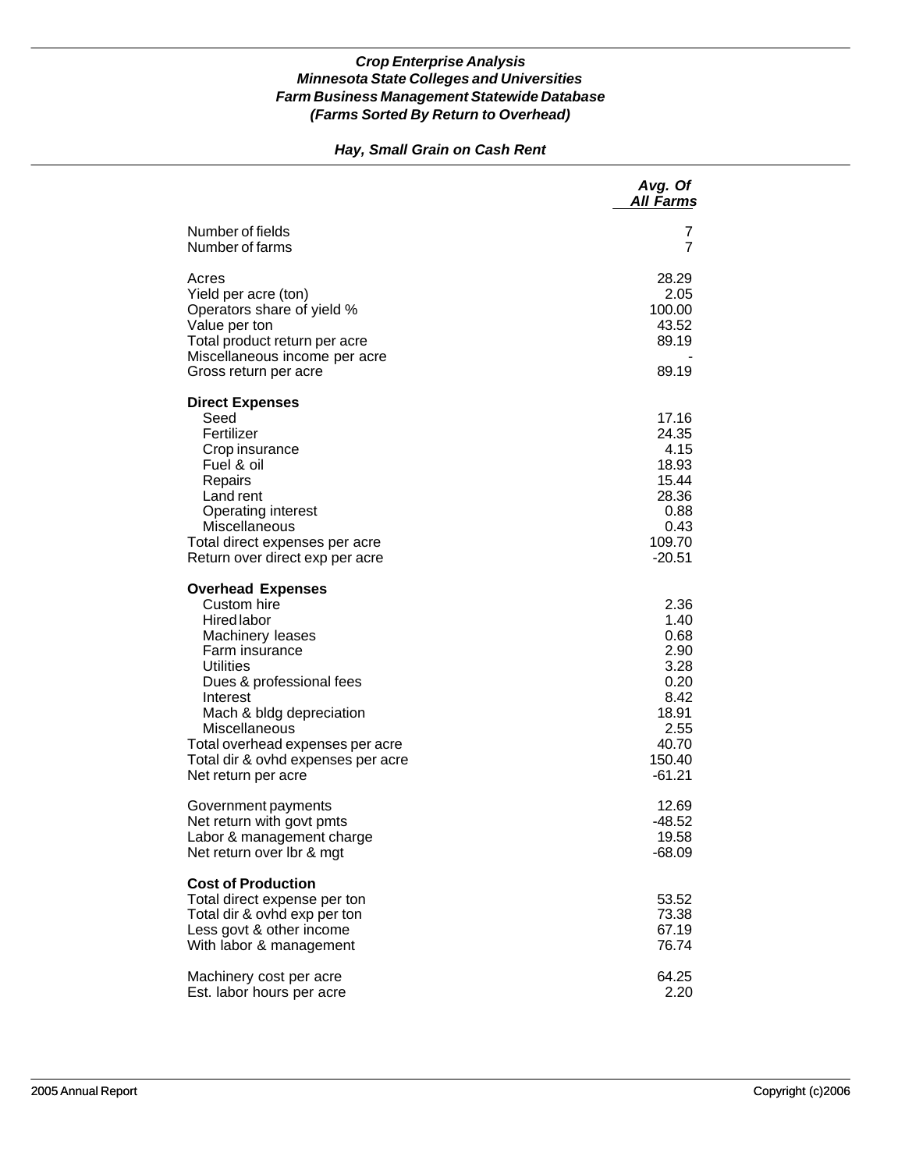### *Hay, Small Grain on Cash Rent*

|                                                                                                                                                                                                                                                                                                        | Avg. Of<br><b>All Farms</b>                                                                          |
|--------------------------------------------------------------------------------------------------------------------------------------------------------------------------------------------------------------------------------------------------------------------------------------------------------|------------------------------------------------------------------------------------------------------|
| Number of fields<br>Number of farms                                                                                                                                                                                                                                                                    | 7<br>7                                                                                               |
| Acres<br>Yield per acre (ton)<br>Operators share of yield %<br>Value per ton<br>Total product return per acre<br>Miscellaneous income per acre<br>Gross return per acre                                                                                                                                | 28.29<br>2.05<br>100.00<br>43.52<br>89.19<br>89.19                                                   |
| <b>Direct Expenses</b><br>Seed<br>Fertilizer<br>Crop insurance<br>Fuel & oil<br>Repairs<br>Land rent<br>Operating interest<br>Miscellaneous<br>Total direct expenses per acre<br>Return over direct exp per acre                                                                                       | 17.16<br>24.35<br>4.15<br>18.93<br>15.44<br>28.36<br>0.88<br>0.43<br>109.70<br>-20.51                |
| <b>Overhead Expenses</b><br>Custom hire<br>Hired labor<br>Machinery leases<br>Farm insurance<br><b>Utilities</b><br>Dues & professional fees<br>Interest<br>Mach & bldg depreciation<br>Miscellaneous<br>Total overhead expenses per acre<br>Total dir & ovhd expenses per acre<br>Net return per acre | 2.36<br>1.40<br>0.68<br>2.90<br>3.28<br>0.20<br>8.42<br>18.91<br>2.55<br>40.70<br>150.40<br>$-61.21$ |
| Government payments<br>Net return with govt pmts<br>Labor & management charge<br>Net return over Ibr & mgt                                                                                                                                                                                             | 12.69<br>-48.52<br>19.58<br>$-68.09$                                                                 |
| <b>Cost of Production</b><br>Total direct expense per ton<br>Total dir & ovhd exp per ton<br>Less govt & other income<br>With labor & management                                                                                                                                                       | 53.52<br>73.38<br>67.19<br>76.74                                                                     |
| Machinery cost per acre<br>Est. labor hours per acre                                                                                                                                                                                                                                                   | 64.25<br>2.20                                                                                        |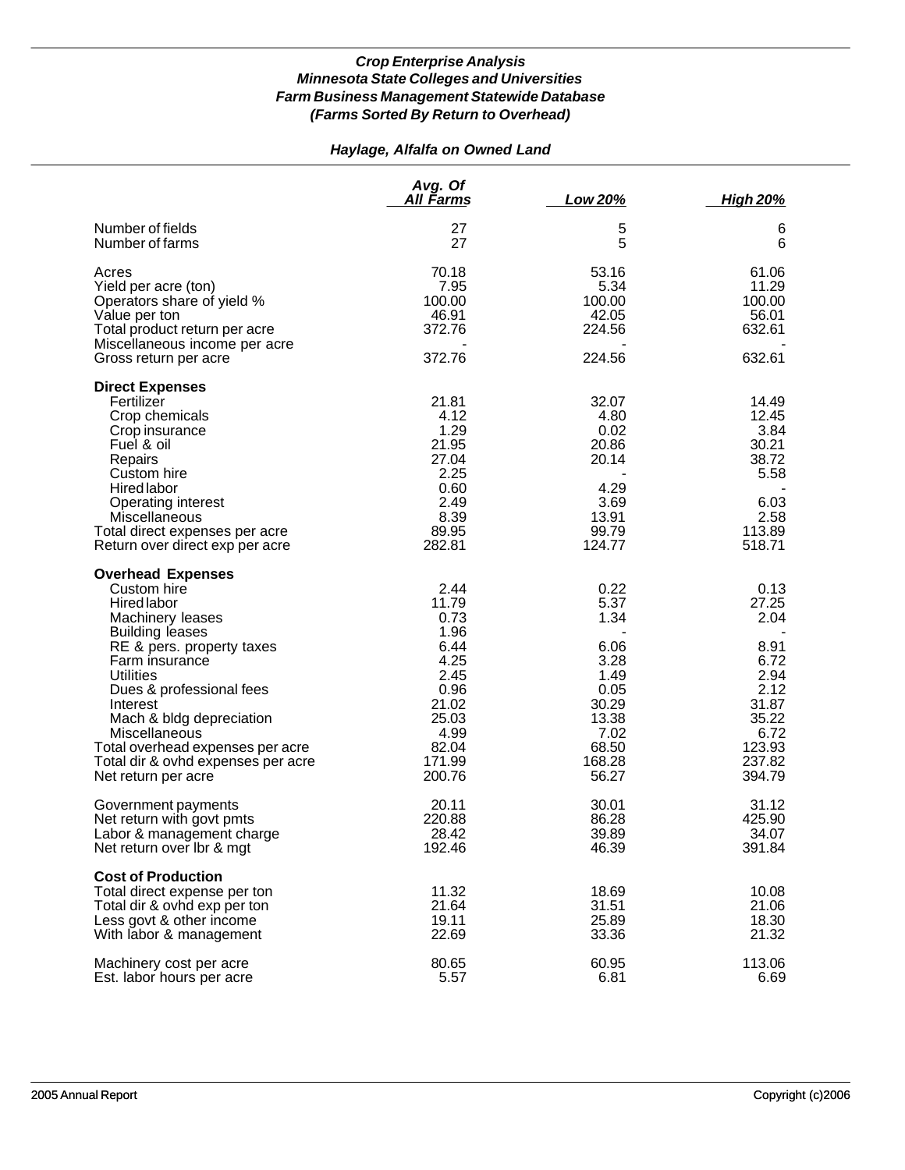# *Haylage, Alfalfa on Owned Land*

|                                                                                                                                                                                                                                                                                                                                                                      | Avg. Of<br>All Farms                                                                                                 | <b>Low 20%</b>                                                                                             | <u>High 20%</u>                                                                                               |
|----------------------------------------------------------------------------------------------------------------------------------------------------------------------------------------------------------------------------------------------------------------------------------------------------------------------------------------------------------------------|----------------------------------------------------------------------------------------------------------------------|------------------------------------------------------------------------------------------------------------|---------------------------------------------------------------------------------------------------------------|
| Number of fields<br>Number of farms                                                                                                                                                                                                                                                                                                                                  | 27<br>27                                                                                                             | 5<br>5                                                                                                     | 6<br>6                                                                                                        |
| Acres<br>Yield per acre (ton)<br>Operators share of yield %<br>Value per ton<br>Total product return per acre<br>Miscellaneous income per acre<br>Gross return per acre                                                                                                                                                                                              | 70.18<br>7.95<br>100.00<br>46.91<br>372.76<br>372.76                                                                 | 53.16<br>5.34<br>100.00<br>42.05<br>224.56<br>224.56                                                       | 61.06<br>11.29<br>100.00<br>56.01<br>632.61<br>632.61                                                         |
| <b>Direct Expenses</b><br>Fertilizer<br>Crop chemicals<br>Crop insurance<br>Fuel & oil<br>Repairs<br>Custom hire<br><b>Hired labor</b><br>Operating interest<br>Miscellaneous<br>Total direct expenses per acre<br>Return over direct exp per acre                                                                                                                   | 21.81<br>4.12<br>1.29<br>21.95<br>27.04<br>2.25<br>0.60<br>2.49<br>8.39<br>89.95<br>282.81                           | 32.07<br>4.80<br>0.02<br>20.86<br>20.14<br>4.29<br>3.69<br>13.91<br>99.79<br>124.77                        | 14.49<br>12.45<br>3.84<br>30.21<br>38.72<br>5.58<br>6.03<br>2.58<br>113.89<br>518.71                          |
| <b>Overhead Expenses</b><br>Custom hire<br><b>Hired labor</b><br>Machinery leases<br><b>Building leases</b><br>RE & pers. property taxes<br>Farm insurance<br><b>Utilities</b><br>Dues & professional fees<br>Interest<br>Mach & bldg depreciation<br>Miscellaneous<br>Total overhead expenses per acre<br>Total dir & ovhd expenses per acre<br>Net return per acre | 2.44<br>11.79<br>0.73<br>1.96<br>6.44<br>4.25<br>2.45<br>0.96<br>21.02<br>25.03<br>4.99<br>82.04<br>171.99<br>200.76 | 0.22<br>5.37<br>1.34<br>6.06<br>3.28<br>1.49<br>0.05<br>30.29<br>13.38<br>7.02<br>68.50<br>168.28<br>56.27 | 0.13<br>27.25<br>2.04<br>8.91<br>6.72<br>2.94<br>2.12<br>31.87<br>35.22<br>6.72<br>123.93<br>237.82<br>394.79 |
| Government payments<br>Net return with govt pmts<br>Labor & management charge<br>Net return over Ibr & mgt                                                                                                                                                                                                                                                           | 20.11<br>220.88<br>28.42<br>192.46                                                                                   | 30.01<br>86.28<br>39.89<br>46.39                                                                           | 31.12<br>425.90<br>34.07<br>391.84                                                                            |
| <b>Cost of Production</b><br>Total direct expense per ton<br>Total dir & ovhd exp per ton<br>Less govt & other income<br>With labor & management                                                                                                                                                                                                                     | 11.32<br>21.64<br>19.11<br>22.69                                                                                     | 18.69<br>31.51<br>25.89<br>33.36                                                                           | 10.08<br>21.06<br>18.30<br>21.32                                                                              |
| Machinery cost per acre<br>Est. labor hours per acre                                                                                                                                                                                                                                                                                                                 | 80.65<br>5.57                                                                                                        | 60.95<br>6.81                                                                                              | 113.06<br>6.69                                                                                                |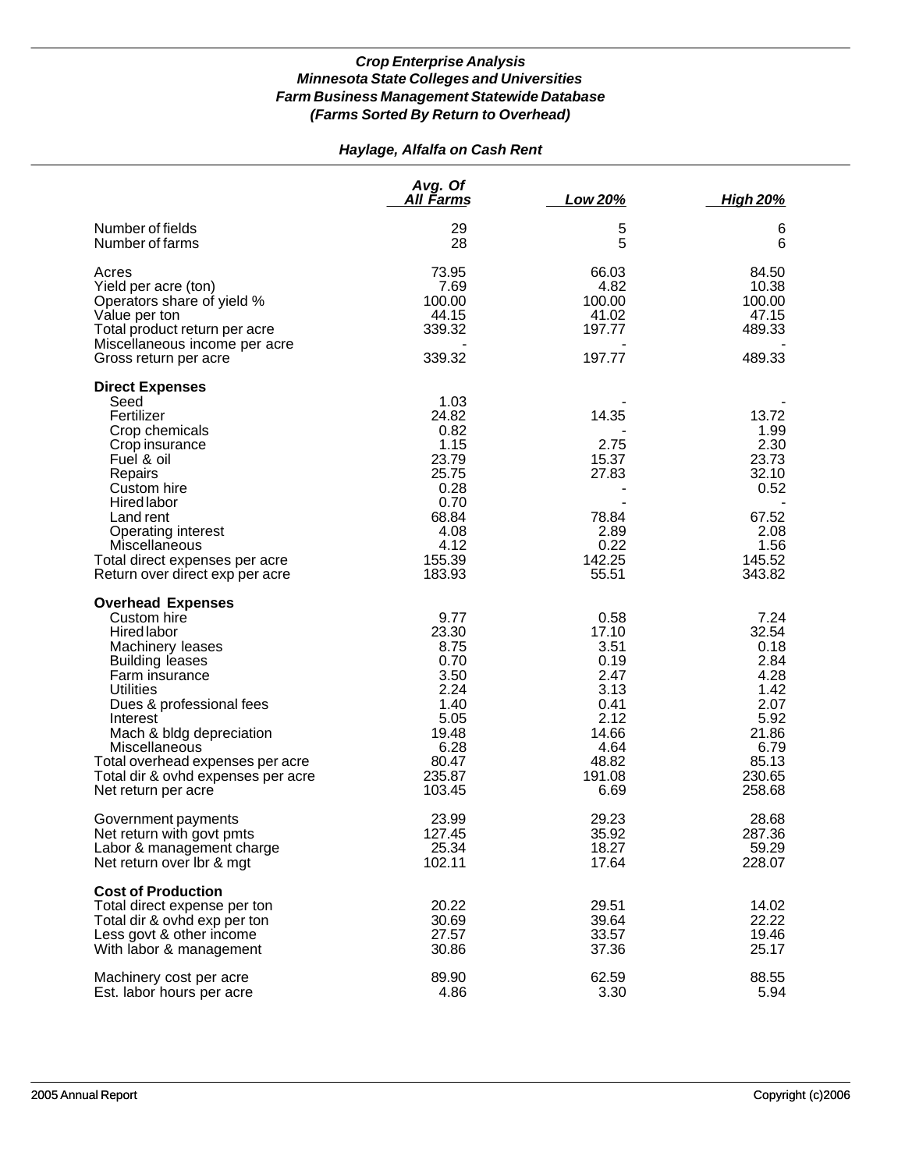# *Haylage, Alfalfa on Cash Rent*

|                                                                                                                                                                                                                                                                                                                                         | Avg. Of<br><b>All Farms</b>                                                                                  | Low 20%                                                                                                   | <b>High 20%</b>                                                                                             |
|-----------------------------------------------------------------------------------------------------------------------------------------------------------------------------------------------------------------------------------------------------------------------------------------------------------------------------------------|--------------------------------------------------------------------------------------------------------------|-----------------------------------------------------------------------------------------------------------|-------------------------------------------------------------------------------------------------------------|
| Number of fields<br>Number of farms                                                                                                                                                                                                                                                                                                     | 29<br>28                                                                                                     | 5<br>5                                                                                                    | 6<br>6                                                                                                      |
| Acres<br>Yield per acre (ton)<br>Operators share of yield %<br>Value per ton<br>Total product return per acre<br>Miscellaneous income per acre                                                                                                                                                                                          | 73.95<br>7.69<br>100.00<br>44.15<br>339.32                                                                   | 66.03<br>4.82<br>100.00<br>41.02<br>197.77                                                                | 84.50<br>10.38<br>100.00<br>47.15<br>489.33                                                                 |
| Gross return per acre                                                                                                                                                                                                                                                                                                                   | 339.32                                                                                                       | 197.77                                                                                                    | 489.33                                                                                                      |
| <b>Direct Expenses</b><br>Seed<br>Fertilizer<br>Crop chemicals<br>Crop insurance<br>Fuel & oil<br>Repairs<br>Custom hire<br>Hired labor<br>Land rent<br>Operating interest<br>Miscellaneous<br>Total direct expenses per acre<br>Return over direct exp per acre                                                                        | 1.03<br>24.82<br>0.82<br>1.15<br>23.79<br>25.75<br>0.28<br>0.70<br>68.84<br>4.08<br>4.12<br>155.39<br>183.93 | 14.35<br>2.75<br>15.37<br>27.83<br>78.84<br>2.89<br>0.22<br>142.25<br>55.51                               | 13.72<br>1.99<br>2.30<br>23.73<br>32.10<br>0.52<br>67.52<br>2.08<br>1.56<br>145.52<br>343.82                |
| <b>Overhead Expenses</b><br>Custom hire<br><b>Hired labor</b><br>Machinery leases<br><b>Building leases</b><br>Farm insurance<br><b>Utilities</b><br>Dues & professional fees<br>Interest<br>Mach & bldg depreciation<br>Miscellaneous<br>Total overhead expenses per acre<br>Total dir & ovhd expenses per acre<br>Net return per acre | 9.77<br>23.30<br>8.75<br>0.70<br>3.50<br>2.24<br>1.40<br>5.05<br>19.48<br>6.28<br>80.47<br>235.87<br>103.45  | 0.58<br>17.10<br>3.51<br>0.19<br>2.47<br>3.13<br>0.41<br>2.12<br>14.66<br>4.64<br>48.82<br>191.08<br>6.69 | 7.24<br>32.54<br>0.18<br>2.84<br>4.28<br>1.42<br>2.07<br>5.92<br>21.86<br>6.79<br>85.13<br>230.65<br>258.68 |
| Government payments<br>Net return with govt pmts<br>Labor & management charge<br>Net return over Ibr & mgt                                                                                                                                                                                                                              | 23.99<br>127.45<br>25.34<br>102.11                                                                           | 29.23<br>35.92<br>18.27<br>17.64                                                                          | 28.68<br>287.36<br>59.29<br>228.07                                                                          |
| <b>Cost of Production</b><br>Total direct expense per ton<br>Total dir & ovhd exp per ton<br>Less govt & other income<br>With labor & management                                                                                                                                                                                        | 20.22<br>30.69<br>27.57<br>30.86                                                                             | 29.51<br>39.64<br>33.57<br>37.36                                                                          | 14.02<br>22.22<br>19.46<br>25.17                                                                            |
| Machinery cost per acre<br>Est. labor hours per acre                                                                                                                                                                                                                                                                                    | 89.90<br>4.86                                                                                                | 62.59<br>3.30                                                                                             | 88.55<br>5.94                                                                                               |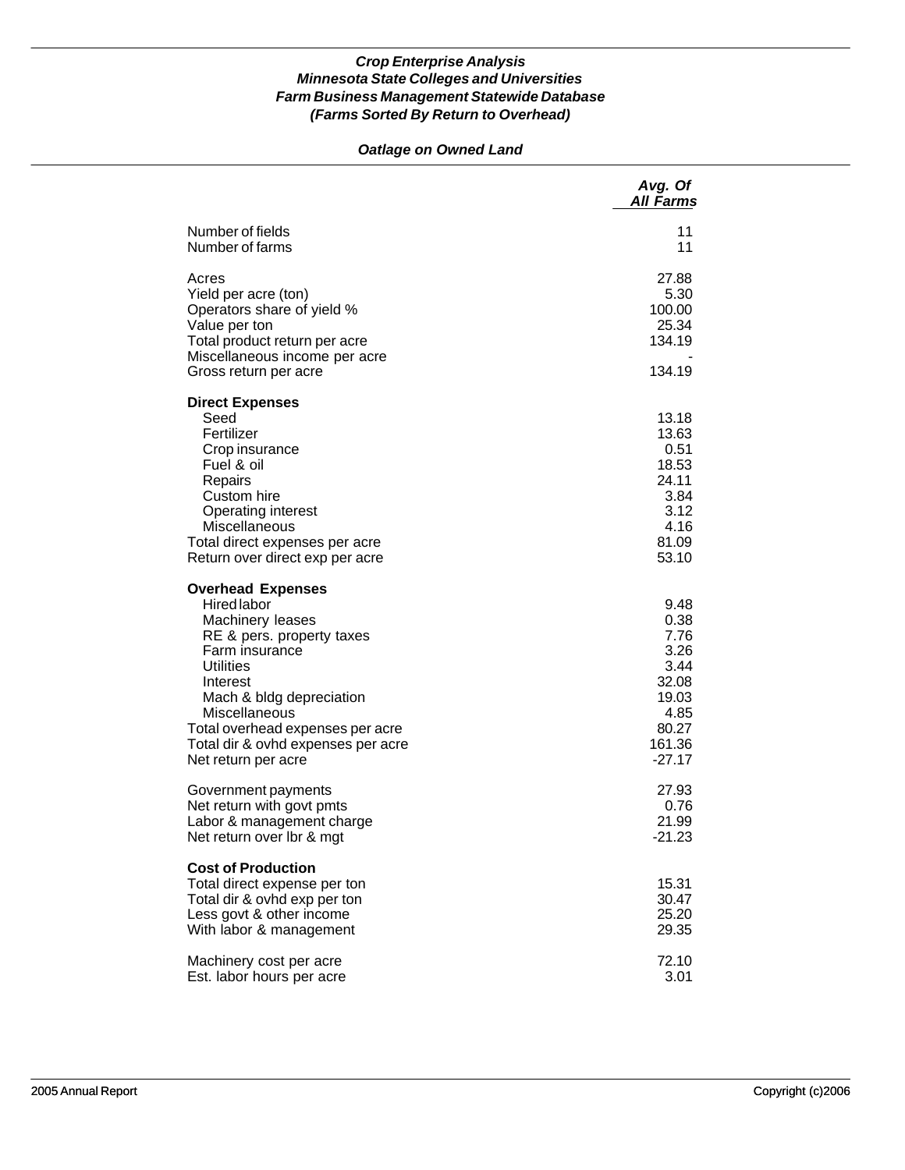# *Oatlage on Owned Land*

|                                                                                                                                                                                                                                                                                                 | Avg. Of<br><b>All Farms</b>                                                                   |
|-------------------------------------------------------------------------------------------------------------------------------------------------------------------------------------------------------------------------------------------------------------------------------------------------|-----------------------------------------------------------------------------------------------|
| Number of fields<br>Number of farms                                                                                                                                                                                                                                                             | 11<br>11                                                                                      |
| Acres<br>Yield per acre (ton)<br>Operators share of yield %<br>Value per ton<br>Total product return per acre<br>Miscellaneous income per acre<br>Gross return per acre                                                                                                                         | 27.88<br>5.30<br>100.00<br>25.34<br>134.19<br>134.19                                          |
| <b>Direct Expenses</b><br>Seed<br>Fertilizer<br>Crop insurance<br>Fuel & oil<br>Repairs<br>Custom hire<br><b>Operating interest</b><br>Miscellaneous<br>Total direct expenses per acre<br>Return over direct exp per acre                                                                       | 13.18<br>13.63<br>0.51<br>18.53<br>24.11<br>3.84<br>3.12<br>4.16<br>81.09<br>53.10            |
| <b>Overhead Expenses</b><br><b>Hired labor</b><br>Machinery leases<br>RE & pers. property taxes<br>Farm insurance<br><b>Utilities</b><br>Interest<br>Mach & bldg depreciation<br>Miscellaneous<br>Total overhead expenses per acre<br>Total dir & ovhd expenses per acre<br>Net return per acre | 9.48<br>0.38<br>7.76<br>3.26<br>3.44<br>32.08<br>19.03<br>4.85<br>80.27<br>161.36<br>$-27.17$ |
| Government payments<br>Net return with govt pmts<br>Labor & management charge<br>Net return over Ibr & mgt                                                                                                                                                                                      | 27.93<br>0.76<br>21.99<br>$-21.23$                                                            |
| <b>Cost of Production</b><br>Total direct expense per ton<br>Total dir & ovhd exp per ton<br>Less govt & other income<br>With labor & management                                                                                                                                                | 15.31<br>30.47<br>25.20<br>29.35                                                              |
| Machinery cost per acre<br>Est. labor hours per acre                                                                                                                                                                                                                                            | 72.10<br>3.01                                                                                 |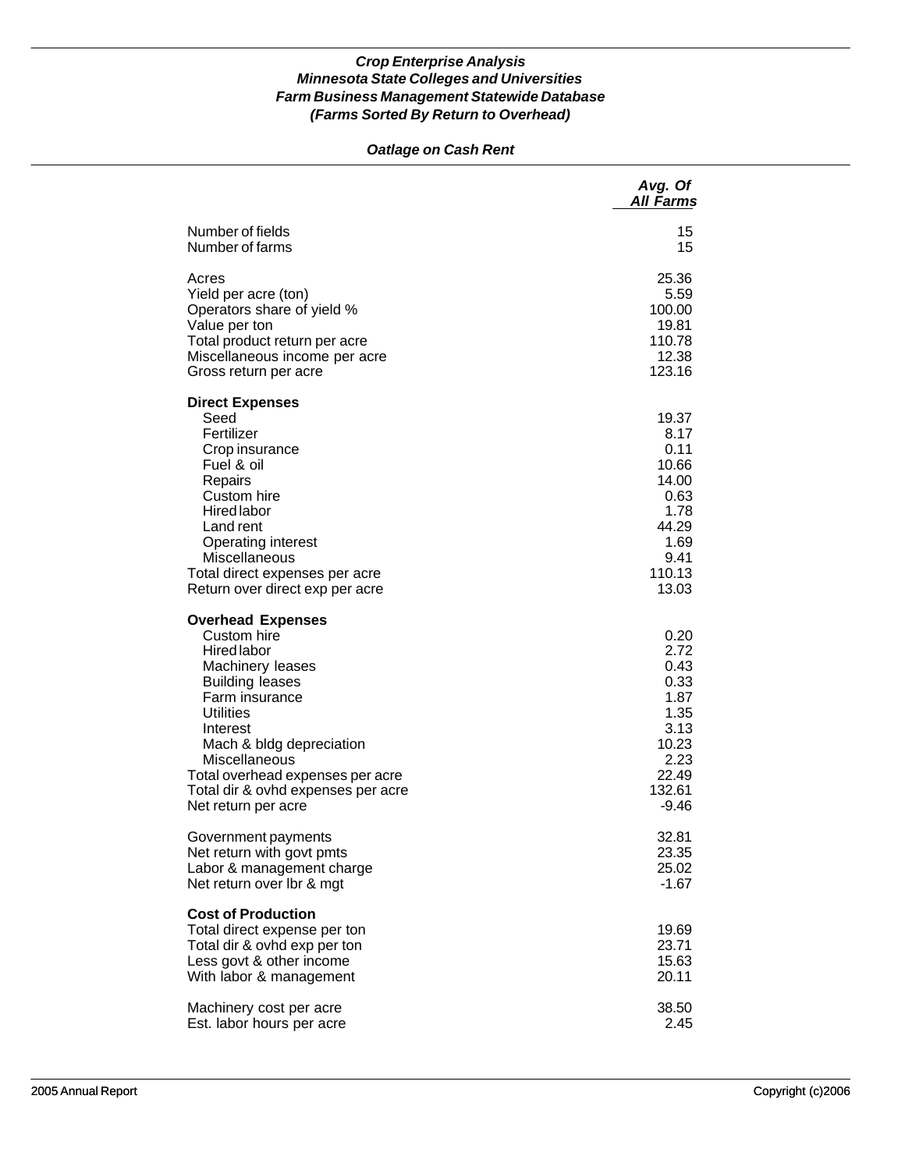### *Oatlage on Cash Rent*

|                                                                                                                                                                                                                                                                                                             | Avg. Of<br><b>All Farms</b>                                                                         |
|-------------------------------------------------------------------------------------------------------------------------------------------------------------------------------------------------------------------------------------------------------------------------------------------------------------|-----------------------------------------------------------------------------------------------------|
| Number of fields                                                                                                                                                                                                                                                                                            | 15                                                                                                  |
| Number of farms                                                                                                                                                                                                                                                                                             | 15                                                                                                  |
| Acres                                                                                                                                                                                                                                                                                                       | 25.36                                                                                               |
| Yield per acre (ton)                                                                                                                                                                                                                                                                                        | 5.59                                                                                                |
| Operators share of yield %                                                                                                                                                                                                                                                                                  | 100.00                                                                                              |
| Value per ton                                                                                                                                                                                                                                                                                               | 19.81                                                                                               |
| Total product return per acre                                                                                                                                                                                                                                                                               | 110.78                                                                                              |
| Miscellaneous income per acre                                                                                                                                                                                                                                                                               | 12.38                                                                                               |
| Gross return per acre                                                                                                                                                                                                                                                                                       | 123.16                                                                                              |
| <b>Direct Expenses</b><br>Seed<br>Fertilizer<br>Crop insurance<br>Fuel & oil<br>Repairs<br>Custom hire<br><b>Hired labor</b><br>Land rent<br><b>Operating interest</b><br>Miscellaneous<br>Total direct expenses per acre<br>Return over direct exp per acre                                                | 19.37<br>8.17<br>0.11<br>10.66<br>14.00<br>0.63<br>1.78<br>44.29<br>1.69<br>9.41<br>110.13<br>13.03 |
| <b>Overhead Expenses</b><br>Custom hire<br><b>Hired labor</b><br>Machinery leases<br><b>Building leases</b><br>Farm insurance<br><b>Utilities</b><br>Interest<br>Mach & bldg depreciation<br>Miscellaneous<br>Total overhead expenses per acre<br>Total dir & ovhd expenses per acre<br>Net return per acre | 0.20<br>2.72<br>0.43<br>0.33<br>1.87<br>1.35<br>3.13<br>10.23<br>2.23<br>22.49<br>132.61<br>$-9.46$ |
| Government payments                                                                                                                                                                                                                                                                                         | 32.81                                                                                               |
| Net return with govt pmts                                                                                                                                                                                                                                                                                   | 23.35                                                                                               |
| Labor & management charge                                                                                                                                                                                                                                                                                   | 25.02                                                                                               |
| Net return over Ibr & mgt                                                                                                                                                                                                                                                                                   | $-1.67$                                                                                             |
| <b>Cost of Production</b><br>Total direct expense per ton<br>Total dir & ovhd exp per ton<br>Less govt & other income<br>With labor & management                                                                                                                                                            | 19.69<br>23.71<br>15.63<br>20.11                                                                    |
| Machinery cost per acre                                                                                                                                                                                                                                                                                     | 38.50                                                                                               |
| Est. labor hours per acre                                                                                                                                                                                                                                                                                   | 2.45                                                                                                |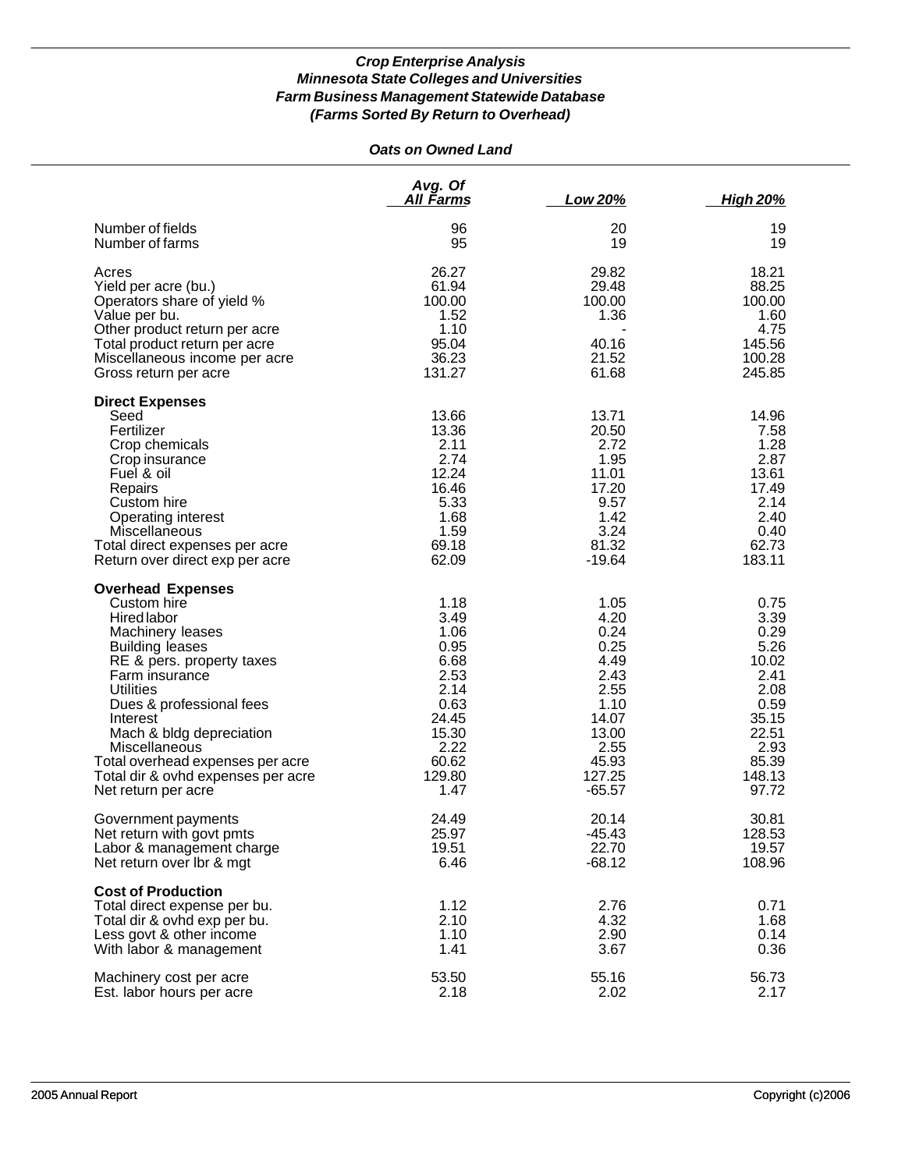## *Oats on Owned Land*

|                                                                                                                                                                                                                                                                                                                                                               | Avg. Of<br><u>All Farms</u>                                                                                       | Low 20%                                                                                                               | <b>High 20%</b>                                                                                                     |
|---------------------------------------------------------------------------------------------------------------------------------------------------------------------------------------------------------------------------------------------------------------------------------------------------------------------------------------------------------------|-------------------------------------------------------------------------------------------------------------------|-----------------------------------------------------------------------------------------------------------------------|---------------------------------------------------------------------------------------------------------------------|
| Number of fields<br>Number of farms                                                                                                                                                                                                                                                                                                                           | 96<br>95                                                                                                          | 20<br>19                                                                                                              | 19<br>19                                                                                                            |
| Acres<br>Yield per acre (bu.)<br>Operators share of yield %<br>Value per bu.<br>Other product return per acre<br>Total product return per acre<br>Miscellaneous income per acre<br>Gross return per acre                                                                                                                                                      | 26.27<br>61.94<br>100.00<br>1.52<br>1.10<br>95.04<br>36.23<br>131.27                                              | 29.82<br>29.48<br>100.00<br>1.36<br>40.16<br>21.52<br>61.68                                                           | 18.21<br>88.25<br>100.00<br>1.60<br>4.75<br>145.56<br>100.28<br>245.85                                              |
| <b>Direct Expenses</b><br>Seed<br>Fertilizer<br>Crop chemicals<br>Crop insurance<br>Fuel & oil<br>Repairs<br>Custom hire<br>Operating interest<br>Miscellaneous<br>Total direct expenses per acre<br>Return over direct exp per acre                                                                                                                          | 13.66<br>13.36<br>2.11<br>2.74<br>12.24<br>16.46<br>5.33<br>1.68<br>1.59<br>69.18<br>62.09                        | 13.71<br>20.50<br>2.72<br>1.95<br>11.01<br>17.20<br>9.57<br>1.42<br>3.24<br>81.32<br>$-19.64$                         | 14.96<br>7.58<br>1.28<br>2.87<br>13.61<br>17.49<br>2.14<br>2.40<br>0.40<br>62.73<br>183.11                          |
| <b>Overhead Expenses</b><br>Custom hire<br>Hired labor<br>Machinery leases<br><b>Building leases</b><br>RE & pers. property taxes<br>Farm insurance<br><b>Utilities</b><br>Dues & professional fees<br>Interest<br>Mach & bldg depreciation<br>Miscellaneous<br>Total overhead expenses per acre<br>Total dir & ovhd expenses per acre<br>Net return per acre | 1.18<br>3.49<br>1.06<br>0.95<br>6.68<br>2.53<br>2.14<br>0.63<br>24.45<br>15.30<br>2.22<br>60.62<br>129.80<br>1.47 | 1.05<br>4.20<br>0.24<br>0.25<br>4.49<br>2.43<br>2.55<br>1.10<br>14.07<br>13.00<br>2.55<br>45.93<br>127.25<br>$-65.57$ | 0.75<br>3.39<br>0.29<br>5.26<br>10.02<br>2.41<br>2.08<br>0.59<br>35.15<br>22.51<br>2.93<br>85.39<br>148.13<br>97.72 |
| Government payments<br>Net return with govt pmts<br>Labor & management charge<br>Net return over Ibr & mgt                                                                                                                                                                                                                                                    | 24.49<br>25.97<br>19.51<br>6.46                                                                                   | 20.14<br>$-45.43$<br>22.70<br>$-68.12$                                                                                | 30.81<br>128.53<br>19.57<br>108.96                                                                                  |
| <b>Cost of Production</b><br>Total direct expense per bu.<br>Total dir & ovhd exp per bu.<br>Less govt & other income<br>With labor & management                                                                                                                                                                                                              | 1.12<br>2.10<br>1.10<br>1.41                                                                                      | 2.76<br>4.32<br>2.90<br>3.67                                                                                          | 0.71<br>1.68<br>0.14<br>0.36                                                                                        |
| Machinery cost per acre<br>Est. labor hours per acre                                                                                                                                                                                                                                                                                                          | 53.50<br>2.18                                                                                                     | 55.16<br>2.02                                                                                                         | 56.73<br>2.17                                                                                                       |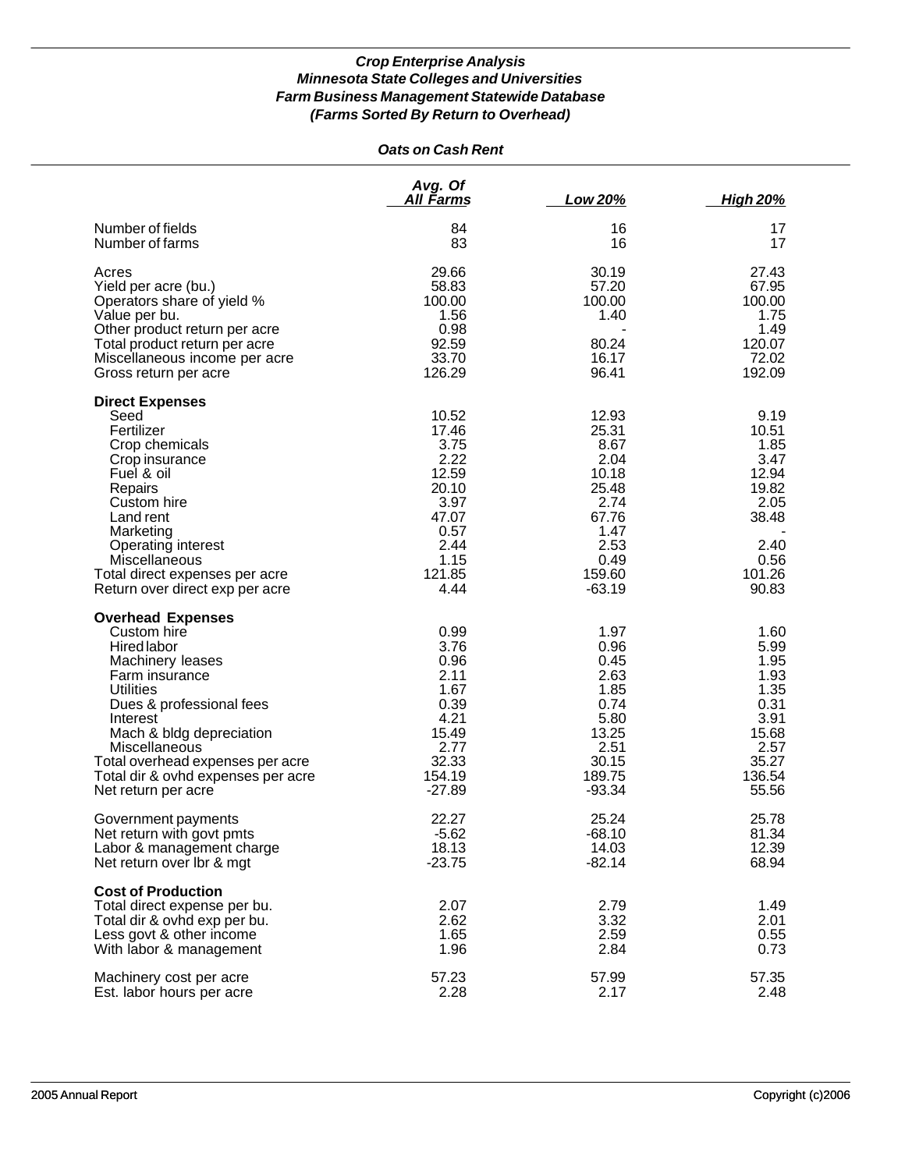|                                                                                                                                                                                                                                                                                                               | <b>Oats on Cash Rent</b>                                                                                    |                                                                                                                 |                                                                                                     |
|---------------------------------------------------------------------------------------------------------------------------------------------------------------------------------------------------------------------------------------------------------------------------------------------------------------|-------------------------------------------------------------------------------------------------------------|-----------------------------------------------------------------------------------------------------------------|-----------------------------------------------------------------------------------------------------|
|                                                                                                                                                                                                                                                                                                               | Avg. Of<br>All Farms                                                                                        | Low 20%                                                                                                         | <b>High 20%</b>                                                                                     |
| Number of fields<br>Number of farms                                                                                                                                                                                                                                                                           | 84<br>83                                                                                                    | 16<br>16                                                                                                        | 17<br>17                                                                                            |
| Acres<br>Yield per acre (bu.)<br>Operators share of yield %<br>Value per bu.<br>Other product return per acre<br>Total product return per acre<br>Miscellaneous income per acre<br>Gross return per acre                                                                                                      | 29.66<br>58.83<br>100.00<br>1.56<br>0.98<br>92.59<br>33.70<br>126.29                                        | 30.19<br>57.20<br>100.00<br>1.40<br>80.24<br>16.17<br>96.41                                                     | 27.43<br>67.95<br>100.00<br>1.75<br>1.49<br>120.07<br>72.02<br>192.09                               |
| <b>Direct Expenses</b><br>Seed<br>Fertilizer<br>Crop chemicals<br>Crop insurance<br>Fuel & oil<br>Repairs<br>Custom hire<br>Land rent<br>Marketing<br>Operating interest<br>Miscellaneous<br>Total direct expenses per acre<br>Return over direct exp per acre                                                | 10.52<br>17.46<br>3.75<br>2.22<br>12.59<br>20.10<br>3.97<br>47.07<br>0.57<br>2.44<br>1.15<br>121.85<br>4.44 | 12.93<br>25.31<br>8.67<br>2.04<br>10.18<br>25.48<br>2.74<br>67.76<br>1.47<br>2.53<br>0.49<br>159.60<br>$-63.19$ | 9.19<br>10.51<br>1.85<br>3.47<br>12.94<br>19.82<br>2.05<br>38.48<br>2.40<br>0.56<br>101.26<br>90.83 |
| <b>Overhead Expenses</b><br>Custom hire<br><b>Hired labor</b><br>Machinery leases<br>Farm insurance<br><b>Utilities</b><br>Dues & professional fees<br>Interest<br>Mach & bldg depreciation<br>Miscellaneous<br>Total overhead expenses per acre<br>Total dir & ovhd expenses per acre<br>Net return per acre | 0.99<br>3.76<br>0.96<br>2.11<br>1.67<br>0.39<br>4.21<br>15.49<br>2.77<br>32.33<br>154.19<br>$-27.89$        | 1.97<br>0.96<br>0.45<br>2.63<br>1.85<br>0.74<br>5.80<br>13.25<br>2.51<br>30.15<br>189.75<br>$-93.34$            | 1.60<br>5.99<br>1.95<br>1.93<br>1.35<br>0.31<br>3.91<br>15.68<br>2.57<br>35.27<br>136.54<br>55.56   |
| Government payments<br>Net return with govt pmts<br>Labor & management charge<br>Net return over lbr & mgt                                                                                                                                                                                                    | 22.27<br>$-5.62$<br>18.13<br>$-23.75$                                                                       | 25.24<br>$-68.10$<br>14.03<br>$-82.14$                                                                          | 25.78<br>81.34<br>12.39<br>68.94                                                                    |
| <b>Cost of Production</b><br>Total direct expense per bu.<br>Total dir & ovhd exp per bu.<br>Less govt & other income<br>With labor & management                                                                                                                                                              | 2.07<br>2.62<br>1.65<br>1.96                                                                                | 2.79<br>3.32<br>2.59<br>2.84                                                                                    | 1.49<br>2.01<br>0.55<br>0.73                                                                        |
| Machinery cost per acre<br>Est. labor hours per acre                                                                                                                                                                                                                                                          | 57.23<br>2.28                                                                                               | 57.99<br>2.17                                                                                                   | 57.35<br>2.48                                                                                       |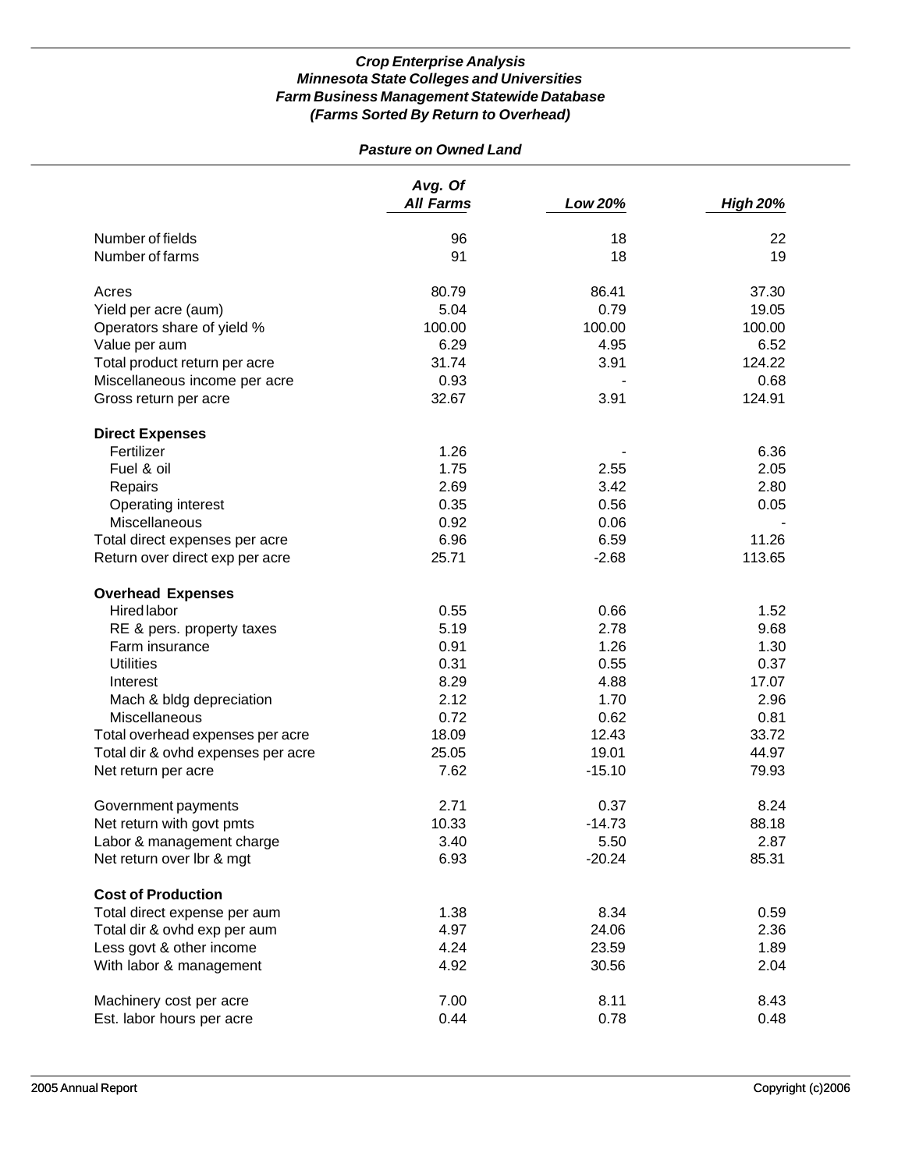# *Pasture on Owned Land*

|                                    | Avg. Of<br><b>All Farms</b> | Low 20%  | <b>High 20%</b> |
|------------------------------------|-----------------------------|----------|-----------------|
| Number of fields                   | 96                          | 18       | 22              |
| Number of farms                    | 91                          | 18       | 19              |
| Acres                              | 80.79                       | 86.41    | 37.30           |
| Yield per acre (aum)               | 5.04                        | 0.79     | 19.05           |
| Operators share of yield %         | 100.00                      | 100.00   | 100.00          |
| Value per aum                      | 6.29                        | 4.95     | 6.52            |
| Total product return per acre      | 31.74                       | 3.91     | 124.22          |
| Miscellaneous income per acre      | 0.93                        |          | 0.68            |
| Gross return per acre              | 32.67                       | 3.91     | 124.91          |
|                                    |                             |          |                 |
| <b>Direct Expenses</b>             |                             |          |                 |
| Fertilizer                         | 1.26                        |          | 6.36            |
| Fuel & oil                         | 1.75                        | 2.55     | 2.05            |
| Repairs                            | 2.69                        | 3.42     | 2.80            |
| Operating interest                 | 0.35                        | 0.56     | 0.05            |
| Miscellaneous                      | 0.92                        | 0.06     |                 |
| Total direct expenses per acre     | 6.96                        | 6.59     | 11.26           |
| Return over direct exp per acre    | 25.71                       | $-2.68$  | 113.65          |
| <b>Overhead Expenses</b>           |                             |          |                 |
| Hired labor                        | 0.55                        | 0.66     | 1.52            |
| RE & pers. property taxes          | 5.19                        | 2.78     | 9.68            |
| Farm insurance                     | 0.91                        | 1.26     | 1.30            |
| <b>Utilities</b>                   | 0.31                        | 0.55     | 0.37            |
| Interest                           | 8.29                        | 4.88     | 17.07           |
| Mach & bldg depreciation           | 2.12                        | 1.70     | 2.96            |
| Miscellaneous                      | 0.72                        | 0.62     | 0.81            |
| Total overhead expenses per acre   | 18.09                       | 12.43    | 33.72           |
| Total dir & ovhd expenses per acre | 25.05                       | 19.01    | 44.97           |
| Net return per acre                | 7.62                        | $-15.10$ | 79.93           |
|                                    |                             |          |                 |
| Government payments                | 2.71                        | 0.37     | 8.24            |
| Net return with govt pmts          | 10.33                       | $-14.73$ | 88.18           |
| Labor & management charge          | 3.40                        | 5.50     | 2.87            |
| Net return over lbr & mgt          | 6.93                        | $-20.24$ | 85.31           |
| <b>Cost of Production</b>          |                             |          |                 |
| Total direct expense per aum       | 1.38                        | 8.34     | 0.59            |
| Total dir & ovhd exp per aum       | 4.97                        | 24.06    | 2.36            |
| Less govt & other income           | 4.24                        | 23.59    | 1.89            |
| With labor & management            | 4.92                        | 30.56    | 2.04            |
| Machinery cost per acre            | 7.00                        | 8.11     | 8.43            |
| Est. labor hours per acre          | 0.44                        | 0.78     | 0.48            |
|                                    |                             |          |                 |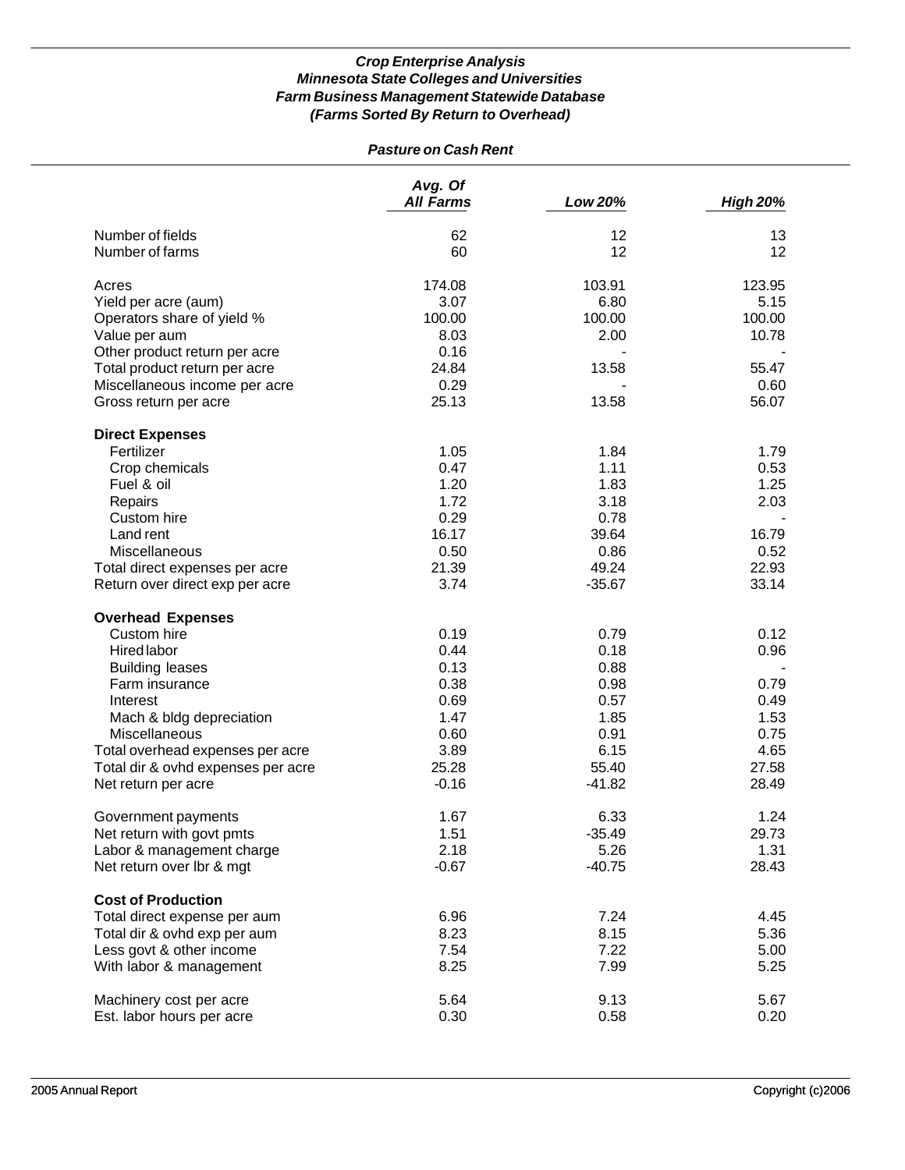## *Pasture on Cash Rent*

|                                    | Avg. Of<br><b>All Farms</b> | Low 20%  | <b>High 20%</b> |
|------------------------------------|-----------------------------|----------|-----------------|
| Number of fields                   | 62                          | 12       | 13              |
| Number of farms                    | 60                          | 12       | 12              |
|                                    |                             |          |                 |
| Acres                              | 174.08                      | 103.91   | 123.95          |
| Yield per acre (aum)               | 3.07                        | 6.80     | 5.15            |
| Operators share of yield %         | 100.00                      | 100.00   | 100.00          |
| Value per aum                      | 8.03                        | 2.00     | 10.78           |
| Other product return per acre      | 0.16                        |          |                 |
| Total product return per acre      | 24.84                       | 13.58    | 55.47           |
| Miscellaneous income per acre      | 0.29                        |          | 0.60            |
| Gross return per acre              | 25.13                       | 13.58    | 56.07           |
| <b>Direct Expenses</b>             |                             |          |                 |
| Fertilizer                         | 1.05                        | 1.84     | 1.79            |
| Crop chemicals                     | 0.47                        | 1.11     | 0.53            |
| Fuel & oil                         | 1.20                        | 1.83     | 1.25            |
| Repairs                            | 1.72                        | 3.18     | 2.03            |
| Custom hire                        | 0.29                        | 0.78     |                 |
| Land rent                          | 16.17                       | 39.64    | 16.79           |
| Miscellaneous                      | 0.50                        | 0.86     | 0.52            |
| Total direct expenses per acre     | 21.39                       | 49.24    | 22.93           |
| Return over direct exp per acre    | 3.74                        | $-35.67$ | 33.14           |
| <b>Overhead Expenses</b>           |                             |          |                 |
| Custom hire                        | 0.19                        | 0.79     | 0.12            |
| Hired labor                        | 0.44                        | 0.18     | 0.96            |
| <b>Building leases</b>             | 0.13                        | 0.88     |                 |
| Farm insurance                     | 0.38                        | 0.98     | 0.79            |
| Interest                           | 0.69                        | 0.57     | 0.49            |
| Mach & bldg depreciation           | 1.47                        | 1.85     | 1.53            |
| Miscellaneous                      | 0.60                        | 0.91     | 0.75            |
| Total overhead expenses per acre   | 3.89                        | 6.15     | 4.65            |
| Total dir & ovhd expenses per acre | 25.28                       | 55.40    | 27.58           |
| Net return per acre                | $-0.16$                     | $-41.82$ | 28.49           |
| Government payments                | 1.67                        | 6.33     | 1.24            |
| Net return with govt pmts          | 1.51                        | $-35.49$ | 29.73           |
| Labor & management charge          | 2.18                        | 5.26     | 1.31            |
| Net return over lbr & mgt          | $-0.67$                     | $-40.75$ | 28.43           |
| <b>Cost of Production</b>          |                             |          |                 |
| Total direct expense per aum       | 6.96                        | 7.24     | 4.45            |
| Total dir & ovhd exp per aum       | 8.23                        | 8.15     | 5.36            |
| Less govt & other income           | 7.54                        | 7.22     | 5.00            |
| With labor & management            | 8.25                        | 7.99     | 5.25            |
| Machinery cost per acre            | 5.64                        | 9.13     | 5.67            |
| Est. labor hours per acre          | 0.30                        | 0.58     | 0.20            |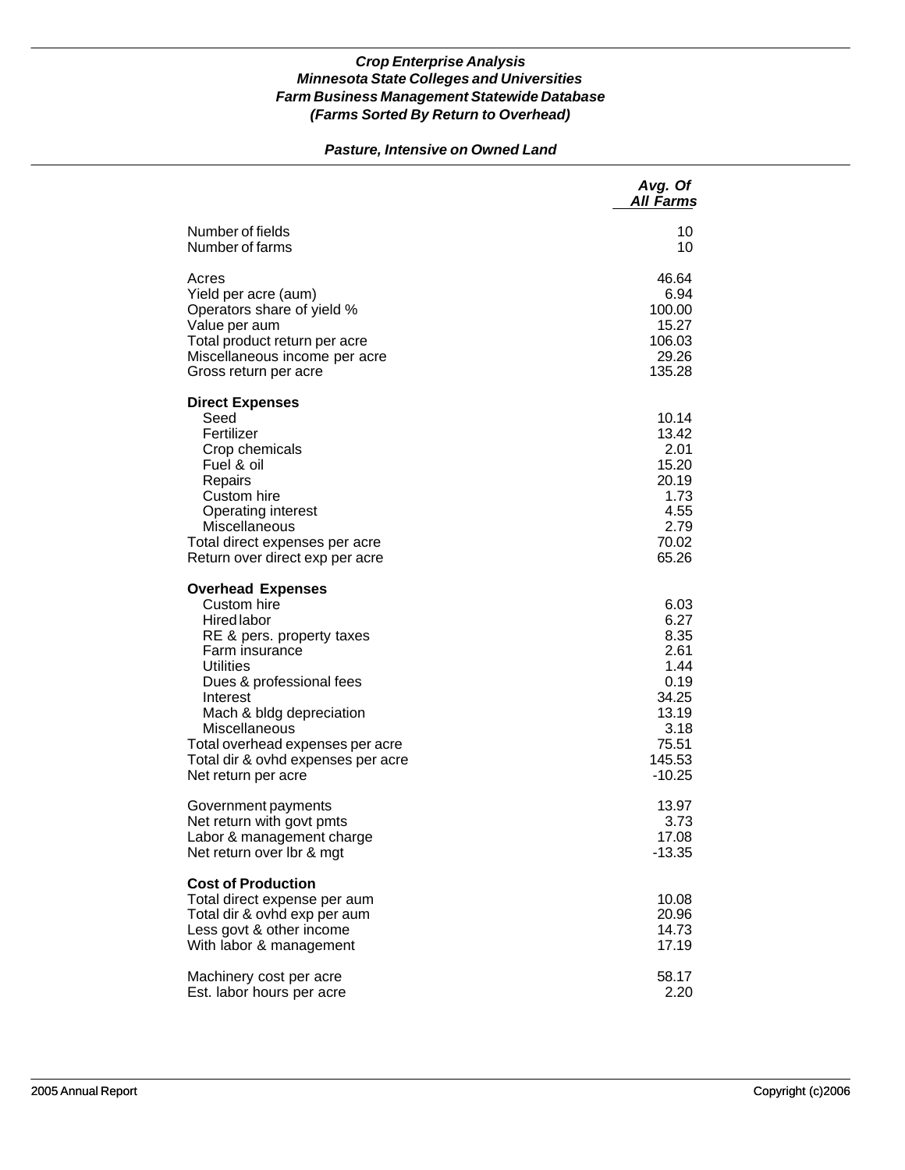### *Pasture, Intensive on Owned Land*

|                                                                                                                                                                                                                                                                                                                        | Avg. Of<br><b>All Farms</b>                                                                           |
|------------------------------------------------------------------------------------------------------------------------------------------------------------------------------------------------------------------------------------------------------------------------------------------------------------------------|-------------------------------------------------------------------------------------------------------|
| Number of fields                                                                                                                                                                                                                                                                                                       | 10                                                                                                    |
| Number of farms                                                                                                                                                                                                                                                                                                        | 10                                                                                                    |
| Acres                                                                                                                                                                                                                                                                                                                  | 46.64                                                                                                 |
| Yield per acre (aum)                                                                                                                                                                                                                                                                                                   | 6.94                                                                                                  |
| Operators share of yield %                                                                                                                                                                                                                                                                                             | 100.00                                                                                                |
| Value per aum                                                                                                                                                                                                                                                                                                          | 15.27                                                                                                 |
| Total product return per acre                                                                                                                                                                                                                                                                                          | 106.03                                                                                                |
| Miscellaneous income per acre                                                                                                                                                                                                                                                                                          | 29.26                                                                                                 |
| Gross return per acre                                                                                                                                                                                                                                                                                                  | 135.28                                                                                                |
| <b>Direct Expenses</b><br>Seed<br>Fertilizer<br>Crop chemicals<br>Fuel & oil<br>Repairs<br>Custom hire<br>Operating interest<br>Miscellaneous<br>Total direct expenses per acre<br>Return over direct exp per acre                                                                                                     | 10.14<br>13.42<br>2.01<br>15.20<br>20.19<br>1.73<br>4.55<br>2.79<br>70.02<br>65.26                    |
| <b>Overhead Expenses</b><br>Custom hire<br><b>Hired labor</b><br>RE & pers. property taxes<br>Farm insurance<br><b>Utilities</b><br>Dues & professional fees<br>Interest<br>Mach & bldg depreciation<br>Miscellaneous<br>Total overhead expenses per acre<br>Total dir & ovhd expenses per acre<br>Net return per acre | 6.03<br>6.27<br>8.35<br>2.61<br>1.44<br>0.19<br>34.25<br>13.19<br>3.18<br>75.51<br>145.53<br>$-10.25$ |
| Government payments                                                                                                                                                                                                                                                                                                    | 13.97                                                                                                 |
| Net return with govt pmts                                                                                                                                                                                                                                                                                              | 3.73                                                                                                  |
| Labor & management charge                                                                                                                                                                                                                                                                                              | 17.08                                                                                                 |
| Net return over Ibr & mgt                                                                                                                                                                                                                                                                                              | $-13.35$                                                                                              |
| <b>Cost of Production</b><br>Total direct expense per aum<br>Total dir & ovhd exp per aum<br>Less govt & other income<br>With labor & management                                                                                                                                                                       | 10.08<br>20.96<br>14.73<br>17.19                                                                      |
| Machinery cost per acre                                                                                                                                                                                                                                                                                                | 58.17                                                                                                 |
| Est. labor hours per acre                                                                                                                                                                                                                                                                                              | 2.20                                                                                                  |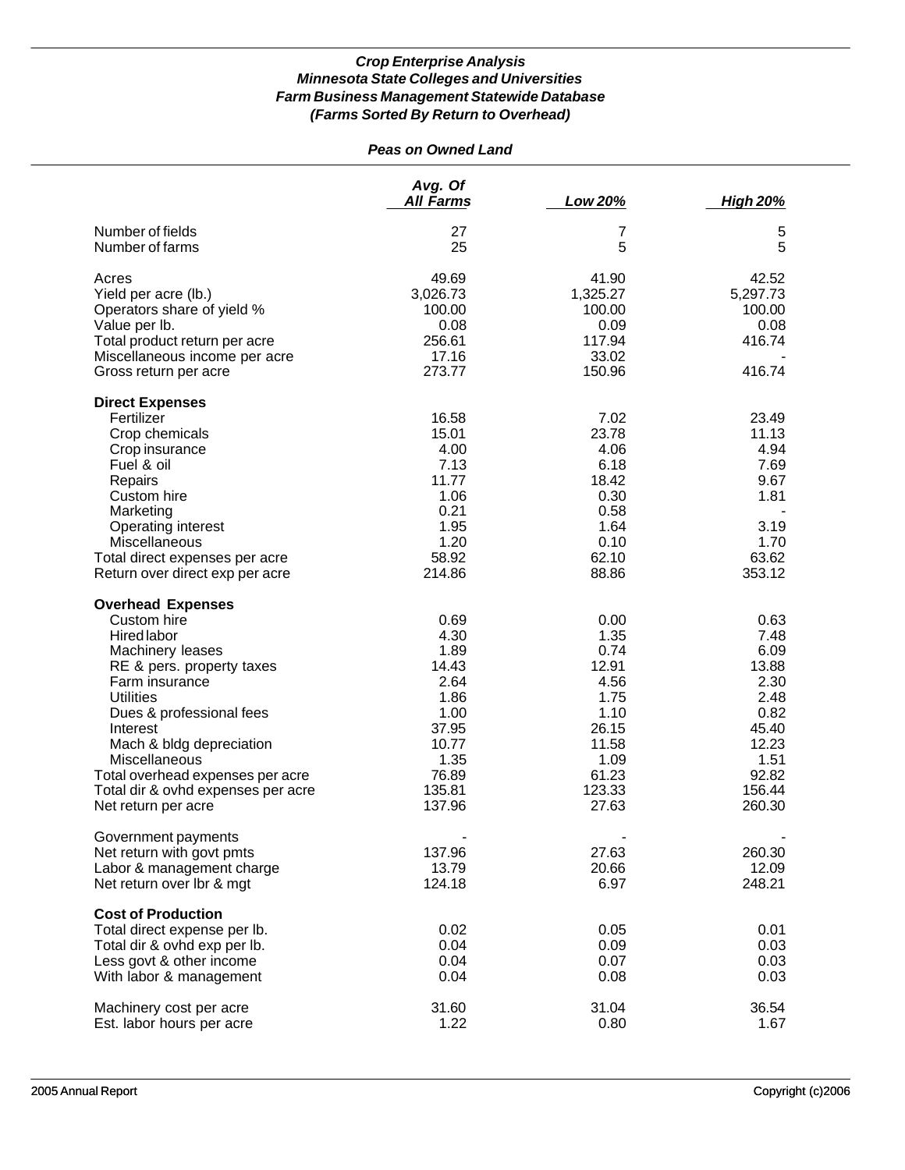# *Peas on Owned Land*

|                                    | Avg. Of<br><b>All Farms</b> | Low 20%  | <b>High 20%</b> |
|------------------------------------|-----------------------------|----------|-----------------|
| Number of fields                   | 27                          | 7        | 5               |
| Number of farms                    | 25                          | 5        | 5               |
| Acres                              | 49.69                       | 41.90    | 42.52           |
| Yield per acre (lb.)               | 3,026.73                    | 1,325.27 | 5,297.73        |
| Operators share of yield %         | 100.00                      | 100.00   | 100.00          |
| Value per lb.                      | 0.08                        | 0.09     | 0.08            |
| Total product return per acre      | 256.61                      | 117.94   | 416.74          |
| Miscellaneous income per acre      | 17.16                       | 33.02    |                 |
| Gross return per acre              | 273.77                      | 150.96   | 416.74          |
| <b>Direct Expenses</b>             |                             |          |                 |
| Fertilizer                         | 16.58                       | 7.02     | 23.49           |
| Crop chemicals                     | 15.01                       | 23.78    | 11.13           |
| Crop insurance                     | 4.00                        | 4.06     | 4.94            |
| Fuel & oil                         | 7.13                        | 6.18     | 7.69            |
| Repairs                            | 11.77                       | 18.42    | 9.67            |
| Custom hire                        | 1.06                        | 0.30     | 1.81            |
| Marketing                          | 0.21                        | 0.58     |                 |
| Operating interest                 | 1.95                        | 1.64     | 3.19            |
| Miscellaneous                      | 1.20                        | 0.10     | 1.70            |
| Total direct expenses per acre     | 58.92                       | 62.10    | 63.62           |
| Return over direct exp per acre    | 214.86                      | 88.86    | 353.12          |
| <b>Overhead Expenses</b>           |                             |          |                 |
| Custom hire                        | 0.69                        | 0.00     | 0.63            |
| Hired labor                        | 4.30                        | 1.35     | 7.48            |
| Machinery leases                   | 1.89                        | 0.74     | 6.09            |
| RE & pers. property taxes          | 14.43                       | 12.91    | 13.88           |
| Farm insurance                     | 2.64                        | 4.56     | 2.30            |
| <b>Utilities</b>                   | 1.86                        | 1.75     | 2.48            |
| Dues & professional fees           | 1.00                        | 1.10     | 0.82            |
| Interest                           | 37.95                       | 26.15    | 45.40           |
| Mach & bldg depreciation           | 10.77                       | 11.58    | 12.23           |
| Miscellaneous                      | 1.35                        | 1.09     | 1.51            |
| Total overhead expenses per acre   | 76.89                       | 61.23    | 92.82           |
| Total dir & ovhd expenses per acre | 135.81                      | 123.33   | 156.44          |
| Net return per acre                | 137.96                      | 27.63    | 260.30          |
| Government payments                |                             |          |                 |
| Net return with govt pmts          | 137.96                      | 27.63    | 260.30          |
| Labor & management charge          | 13.79                       | 20.66    | 12.09           |
| Net return over lbr & mgt          | 124.18                      | 6.97     | 248.21          |
| <b>Cost of Production</b>          |                             |          |                 |
| Total direct expense per lb.       | 0.02                        | 0.05     | 0.01            |
| Total dir & ovhd exp per lb.       | 0.04                        | 0.09     | 0.03            |
| Less govt & other income           | 0.04                        | 0.07     | 0.03            |
| With labor & management            | 0.04                        | 0.08     | 0.03            |
| Machinery cost per acre            | 31.60                       | 31.04    | 36.54           |
| Est. labor hours per acre          | 1.22                        | 0.80     | 1.67            |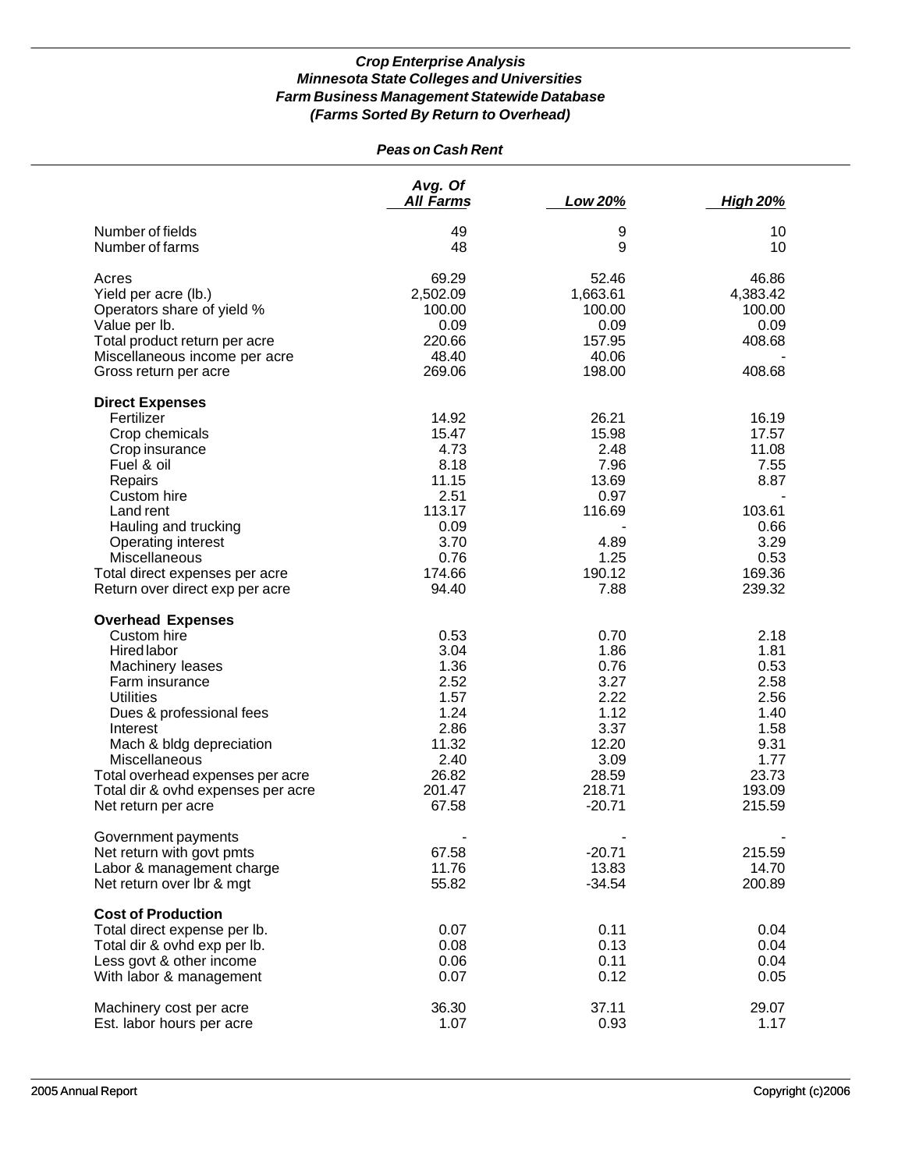|                                                           | <b>Peas on Cash Rent</b>    |                    |                  |
|-----------------------------------------------------------|-----------------------------|--------------------|------------------|
|                                                           | Avg. Of<br><b>All Farms</b> | Low 20%            | <b>High 20%</b>  |
| Number of fields                                          | 49                          | 9                  | 10               |
| Number of farms                                           | 48                          | 9                  | 10               |
| Acres                                                     | 69.29                       | 52.46              | 46.86            |
| Yield per acre (lb.)                                      | 2,502.09                    | 1,663.61           | 4,383.42         |
| Operators share of yield %                                | 100.00                      | 100.00             | 100.00           |
| Value per lb.                                             | 0.09                        | 0.09               | 0.09             |
| Total product return per acre                             | 220.66                      | 157.95             | 408.68           |
| Miscellaneous income per acre                             | 48.40                       | 40.06              |                  |
| Gross return per acre                                     | 269.06                      | 198.00             | 408.68           |
| <b>Direct Expenses</b>                                    |                             |                    |                  |
| Fertilizer                                                | 14.92                       | 26.21              | 16.19            |
| Crop chemicals                                            | 15.47                       | 15.98              | 17.57            |
| Crop insurance                                            | 4.73                        | 2.48               | 11.08            |
| Fuel & oil                                                | 8.18                        | 7.96               | 7.55             |
| Repairs                                                   | 11.15                       | 13.69              | 8.87             |
| Custom hire                                               | 2.51                        | 0.97               |                  |
| Land rent                                                 | 113.17                      | 116.69             | 103.61           |
| Hauling and trucking                                      | 0.09                        |                    | 0.66             |
| Operating interest                                        | 3.70                        | 4.89               | 3.29             |
| Miscellaneous                                             | 0.76                        | 1.25               | 0.53             |
| Total direct expenses per acre                            | 174.66                      | 190.12             | 169.36           |
| Return over direct exp per acre                           | 94.40                       | 7.88               | 239.32           |
| <b>Overhead Expenses</b>                                  |                             |                    |                  |
| Custom hire                                               | 0.53                        | 0.70               | 2.18             |
| Hired labor                                               | 3.04                        | 1.86               | 1.81             |
| Machinery leases                                          | 1.36                        | 0.76               | 0.53             |
| Farm insurance                                            | 2.52                        | 3.27               | 2.58             |
| <b>Utilities</b>                                          | 1.57                        | 2.22               | 2.56             |
| Dues & professional fees                                  | 1.24                        | 1.12               | 1.40             |
| Interest                                                  | 2.86                        | 3.37               | 1.58             |
| Mach & bldg depreciation                                  | 11.32                       | 12.20              | 9.31             |
| Miscellaneous                                             | 2.40                        | 3.09               | 1.77             |
| Total overhead expenses per acre                          | 26.82                       | 28.59              | 23.73            |
| Total dir & ovhd expenses per acre<br>Net return per acre | 201.47<br>67.58             | 218.71<br>$-20.71$ | 193.09<br>215.59 |
|                                                           |                             |                    |                  |
| Government payments<br>Net return with govt pmts          | 67.58                       | $-20.71$           | 215.59           |
| Labor & management charge                                 | 11.76                       | 13.83              | 14.70            |
| Net return over lbr & mgt                                 | 55.82                       | $-34.54$           | 200.89           |
| <b>Cost of Production</b>                                 |                             |                    |                  |
| Total direct expense per lb.                              | 0.07                        | 0.11               | 0.04             |
| Total dir & ovhd exp per lb.                              | 0.08                        | 0.13               | 0.04             |
| Less govt & other income                                  | 0.06                        | 0.11               | 0.04             |
| With labor & management                                   | 0.07                        | 0.12               | 0.05             |
|                                                           |                             |                    |                  |
| Machinery cost per acre                                   | 36.30                       | 37.11              | 29.07            |
| Est. labor hours per acre                                 | 1.07                        | 0.93               | 1.17             |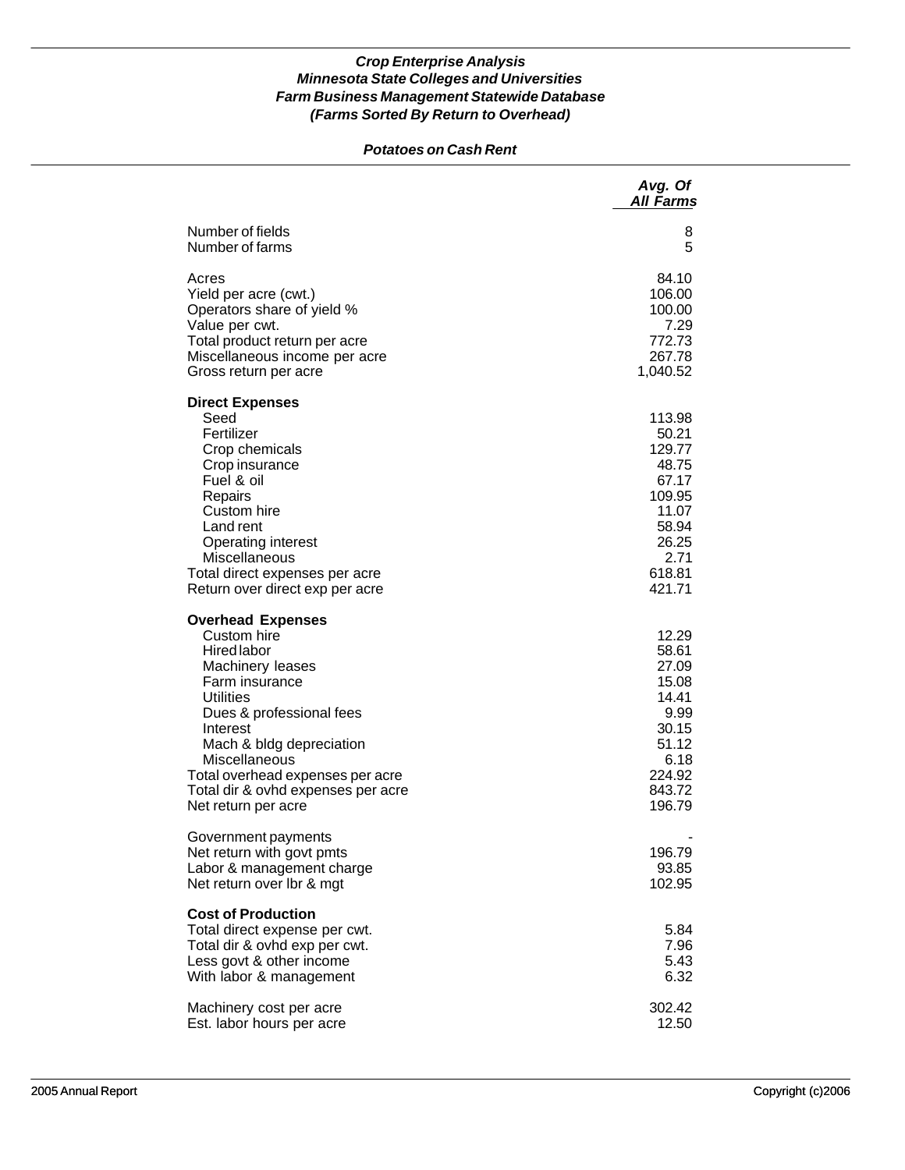### *Potatoes on Cash Rent*

|                                                                                                                                                                                                                                                                                                               | Avg. Of<br><b>All Farms</b>                                                                                  |
|---------------------------------------------------------------------------------------------------------------------------------------------------------------------------------------------------------------------------------------------------------------------------------------------------------------|--------------------------------------------------------------------------------------------------------------|
| Number of fields<br>Number of farms                                                                                                                                                                                                                                                                           | 8<br>5                                                                                                       |
| Acres<br>Yield per acre (cwt.)<br>Operators share of yield %<br>Value per cwt.<br>Total product return per acre<br>Miscellaneous income per acre<br>Gross return per acre                                                                                                                                     | 84.10<br>106.00<br>100.00<br>7.29<br>772.73<br>267.78<br>1,040.52                                            |
| <b>Direct Expenses</b><br>Seed<br>Fertilizer<br>Crop chemicals<br>Crop insurance<br>Fuel & oil<br>Repairs<br>Custom hire<br>Land rent<br><b>Operating interest</b><br>Miscellaneous<br>Total direct expenses per acre<br>Return over direct exp per acre                                                      | 113.98<br>50.21<br>129.77<br>48.75<br>67.17<br>109.95<br>11.07<br>58.94<br>26.25<br>2.71<br>618.81<br>421.71 |
| <b>Overhead Expenses</b><br>Custom hire<br><b>Hired labor</b><br>Machinery leases<br>Farm insurance<br><b>Utilities</b><br>Dues & professional fees<br>Interest<br>Mach & bldg depreciation<br>Miscellaneous<br>Total overhead expenses per acre<br>Total dir & ovhd expenses per acre<br>Net return per acre | 12.29<br>58.61<br>27.09<br>15.08<br>14.41<br>9.99<br>30.15<br>51.12<br>6.18<br>224.92<br>843.72<br>196.79    |
| Government payments<br>Net return with govt pmts<br>Labor & management charge<br>Net return over Ibr & mgt                                                                                                                                                                                                    | 196.79<br>93.85<br>102.95                                                                                    |
| <b>Cost of Production</b><br>Total direct expense per cwt.<br>Total dir & ovhd exp per cwt.<br>Less govt & other income<br>With labor & management                                                                                                                                                            | 5.84<br>7.96<br>5.43<br>6.32                                                                                 |
| Machinery cost per acre<br>Est. labor hours per acre                                                                                                                                                                                                                                                          | 302.42<br>12.50                                                                                              |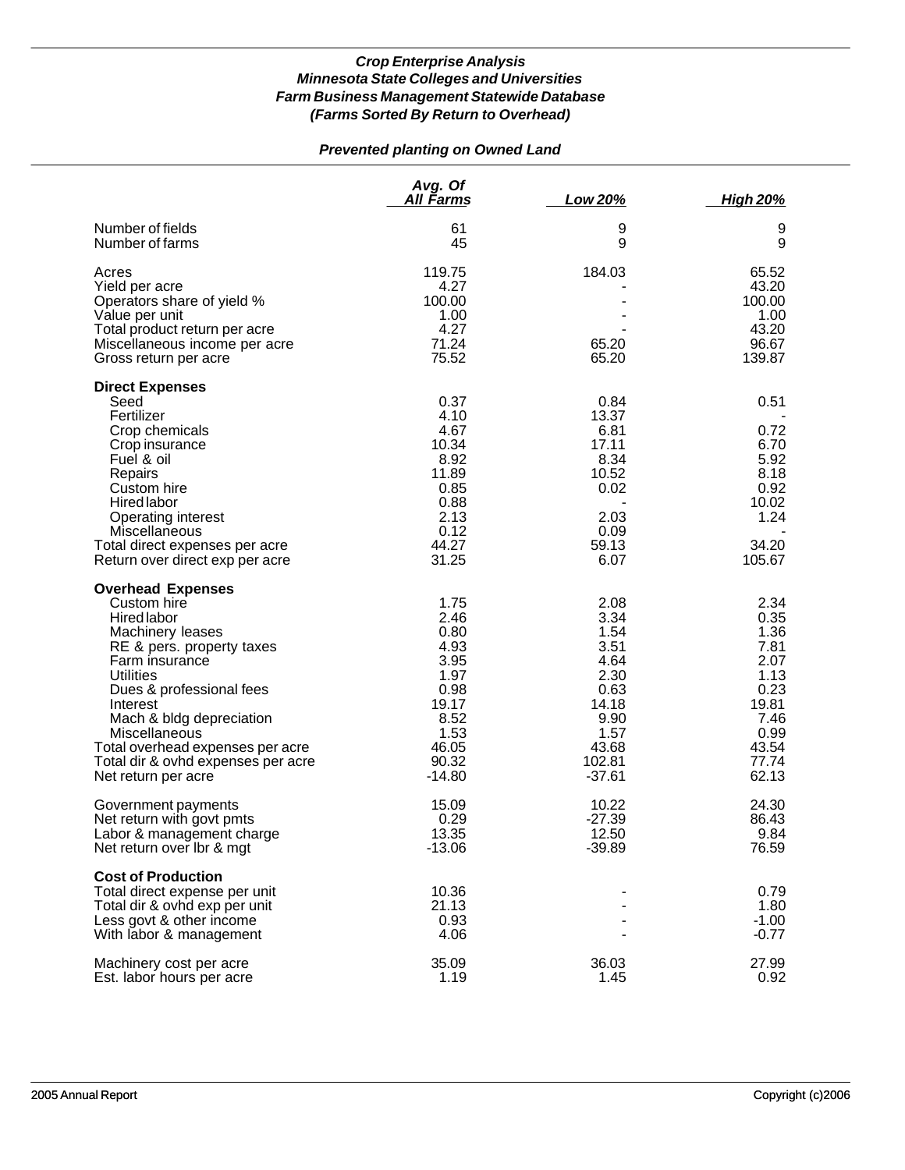## *Prevented planting on Owned Land*

|                                                                                                                                                                                                                                                                                                                                     | Avg. Of<br><u>All Farms</u>                                                                                 | Low 20%                                                                                                      | <b>High 20%</b>                                                                                          |
|-------------------------------------------------------------------------------------------------------------------------------------------------------------------------------------------------------------------------------------------------------------------------------------------------------------------------------------|-------------------------------------------------------------------------------------------------------------|--------------------------------------------------------------------------------------------------------------|----------------------------------------------------------------------------------------------------------|
| Number of fields<br>Number of farms                                                                                                                                                                                                                                                                                                 | 61<br>45                                                                                                    | 9<br>9                                                                                                       | 9<br>9                                                                                                   |
| Acres<br>Yield per acre<br>Operators share of yield %<br>Value per unit<br>Total product return per acre<br>Miscellaneous income per acre<br>Gross return per acre                                                                                                                                                                  | 119.75<br>4.27<br>100.00<br>1.00<br>4.27<br>71.24<br>75.52                                                  | 184.03<br>65.20<br>65.20                                                                                     | 65.52<br>43.20<br>100.00<br>1.00<br>43.20<br>96.67<br>139.87                                             |
| <b>Direct Expenses</b><br>Seed<br>Fertilizer<br>Crop chemicals<br>Crop insurance<br>Fuel & oil<br>Repairs<br>Custom hire<br>Hired labor<br>Operating interest<br>Miscellaneous<br>Total direct expenses per acre<br>Return over direct exp per acre                                                                                 | 0.37<br>4.10<br>4.67<br>10.34<br>8.92<br>11.89<br>0.85<br>0.88<br>2.13<br>0.12<br>44.27<br>31.25            | 0.84<br>13.37<br>6.81<br>17.11<br>8.34<br>10.52<br>0.02<br>2.03<br>0.09<br>59.13<br>6.07                     | 0.51<br>0.72<br>6.70<br>5.92<br>8.18<br>0.92<br>10.02<br>1.24<br>34.20<br>105.67                         |
| <b>Overhead Expenses</b><br>Custom hire<br>Hired labor<br>Machinery leases<br>RE & pers. property taxes<br>Farm insurance<br><b>Utilities</b><br>Dues & professional fees<br>Interest<br>Mach & bldg depreciation<br>Miscellaneous<br>Total overhead expenses per acre<br>Total dir & ovhd expenses per acre<br>Net return per acre | 1.75<br>2.46<br>0.80<br>4.93<br>3.95<br>1.97<br>0.98<br>19.17<br>8.52<br>1.53<br>46.05<br>90.32<br>$-14.80$ | 2.08<br>3.34<br>1.54<br>3.51<br>4.64<br>2.30<br>0.63<br>14.18<br>9.90<br>1.57<br>43.68<br>102.81<br>$-37.61$ | 2.34<br>0.35<br>1.36<br>7.81<br>2.07<br>1.13<br>0.23<br>19.81<br>7.46<br>0.99<br>43.54<br>77.74<br>62.13 |
| Government payments<br>Net return with govt pmts<br>Labor & management charge<br>Net return over Ibr & mgt                                                                                                                                                                                                                          | 15.09<br>0.29<br>13.35<br>$-13.06$                                                                          | 10.22<br>$-27.39$<br>12.50<br>$-39.89$                                                                       | 24.30<br>86.43<br>9.84<br>76.59                                                                          |
| <b>Cost of Production</b><br>Total direct expense per unit<br>Total dir & ovhd exp per unit<br>Less govt & other income<br>With labor & management                                                                                                                                                                                  | 10.36<br>21.13<br>0.93<br>4.06                                                                              |                                                                                                              | 0.79<br>1.80<br>$-1.00$<br>$-0.77$                                                                       |
| Machinery cost per acre<br>Est. labor hours per acre                                                                                                                                                                                                                                                                                | 35.09<br>1.19                                                                                               | 36.03<br>1.45                                                                                                | 27.99<br>0.92                                                                                            |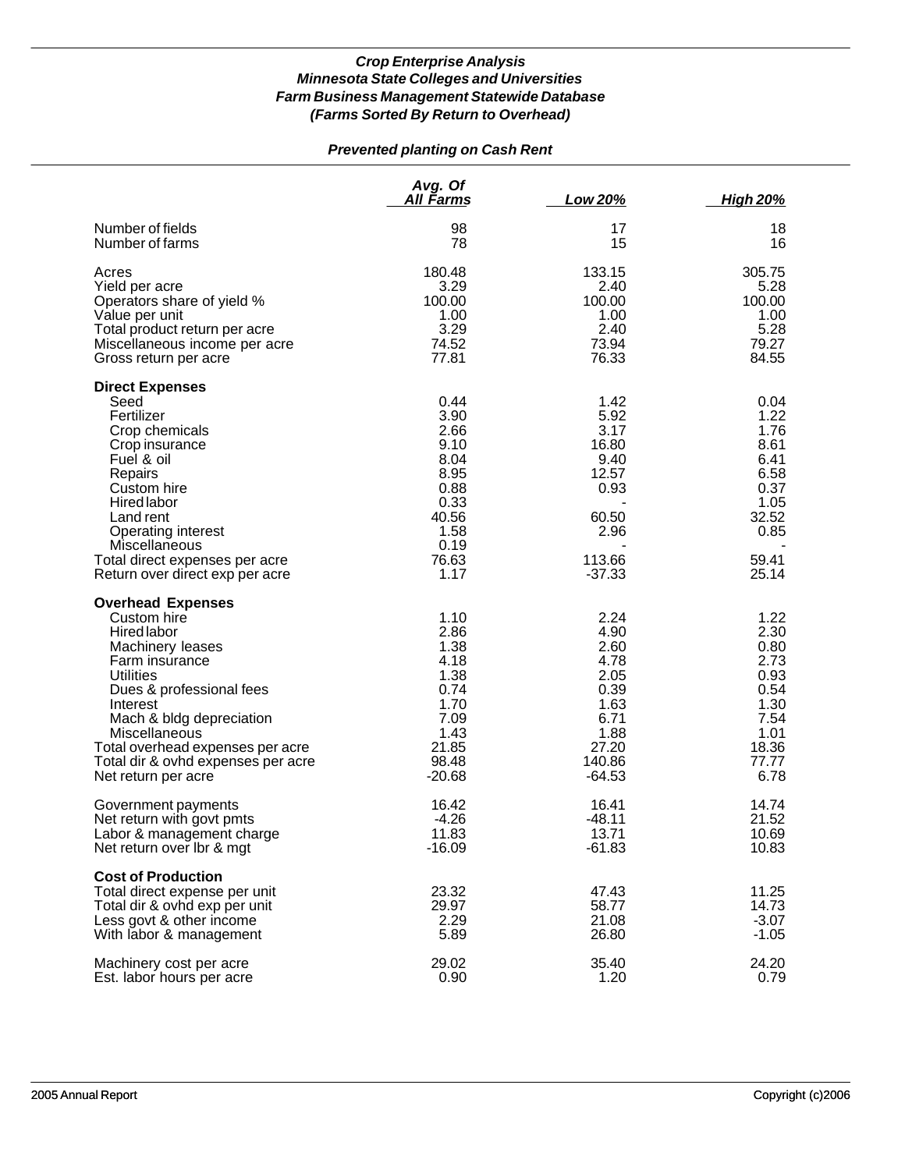# *Prevented planting on Cash Rent*

|                                                                                                                                                                                                                                                                                                               | Avg. Of<br>All Farms                                                                                   | Low 20%                                                                                             | <u>High 20%</u>                                                                                 |
|---------------------------------------------------------------------------------------------------------------------------------------------------------------------------------------------------------------------------------------------------------------------------------------------------------------|--------------------------------------------------------------------------------------------------------|-----------------------------------------------------------------------------------------------------|-------------------------------------------------------------------------------------------------|
| Number of fields                                                                                                                                                                                                                                                                                              | 98                                                                                                     | 17                                                                                                  | 18                                                                                              |
| Number of farms                                                                                                                                                                                                                                                                                               | 78                                                                                                     | 15                                                                                                  | 16                                                                                              |
| Acres                                                                                                                                                                                                                                                                                                         | 180.48                                                                                                 | 133.15                                                                                              | 305.75                                                                                          |
| Yield per acre                                                                                                                                                                                                                                                                                                | 3.29                                                                                                   | 2.40                                                                                                | 5.28                                                                                            |
| Operators share of yield %                                                                                                                                                                                                                                                                                    | 100.00                                                                                                 | 100.00                                                                                              | 100.00                                                                                          |
| Value per unit                                                                                                                                                                                                                                                                                                | 1.00                                                                                                   | 1.00                                                                                                | 1.00                                                                                            |
| Total product return per acre                                                                                                                                                                                                                                                                                 | 3.29                                                                                                   | 2.40                                                                                                | 5.28                                                                                            |
| Miscellaneous income per acre                                                                                                                                                                                                                                                                                 | 74.52                                                                                                  | 73.94                                                                                               | 79.27                                                                                           |
| Gross return per acre                                                                                                                                                                                                                                                                                         | 77.81                                                                                                  | 76.33                                                                                               | 84.55                                                                                           |
| <b>Direct Expenses</b><br>Seed<br>Fertilizer<br>Crop chemicals<br>Crop insurance<br>Fuel & oil<br>Repairs<br>Custom hire<br><b>Hired labor</b><br>Land rent<br>Operating interest<br>Miscellaneous<br>Total direct expenses per acre<br>Return over direct exp per acre                                       | 0.44<br>3.90<br>2.66<br>9.10<br>8.04<br>8.95<br>0.88<br>0.33<br>40.56<br>1.58<br>0.19<br>76.63<br>1.17 | 1.42<br>5.92<br>3.17<br>16.80<br>9.40<br>12.57<br>0.93<br>60.50<br>2.96<br>113.66<br>$-37.33$       | 0.04<br>1.22<br>1.76<br>8.61<br>6.41<br>6.58<br>0.37<br>1.05<br>32.52<br>0.85<br>59.41<br>25.14 |
| <b>Overhead Expenses</b><br>Custom hire<br><b>Hired labor</b><br>Machinery leases<br>Farm insurance<br><b>Utilities</b><br>Dues & professional fees<br>Interest<br>Mach & bldg depreciation<br>Miscellaneous<br>Total overhead expenses per acre<br>Total dir & ovhd expenses per acre<br>Net return per acre | 1.10<br>2.86<br>1.38<br>4.18<br>1.38<br>0.74<br>1.70<br>7.09<br>1.43<br>21.85<br>98.48<br>$-20.68$     | 2.24<br>4.90<br>2.60<br>4.78<br>2.05<br>0.39<br>1.63<br>6.71<br>1.88<br>27.20<br>140.86<br>$-64.53$ | 1.22<br>2.30<br>0.80<br>2.73<br>0.93<br>0.54<br>1.30<br>7.54<br>1.01<br>18.36<br>77.77<br>6.78  |
| Government payments                                                                                                                                                                                                                                                                                           | 16.42                                                                                                  | 16.41                                                                                               | 14.74                                                                                           |
| Net return with govt pmts                                                                                                                                                                                                                                                                                     | $-4.26$                                                                                                | $-48.11$                                                                                            | 21.52                                                                                           |
| Labor & management charge                                                                                                                                                                                                                                                                                     | 11.83                                                                                                  | 13.71                                                                                               | 10.69                                                                                           |
| Net return over Ibr & mgt                                                                                                                                                                                                                                                                                     | $-16.09$                                                                                               | $-61.83$                                                                                            | 10.83                                                                                           |
| <b>Cost of Production</b><br>Total direct expense per unit<br>Total dir & ovhd exp per unit<br>Less govt & other income<br>With labor & management                                                                                                                                                            | 23.32<br>29.97<br>2.29<br>5.89                                                                         | 47.43<br>58.77<br>21.08<br>26.80                                                                    | 11.25<br>14.73<br>$-3.07$<br>$-1.05$                                                            |
| Machinery cost per acre                                                                                                                                                                                                                                                                                       | 29.02                                                                                                  | 35.40                                                                                               | 24.20                                                                                           |
| Est. labor hours per acre                                                                                                                                                                                                                                                                                     | 0.90                                                                                                   | 1.20                                                                                                | 0.79                                                                                            |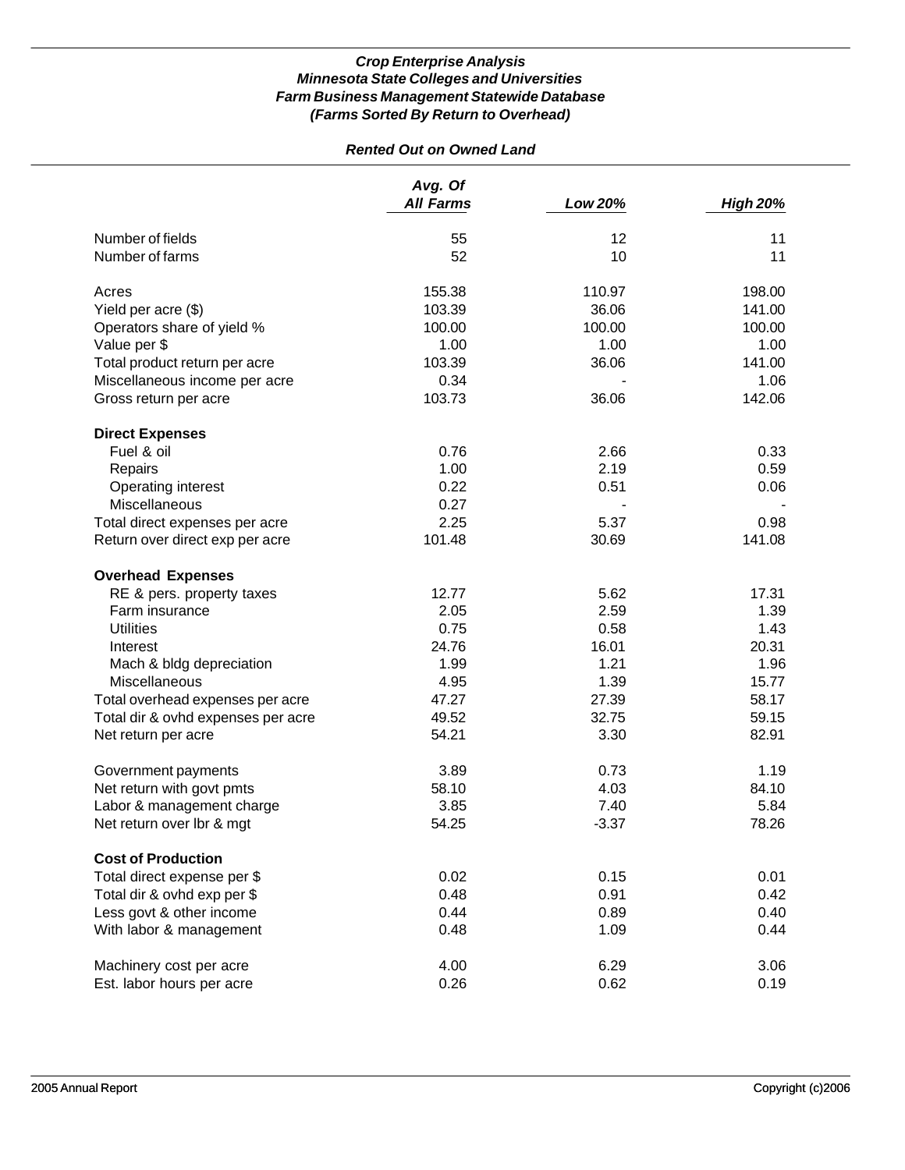# *Rented Out on Owned Land*

|                                    | Avg. Of<br><b>All Farms</b> | Low 20% | <b>High 20%</b> |
|------------------------------------|-----------------------------|---------|-----------------|
| Number of fields                   | 55                          | 12      | 11              |
| Number of farms                    | 52                          | 10      | 11              |
| Acres                              | 155.38                      | 110.97  | 198.00          |
| Yield per acre (\$)                | 103.39                      | 36.06   | 141.00          |
| Operators share of yield %         | 100.00                      | 100.00  | 100.00          |
| Value per \$                       | 1.00                        | 1.00    | 1.00            |
| Total product return per acre      | 103.39                      | 36.06   | 141.00          |
| Miscellaneous income per acre      | 0.34                        |         | 1.06            |
| Gross return per acre              | 103.73                      | 36.06   | 142.06          |
| <b>Direct Expenses</b>             |                             |         |                 |
| Fuel & oil                         | 0.76                        | 2.66    | 0.33            |
| Repairs                            | 1.00                        | 2.19    | 0.59            |
| Operating interest                 | 0.22                        | 0.51    | 0.06            |
| Miscellaneous                      | 0.27                        |         |                 |
| Total direct expenses per acre     | 2.25                        | 5.37    | 0.98            |
| Return over direct exp per acre    | 101.48                      | 30.69   | 141.08          |
| <b>Overhead Expenses</b>           |                             |         |                 |
| RE & pers. property taxes          | 12.77                       | 5.62    | 17.31           |
| Farm insurance                     | 2.05                        | 2.59    | 1.39            |
| <b>Utilities</b>                   | 0.75                        | 0.58    | 1.43            |
| Interest                           | 24.76                       | 16.01   | 20.31           |
| Mach & bldg depreciation           | 1.99                        | 1.21    | 1.96            |
| Miscellaneous                      | 4.95                        | 1.39    | 15.77           |
| Total overhead expenses per acre   | 47.27                       | 27.39   | 58.17           |
| Total dir & ovhd expenses per acre | 49.52                       | 32.75   | 59.15           |
| Net return per acre                | 54.21                       | 3.30    | 82.91           |
| Government payments                | 3.89                        | 0.73    | 1.19            |
| Net return with govt pmts          | 58.10                       | 4.03    | 84.10           |
| Labor & management charge          | 3.85                        | 7.40    | 5.84            |
| Net return over lbr & mgt          | 54.25                       | $-3.37$ | 78.26           |
| <b>Cost of Production</b>          |                             |         |                 |
| Total direct expense per \$        | 0.02                        | 0.15    | 0.01            |
| Total dir & ovhd exp per \$        | 0.48                        | 0.91    | 0.42            |
| Less govt & other income           | 0.44                        | 0.89    | 0.40            |
| With labor & management            | 0.48                        | 1.09    | 0.44            |
| Machinery cost per acre            | 4.00                        | 6.29    | 3.06            |
| Est. labor hours per acre          | 0.26                        | 0.62    | 0.19            |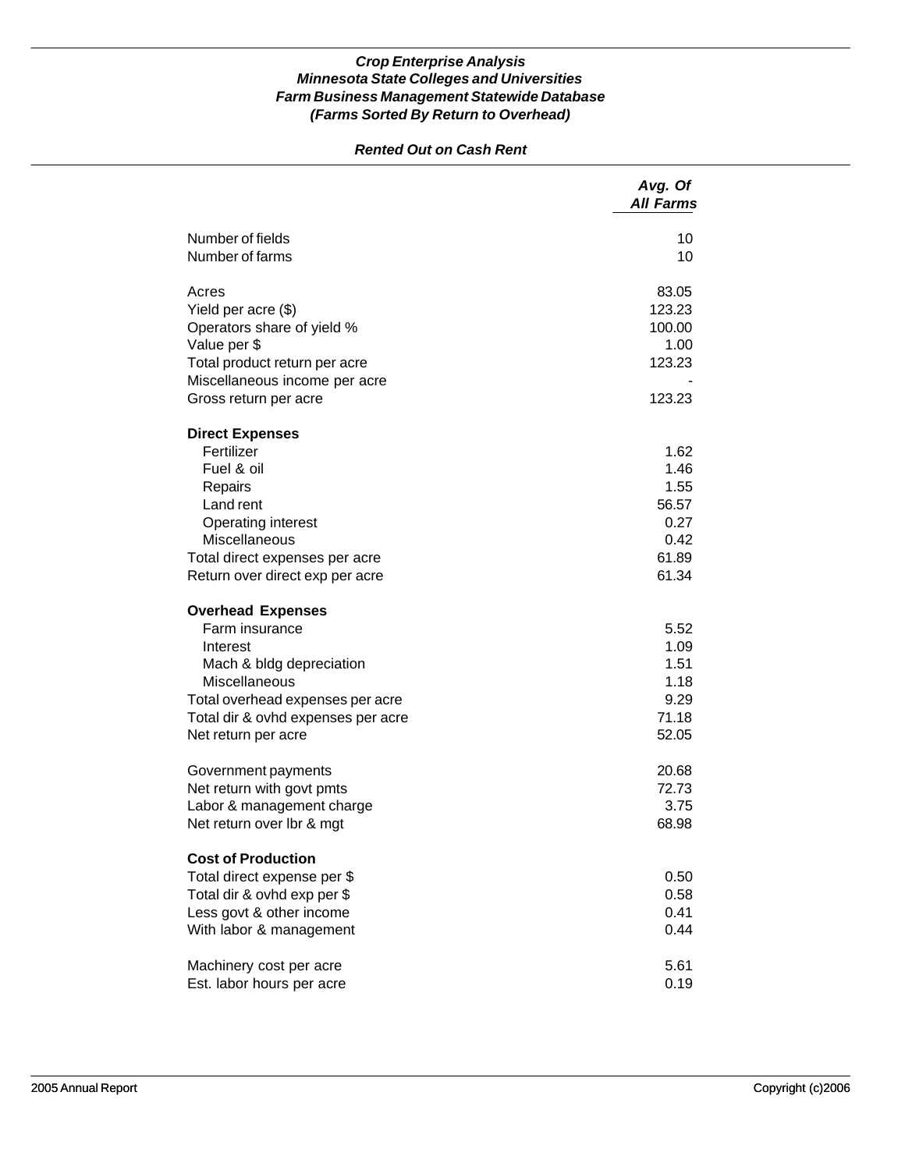### *Rented Out on Cash Rent*

| Number of fields<br>10<br>Number of farms<br>10<br>Acres<br>83.05<br>123.23<br>Yield per acre (\$)<br>Operators share of yield %<br>100.00<br>Value per \$<br>1.00<br>Total product return per acre<br>123.23<br>Miscellaneous income per acre<br>123.23<br>Gross return per acre<br><b>Direct Expenses</b><br>Fertilizer<br>1.62<br>Fuel & oil<br>1.46<br>1.55<br>Repairs<br>Land rent<br>56.57<br><b>Operating interest</b><br>0.27<br>Miscellaneous<br>0.42<br>61.89<br>Total direct expenses per acre<br>61.34<br>Return over direct exp per acre<br><b>Overhead Expenses</b><br>Farm insurance<br>5.52<br>1.09<br>Interest<br>1.51<br>Mach & bldg depreciation<br>Miscellaneous<br>1.18<br>9.29<br>Total overhead expenses per acre<br>71.18<br>Total dir & ovhd expenses per acre<br>52.05<br>Net return per acre<br>20.68<br>Government payments<br>Net return with govt pmts<br>72.73<br>Labor & management charge<br>3.75<br>Net return over Ibr & mgt<br>68.98<br><b>Cost of Production</b><br>0.50<br>Total direct expense per \$<br>Total dir & ovhd exp per \$<br>0.58<br>0.41<br>Less govt & other income<br>0.44<br>With labor & management<br>Machinery cost per acre<br>5.61<br>Est. labor hours per acre<br>0.19 | Avg. Of<br><b>All Farms</b> |
|------------------------------------------------------------------------------------------------------------------------------------------------------------------------------------------------------------------------------------------------------------------------------------------------------------------------------------------------------------------------------------------------------------------------------------------------------------------------------------------------------------------------------------------------------------------------------------------------------------------------------------------------------------------------------------------------------------------------------------------------------------------------------------------------------------------------------------------------------------------------------------------------------------------------------------------------------------------------------------------------------------------------------------------------------------------------------------------------------------------------------------------------------------------------------------------------------------------------------------|-----------------------------|
|                                                                                                                                                                                                                                                                                                                                                                                                                                                                                                                                                                                                                                                                                                                                                                                                                                                                                                                                                                                                                                                                                                                                                                                                                                    |                             |
|                                                                                                                                                                                                                                                                                                                                                                                                                                                                                                                                                                                                                                                                                                                                                                                                                                                                                                                                                                                                                                                                                                                                                                                                                                    |                             |
|                                                                                                                                                                                                                                                                                                                                                                                                                                                                                                                                                                                                                                                                                                                                                                                                                                                                                                                                                                                                                                                                                                                                                                                                                                    |                             |
|                                                                                                                                                                                                                                                                                                                                                                                                                                                                                                                                                                                                                                                                                                                                                                                                                                                                                                                                                                                                                                                                                                                                                                                                                                    |                             |
|                                                                                                                                                                                                                                                                                                                                                                                                                                                                                                                                                                                                                                                                                                                                                                                                                                                                                                                                                                                                                                                                                                                                                                                                                                    |                             |
|                                                                                                                                                                                                                                                                                                                                                                                                                                                                                                                                                                                                                                                                                                                                                                                                                                                                                                                                                                                                                                                                                                                                                                                                                                    |                             |
|                                                                                                                                                                                                                                                                                                                                                                                                                                                                                                                                                                                                                                                                                                                                                                                                                                                                                                                                                                                                                                                                                                                                                                                                                                    |                             |
|                                                                                                                                                                                                                                                                                                                                                                                                                                                                                                                                                                                                                                                                                                                                                                                                                                                                                                                                                                                                                                                                                                                                                                                                                                    |                             |
|                                                                                                                                                                                                                                                                                                                                                                                                                                                                                                                                                                                                                                                                                                                                                                                                                                                                                                                                                                                                                                                                                                                                                                                                                                    |                             |
|                                                                                                                                                                                                                                                                                                                                                                                                                                                                                                                                                                                                                                                                                                                                                                                                                                                                                                                                                                                                                                                                                                                                                                                                                                    |                             |
|                                                                                                                                                                                                                                                                                                                                                                                                                                                                                                                                                                                                                                                                                                                                                                                                                                                                                                                                                                                                                                                                                                                                                                                                                                    |                             |
|                                                                                                                                                                                                                                                                                                                                                                                                                                                                                                                                                                                                                                                                                                                                                                                                                                                                                                                                                                                                                                                                                                                                                                                                                                    |                             |
|                                                                                                                                                                                                                                                                                                                                                                                                                                                                                                                                                                                                                                                                                                                                                                                                                                                                                                                                                                                                                                                                                                                                                                                                                                    |                             |
|                                                                                                                                                                                                                                                                                                                                                                                                                                                                                                                                                                                                                                                                                                                                                                                                                                                                                                                                                                                                                                                                                                                                                                                                                                    |                             |
|                                                                                                                                                                                                                                                                                                                                                                                                                                                                                                                                                                                                                                                                                                                                                                                                                                                                                                                                                                                                                                                                                                                                                                                                                                    |                             |
|                                                                                                                                                                                                                                                                                                                                                                                                                                                                                                                                                                                                                                                                                                                                                                                                                                                                                                                                                                                                                                                                                                                                                                                                                                    |                             |
|                                                                                                                                                                                                                                                                                                                                                                                                                                                                                                                                                                                                                                                                                                                                                                                                                                                                                                                                                                                                                                                                                                                                                                                                                                    |                             |
|                                                                                                                                                                                                                                                                                                                                                                                                                                                                                                                                                                                                                                                                                                                                                                                                                                                                                                                                                                                                                                                                                                                                                                                                                                    |                             |
|                                                                                                                                                                                                                                                                                                                                                                                                                                                                                                                                                                                                                                                                                                                                                                                                                                                                                                                                                                                                                                                                                                                                                                                                                                    |                             |
|                                                                                                                                                                                                                                                                                                                                                                                                                                                                                                                                                                                                                                                                                                                                                                                                                                                                                                                                                                                                                                                                                                                                                                                                                                    |                             |
|                                                                                                                                                                                                                                                                                                                                                                                                                                                                                                                                                                                                                                                                                                                                                                                                                                                                                                                                                                                                                                                                                                                                                                                                                                    |                             |
|                                                                                                                                                                                                                                                                                                                                                                                                                                                                                                                                                                                                                                                                                                                                                                                                                                                                                                                                                                                                                                                                                                                                                                                                                                    |                             |
|                                                                                                                                                                                                                                                                                                                                                                                                                                                                                                                                                                                                                                                                                                                                                                                                                                                                                                                                                                                                                                                                                                                                                                                                                                    |                             |
|                                                                                                                                                                                                                                                                                                                                                                                                                                                                                                                                                                                                                                                                                                                                                                                                                                                                                                                                                                                                                                                                                                                                                                                                                                    |                             |
|                                                                                                                                                                                                                                                                                                                                                                                                                                                                                                                                                                                                                                                                                                                                                                                                                                                                                                                                                                                                                                                                                                                                                                                                                                    |                             |
|                                                                                                                                                                                                                                                                                                                                                                                                                                                                                                                                                                                                                                                                                                                                                                                                                                                                                                                                                                                                                                                                                                                                                                                                                                    |                             |
|                                                                                                                                                                                                                                                                                                                                                                                                                                                                                                                                                                                                                                                                                                                                                                                                                                                                                                                                                                                                                                                                                                                                                                                                                                    |                             |
|                                                                                                                                                                                                                                                                                                                                                                                                                                                                                                                                                                                                                                                                                                                                                                                                                                                                                                                                                                                                                                                                                                                                                                                                                                    |                             |
|                                                                                                                                                                                                                                                                                                                                                                                                                                                                                                                                                                                                                                                                                                                                                                                                                                                                                                                                                                                                                                                                                                                                                                                                                                    |                             |
|                                                                                                                                                                                                                                                                                                                                                                                                                                                                                                                                                                                                                                                                                                                                                                                                                                                                                                                                                                                                                                                                                                                                                                                                                                    |                             |
|                                                                                                                                                                                                                                                                                                                                                                                                                                                                                                                                                                                                                                                                                                                                                                                                                                                                                                                                                                                                                                                                                                                                                                                                                                    |                             |
|                                                                                                                                                                                                                                                                                                                                                                                                                                                                                                                                                                                                                                                                                                                                                                                                                                                                                                                                                                                                                                                                                                                                                                                                                                    |                             |
|                                                                                                                                                                                                                                                                                                                                                                                                                                                                                                                                                                                                                                                                                                                                                                                                                                                                                                                                                                                                                                                                                                                                                                                                                                    |                             |
|                                                                                                                                                                                                                                                                                                                                                                                                                                                                                                                                                                                                                                                                                                                                                                                                                                                                                                                                                                                                                                                                                                                                                                                                                                    |                             |
|                                                                                                                                                                                                                                                                                                                                                                                                                                                                                                                                                                                                                                                                                                                                                                                                                                                                                                                                                                                                                                                                                                                                                                                                                                    |                             |
|                                                                                                                                                                                                                                                                                                                                                                                                                                                                                                                                                                                                                                                                                                                                                                                                                                                                                                                                                                                                                                                                                                                                                                                                                                    |                             |
|                                                                                                                                                                                                                                                                                                                                                                                                                                                                                                                                                                                                                                                                                                                                                                                                                                                                                                                                                                                                                                                                                                                                                                                                                                    |                             |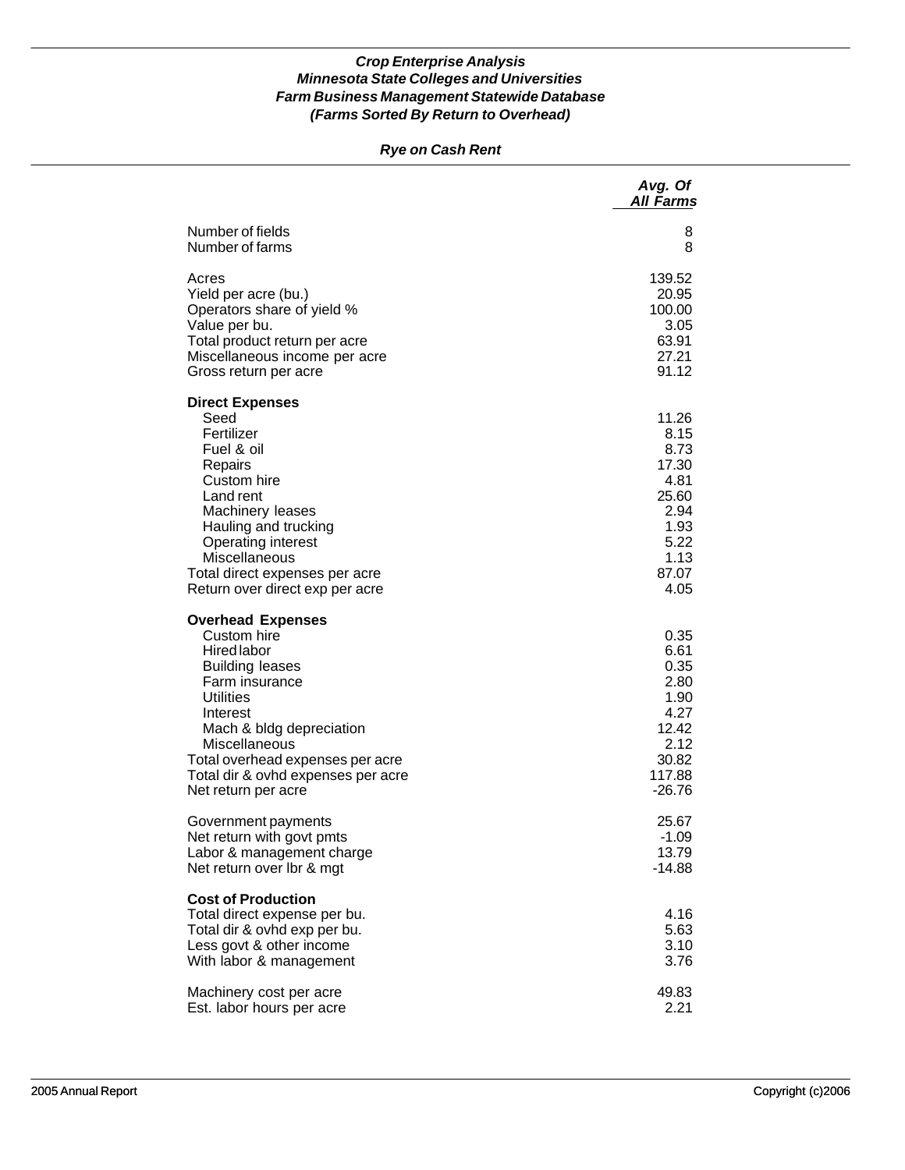### *Rye on Cash Rent*

|                                                                                                                                                                                                                                                                                  | Avg. Of<br><b>All Farms</b>                                                                      |
|----------------------------------------------------------------------------------------------------------------------------------------------------------------------------------------------------------------------------------------------------------------------------------|--------------------------------------------------------------------------------------------------|
| Number of fields                                                                                                                                                                                                                                                                 | 8                                                                                                |
| Number of farms                                                                                                                                                                                                                                                                  | 8                                                                                                |
| Acres                                                                                                                                                                                                                                                                            | 139.52                                                                                           |
| Yield per acre (bu.)                                                                                                                                                                                                                                                             | 20.95                                                                                            |
| Operators share of yield %                                                                                                                                                                                                                                                       | 100.00                                                                                           |
| Value per bu.                                                                                                                                                                                                                                                                    | 3.05                                                                                             |
| Total product return per acre                                                                                                                                                                                                                                                    | 63.91                                                                                            |
| Miscellaneous income per acre                                                                                                                                                                                                                                                    | 27.21                                                                                            |
| Gross return per acre                                                                                                                                                                                                                                                            | 91.12                                                                                            |
| <b>Direct Expenses</b><br>Seed<br>Fertilizer<br>Fuel & oil<br>Repairs<br>Custom hire<br>Land rent<br>Machinery leases<br>Hauling and trucking<br><b>Operating interest</b><br>Miscellaneous<br>Total direct expenses per acre<br>Return over direct exp per acre                 | 11.26<br>8.15<br>8.73<br>17.30<br>4.81<br>25.60<br>2.94<br>1.93<br>5.22<br>1.13<br>87.07<br>4.05 |
| <b>Overhead Expenses</b><br>Custom hire<br>Hired labor<br><b>Building leases</b><br>Farm insurance<br><b>Utilities</b><br>Interest<br>Mach & bldg depreciation<br>Miscellaneous<br>Total overhead expenses per acre<br>Total dir & ovhd expenses per acre<br>Net return per acre | 0.35<br>6.61<br>0.35<br>2.80<br>1.90<br>4.27<br>12.42<br>2.12<br>30.82<br>117.88<br>$-26.76$     |
| Government payments                                                                                                                                                                                                                                                              | 25.67                                                                                            |
| Net return with govt pmts                                                                                                                                                                                                                                                        | $-1.09$                                                                                          |
| Labor & management charge                                                                                                                                                                                                                                                        | 13.79                                                                                            |
| Net return over Ibr & mgt                                                                                                                                                                                                                                                        | $-14.88$                                                                                         |
| <b>Cost of Production</b><br>Total direct expense per bu.<br>Total dir & ovhd exp per bu.<br>Less govt & other income<br>With labor & management                                                                                                                                 | 4.16<br>5.63<br>3.10<br>3.76                                                                     |
| Machinery cost per acre                                                                                                                                                                                                                                                          | 49.83                                                                                            |
| Est. labor hours per acre                                                                                                                                                                                                                                                        | 2.21                                                                                             |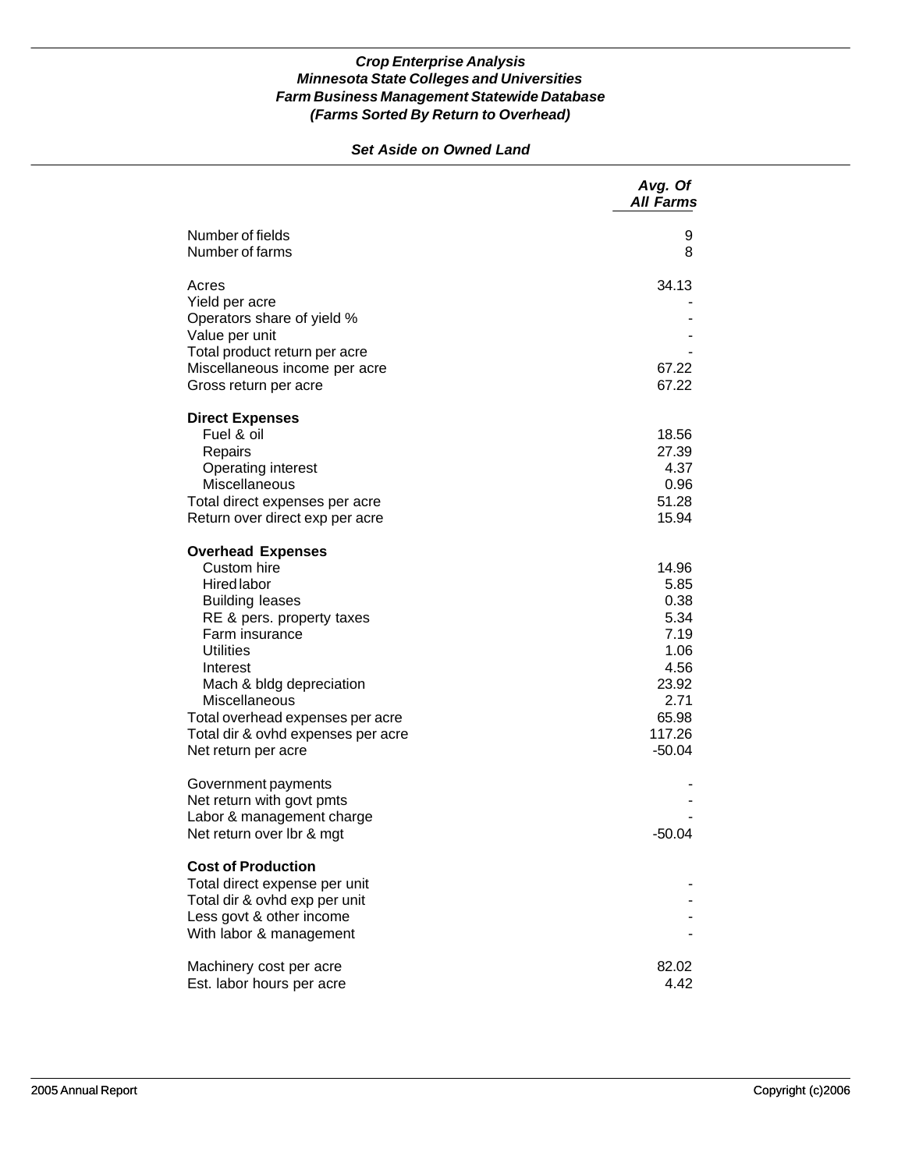## *Set Aside on Owned Land*

|                                                                        | Avg. Of<br><b>All Farms</b> |
|------------------------------------------------------------------------|-----------------------------|
| Number of fields<br>Number of farms                                    | 9<br>8                      |
| Acres<br>Yield per acre<br>Operators share of yield %                  | 34.13                       |
| Value per unit                                                         |                             |
| Total product return per acre                                          |                             |
| Miscellaneous income per acre<br>Gross return per acre                 | 67.22<br>67.22              |
| <b>Direct Expenses</b><br>Fuel & oil                                   | 18.56                       |
| Repairs                                                                | 27.39                       |
| Operating interest                                                     | 4.37                        |
| Miscellaneous<br>Total direct expenses per acre                        | 0.96<br>51.28               |
| Return over direct exp per acre                                        | 15.94                       |
| <b>Overhead Expenses</b>                                               |                             |
| Custom hire<br>Hired labor                                             | 14.96<br>5.85               |
| <b>Building leases</b>                                                 | 0.38                        |
| RE & pers. property taxes                                              | 5.34                        |
| Farm insurance<br><b>Utilities</b>                                     | 7.19                        |
| Interest                                                               | 1.06<br>4.56                |
| Mach & bldg depreciation                                               | 23.92                       |
| <b>Miscellaneous</b>                                                   | 2.71                        |
| Total overhead expenses per acre<br>Total dir & ovhd expenses per acre | 65.98<br>117.26             |
| Net return per acre                                                    | $-50.04$                    |
| Government payments                                                    |                             |
| Net return with govt pmts<br>Labor & management charge                 |                             |
| Net return over Ibr & mgt                                              | $-50.04$                    |
| <b>Cost of Production</b><br>Total direct expense per unit             |                             |
| Total dir & ovhd exp per unit                                          |                             |
| Less govt & other income                                               |                             |
| With labor & management                                                |                             |
| Machinery cost per acre<br>Est. labor hours per acre                   | 82.02<br>4.42               |
|                                                                        |                             |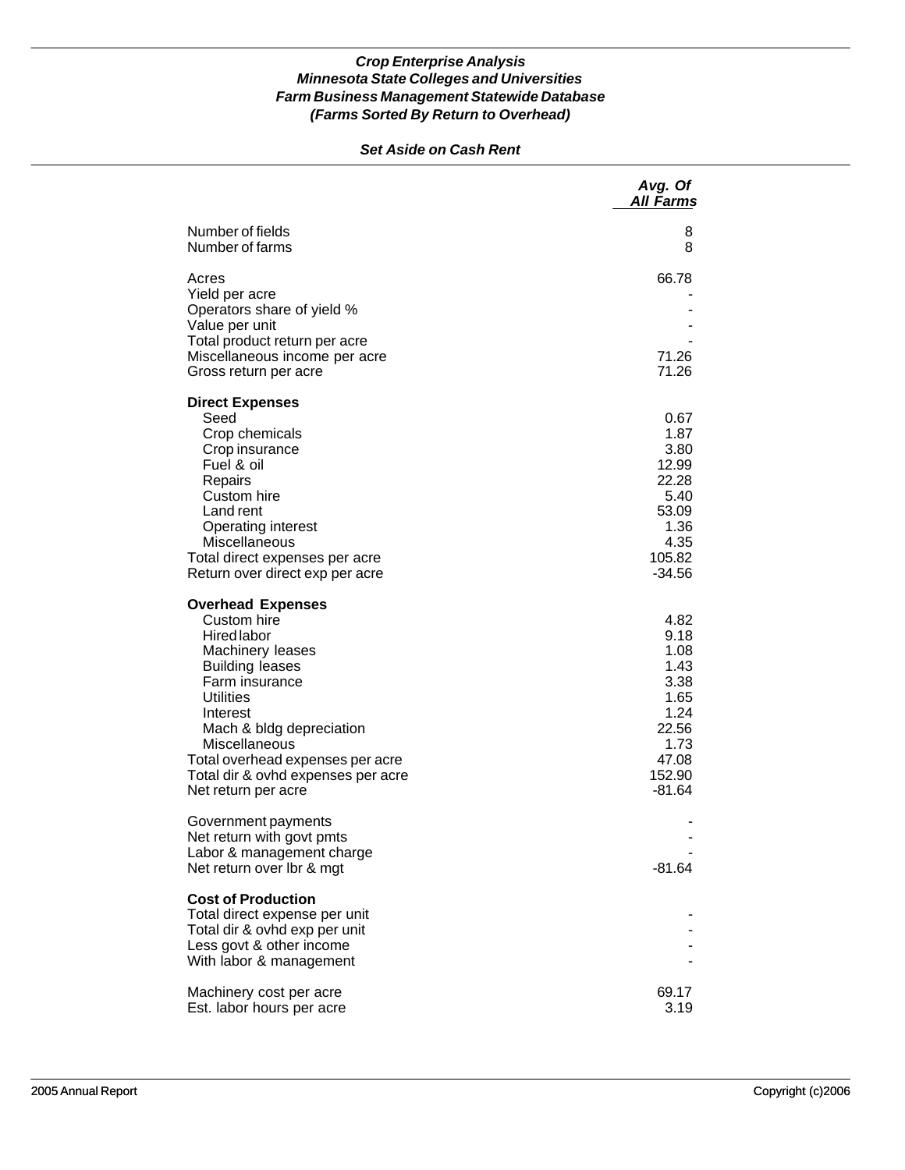### *Set Aside on Cash Rent*

|                                                                                                                                                                                                                                                                                                             | Avg. Of<br><b>All Farms</b>                                                                          |
|-------------------------------------------------------------------------------------------------------------------------------------------------------------------------------------------------------------------------------------------------------------------------------------------------------------|------------------------------------------------------------------------------------------------------|
| Number of fields<br>Number of farms                                                                                                                                                                                                                                                                         | 8<br>8                                                                                               |
| Acres<br>Yield per acre<br>Operators share of yield %<br>Value per unit<br>Total product return per acre<br>Miscellaneous income per acre<br>Gross return per acre                                                                                                                                          | 66.78<br>71.26<br>71.26                                                                              |
| <b>Direct Expenses</b><br>Seed<br>Crop chemicals<br>Crop insurance<br>Fuel & oil<br>Repairs<br>Custom hire<br>Land rent<br>Operating interest<br>Miscellaneous<br>Total direct expenses per acre<br>Return over direct exp per acre                                                                         | 0.67<br>1.87<br>3.80<br>12.99<br>22.28<br>5.40<br>53.09<br>1.36<br>4.35<br>105.82<br>$-34.56$        |
| <b>Overhead Expenses</b><br>Custom hire<br><b>Hired labor</b><br>Machinery leases<br><b>Building leases</b><br>Farm insurance<br><b>Utilities</b><br>Interest<br>Mach & bldg depreciation<br>Miscellaneous<br>Total overhead expenses per acre<br>Total dir & ovhd expenses per acre<br>Net return per acre | 4.82<br>9.18<br>1.08<br>1.43<br>3.38<br>1.65<br>1.24<br>22.56<br>1.73<br>47.08<br>152.90<br>$-81.64$ |
| Government payments<br>Net return with govt pmts<br>Labor & management charge<br>Net return over Ibr & mgt                                                                                                                                                                                                  | $-81.64$                                                                                             |
| <b>Cost of Production</b><br>Total direct expense per unit<br>Total dir & ovhd exp per unit<br>Less govt & other income<br>With labor & management                                                                                                                                                          |                                                                                                      |
| Machinery cost per acre<br>Est. labor hours per acre                                                                                                                                                                                                                                                        | 69.17<br>3.19                                                                                        |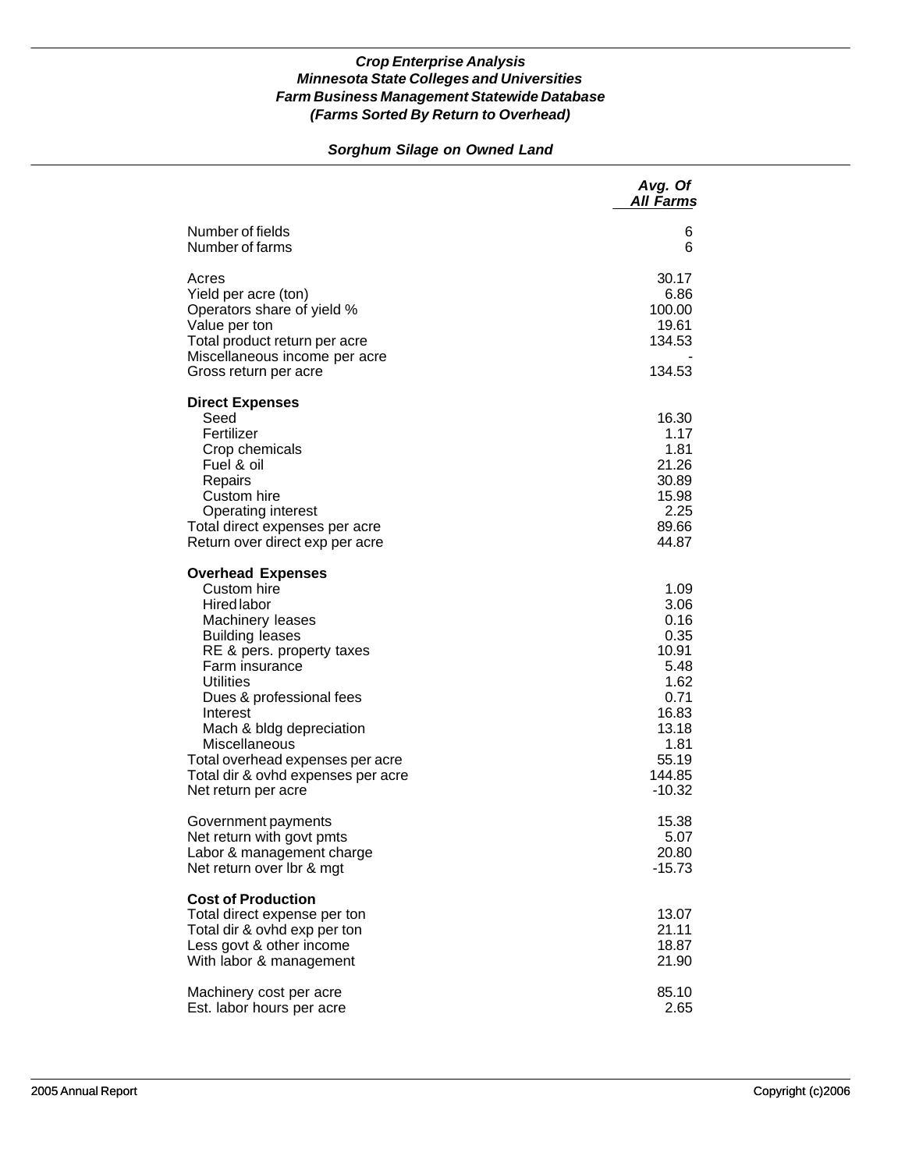# *Sorghum Silage on Owned Land*

|                                                                                                                                                                                                                                                                                                                                                                      | Avg. Of<br><b>All Farms</b>                                                                                            |
|----------------------------------------------------------------------------------------------------------------------------------------------------------------------------------------------------------------------------------------------------------------------------------------------------------------------------------------------------------------------|------------------------------------------------------------------------------------------------------------------------|
| Number of fields<br>Number of farms                                                                                                                                                                                                                                                                                                                                  | 6<br>6                                                                                                                 |
| Acres<br>Yield per acre (ton)<br>Operators share of yield %<br>Value per ton<br>Total product return per acre<br>Miscellaneous income per acre<br>Gross return per acre                                                                                                                                                                                              | 30.17<br>6.86<br>100.00<br>19.61<br>134.53<br>134.53                                                                   |
| <b>Direct Expenses</b><br>Seed<br>Fertilizer<br>Crop chemicals<br>Fuel & oil<br>Repairs<br>Custom hire<br><b>Operating interest</b><br>Total direct expenses per acre<br>Return over direct exp per acre                                                                                                                                                             | 16.30<br>1.17<br>1.81<br>21.26<br>30.89<br>15.98<br>2.25<br>89.66<br>44.87                                             |
| <b>Overhead Expenses</b><br>Custom hire<br><b>Hired labor</b><br>Machinery leases<br><b>Building leases</b><br>RE & pers. property taxes<br>Farm insurance<br><b>Utilities</b><br>Dues & professional fees<br>Interest<br>Mach & bldg depreciation<br>Miscellaneous<br>Total overhead expenses per acre<br>Total dir & ovhd expenses per acre<br>Net return per acre | 1.09<br>3.06<br>0.16<br>0.35<br>10.91<br>5.48<br>1.62<br>0.71<br>16.83<br>13.18<br>1.81<br>55.19<br>144.85<br>$-10.32$ |
| Government payments<br>Net return with govt pmts<br>Labor & management charge<br>Net return over Ibr & mgt                                                                                                                                                                                                                                                           | 15.38<br>5.07<br>20.80<br>$-15.73$                                                                                     |
| <b>Cost of Production</b><br>Total direct expense per ton<br>Total dir & ovhd exp per ton<br>Less govt & other income<br>With labor & management                                                                                                                                                                                                                     | 13.07<br>21.11<br>18.87<br>21.90                                                                                       |
| Machinery cost per acre<br>Est. labor hours per acre                                                                                                                                                                                                                                                                                                                 | 85.10<br>2.65                                                                                                          |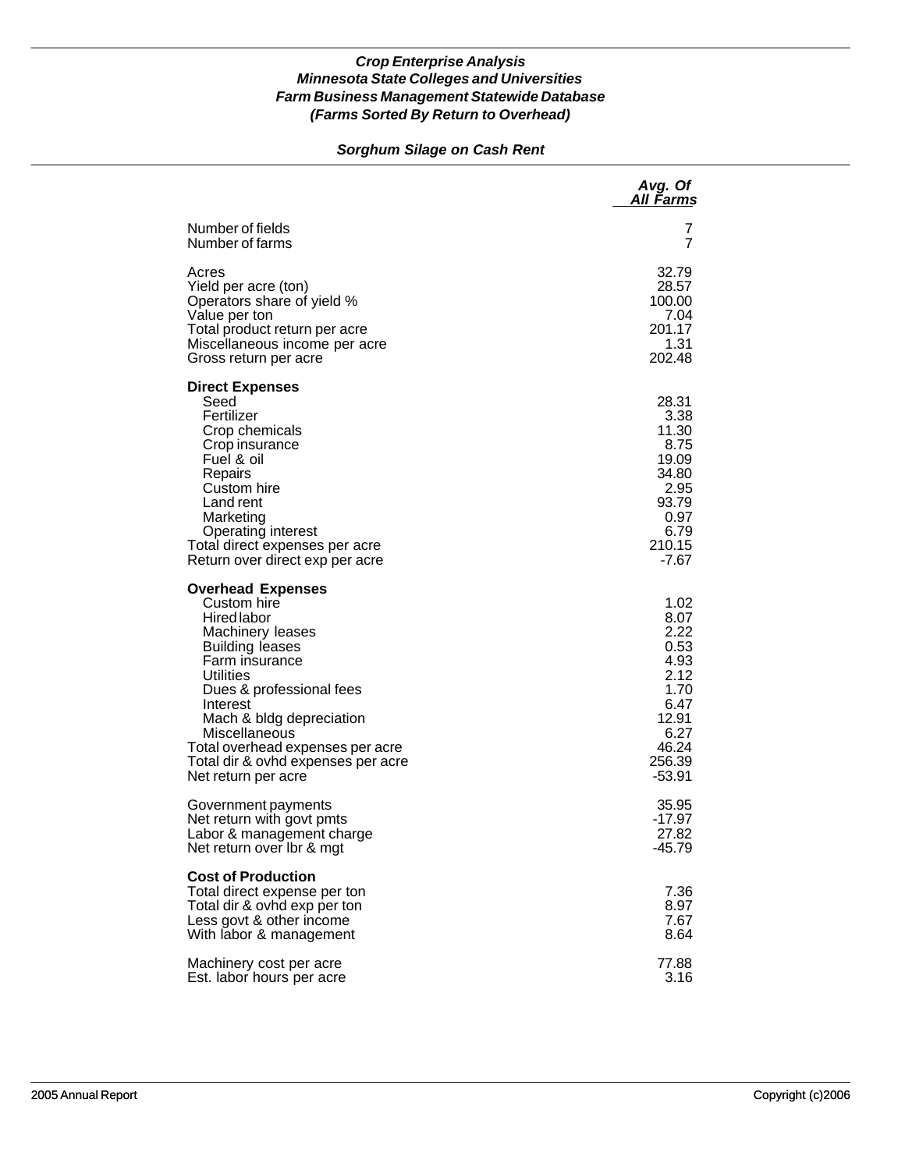### *Sorghum Silage on Cash Rent*

|                                                                                                                                                                                                                                                                                                                                  | Avg. Of<br>All Farms                                                                                         |
|----------------------------------------------------------------------------------------------------------------------------------------------------------------------------------------------------------------------------------------------------------------------------------------------------------------------------------|--------------------------------------------------------------------------------------------------------------|
| Number of fields                                                                                                                                                                                                                                                                                                                 | 7                                                                                                            |
| Number of farms                                                                                                                                                                                                                                                                                                                  | 7                                                                                                            |
| Acres                                                                                                                                                                                                                                                                                                                            | 32.79                                                                                                        |
| Yield per acre (ton)                                                                                                                                                                                                                                                                                                             | 28.57                                                                                                        |
| Operators share of yield %                                                                                                                                                                                                                                                                                                       | 100.00                                                                                                       |
| Value per ton                                                                                                                                                                                                                                                                                                                    | 7.04                                                                                                         |
| Total product return per acre                                                                                                                                                                                                                                                                                                    | 201.17                                                                                                       |
| Miscellaneous income per acre                                                                                                                                                                                                                                                                                                    | 1.31                                                                                                         |
| Gross return per acre                                                                                                                                                                                                                                                                                                            | 202.48                                                                                                       |
| <b>Direct Expenses</b><br>Seed<br>Fertilizer<br>Crop chemicals<br>Crop insurance<br>Fuel & oil<br>Repairs<br>Custom hire<br>Land rent<br>Marketing<br>Operating interest<br>Total direct expenses per acre<br>Return over direct exp per acre                                                                                    | 28.31<br>3.38<br>11.30<br>8.75<br>19.09<br>34.80<br>2.95<br>93.79<br>0.97<br>6.79<br>210.15<br>-7.67         |
| <b>Overhead Expenses</b><br>Custom hire<br><b>Hired labor</b><br>Machinery leases<br><b>Building leases</b><br>Farm insurance<br>Utilities<br>Dues & professional fees<br>Interest<br>Mach & bldg depreciation<br>Miscellaneous<br>Total overhead expenses per acre<br>Total dir & ovhd expenses per acre<br>Net return per acre | 1.02<br>8.07<br>2.22<br>0.53<br>4.93<br>2.12<br>1.70<br>6.47<br>12.91<br>6.27<br>46.24<br>256.39<br>$-53.91$ |
| Government payments                                                                                                                                                                                                                                                                                                              | 35.95                                                                                                        |
| Net return with govt pmts                                                                                                                                                                                                                                                                                                        | $-17.97$                                                                                                     |
| Labor & management charge                                                                                                                                                                                                                                                                                                        | 27.82                                                                                                        |
| Net return over Ibr & mgt                                                                                                                                                                                                                                                                                                        | $-45.79$                                                                                                     |
| <b>Cost of Production</b><br>Total direct expense per ton<br>Total dir & ovhd exp per ton<br>Less govt & other income<br>With labor & management                                                                                                                                                                                 | 7.36<br>8.97<br>7.67<br>8.64                                                                                 |
| Machinery cost per acre                                                                                                                                                                                                                                                                                                          | 77.88                                                                                                        |
| Est. labor hours per acre                                                                                                                                                                                                                                                                                                        | 3.16                                                                                                         |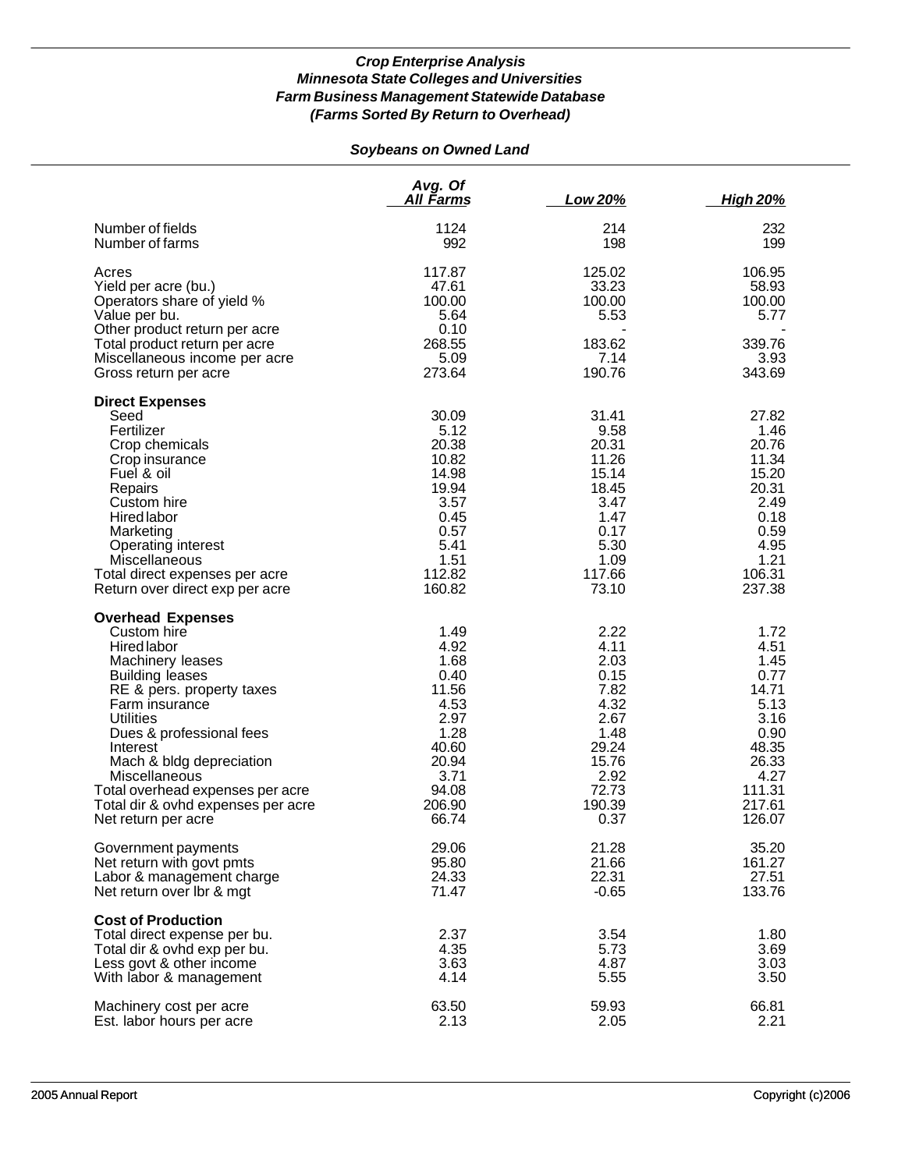# *Soybeans on Owned Land*

|                                                                                                                                                                                                                                                                                                                                                                      | Avg. Of<br><u>All Farms</u>                                                                                         | Low 20%                                                                                                           | <b>High 20%</b>                                                                                                       |
|----------------------------------------------------------------------------------------------------------------------------------------------------------------------------------------------------------------------------------------------------------------------------------------------------------------------------------------------------------------------|---------------------------------------------------------------------------------------------------------------------|-------------------------------------------------------------------------------------------------------------------|-----------------------------------------------------------------------------------------------------------------------|
| Number of fields<br>Number of farms                                                                                                                                                                                                                                                                                                                                  | 1124<br>992                                                                                                         | 214<br>198                                                                                                        | 232<br>199                                                                                                            |
| Acres<br>Yield per acre (bu.)<br>Operators share of yield %<br>Value per bu.<br>Other product return per acre<br>Total product return per acre<br>Miscellaneous income per acre<br>Gross return per acre                                                                                                                                                             | 117.87<br>47.61<br>100.00<br>5.64<br>0.10<br>268.55<br>5.09<br>273.64                                               | 125.02<br>33.23<br>100.00<br>5.53<br>183.62<br>7.14<br>190.76                                                     | 106.95<br>58.93<br>100.00<br>5.77<br>339.76<br>3.93<br>343.69                                                         |
| <b>Direct Expenses</b><br>Seed<br>Fertilizer<br>Crop chemicals<br>Crop insurance<br>Fuel & oil<br>Repairs<br>Custom hire<br>Hired labor<br>Marketing<br>Operating interest<br>Miscellaneous<br>Total direct expenses per acre<br>Return over direct exp per acre                                                                                                     | 30.09<br>5.12<br>20.38<br>10.82<br>14.98<br>19.94<br>3.57<br>0.45<br>0.57<br>5.41<br>1.51<br>112.82<br>160.82       | 31.41<br>9.58<br>20.31<br>11.26<br>15.14<br>18.45<br>3.47<br>1.47<br>0.17<br>5.30<br>1.09<br>117.66<br>73.10      | 27.82<br>1.46<br>20.76<br>11.34<br>15.20<br>20.31<br>2.49<br>0.18<br>0.59<br>4.95<br>1.21<br>106.31<br>237.38         |
| <b>Overhead Expenses</b><br>Custom hire<br><b>Hired labor</b><br>Machinery leases<br><b>Building leases</b><br>RE & pers. property taxes<br>Farm insurance<br><b>Utilities</b><br>Dues & professional fees<br>Interest<br>Mach & bldg depreciation<br>Miscellaneous<br>Total overhead expenses per acre<br>Total dir & ovhd expenses per acre<br>Net return per acre | 1.49<br>4.92<br>1.68<br>0.40<br>11.56<br>4.53<br>2.97<br>1.28<br>40.60<br>20.94<br>3.71<br>94.08<br>206.90<br>66.74 | 2.22<br>4.11<br>2.03<br>0.15<br>7.82<br>4.32<br>2.67<br>1.48<br>29.24<br>15.76<br>2.92<br>72.73<br>190.39<br>0.37 | 1.72<br>4.51<br>1.45<br>0.77<br>14.71<br>5.13<br>3.16<br>0.90<br>48.35<br>26.33<br>4.27<br>111.31<br>217.61<br>126.07 |
| Government payments<br>Net return with govt pmts<br>Labor & management charge<br>Net return over Ibr & mgt                                                                                                                                                                                                                                                           | 29.06<br>95.80<br>24.33<br>71.47                                                                                    | 21.28<br>21.66<br>22.31<br>$-0.65$                                                                                | 35.20<br>161.27<br>27.51<br>133.76                                                                                    |
| <b>Cost of Production</b><br>Total direct expense per bu.<br>Total dir & ovhd exp per bu.<br>Less govt & other income<br>With labor & management                                                                                                                                                                                                                     | 2.37<br>4.35<br>3.63<br>4.14                                                                                        | 3.54<br>5.73<br>4.87<br>5.55                                                                                      | 1.80<br>3.69<br>3.03<br>3.50                                                                                          |
| Machinery cost per acre<br>Est. labor hours per acre                                                                                                                                                                                                                                                                                                                 | 63.50<br>2.13                                                                                                       | 59.93<br>2.05                                                                                                     | 66.81<br>2.21                                                                                                         |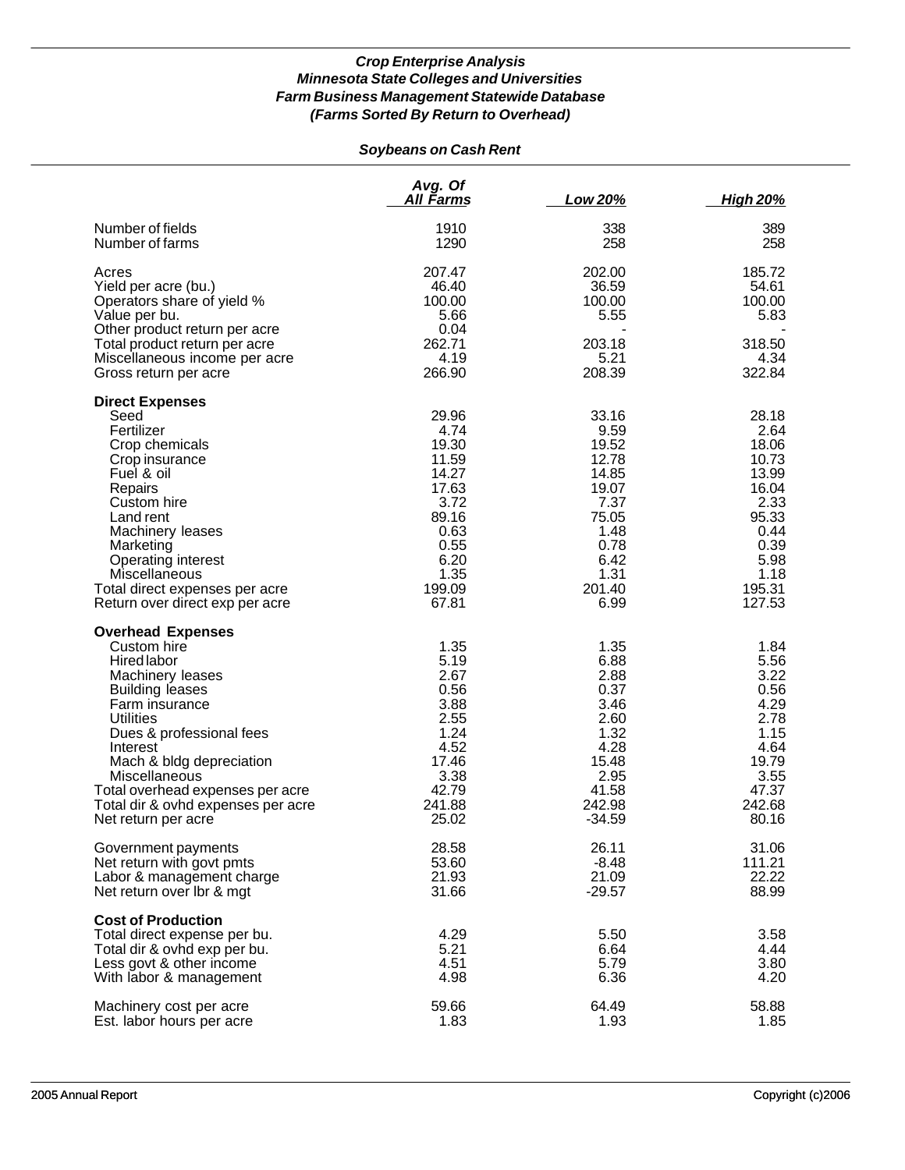## *Soybeans on Cash Rent*

|                                    | Avg. Of<br>All Farms | Low 20%  | <b>High 20%</b> |
|------------------------------------|----------------------|----------|-----------------|
| Number of fields                   | 1910                 | 338      | 389             |
| Number of farms                    | 1290                 | 258      | 258             |
| Acres                              | 207.47               | 202.00   | 185.72          |
| Yield per acre (bu.)               | 46.40                | 36.59    | 54.61           |
| Operators share of yield %         | 100.00               | 100.00   | 100.00          |
| Value per bu.                      | 5.66                 | 5.55     | 5.83            |
| Other product return per acre      | 0.04                 |          |                 |
| Total product return per acre      | 262.71               | 203.18   | 318.50          |
| Miscellaneous income per acre      | 4.19                 | 5.21     | 4.34            |
| Gross return per acre              | 266.90               | 208.39   | 322.84          |
| <b>Direct Expenses</b>             |                      |          |                 |
| Seed                               | 29.96                | 33.16    | 28.18           |
| Fertilizer                         | 4.74                 | 9.59     | 2.64            |
| Crop chemicals                     | 19.30                | 19.52    | 18.06           |
| Crop insurance                     | 11.59                | 12.78    | 10.73           |
| Fuel & oil                         | 14.27                | 14.85    | 13.99           |
| Repairs                            | 17.63                | 19.07    | 16.04           |
| Custom hire                        | 3.72                 | 7.37     | 2.33            |
| Land rent                          | 89.16                | 75.05    | 95.33           |
| Machinery leases                   | 0.63                 | 1.48     | 0.44            |
| Marketing                          | 0.55                 | 0.78     | 0.39            |
| Operating interest                 | 6.20                 | 6.42     | 5.98            |
| Miscellaneous                      | 1.35                 | 1.31     | 1.18            |
| Total direct expenses per acre     | 199.09               | 201.40   | 195.31          |
| Return over direct exp per acre    | 67.81                | 6.99     | 127.53          |
| <b>Overhead Expenses</b>           |                      |          |                 |
| Custom hire                        | 1.35                 | 1.35     | 1.84            |
| Hired labor                        | 5.19                 | 6.88     | 5.56            |
| Machinery leases                   | 2.67                 | 2.88     | 3.22            |
| <b>Building leases</b>             | 0.56                 | 0.37     | 0.56            |
| Farm insurance                     | 3.88                 | 3.46     | 4.29            |
| Utilities                          | 2.55                 | 2.60     | 2.78            |
| Dues & professional fees           | 1.24                 | 1.32     | 1.15            |
| Interest                           | 4.52                 | 4.28     | 4.64            |
| Mach & bldg depreciation           | 17.46                | 15.48    | 19.79           |
| Miscellaneous                      | 3.38                 | 2.95     | 3.55            |
| Total overhead expenses per acre   | 42.79                | 41.58    | 47.37           |
| Total dir & ovhd expenses per acre | 241.88               | 242.98   | 242.68          |
| Net return per acre                | 25.02                | $-34.59$ | 80.16           |
| Government payments                | 28.58                | 26.11    | 31.06           |
| Net return with govt pmts          | 53.60                | $-8.48$  | 111.21          |
| Labor & management charge          | 21.93                | 21.09    | 22.22           |
| Net return over Ibr & mgt          | 31.66                | $-29.57$ | 88.99           |
| <b>Cost of Production</b>          |                      |          |                 |
| Total direct expense per bu.       | 4.29                 | 5.50     | 3.58            |
| Total dir & ovhd exp per bu.       | 5.21                 | 6.64     | 4.44            |
| Less govt & other income           | 4.51                 | 5.79     | 3.80            |
| With labor & management            | 4.98                 | 6.36     | 4.20            |
| Machinery cost per acre            | 59.66                | 64.49    | 58.88           |
| Est. labor hours per acre          | 1.83                 | 1.93     | 1.85            |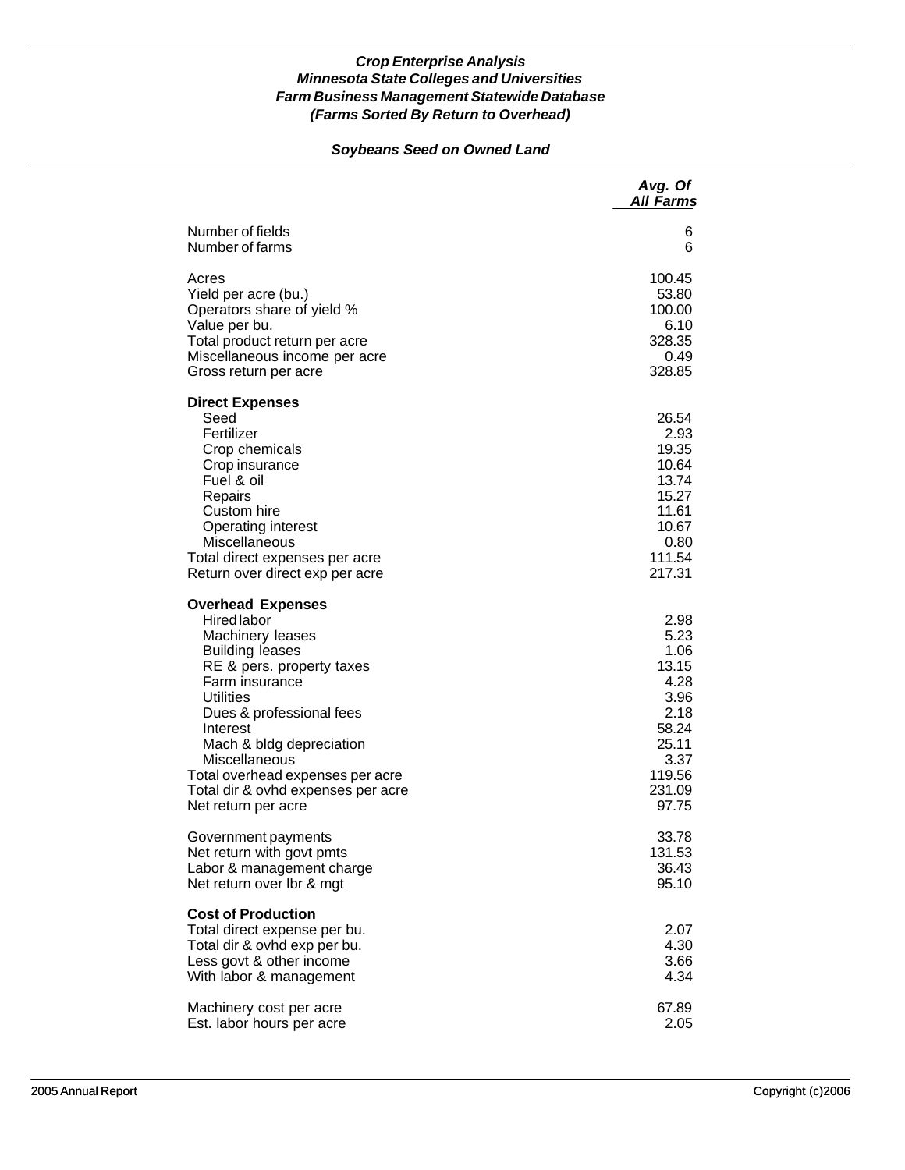### *Soybeans Seed on Owned Land*

|                                                                                                                                                                                                                                                                                                                                                       | Avg. Of<br><b>All Farms</b>                                                                                  |
|-------------------------------------------------------------------------------------------------------------------------------------------------------------------------------------------------------------------------------------------------------------------------------------------------------------------------------------------------------|--------------------------------------------------------------------------------------------------------------|
| Number of fields                                                                                                                                                                                                                                                                                                                                      | 6                                                                                                            |
| Number of farms                                                                                                                                                                                                                                                                                                                                       | 6                                                                                                            |
| Acres                                                                                                                                                                                                                                                                                                                                                 | 100.45                                                                                                       |
| Yield per acre (bu.)                                                                                                                                                                                                                                                                                                                                  | 53.80                                                                                                        |
| Operators share of yield %                                                                                                                                                                                                                                                                                                                            | 100.00                                                                                                       |
| Value per bu.                                                                                                                                                                                                                                                                                                                                         | 6.10                                                                                                         |
| Total product return per acre                                                                                                                                                                                                                                                                                                                         | 328.35                                                                                                       |
| Miscellaneous income per acre                                                                                                                                                                                                                                                                                                                         | 0.49                                                                                                         |
| Gross return per acre                                                                                                                                                                                                                                                                                                                                 | 328.85                                                                                                       |
| <b>Direct Expenses</b><br>Seed<br>Fertilizer<br>Crop chemicals<br>Crop insurance<br>Fuel & oil<br>Repairs<br>Custom hire<br>Operating interest<br>Miscellaneous<br>Total direct expenses per acre<br>Return over direct exp per acre                                                                                                                  | 26.54<br>2.93<br>19.35<br>10.64<br>13.74<br>15.27<br>11.61<br>10.67<br>0.80<br>111.54<br>217.31              |
| <b>Overhead Expenses</b><br><b>Hired</b> labor<br>Machinery leases<br><b>Building leases</b><br>RE & pers. property taxes<br>Farm insurance<br><b>Utilities</b><br>Dues & professional fees<br>Interest<br>Mach & bldg depreciation<br>Miscellaneous<br>Total overhead expenses per acre<br>Total dir & ovhd expenses per acre<br>Net return per acre | 2.98<br>5.23<br>1.06<br>13.15<br>4.28<br>3.96<br>2.18<br>58.24<br>25.11<br>3.37<br>119.56<br>231.09<br>97.75 |
| Government payments                                                                                                                                                                                                                                                                                                                                   | 33.78                                                                                                        |
| Net return with govt pmts                                                                                                                                                                                                                                                                                                                             | 131.53                                                                                                       |
| Labor & management charge                                                                                                                                                                                                                                                                                                                             | 36.43                                                                                                        |
| Net return over Ibr & mgt                                                                                                                                                                                                                                                                                                                             | 95.10                                                                                                        |
| <b>Cost of Production</b><br>Total direct expense per bu.<br>Total dir & ovhd exp per bu.<br>Less govt & other income<br>With labor & management                                                                                                                                                                                                      | 2.07<br>4.30<br>3.66<br>4.34                                                                                 |
| Machinery cost per acre                                                                                                                                                                                                                                                                                                                               | 67.89                                                                                                        |
| Est. labor hours per acre                                                                                                                                                                                                                                                                                                                             | 2.05                                                                                                         |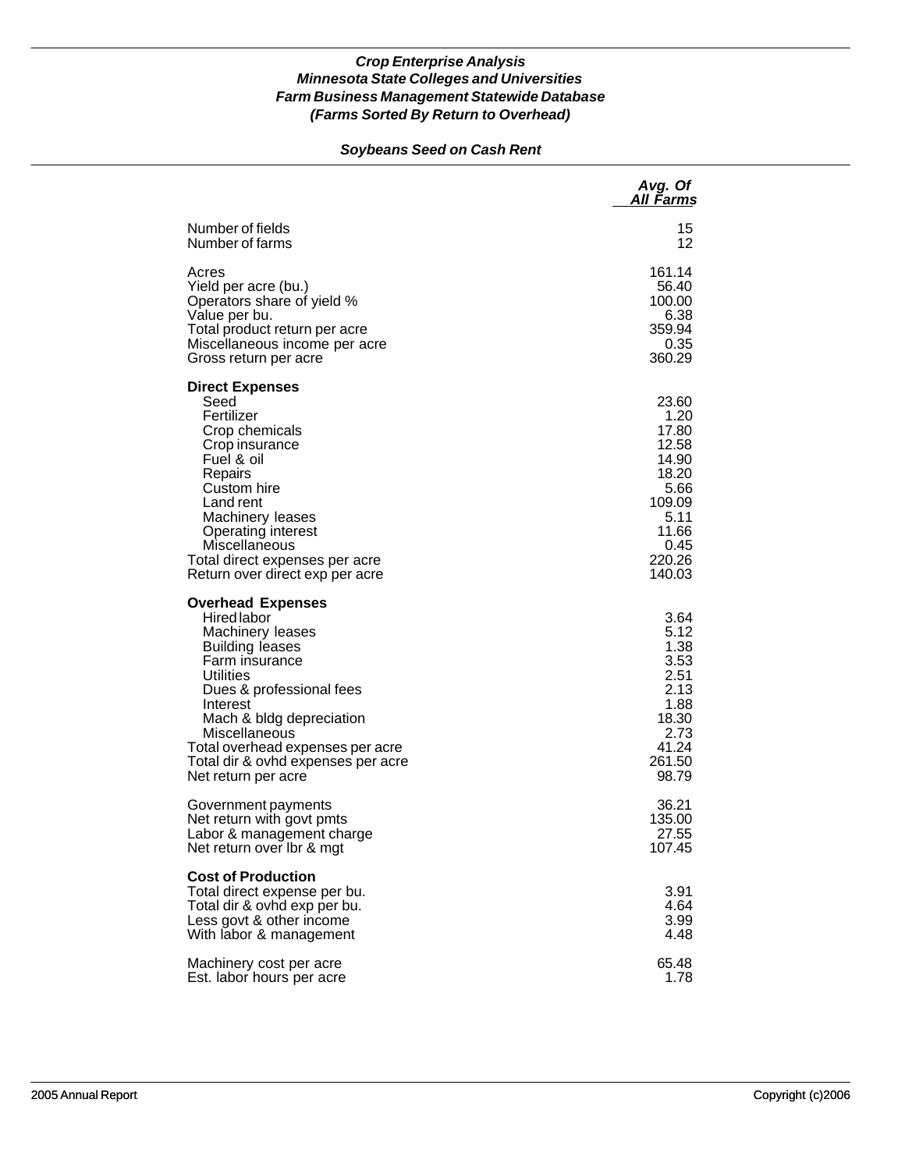### *Soybeans Seed on Cash Rent*

|                                                                                                                                                                                                                                                                                                            | Avg. Of<br>All Farms                                                                                             |
|------------------------------------------------------------------------------------------------------------------------------------------------------------------------------------------------------------------------------------------------------------------------------------------------------------|------------------------------------------------------------------------------------------------------------------|
| Number of fields                                                                                                                                                                                                                                                                                           | 15                                                                                                               |
| Number of farms                                                                                                                                                                                                                                                                                            | 12                                                                                                               |
| Acres                                                                                                                                                                                                                                                                                                      | 161.14                                                                                                           |
| Yield per acre (bu.)                                                                                                                                                                                                                                                                                       | 56.40                                                                                                            |
| Operators share of yield %                                                                                                                                                                                                                                                                                 | 100.00                                                                                                           |
| Value per bu.                                                                                                                                                                                                                                                                                              | 6.38                                                                                                             |
| Total product return per acre                                                                                                                                                                                                                                                                              | 359.94                                                                                                           |
| Miscellaneous income per acre                                                                                                                                                                                                                                                                              | 0.35                                                                                                             |
| Gross return per acre                                                                                                                                                                                                                                                                                      | 360.29                                                                                                           |
| <b>Direct Expenses</b><br>Seed<br>Fertilizer<br>Crop chemicals<br>Crop insurance<br>Fuel & oil<br>Repairs<br>Custom hire<br>Land rent<br>Machinery leases<br>Operating interest<br>Miscellaneous<br>Total direct expenses per acre<br>Return over direct exp per acre                                      | 23.60<br>1.20<br>17.80<br>12.58<br>14.90<br>18.20<br>5.66<br>109.09<br>5.11<br>11.66<br>0.45<br>220.26<br>140.03 |
| <b>Overhead Expenses</b><br>Hired labor<br>Machinery leases<br><b>Building leases</b><br>Farm insurance<br>Utilities<br>Dues & professional fees<br>Interest<br>Mach & bldg depreciation<br>Miscellaneous<br>Total overhead expenses per acre<br>Total dir & ovhd expenses per acre<br>Net return per acre | 3.64<br>5.12<br>1.38<br>3.53<br>2.51<br>2.13<br>1.88<br>18.30<br>2.73<br>41.24<br>261.50<br>98.79                |
| Government payments                                                                                                                                                                                                                                                                                        | 36.21                                                                                                            |
| Net return with govt pmts                                                                                                                                                                                                                                                                                  | 135.00                                                                                                           |
| Labor & management charge                                                                                                                                                                                                                                                                                  | 27.55                                                                                                            |
| Net return over Ibr & mgt                                                                                                                                                                                                                                                                                  | 107.45                                                                                                           |
| <b>Cost of Production</b><br>Total direct expense per bu.<br>Total dir & ovhd exp per bu.<br>Less govt & other income<br>With labor & management                                                                                                                                                           | 3.91<br>4.64<br>3.99<br>4.48                                                                                     |
| Machinery cost per acre                                                                                                                                                                                                                                                                                    | 65.48                                                                                                            |
| Est. labor hours per acre                                                                                                                                                                                                                                                                                  | 1.78                                                                                                             |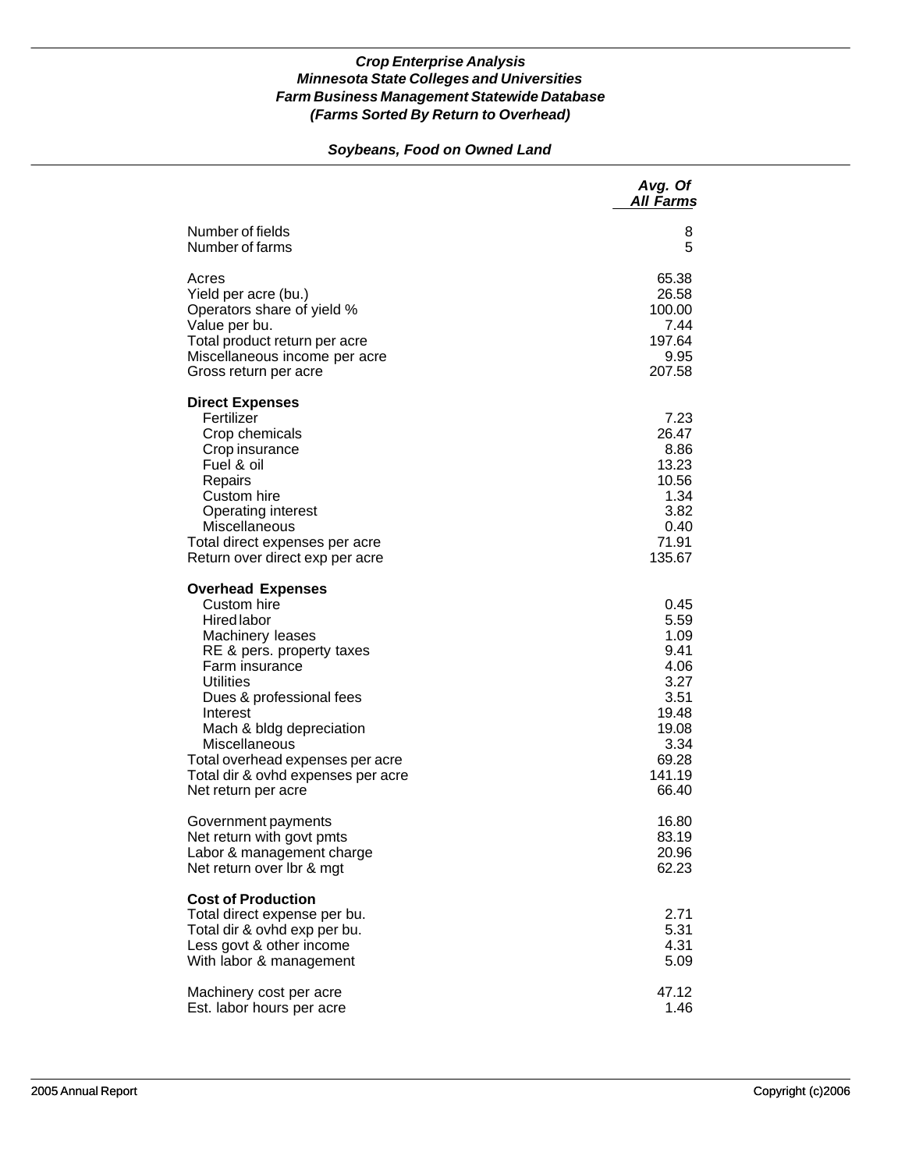### *Soybeans, Food on Owned Land*

|                                                                                                                                                                                                                                                                                                                                            | Avg. Of<br><b>All Farms</b>                                                                                |
|--------------------------------------------------------------------------------------------------------------------------------------------------------------------------------------------------------------------------------------------------------------------------------------------------------------------------------------------|------------------------------------------------------------------------------------------------------------|
| Number of fields                                                                                                                                                                                                                                                                                                                           | 8                                                                                                          |
| Number of farms                                                                                                                                                                                                                                                                                                                            | 5                                                                                                          |
| Acres                                                                                                                                                                                                                                                                                                                                      | 65.38                                                                                                      |
| Yield per acre (bu.)                                                                                                                                                                                                                                                                                                                       | 26.58                                                                                                      |
| Operators share of yield %                                                                                                                                                                                                                                                                                                                 | 100.00                                                                                                     |
| Value per bu.                                                                                                                                                                                                                                                                                                                              | 7.44                                                                                                       |
| Total product return per acre                                                                                                                                                                                                                                                                                                              | 197.64                                                                                                     |
| Miscellaneous income per acre                                                                                                                                                                                                                                                                                                              | 9.95                                                                                                       |
| Gross return per acre                                                                                                                                                                                                                                                                                                                      | 207.58                                                                                                     |
| <b>Direct Expenses</b><br>Fertilizer<br>Crop chemicals<br>Crop insurance<br>Fuel & oil<br>Repairs<br>Custom hire<br>Operating interest<br>Miscellaneous<br>Total direct expenses per acre<br>Return over direct exp per acre                                                                                                               | 7.23<br>26.47<br>8.86<br>13.23<br>10.56<br>1.34<br>3.82<br>0.40<br>71.91<br>135.67                         |
| <b>Overhead Expenses</b><br>Custom hire<br><b>Hired labor</b><br>Machinery leases<br>RE & pers. property taxes<br>Farm insurance<br><b>Utilities</b><br>Dues & professional fees<br>Interest<br>Mach & bldg depreciation<br>Miscellaneous<br>Total overhead expenses per acre<br>Total dir & ovhd expenses per acre<br>Net return per acre | 0.45<br>5.59<br>1.09<br>9.41<br>4.06<br>3.27<br>3.51<br>19.48<br>19.08<br>3.34<br>69.28<br>141.19<br>66.40 |
| Government payments                                                                                                                                                                                                                                                                                                                        | 16.80                                                                                                      |
| Net return with govt pmts                                                                                                                                                                                                                                                                                                                  | 83.19                                                                                                      |
| Labor & management charge                                                                                                                                                                                                                                                                                                                  | 20.96                                                                                                      |
| Net return over Ibr & mgt                                                                                                                                                                                                                                                                                                                  | 62.23                                                                                                      |
| <b>Cost of Production</b><br>Total direct expense per bu.<br>Total dir & ovhd exp per bu.<br>Less govt & other income<br>With labor & management                                                                                                                                                                                           | 2.71<br>5.31<br>4.31<br>5.09                                                                               |
| Machinery cost per acre                                                                                                                                                                                                                                                                                                                    | 47.12                                                                                                      |
| Est. labor hours per acre                                                                                                                                                                                                                                                                                                                  | 1.46                                                                                                       |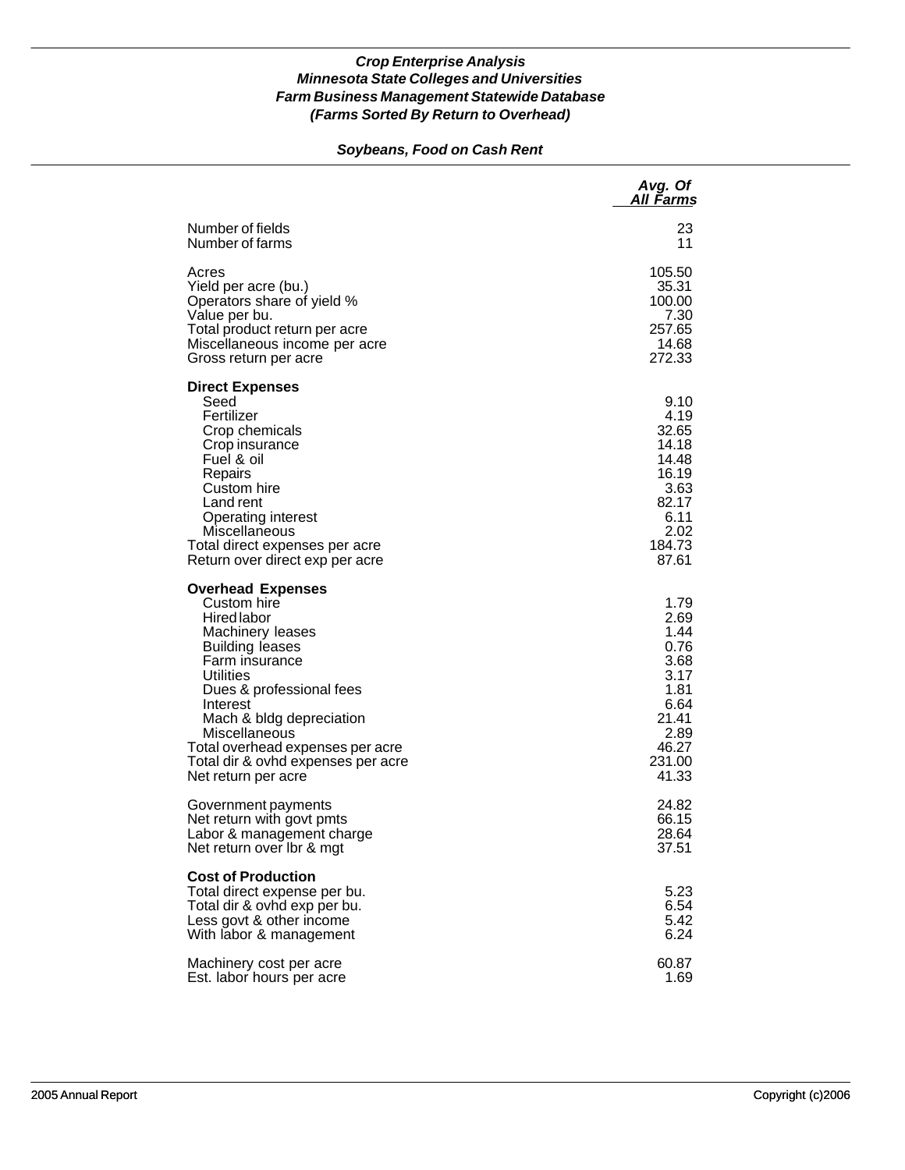### *Soybeans, Food on Cash Rent*

|                                                                                                                                                                                                                                                                                                                                         | Avg. Of<br>All Farms                                                                                      |
|-----------------------------------------------------------------------------------------------------------------------------------------------------------------------------------------------------------------------------------------------------------------------------------------------------------------------------------------|-----------------------------------------------------------------------------------------------------------|
| Number of fields                                                                                                                                                                                                                                                                                                                        | 23                                                                                                        |
| Number of farms                                                                                                                                                                                                                                                                                                                         | 11                                                                                                        |
| Acres                                                                                                                                                                                                                                                                                                                                   | 105.50                                                                                                    |
| Yield per acre (bu.)                                                                                                                                                                                                                                                                                                                    | 35.31                                                                                                     |
| Operators share of yield %                                                                                                                                                                                                                                                                                                              | 100.00                                                                                                    |
| Value per bu.                                                                                                                                                                                                                                                                                                                           | 7.30                                                                                                      |
| Total product return per acre                                                                                                                                                                                                                                                                                                           | 257.65                                                                                                    |
| Miscellaneous income per acre                                                                                                                                                                                                                                                                                                           | 14.68                                                                                                     |
| Gross return per acre                                                                                                                                                                                                                                                                                                                   | 272.33                                                                                                    |
| <b>Direct Expenses</b><br>Seed<br>Fertilizer<br>Crop chemicals<br>Crop insurance<br>Fuel & oil<br>Repairs<br>Custom hire<br>Land rent<br><b>Operating interest</b><br>Miscellaneous<br>Total direct expenses per acre<br>Return over direct exp per acre                                                                                | 9.10<br>4.19<br>32.65<br>14.18<br>14.48<br>16.19<br>3.63<br>82.17<br>6.11<br>2.02<br>184.73<br>87.61      |
| <b>Overhead Expenses</b><br>Custom hire<br><b>Hired labor</b><br>Machinery leases<br><b>Building leases</b><br>Farm insurance<br><b>Utilities</b><br>Dues & professional fees<br>Interest<br>Mach & bldg depreciation<br>Miscellaneous<br>Total overhead expenses per acre<br>Total dir & ovhd expenses per acre<br>Net return per acre | 1.79<br>2.69<br>1.44<br>0.76<br>3.68<br>3.17<br>1.81<br>6.64<br>21.41<br>2.89<br>46.27<br>231.00<br>41.33 |
| Government payments                                                                                                                                                                                                                                                                                                                     | 24.82                                                                                                     |
| Net return with govt pmts                                                                                                                                                                                                                                                                                                               | 66.15                                                                                                     |
| Labor & management charge                                                                                                                                                                                                                                                                                                               | 28.64                                                                                                     |
| Net return over Ibr & mgt                                                                                                                                                                                                                                                                                                               | 37.51                                                                                                     |
| <b>Cost of Production</b><br>Total direct expense per bu.<br>Total dir & ovhd exp per bu.<br>Less govt & other income<br>With labor & management                                                                                                                                                                                        | 5.23<br>6.54<br>5.42<br>6.24                                                                              |
| Machinery cost per acre                                                                                                                                                                                                                                                                                                                 | 60.87                                                                                                     |
| Est. labor hours per acre                                                                                                                                                                                                                                                                                                               | 1.69                                                                                                      |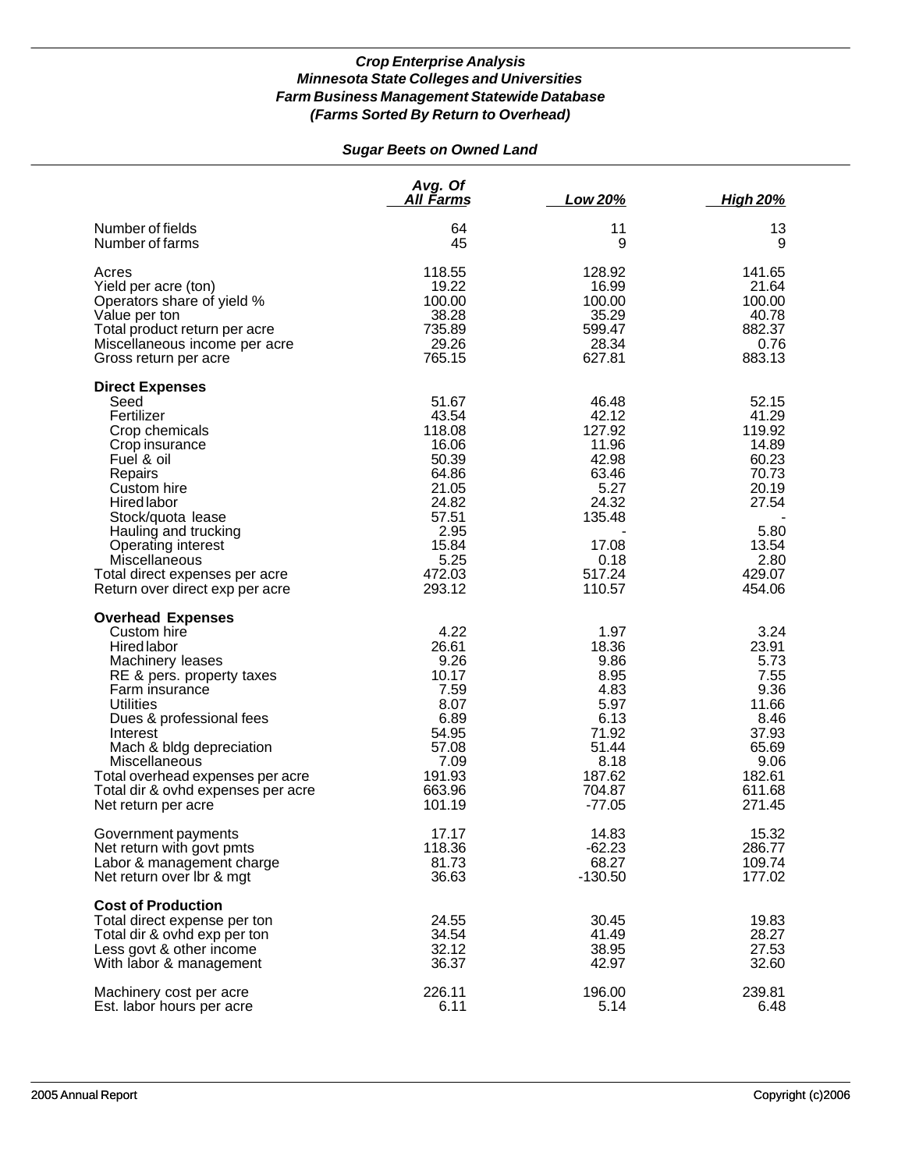# *Sugar Beets on Owned Land*

|                                                                                                                                                                                                                                                                                                                                     | Avg. Of<br>All Farms                                                                                                        | Low 20%                                                                                                             | <u>High 20%</u>                                                                                                    |
|-------------------------------------------------------------------------------------------------------------------------------------------------------------------------------------------------------------------------------------------------------------------------------------------------------------------------------------|-----------------------------------------------------------------------------------------------------------------------------|---------------------------------------------------------------------------------------------------------------------|--------------------------------------------------------------------------------------------------------------------|
| Number of fields                                                                                                                                                                                                                                                                                                                    | 64                                                                                                                          | 11                                                                                                                  | 13                                                                                                                 |
| Number of farms                                                                                                                                                                                                                                                                                                                     | 45                                                                                                                          | 9                                                                                                                   | 9                                                                                                                  |
| Acres                                                                                                                                                                                                                                                                                                                               | 118.55                                                                                                                      | 128.92                                                                                                              | 141.65                                                                                                             |
| Yield per acre (ton)                                                                                                                                                                                                                                                                                                                | 19.22                                                                                                                       | 16.99                                                                                                               | 21.64                                                                                                              |
| Operators share of yield %                                                                                                                                                                                                                                                                                                          | 100.00                                                                                                                      | 100.00                                                                                                              | 100.00                                                                                                             |
| Value per ton                                                                                                                                                                                                                                                                                                                       | 38.28                                                                                                                       | 35.29                                                                                                               | 40.78                                                                                                              |
| Total product return per acre                                                                                                                                                                                                                                                                                                       | 735.89                                                                                                                      | 599.47                                                                                                              | 882.37                                                                                                             |
| Miscellaneous income per acre                                                                                                                                                                                                                                                                                                       | 29.26                                                                                                                       | 28.34                                                                                                               | 0.76                                                                                                               |
| Gross return per acre                                                                                                                                                                                                                                                                                                               | 765.15                                                                                                                      | 627.81                                                                                                              | 883.13                                                                                                             |
| <b>Direct Expenses</b><br>Seed<br>Fertilizer<br>Crop chemicals<br>Crop insurance<br>Fuel & oil<br>Repairs<br>Custom hire<br><b>Hired labor</b><br>Stock/quota lease<br>Hauling and trucking<br><b>Operating interest</b><br>Miscellaneous<br>Total direct expenses per acre<br>Return over direct exp per acre                      | 51.67<br>43.54<br>118.08<br>16.06<br>50.39<br>64.86<br>21.05<br>24.82<br>57.51<br>2.95<br>15.84<br>5.25<br>472.03<br>293.12 | 46.48<br>42.12<br>127.92<br>11.96<br>42.98<br>63.46<br>5.27<br>24.32<br>135.48<br>17.08<br>0.18<br>517.24<br>110.57 | 52.15<br>41.29<br>119.92<br>14.89<br>60.23<br>70.73<br>20.19<br>27.54<br>5.80<br>13.54<br>2.80<br>429.07<br>454.06 |
| <b>Overhead Expenses</b><br>Custom hire<br>Hired labor<br>Machinery leases<br>RE & pers. property taxes<br>Farm insurance<br><b>Utilities</b><br>Dues & professional fees<br>Interest<br>Mach & bldg depreciation<br>Miscellaneous<br>Total overhead expenses per acre<br>Total dir & ovhd expenses per acre<br>Net return per acre | 4.22<br>26.61<br>9.26<br>10.17<br>7.59<br>8.07<br>6.89<br>54.95<br>57.08<br>7.09<br>191.93<br>663.96<br>101.19              | 1.97<br>18.36<br>9.86<br>8.95<br>4.83<br>5.97<br>6.13<br>71.92<br>51.44<br>8.18<br>187.62<br>704.87<br>$-77.05$     | 3.24<br>23.91<br>5.73<br>7.55<br>9.36<br>11.66<br>8.46<br>37.93<br>65.69<br>9.06<br>182.61<br>611.68<br>271.45     |
| Government payments                                                                                                                                                                                                                                                                                                                 | 17.17                                                                                                                       | 14.83                                                                                                               | 15.32                                                                                                              |
| Net return with govt pmts                                                                                                                                                                                                                                                                                                           | 118.36                                                                                                                      | $-62.23$                                                                                                            | 286.77                                                                                                             |
| Labor & management charge                                                                                                                                                                                                                                                                                                           | 81.73                                                                                                                       | 68.27                                                                                                               | 109.74                                                                                                             |
| Net return over Ibr & mgt                                                                                                                                                                                                                                                                                                           | 36.63                                                                                                                       | $-130.50$                                                                                                           | 177.02                                                                                                             |
| <b>Cost of Production</b><br>Total direct expense per ton<br>Total dir & ovhd exp per ton<br>Less govt & other income<br>With labor & management                                                                                                                                                                                    | 24.55<br>34.54<br>32.12<br>36.37                                                                                            | 30.45<br>41.49<br>38.95<br>42.97                                                                                    | 19.83<br>28.27<br>27.53<br>32.60                                                                                   |
| Machinery cost per acre                                                                                                                                                                                                                                                                                                             | 226.11                                                                                                                      | 196.00                                                                                                              | 239.81                                                                                                             |
| Est. labor hours per acre                                                                                                                                                                                                                                                                                                           | 6.11                                                                                                                        | 5.14                                                                                                                | 6.48                                                                                                               |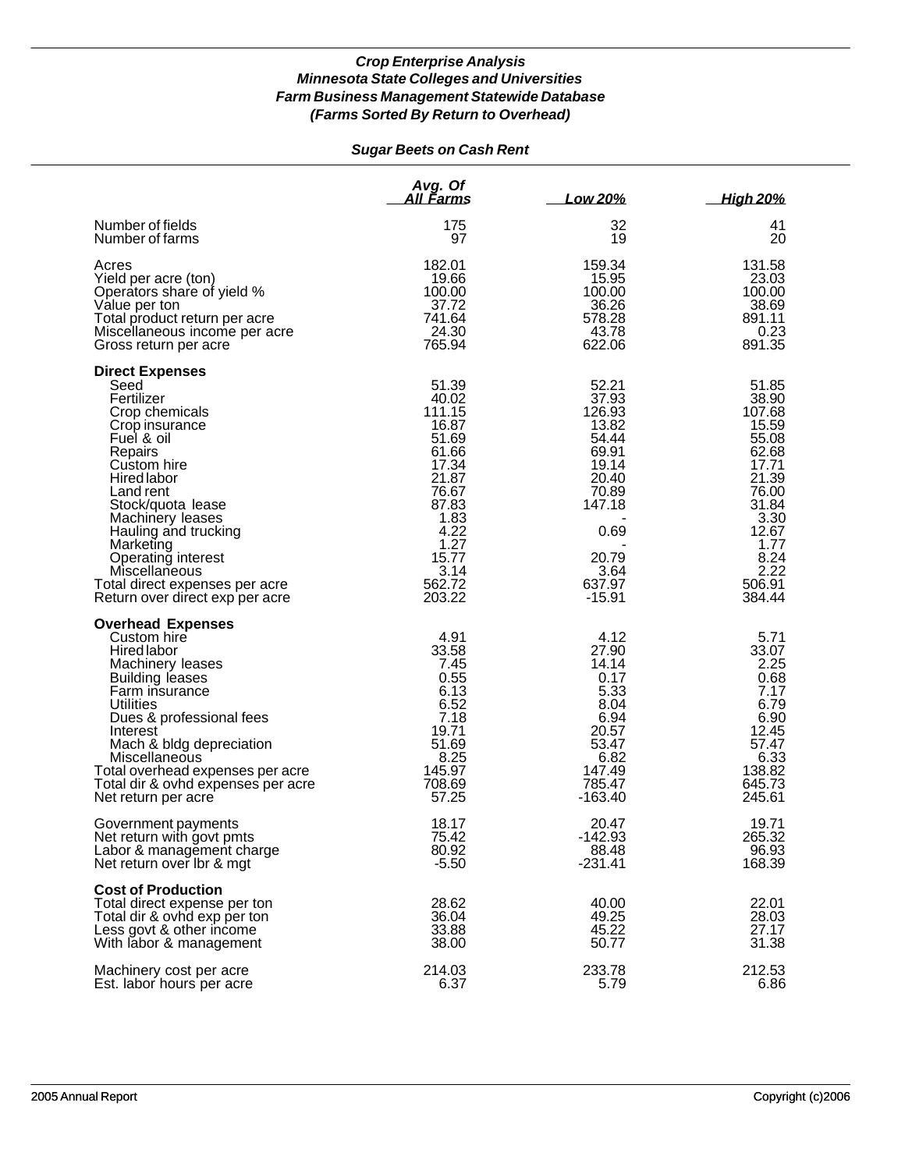# *Sugar Beets on Cash Rent*

|                                                                                                                                                                                                                                                                                                                                                | Avg. Of<br>All Farms                                                                                                                                 | Low 20%                                                                                                                                 | <b>High 20%</b>                                                                                                                                      |
|------------------------------------------------------------------------------------------------------------------------------------------------------------------------------------------------------------------------------------------------------------------------------------------------------------------------------------------------|------------------------------------------------------------------------------------------------------------------------------------------------------|-----------------------------------------------------------------------------------------------------------------------------------------|------------------------------------------------------------------------------------------------------------------------------------------------------|
| Number of fields                                                                                                                                                                                                                                                                                                                               | 175                                                                                                                                                  | 32                                                                                                                                      | 41                                                                                                                                                   |
| Number of farms                                                                                                                                                                                                                                                                                                                                | 97                                                                                                                                                   | 19                                                                                                                                      | 20                                                                                                                                                   |
| Acres                                                                                                                                                                                                                                                                                                                                          | 182.01                                                                                                                                               | 159.34                                                                                                                                  | 131.58                                                                                                                                               |
| Yield per acre (ton)                                                                                                                                                                                                                                                                                                                           | 19.66                                                                                                                                                | 15.95                                                                                                                                   | 23.03                                                                                                                                                |
| Operators share of yield %                                                                                                                                                                                                                                                                                                                     | 100.00                                                                                                                                               | 100.00                                                                                                                                  | 100.00                                                                                                                                               |
| Value per ton                                                                                                                                                                                                                                                                                                                                  | 37.72                                                                                                                                                | 36.26                                                                                                                                   | 38.69                                                                                                                                                |
| Total product return per acre                                                                                                                                                                                                                                                                                                                  | 741.64                                                                                                                                               | 578.28                                                                                                                                  | 891.11                                                                                                                                               |
| Miscellaneous income per acre                                                                                                                                                                                                                                                                                                                  | 24.30                                                                                                                                                | 43.78                                                                                                                                   | 0.23                                                                                                                                                 |
| Gross return per acre                                                                                                                                                                                                                                                                                                                          | 765.94                                                                                                                                               | 622.06                                                                                                                                  | 891.35                                                                                                                                               |
| <b>Direct Expenses</b><br>Seed<br>Fertilizer<br>Crop chemicals<br>Crop insurance<br>Fuel & oil<br>Repairs<br>Custom hire<br>Hired labor<br>Land rent<br>Stock/quota lease<br>Machinery leases<br>Hauling and trucking<br>Marketing<br>Operating interest<br>Miscellaneous<br>Total direct expenses per acre<br>Return over direct exp per acre | 51.39<br>40.02<br>111.15<br>16.87<br>51.69<br>61.66<br>17.34<br>21.87<br>76.67<br>87.83<br>1.83<br>4.22<br>1.27<br>15.77<br>3.14<br>562.72<br>203.22 | 52.21<br>37.93<br>126.93<br>13.82<br>54.44<br>69.91<br>19.14<br>20.40<br>70.89<br>147.18<br>0.69<br>20.79<br>3.64<br>637.97<br>$-15.91$ | 51.85<br>38.90<br>107.68<br>15.59<br>55.08<br>62.68<br>17.71<br>21.39<br>76.00<br>31.84<br>3.30<br>12.67<br>1.77<br>8.24<br>2.22<br>506.91<br>384.44 |
| <b>Overhead Expenses</b><br>Custom hire<br><b>Hired labor</b><br>Machinery leases<br><b>Building leases</b><br>Farm insurance<br><b>Utilities</b><br>Dues & professional fees<br>Interest<br>Mach & bldg depreciation<br>Miscellaneous<br>Total overhead expenses per acre<br>Total dir & ovhd expenses per acre<br>Net return per acre        | 4.91<br>33.58<br>7.45<br>0.55<br>6.13<br>6.52<br>7.18<br>19.71<br>51.69<br>8.25<br>145.97<br>708.69<br>57.25                                         | 4.12<br>27.90<br>14.14<br>0.17<br>5.33<br>8.04<br>6.94<br>20.57<br>53.47<br>6.82<br>147.49<br>785.47<br>$-163.40$                       | 5.71<br>33.07<br>2.25<br>0.68<br>7.17<br>6.79<br>6.90<br>12.45<br>57.47<br>6.33<br>138.82<br>645.73<br>245.61                                        |
| Government payments                                                                                                                                                                                                                                                                                                                            | 18.17                                                                                                                                                | 20.47                                                                                                                                   | 19.71                                                                                                                                                |
| Net return with govt pmts                                                                                                                                                                                                                                                                                                                      | 75.42                                                                                                                                                | $-142.93$                                                                                                                               | 265.32                                                                                                                                               |
| Labor & management charge                                                                                                                                                                                                                                                                                                                      | 80.92                                                                                                                                                | 88.48                                                                                                                                   | 96.93                                                                                                                                                |
| Net return over Ibr & mgt                                                                                                                                                                                                                                                                                                                      | $-5.50$                                                                                                                                              | $-231.41$                                                                                                                               | 168.39                                                                                                                                               |
| <b>Cost of Production</b><br>Total direct expense per ton<br>Total dir & ovhd exp per ton<br>Less govt & other income<br>With labor & management                                                                                                                                                                                               | 28.62<br>36.04<br>33.88<br>38.00                                                                                                                     | 40.00<br>49.25<br>45.22<br>50.77                                                                                                        | 22.01<br>28.03<br>27.17<br>31.38                                                                                                                     |
| Machinery cost per acre                                                                                                                                                                                                                                                                                                                        | 214.03                                                                                                                                               | 233.78                                                                                                                                  | 212.53                                                                                                                                               |
| Est. labor hours per acre                                                                                                                                                                                                                                                                                                                      | 6.37                                                                                                                                                 | 5.79                                                                                                                                    | 6.86                                                                                                                                                 |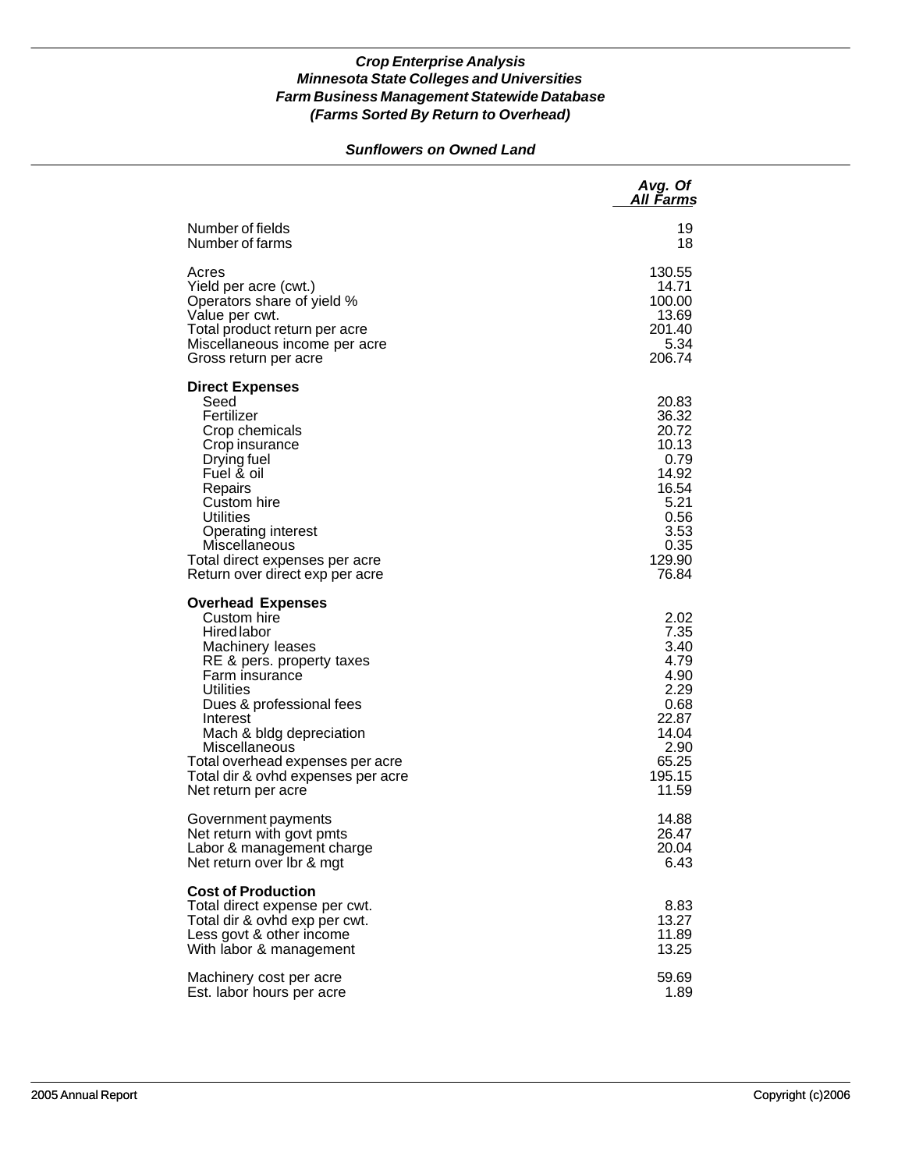### *Sunflowers on Owned Land*

|                                                                                                                                                                                                                                                                                                                                     | Avg. Of<br>All Farms                                                                                          |
|-------------------------------------------------------------------------------------------------------------------------------------------------------------------------------------------------------------------------------------------------------------------------------------------------------------------------------------|---------------------------------------------------------------------------------------------------------------|
| Number of fields                                                                                                                                                                                                                                                                                                                    | 19                                                                                                            |
| Number of farms                                                                                                                                                                                                                                                                                                                     | 18                                                                                                            |
| Acres                                                                                                                                                                                                                                                                                                                               | 130.55                                                                                                        |
| Yield per acre (cwt.)                                                                                                                                                                                                                                                                                                               | 14.71                                                                                                         |
| Operators share of yield %                                                                                                                                                                                                                                                                                                          | 100.00                                                                                                        |
| Value per cwt.                                                                                                                                                                                                                                                                                                                      | 13.69                                                                                                         |
| Total product return per acre                                                                                                                                                                                                                                                                                                       | 201.40                                                                                                        |
| Miscellaneous income per acre                                                                                                                                                                                                                                                                                                       | 5.34                                                                                                          |
| Gross return per acre                                                                                                                                                                                                                                                                                                               | 206.74                                                                                                        |
| <b>Direct Expenses</b><br>Seed<br>Fertilizer<br>Crop chemicals<br>Crop insurance<br>Drying fuel<br>Fuel & oil<br>Repairs<br>Custom hire<br><b>Utilities</b><br><b>Operating interest</b><br>Miscellaneous<br>Total direct expenses per acre<br>Return over direct exp per acre                                                      | 20.83<br>36.32<br>20.72<br>10.13<br>0.79<br>14.92<br>16.54<br>5.21<br>0.56<br>3.53<br>0.35<br>129.90<br>76.84 |
| <b>Overhead Expenses</b><br>Custom hire<br><b>Hired labor</b><br>Machinery leases<br>RE & pers. property taxes<br>Farm insurance<br>Utilities<br>Dues & professional fees<br>Interest<br>Mach & bldg depreciation<br>Miscellaneous<br>Total overhead expenses per acre<br>Total dir & ovhd expenses per acre<br>Net return per acre | 2.02<br>7.35<br>3.40<br>4.79<br>4.90<br>2.29<br>0.68<br>22.87<br>14.04<br>2.90<br>65.25<br>195.15<br>11.59    |
| Government payments                                                                                                                                                                                                                                                                                                                 | 14.88                                                                                                         |
| Net return with govt pmts                                                                                                                                                                                                                                                                                                           | 26.47                                                                                                         |
| Labor & management charge                                                                                                                                                                                                                                                                                                           | 20.04                                                                                                         |
| Net return over Ibr & mgt                                                                                                                                                                                                                                                                                                           | 6.43                                                                                                          |
| <b>Cost of Production</b><br>Total direct expense per cwt.<br>Total dir & ovhd exp per cwt.<br>Less govt & other income<br>With labor & management                                                                                                                                                                                  | 8.83<br>13.27<br>11.89<br>13.25                                                                               |
| Machinery cost per acre                                                                                                                                                                                                                                                                                                             | 59.69                                                                                                         |
| Est. labor hours per acre                                                                                                                                                                                                                                                                                                           | 1.89                                                                                                          |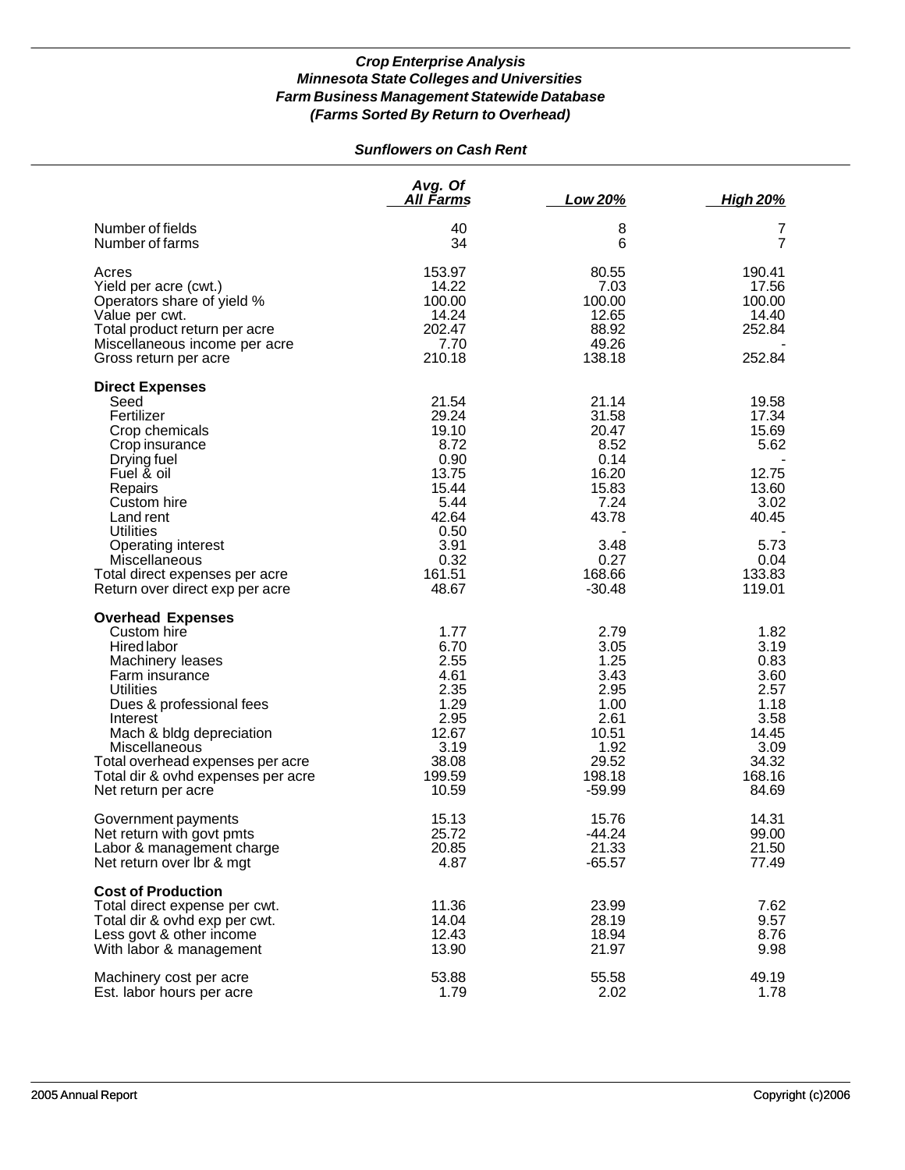## *Sunflowers on Cash Rent*

|                                                                                                                                                                                                                                                                                                               | Avg. Of<br>All Farms                                                                                                  | Low 20%                                                                                                          | <b>High 20%</b>                                                                                        |
|---------------------------------------------------------------------------------------------------------------------------------------------------------------------------------------------------------------------------------------------------------------------------------------------------------------|-----------------------------------------------------------------------------------------------------------------------|------------------------------------------------------------------------------------------------------------------|--------------------------------------------------------------------------------------------------------|
| Number of fields<br>Number of farms                                                                                                                                                                                                                                                                           | 40<br>34                                                                                                              | 8<br>6                                                                                                           | 7<br>7                                                                                                 |
| Acres<br>Yield per acre (cwt.)<br>Operators share of yield %<br>Value per cwt.<br>Total product return per acre<br>Miscellaneous income per acre<br>Gross return per acre                                                                                                                                     | 153.97<br>14.22<br>100.00<br>14.24<br>202.47<br>7.70<br>210.18                                                        | 80.55<br>7.03<br>100.00<br>12.65<br>88.92<br>49.26<br>138.18                                                     | 190.41<br>17.56<br>100.00<br>14.40<br>252.84<br>252.84                                                 |
| <b>Direct Expenses</b><br>Seed<br>Fertilizer<br>Crop chemicals<br>Crop insurance<br>Drying fuel<br>Fuel & oil<br>Repairs<br>Custom hire<br>Land rent<br><b>Utilities</b><br>Operating interest<br>Miscellaneous<br>Total direct expenses per acre<br>Return over direct exp per acre                          | 21.54<br>29.24<br>19.10<br>8.72<br>0.90<br>13.75<br>15.44<br>5.44<br>42.64<br>0.50<br>3.91<br>0.32<br>161.51<br>48.67 | 21.14<br>31.58<br>20.47<br>8.52<br>0.14<br>16.20<br>15.83<br>7.24<br>43.78<br>3.48<br>0.27<br>168.66<br>$-30.48$ | 19.58<br>17.34<br>15.69<br>5.62<br>12.75<br>13.60<br>3.02<br>40.45<br>5.73<br>0.04<br>133.83<br>119.01 |
| <b>Overhead Expenses</b><br>Custom hire<br><b>Hired labor</b><br>Machinery leases<br>Farm insurance<br><b>Utilities</b><br>Dues & professional fees<br>Interest<br>Mach & bldg depreciation<br>Miscellaneous<br>Total overhead expenses per acre<br>Total dir & ovhd expenses per acre<br>Net return per acre | 1.77<br>6.70<br>2.55<br>4.61<br>2.35<br>1.29<br>2.95<br>12.67<br>3.19<br>38.08<br>199.59<br>10.59                     | 2.79<br>3.05<br>1.25<br>3.43<br>2.95<br>1.00<br>2.61<br>10.51<br>1.92<br>29.52<br>198.18<br>$-59.99$             | 1.82<br>3.19<br>0.83<br>3.60<br>2.57<br>1.18<br>3.58<br>14.45<br>3.09<br>34.32<br>168.16<br>84.69      |
| Government payments<br>Net return with govt pmts<br>Labor & management charge<br>Net return over Ibr & mgt                                                                                                                                                                                                    | 15.13<br>25.72<br>20.85<br>4.87                                                                                       | 15.76<br>$-44.24$<br>21.33<br>$-65.57$                                                                           | 14.31<br>99.00<br>21.50<br>77.49                                                                       |
| <b>Cost of Production</b><br>Total direct expense per cwt.<br>Total dir & ovhd exp per cwt.<br>Less govt & other income<br>With labor & management                                                                                                                                                            | 11.36<br>14.04<br>12.43<br>13.90                                                                                      | 23.99<br>28.19<br>18.94<br>21.97                                                                                 | 7.62<br>9.57<br>8.76<br>9.98                                                                           |
| Machinery cost per acre<br>Est. labor hours per acre                                                                                                                                                                                                                                                          | 53.88<br>1.79                                                                                                         | 55.58<br>2.02                                                                                                    | 49.19<br>1.78                                                                                          |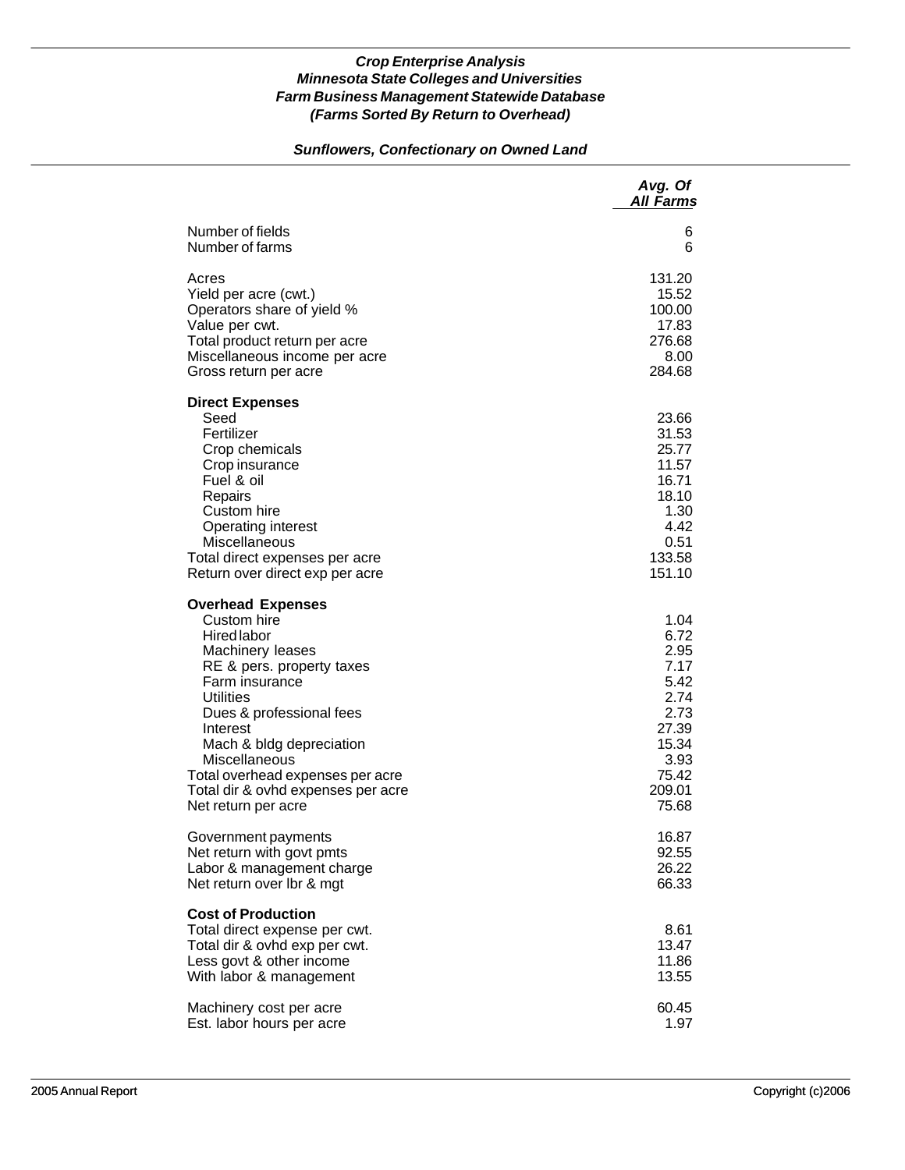# *Sunflowers, Confectionary on Owned Land*

|                                                                                                                                                                                                                                                                                                                                            | Avg. Of<br><b>All Farms</b>                                                                                |
|--------------------------------------------------------------------------------------------------------------------------------------------------------------------------------------------------------------------------------------------------------------------------------------------------------------------------------------------|------------------------------------------------------------------------------------------------------------|
| Number of fields                                                                                                                                                                                                                                                                                                                           | 6                                                                                                          |
| Number of farms                                                                                                                                                                                                                                                                                                                            | 6                                                                                                          |
| Acres                                                                                                                                                                                                                                                                                                                                      | 131.20                                                                                                     |
| Yield per acre (cwt.)                                                                                                                                                                                                                                                                                                                      | 15.52                                                                                                      |
| Operators share of yield %                                                                                                                                                                                                                                                                                                                 | 100.00                                                                                                     |
| Value per cwt.                                                                                                                                                                                                                                                                                                                             | 17.83                                                                                                      |
| Total product return per acre                                                                                                                                                                                                                                                                                                              | 276.68                                                                                                     |
| Miscellaneous income per acre                                                                                                                                                                                                                                                                                                              | 8.00                                                                                                       |
| Gross return per acre                                                                                                                                                                                                                                                                                                                      | 284.68                                                                                                     |
| <b>Direct Expenses</b><br>Seed<br>Fertilizer<br>Crop chemicals<br>Crop insurance<br>Fuel & oil<br>Repairs<br>Custom hire<br>Operating interest<br>Miscellaneous<br>Total direct expenses per acre<br>Return over direct exp per acre                                                                                                       | 23.66<br>31.53<br>25.77<br>11.57<br>16.71<br>18.10<br>1.30<br>4.42<br>0.51<br>133.58<br>151.10             |
| <b>Overhead Expenses</b><br>Custom hire<br><b>Hired labor</b><br>Machinery leases<br>RE & pers. property taxes<br>Farm insurance<br><b>Utilities</b><br>Dues & professional fees<br>Interest<br>Mach & bldg depreciation<br>Miscellaneous<br>Total overhead expenses per acre<br>Total dir & ovhd expenses per acre<br>Net return per acre | 1.04<br>6.72<br>2.95<br>7.17<br>5.42<br>2.74<br>2.73<br>27.39<br>15.34<br>3.93<br>75.42<br>209.01<br>75.68 |
| Government payments                                                                                                                                                                                                                                                                                                                        | 16.87                                                                                                      |
| Net return with govt pmts                                                                                                                                                                                                                                                                                                                  | 92.55                                                                                                      |
| Labor & management charge                                                                                                                                                                                                                                                                                                                  | 26.22                                                                                                      |
| Net return over Ibr & mgt                                                                                                                                                                                                                                                                                                                  | 66.33                                                                                                      |
| <b>Cost of Production</b><br>Total direct expense per cwt.<br>Total dir & ovhd exp per cwt.<br>Less govt & other income<br>With labor & management                                                                                                                                                                                         | 8.61<br>13.47<br>11.86<br>13.55                                                                            |
| Machinery cost per acre                                                                                                                                                                                                                                                                                                                    | 60.45                                                                                                      |
| Est. labor hours per acre                                                                                                                                                                                                                                                                                                                  | 1.97                                                                                                       |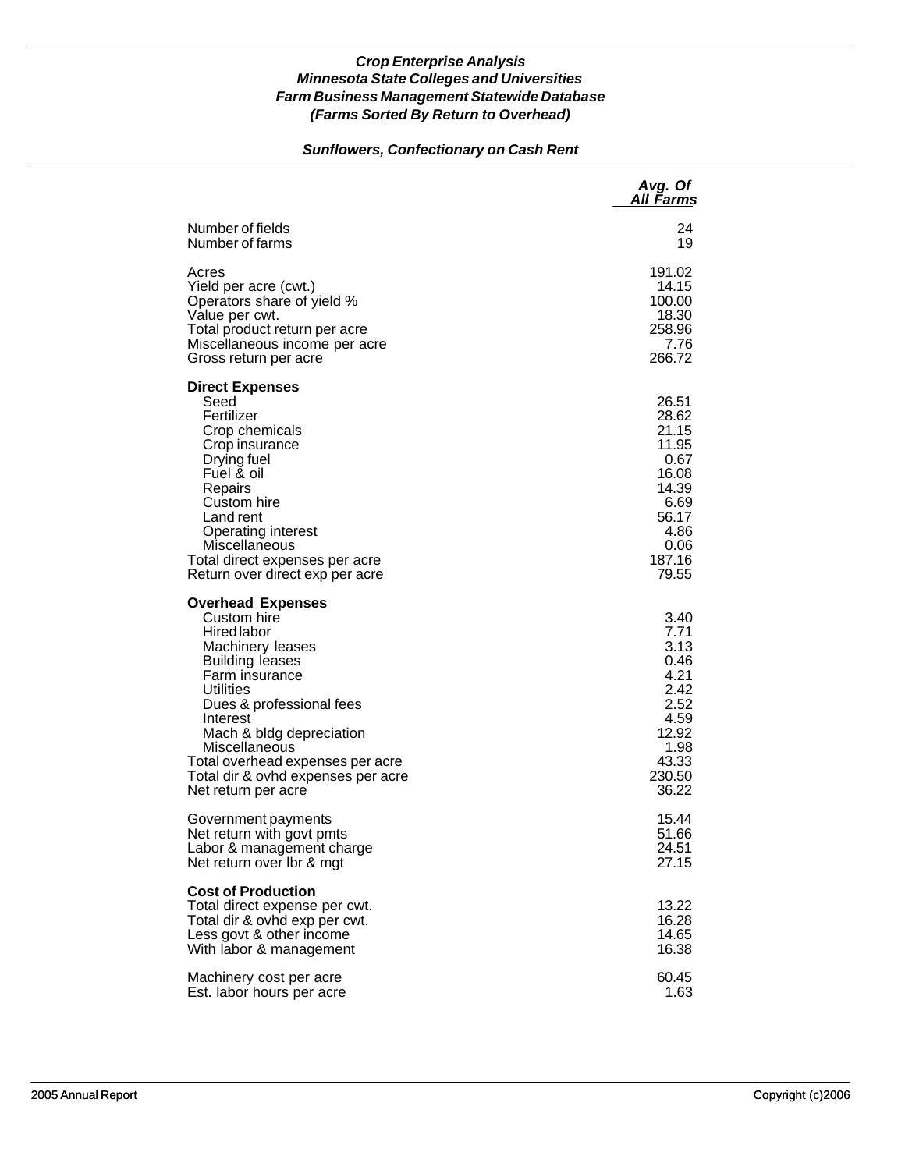# *Sunflowers, Confectionary on Cash Rent*

|                                                                                                                                                                                                                                                                                                                           | Avg. Of<br><u>All Farms</u>                                                                                    |
|---------------------------------------------------------------------------------------------------------------------------------------------------------------------------------------------------------------------------------------------------------------------------------------------------------------------------|----------------------------------------------------------------------------------------------------------------|
| Number of fields                                                                                                                                                                                                                                                                                                          | 24                                                                                                             |
| Number of farms                                                                                                                                                                                                                                                                                                           | 19                                                                                                             |
| Acres                                                                                                                                                                                                                                                                                                                     | 191.02                                                                                                         |
| Yield per acre (cwt.)                                                                                                                                                                                                                                                                                                     | 14.15                                                                                                          |
| Operators share of yield %                                                                                                                                                                                                                                                                                                | 100.00                                                                                                         |
| Value per cwt.                                                                                                                                                                                                                                                                                                            | 18.30                                                                                                          |
| Total product return per acre                                                                                                                                                                                                                                                                                             | 258.96                                                                                                         |
| Miscellaneous income per acre                                                                                                                                                                                                                                                                                             | 7.76                                                                                                           |
| Gross return per acre                                                                                                                                                                                                                                                                                                     | 266.72                                                                                                         |
| <b>Direct Expenses</b><br>Seed<br>Fertilizer<br>Crop chemicals<br>Crop insurance<br>Drying fuel<br>Fuel & oil<br>Repairs<br>Custom hire<br>Land rent<br>Operating interest<br>Miscellaneous<br>Total direct expenses per acre<br>Return over direct exp per acre                                                          | 26.51<br>28.62<br>21.15<br>11.95<br>0.67<br>16.08<br>14.39<br>6.69<br>56.17<br>4.86<br>0.06<br>187.16<br>79.55 |
| <b>Overhead Expenses</b><br>Custom hire<br>Hired labor<br>Machinery leases<br><b>Building leases</b><br>Farm insurance<br>Utilities<br>Dues & professional fees<br>Interest<br>Mach & bldg depreciation<br>Miscellaneous<br>Total overhead expenses per acre<br>Total dir & ovhd expenses per acre<br>Net return per acre | 3.40<br>7.71<br>3.13<br>0.46<br>4.21<br>2.42<br>2.52<br>4.59<br>12.92<br>1.98<br>43.33<br>230.50<br>36.22      |
| Government payments                                                                                                                                                                                                                                                                                                       | 15.44                                                                                                          |
| Net return with govt pmts                                                                                                                                                                                                                                                                                                 | 51.66                                                                                                          |
| Labor & management charge                                                                                                                                                                                                                                                                                                 | 24.51                                                                                                          |
| Net return over Ibr & mgt                                                                                                                                                                                                                                                                                                 | 27.15                                                                                                          |
| <b>Cost of Production</b><br>Total direct expense per cwt.<br>Total dir & ovhd exp per cwt.<br>Less govt & other income<br>With labor & management                                                                                                                                                                        | 13.22<br>16.28<br>14.65<br>16.38                                                                               |
| Machinery cost per acre                                                                                                                                                                                                                                                                                                   | 60.45                                                                                                          |
| Est. labor hours per acre                                                                                                                                                                                                                                                                                                 | 1.63                                                                                                           |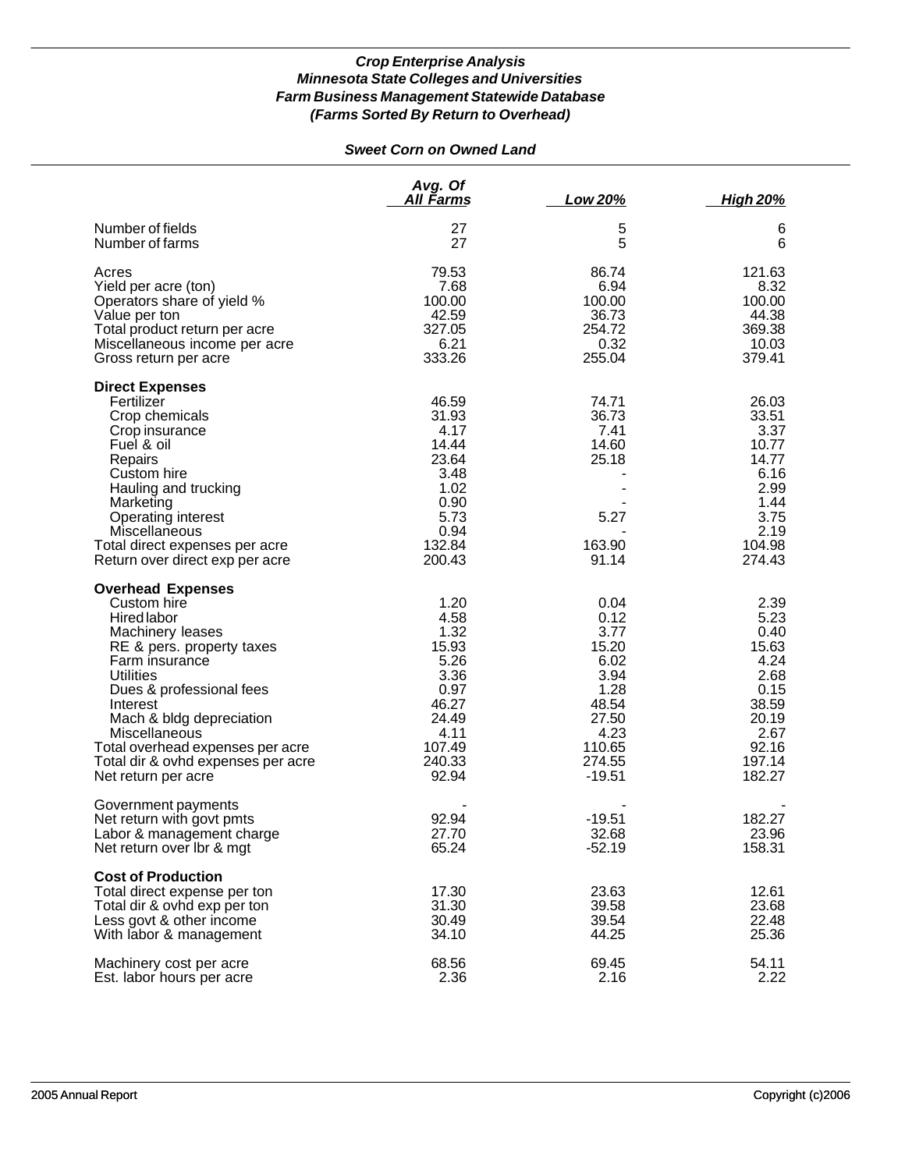# *Sweet Corn on Owned Land*

|                                                                                                                                                                                                                                                                                                                                     | Avg. Of<br>All Farms                                                                                         | Low 20%                                                                                                         | <b>High 20%</b>                                                                                              |
|-------------------------------------------------------------------------------------------------------------------------------------------------------------------------------------------------------------------------------------------------------------------------------------------------------------------------------------|--------------------------------------------------------------------------------------------------------------|-----------------------------------------------------------------------------------------------------------------|--------------------------------------------------------------------------------------------------------------|
| Number of fields<br>Number of farms                                                                                                                                                                                                                                                                                                 | 27<br>27                                                                                                     | 5<br>5                                                                                                          | 6<br>6                                                                                                       |
| Acres<br>Yield per acre (ton)<br>Operators share of yield %<br>Value per ton<br>Total product return per acre<br>Miscellaneous income per acre                                                                                                                                                                                      | 79.53<br>7.68<br>100.00<br>42.59<br>327.05<br>6.21<br>333.26                                                 | 86.74<br>6.94<br>100.00<br>36.73<br>254.72<br>0.32<br>255.04                                                    | 121.63<br>8.32<br>100.00<br>44.38<br>369.38<br>10.03<br>379.41                                               |
| Gross return per acre                                                                                                                                                                                                                                                                                                               |                                                                                                              |                                                                                                                 |                                                                                                              |
| <b>Direct Expenses</b><br>Fertilizer<br>Crop chemicals<br>Crop insurance<br>Fuel & oil<br>Repairs<br>Custom hire<br>Hauling and trucking<br>Marketing<br>Operating interest<br>Miscellaneous<br>Total direct expenses per acre<br>Return over direct exp per acre                                                                   | 46.59<br>31.93<br>4.17<br>14.44<br>23.64<br>3.48<br>1.02<br>0.90<br>5.73<br>0.94<br>132.84<br>200.43         | 74.71<br>36.73<br>7.41<br>14.60<br>25.18<br>5.27<br>163.90<br>91.14                                             | 26.03<br>33.51<br>3.37<br>10.77<br>14.77<br>6.16<br>2.99<br>1.44<br>3.75<br>2.19<br>104.98<br>274.43         |
| <b>Overhead Expenses</b><br>Custom hire<br>Hired labor<br>Machinery leases<br>RE & pers. property taxes<br>Farm insurance<br><b>Utilities</b><br>Dues & professional fees<br>Interest<br>Mach & bldg depreciation<br>Miscellaneous<br>Total overhead expenses per acre<br>Total dir & ovhd expenses per acre<br>Net return per acre | 1.20<br>4.58<br>1.32<br>15.93<br>5.26<br>3.36<br>0.97<br>46.27<br>24.49<br>4.11<br>107.49<br>240.33<br>92.94 | 0.04<br>0.12<br>3.77<br>15.20<br>6.02<br>3.94<br>1.28<br>48.54<br>27.50<br>4.23<br>110.65<br>274.55<br>$-19.51$ | 2.39<br>5.23<br>0.40<br>15.63<br>4.24<br>2.68<br>0.15<br>38.59<br>20.19<br>2.67<br>92.16<br>197.14<br>182.27 |
| Government payments<br>Net return with govt pmts<br>Labor & management charge<br>Net return over Ibr & mgt                                                                                                                                                                                                                          | 92.94<br>27.70<br>65.24                                                                                      | $-19.51$<br>32.68<br>$-52.19$                                                                                   | 182.27<br>23.96<br>158.31                                                                                    |
| <b>Cost of Production</b><br>Total direct expense per ton<br>Total dir & ovhd exp per ton<br>Less govt & other income<br>With labor & management                                                                                                                                                                                    | 17.30<br>31.30<br>30.49<br>34.10                                                                             | 23.63<br>39.58<br>39.54<br>44.25                                                                                | 12.61<br>23.68<br>22.48<br>25.36                                                                             |
| Machinery cost per acre<br>Est. labor hours per acre                                                                                                                                                                                                                                                                                | 68.56<br>2.36                                                                                                | 69.45<br>2.16                                                                                                   | 54.11<br>2.22                                                                                                |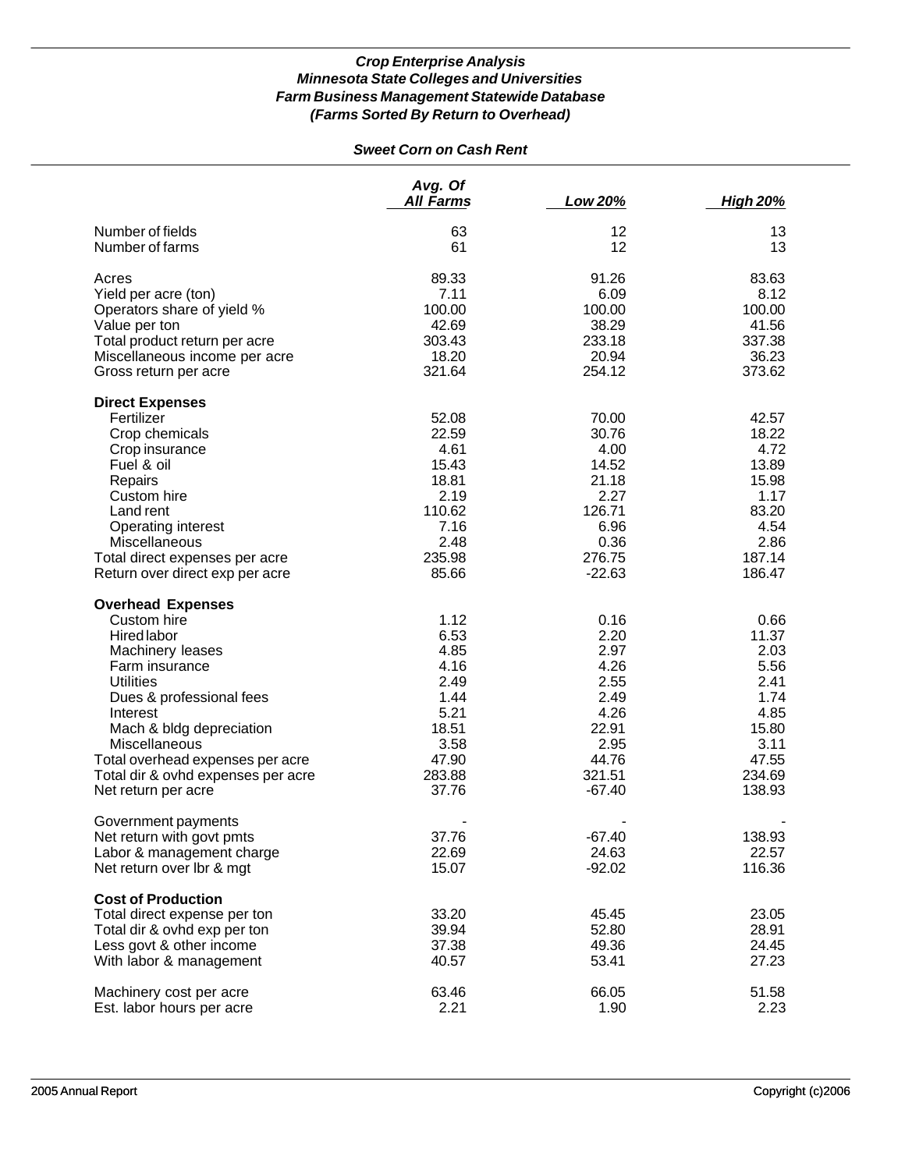# *Sweet Corn on Cash Rent*

|                                    | Avg. Of<br><b>All Farms</b> | Low 20%  | <b>High 20%</b> |
|------------------------------------|-----------------------------|----------|-----------------|
| Number of fields                   | 63                          | 12       | 13              |
| Number of farms                    | 61                          | 12       | 13              |
| Acres                              | 89.33                       | 91.26    | 83.63           |
| Yield per acre (ton)               | 7.11                        | 6.09     | 8.12            |
| Operators share of yield %         | 100.00                      | 100.00   | 100.00          |
| Value per ton                      | 42.69                       | 38.29    | 41.56           |
| Total product return per acre      | 303.43                      | 233.18   | 337.38          |
| Miscellaneous income per acre      | 18.20                       | 20.94    | 36.23           |
| Gross return per acre              | 321.64                      | 254.12   | 373.62          |
| <b>Direct Expenses</b>             |                             |          |                 |
| Fertilizer                         | 52.08                       | 70.00    | 42.57           |
| Crop chemicals                     | 22.59                       | 30.76    | 18.22           |
| Crop insurance                     | 4.61                        | 4.00     | 4.72            |
| Fuel & oil                         | 15.43                       | 14.52    | 13.89           |
| Repairs                            | 18.81                       | 21.18    | 15.98           |
| Custom hire                        | 2.19                        | 2.27     | 1.17            |
| Land rent                          | 110.62                      | 126.71   | 83.20           |
| Operating interest                 | 7.16                        | 6.96     | 4.54            |
| Miscellaneous                      | 2.48                        | 0.36     | 2.86            |
| Total direct expenses per acre     | 235.98                      | 276.75   | 187.14          |
| Return over direct exp per acre    | 85.66                       | $-22.63$ | 186.47          |
| <b>Overhead Expenses</b>           |                             |          |                 |
| Custom hire                        | 1.12                        | 0.16     | 0.66            |
| <b>Hired labor</b>                 | 6.53                        | 2.20     | 11.37           |
| Machinery leases                   | 4.85                        | 2.97     | 2.03            |
| Farm insurance                     | 4.16                        | 4.26     | 5.56            |
| <b>Utilities</b>                   | 2.49                        | 2.55     | 2.41            |
| Dues & professional fees           | 1.44                        | 2.49     | 1.74            |
| Interest                           | 5.21                        | 4.26     | 4.85            |
| Mach & bldg depreciation           | 18.51                       | 22.91    | 15.80           |
| Miscellaneous                      | 3.58                        | 2.95     | 3.11            |
| Total overhead expenses per acre   | 47.90                       | 44.76    | 47.55           |
| Total dir & ovhd expenses per acre | 283.88                      | 321.51   | 234.69          |
| Net return per acre                | 37.76                       | $-67.40$ | 138.93          |
| Government payments                |                             |          |                 |
| Net return with govt pmts          | 37.76                       | $-67.40$ | 138.93          |
| Labor & management charge          | 22.69                       | 24.63    | 22.57           |
| Net return over lbr & mgt          | 15.07                       | $-92.02$ | 116.36          |
| <b>Cost of Production</b>          |                             |          |                 |
| Total direct expense per ton       | 33.20                       | 45.45    | 23.05           |
| Total dir & ovhd exp per ton       | 39.94                       | 52.80    | 28.91           |
| Less govt & other income           | 37.38                       | 49.36    | 24.45           |
| With labor & management            | 40.57                       | 53.41    | 27.23           |
| Machinery cost per acre            | 63.46                       | 66.05    | 51.58           |
| Est. labor hours per acre          | 2.21                        | 1.90     | 2.23            |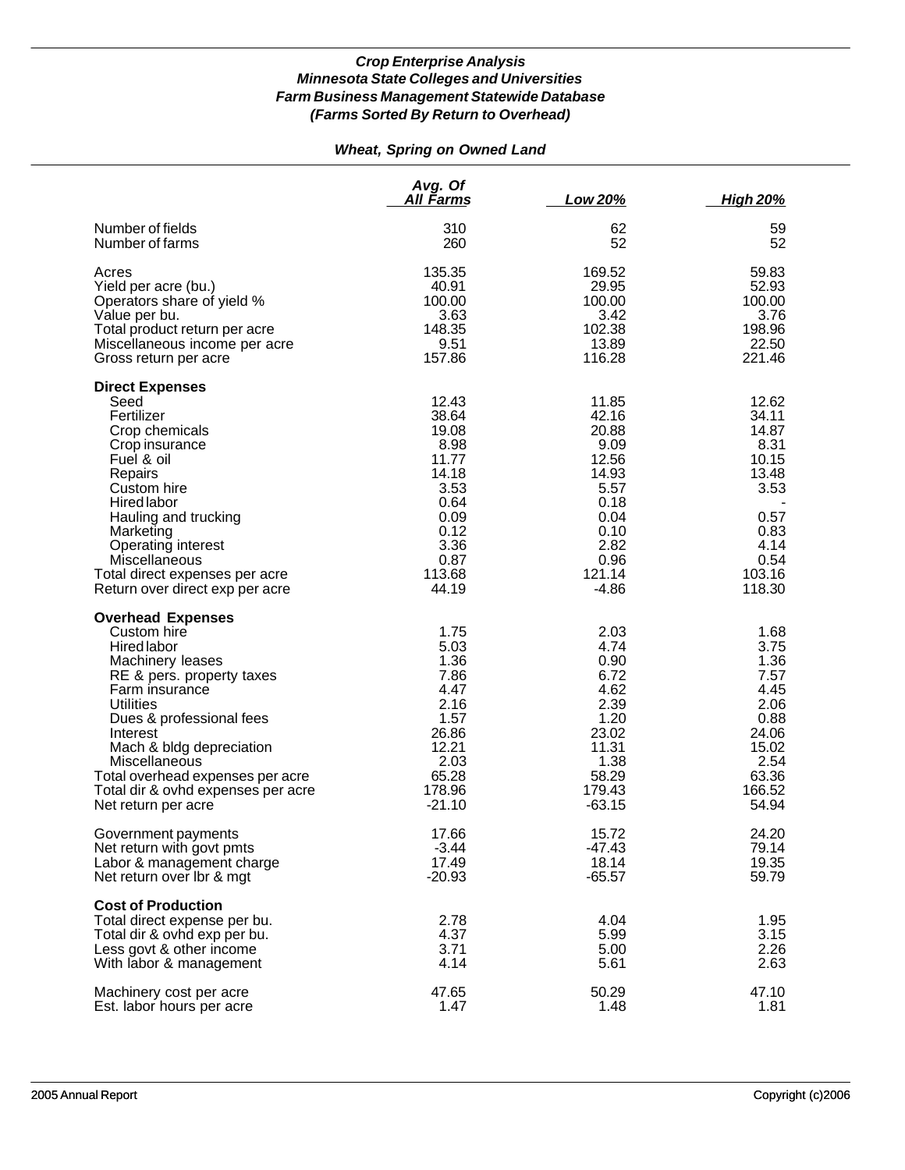# *Wheat, Spring on Owned Land*

|                                     | Avg. Of<br>All Farms | Low 20%  | <u>High 20%</u> |
|-------------------------------------|----------------------|----------|-----------------|
| Number of fields<br>Number of farms | 310<br>260           | 62<br>52 | 59<br>52        |
|                                     |                      |          |                 |
| Acres                               | 135.35               | 169.52   | 59.83           |
| Yield per acre (bu.)                | 40.91                | 29.95    | 52.93           |
| Operators share of yield %          | 100.00               | 100.00   | 100.00          |
| Value per bu.                       | 3.63                 | 3.42     | 3.76            |
| Total product return per acre       | 148.35               | 102.38   | 198.96          |
| Miscellaneous income per acre       | 9.51                 | 13.89    | 22.50           |
| Gross return per acre               | 157.86               | 116.28   | 221.46          |
| <b>Direct Expenses</b>              |                      |          |                 |
| Seed                                | 12.43                | 11.85    | 12.62           |
| Fertilizer                          | 38.64                | 42.16    | 34.11           |
| Crop chemicals                      | 19.08                | 20.88    | 14.87           |
| Crop insurance                      | 8.98                 | 9.09     | 8.31            |
| Fuel & oil                          | 11.77                | 12.56    | 10.15           |
|                                     | 14.18                | 14.93    | 13.48           |
| Repairs                             |                      | 5.57     |                 |
| Custom hire                         | 3.53                 |          | 3.53            |
| Hired labor                         | 0.64                 | 0.18     |                 |
| Hauling and trucking                | 0.09                 | 0.04     | 0.57            |
| Marketing                           | 0.12                 | 0.10     | 0.83            |
| Operating interest                  | 3.36                 | 2.82     | 4.14            |
| <b>Miscellaneous</b>                | 0.87                 | 0.96     | 0.54            |
| Total direct expenses per acre      | 113.68               | 121.14   | 103.16          |
| Return over direct exp per acre     | 44.19                | $-4.86$  | 118.30          |
| <b>Overhead Expenses</b>            |                      |          |                 |
| Custom hire                         | 1.75                 | 2.03     | 1.68            |
| Hired labor                         | 5.03                 | 4.74     | 3.75            |
| Machinery leases                    | 1.36                 | 0.90     | 1.36            |
| RE & pers. property taxes           | 7.86                 | 6.72     | 7.57            |
| Farm insurance                      | 4.47                 | 4.62     | 4.45            |
| <b>Utilities</b>                    | 2.16                 | 2.39     | 2.06            |
| Dues & professional fees            | 1.57                 | 1.20     | 0.88            |
| Interest                            | 26.86                | 23.02    | 24.06           |
| Mach & bldg depreciation            | 12.21                | 11.31    | 15.02           |
| Miscellaneous                       | 2.03                 | 1.38     | 2.54            |
| Total overhead expenses per acre    | 65.28                | 58.29    | 63.36           |
| Total dir & ovhd expenses per acre  | 178.96               | 179.43   | 166.52          |
| Net return per acre                 | $-21.10$             | $-63.15$ | 54.94           |
| Government payments                 | 17.66                | 15.72    | 24.20           |
| Net return with govt pmts           | $-3.44$              | -47.43   | 79.14           |
| Labor & management charge           | 17.49                | 18.14    | 19.35           |
| Net return over Ibr & mgt           | $-20.93$             | $-65.57$ | 59.79           |
| <b>Cost of Production</b>           |                      |          |                 |
| Total direct expense per bu.        | 2.78                 | 4.04     | 1.95            |
| Total dir & ovhd exp per bu.        | 4.37                 | 5.99     | 3.15            |
| Less govt & other income            | 3.71                 | 5.00     | 2.26            |
| With labor & management             | 4.14                 | 5.61     | 2.63            |
| Machinery cost per acre             | 47.65                | 50.29    | 47.10           |
| Est. labor hours per acre           | 1.47                 | 1.48     | 1.81            |
|                                     |                      |          |                 |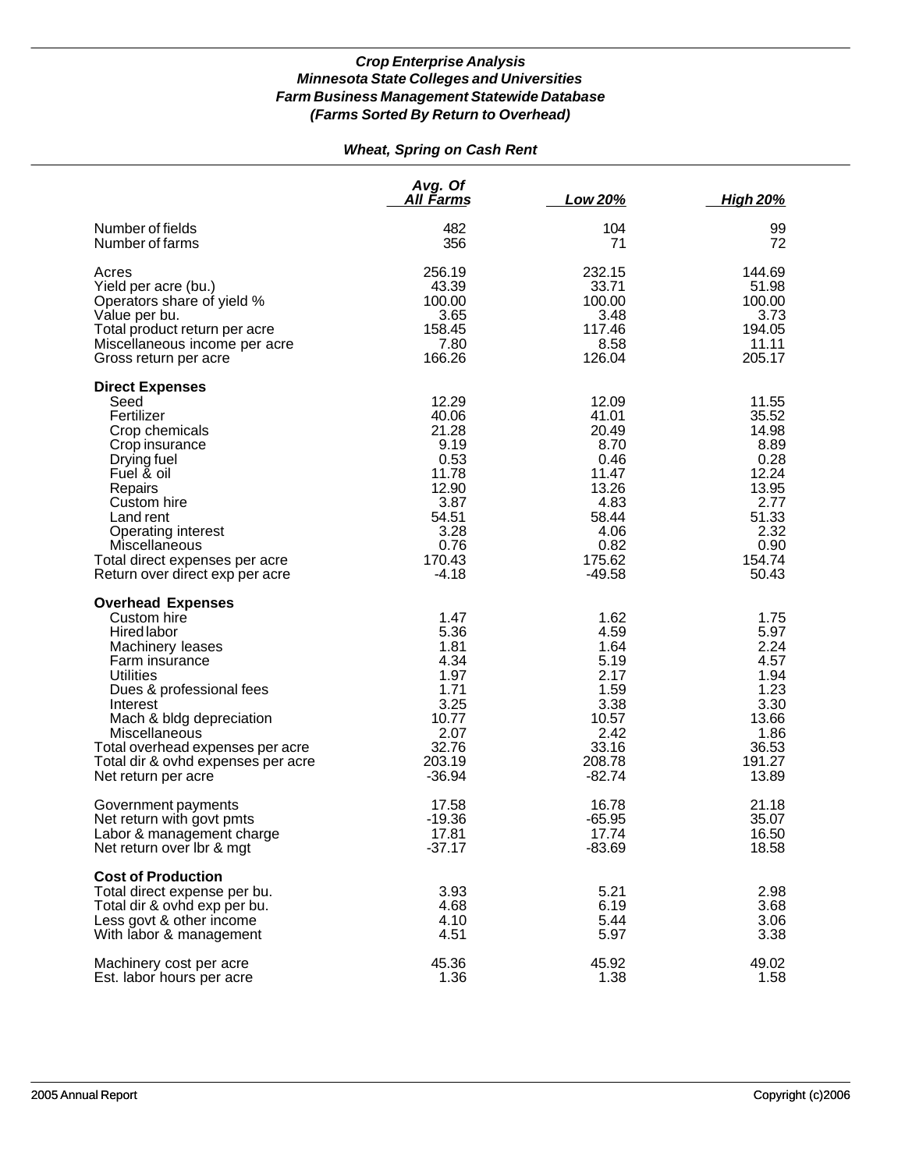# *Wheat, Spring on Cash Rent*

|                                                                                                                                                                                                                                                                                                        | Avg. Of<br><u>All Farms</u>                                                                                     | Low 20%                                                                                                          | <b>High 20%</b>                                                                                               |
|--------------------------------------------------------------------------------------------------------------------------------------------------------------------------------------------------------------------------------------------------------------------------------------------------------|-----------------------------------------------------------------------------------------------------------------|------------------------------------------------------------------------------------------------------------------|---------------------------------------------------------------------------------------------------------------|
| Number of fields                                                                                                                                                                                                                                                                                       | 482                                                                                                             | 104                                                                                                              | 99                                                                                                            |
| Number of farms                                                                                                                                                                                                                                                                                        | 356                                                                                                             | 71                                                                                                               | 72                                                                                                            |
| Acres                                                                                                                                                                                                                                                                                                  | 256.19                                                                                                          | 232.15                                                                                                           | 144.69                                                                                                        |
| Yield per acre (bu.)                                                                                                                                                                                                                                                                                   | 43.39                                                                                                           | 33.71                                                                                                            | 51.98                                                                                                         |
| Operators share of yield %                                                                                                                                                                                                                                                                             | 100.00                                                                                                          | 100.00                                                                                                           | 100.00                                                                                                        |
| Value per bu.                                                                                                                                                                                                                                                                                          | 3.65                                                                                                            | 3.48                                                                                                             | 3.73                                                                                                          |
| Total product return per acre                                                                                                                                                                                                                                                                          | 158.45                                                                                                          | 117.46                                                                                                           | 194.05                                                                                                        |
| Miscellaneous income per acre                                                                                                                                                                                                                                                                          | 7.80                                                                                                            | 8.58                                                                                                             | 11.11                                                                                                         |
| Gross return per acre                                                                                                                                                                                                                                                                                  | 166.26                                                                                                          | 126.04                                                                                                           | 205.17                                                                                                        |
| <b>Direct Expenses</b><br>Seed<br>Fertilizer<br>Crop chemicals<br>Crop insurance<br>Drying fuel<br>Fuel & oil<br>Repairs<br>Custom hire<br>Land rent<br>Operating interest<br>Miscellaneous<br>Total direct expenses per acre<br>Return over direct exp per acre                                       | 12.29<br>40.06<br>21.28<br>9.19<br>0.53<br>11.78<br>12.90<br>3.87<br>54.51<br>3.28<br>0.76<br>170.43<br>$-4.18$ | 12.09<br>41.01<br>20.49<br>8.70<br>0.46<br>11.47<br>13.26<br>4.83<br>58.44<br>4.06<br>0.82<br>175.62<br>$-49.58$ | 11.55<br>35.52<br>14.98<br>8.89<br>0.28<br>12.24<br>13.95<br>2.77<br>51.33<br>2.32<br>0.90<br>154.74<br>50.43 |
| <b>Overhead Expenses</b><br>Custom hire<br>Hired labor<br>Machinery leases<br>Farm insurance<br><b>Utilities</b><br>Dues & professional fees<br>Interest<br>Mach & bldg depreciation<br>Miscellaneous<br>Total overhead expenses per acre<br>Total dir & ovhd expenses per acre<br>Net return per acre | 1.47<br>5.36<br>1.81<br>4.34<br>1.97<br>1.71<br>3.25<br>10.77<br>2.07<br>32.76<br>203.19<br>$-36.94$            | 1.62<br>4.59<br>1.64<br>5.19<br>2.17<br>1.59<br>3.38<br>10.57<br>2.42<br>33.16<br>208.78<br>$-82.74$             | 1.75<br>5.97<br>2.24<br>4.57<br>1.94<br>1.23<br>3.30<br>13.66<br>1.86<br>36.53<br>191.27<br>13.89             |
| Government payments                                                                                                                                                                                                                                                                                    | 17.58                                                                                                           | 16.78                                                                                                            | 21.18                                                                                                         |
| Net return with govt pmts                                                                                                                                                                                                                                                                              | $-19.36$                                                                                                        | $-65.95$                                                                                                         | 35.07                                                                                                         |
| Labor & management charge                                                                                                                                                                                                                                                                              | 17.81                                                                                                           | 17.74                                                                                                            | 16.50                                                                                                         |
| Net return over Ibr & mgt                                                                                                                                                                                                                                                                              | $-37.17$                                                                                                        | $-83.69$                                                                                                         | 18.58                                                                                                         |
| <b>Cost of Production</b><br>Total direct expense per bu.<br>Total dir & ovhd exp per bu.<br>Less govt & other income<br>With labor & management                                                                                                                                                       | 3.93<br>4.68<br>4.10<br>4.51                                                                                    | 5.21<br>6.19<br>5.44<br>5.97                                                                                     | 2.98<br>3.68<br>3.06<br>3.38                                                                                  |
| Machinery cost per acre                                                                                                                                                                                                                                                                                | 45.36                                                                                                           | 45.92                                                                                                            | 49.02                                                                                                         |
| Est. labor hours per acre                                                                                                                                                                                                                                                                              | 1.36                                                                                                            | 1.38                                                                                                             | 1.58                                                                                                          |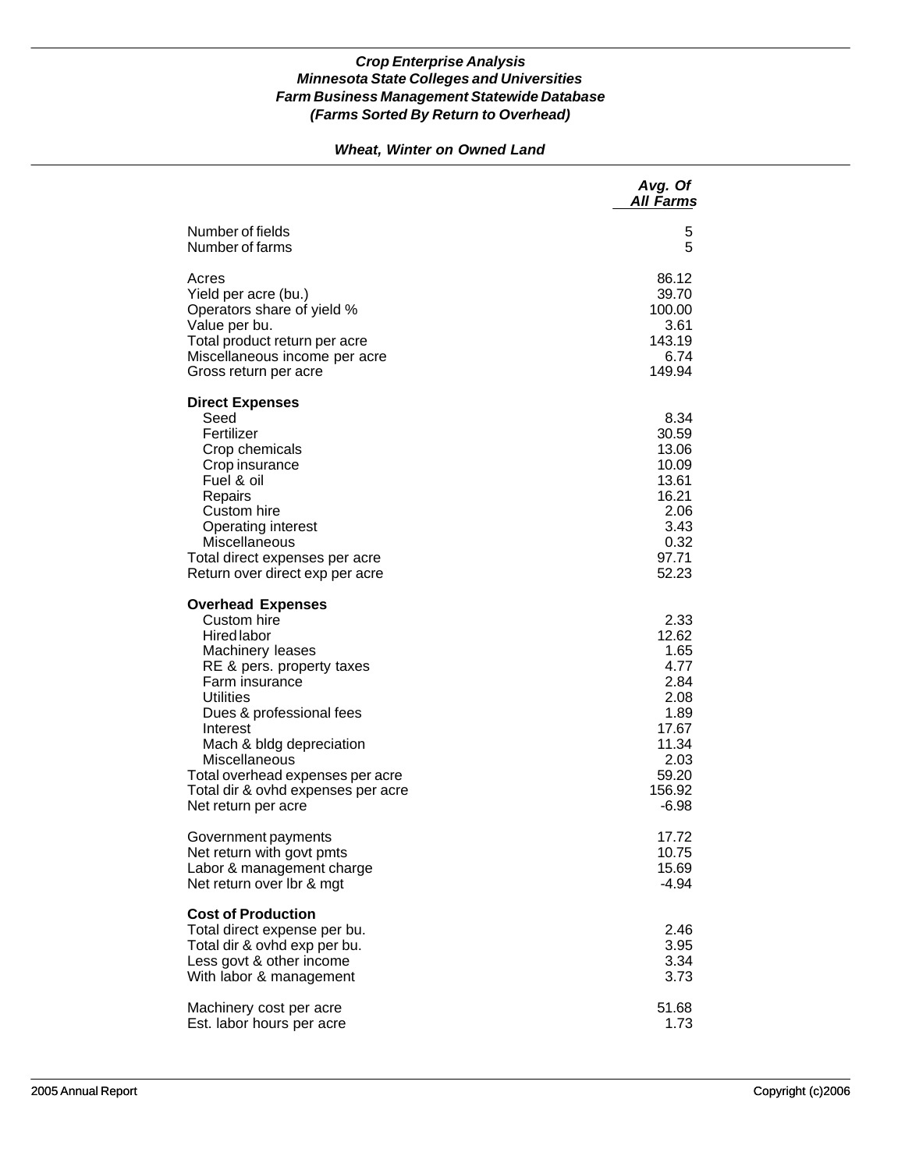## *Wheat, Winter on Owned Land*

|                                                                                                                                                                                                                                                                                                                                            | Avg. Of<br><b>All Farms</b>                                                                                   |
|--------------------------------------------------------------------------------------------------------------------------------------------------------------------------------------------------------------------------------------------------------------------------------------------------------------------------------------------|---------------------------------------------------------------------------------------------------------------|
| Number of fields                                                                                                                                                                                                                                                                                                                           | 5                                                                                                             |
| Number of farms                                                                                                                                                                                                                                                                                                                            | 5                                                                                                             |
| Acres                                                                                                                                                                                                                                                                                                                                      | 86.12                                                                                                         |
| Yield per acre (bu.)                                                                                                                                                                                                                                                                                                                       | 39.70                                                                                                         |
| Operators share of yield %                                                                                                                                                                                                                                                                                                                 | 100.00                                                                                                        |
| Value per bu.                                                                                                                                                                                                                                                                                                                              | 3.61                                                                                                          |
| Total product return per acre                                                                                                                                                                                                                                                                                                              | 143.19                                                                                                        |
| Miscellaneous income per acre                                                                                                                                                                                                                                                                                                              | 6.74                                                                                                          |
| Gross return per acre                                                                                                                                                                                                                                                                                                                      | 149.94                                                                                                        |
| <b>Direct Expenses</b><br>Seed<br>Fertilizer<br>Crop chemicals<br>Crop insurance<br>Fuel & oil<br>Repairs<br>Custom hire<br>Operating interest<br>Miscellaneous<br>Total direct expenses per acre<br>Return over direct exp per acre                                                                                                       | 8.34<br>30.59<br>13.06<br>10.09<br>13.61<br>16.21<br>2.06<br>3.43<br>0.32<br>97.71<br>52.23                   |
| <b>Overhead Expenses</b><br>Custom hire<br><b>Hired labor</b><br>Machinery leases<br>RE & pers. property taxes<br>Farm insurance<br><b>Utilities</b><br>Dues & professional fees<br>Interest<br>Mach & bldg depreciation<br>Miscellaneous<br>Total overhead expenses per acre<br>Total dir & ovhd expenses per acre<br>Net return per acre | 2.33<br>12.62<br>1.65<br>4.77<br>2.84<br>2.08<br>1.89<br>17.67<br>11.34<br>2.03<br>59.20<br>156.92<br>$-6.98$ |
| Government payments                                                                                                                                                                                                                                                                                                                        | 17.72                                                                                                         |
| Net return with govt pmts                                                                                                                                                                                                                                                                                                                  | 10.75                                                                                                         |
| Labor & management charge                                                                                                                                                                                                                                                                                                                  | 15.69                                                                                                         |
| Net return over Ibr & mgt                                                                                                                                                                                                                                                                                                                  | $-4.94$                                                                                                       |
| <b>Cost of Production</b><br>Total direct expense per bu.<br>Total dir & ovhd exp per bu.<br>Less govt & other income<br>With labor & management                                                                                                                                                                                           | 2.46<br>3.95<br>3.34<br>3.73                                                                                  |
| Machinery cost per acre                                                                                                                                                                                                                                                                                                                    | 51.68                                                                                                         |
| Est. labor hours per acre                                                                                                                                                                                                                                                                                                                  | 1.73                                                                                                          |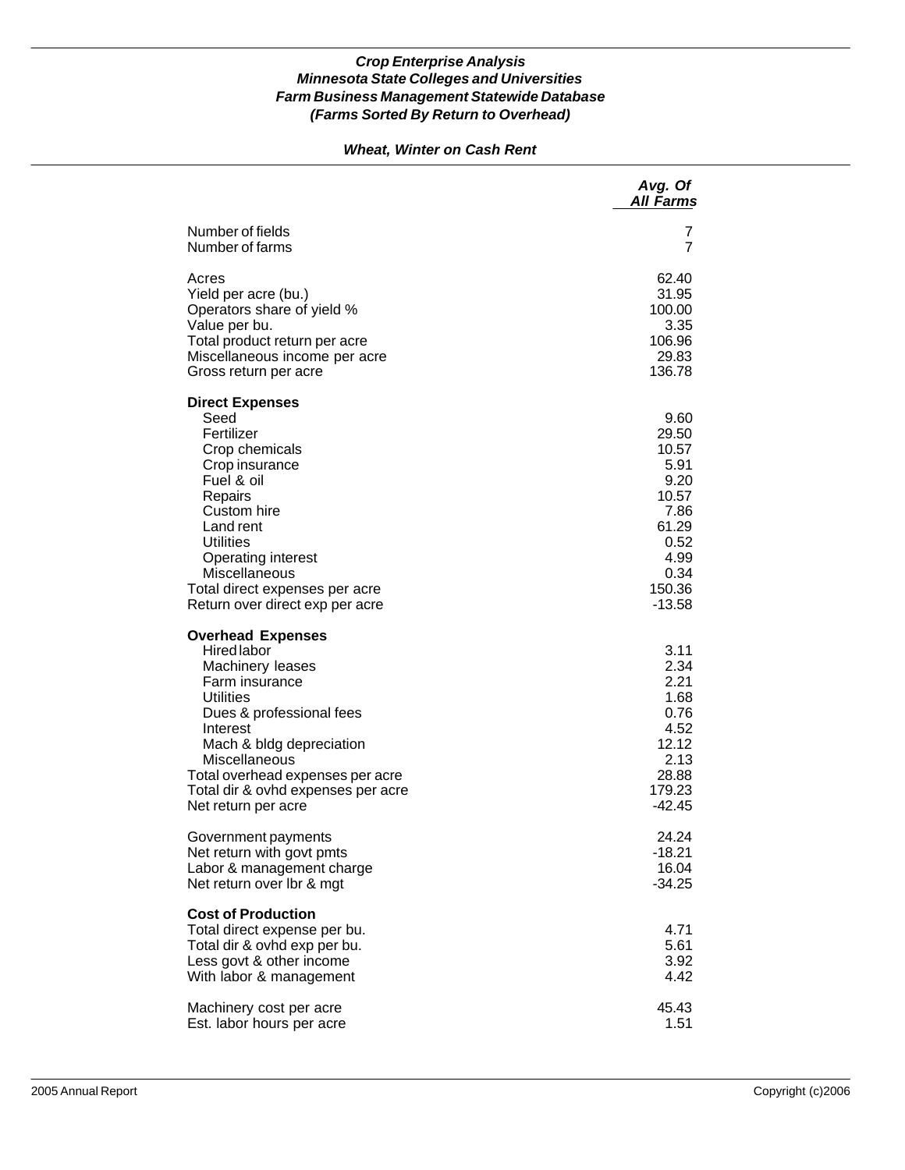# *Wheat, Winter on Cash Rent*

|                                                                                                                                                                                                                                                                                                | Avg. Of<br><b>All Farms</b>                                                                                    |
|------------------------------------------------------------------------------------------------------------------------------------------------------------------------------------------------------------------------------------------------------------------------------------------------|----------------------------------------------------------------------------------------------------------------|
| Number of fields                                                                                                                                                                                                                                                                               | 7                                                                                                              |
| Number of farms                                                                                                                                                                                                                                                                                | 7                                                                                                              |
| Acres                                                                                                                                                                                                                                                                                          | 62.40                                                                                                          |
| Yield per acre (bu.)                                                                                                                                                                                                                                                                           | 31.95                                                                                                          |
| Operators share of yield %                                                                                                                                                                                                                                                                     | 100.00                                                                                                         |
| Value per bu.                                                                                                                                                                                                                                                                                  | 3.35                                                                                                           |
| Total product return per acre                                                                                                                                                                                                                                                                  | 106.96                                                                                                         |
| Miscellaneous income per acre                                                                                                                                                                                                                                                                  | 29.83                                                                                                          |
| Gross return per acre                                                                                                                                                                                                                                                                          | 136.78                                                                                                         |
| <b>Direct Expenses</b><br>Seed<br>Fertilizer<br>Crop chemicals<br>Crop insurance<br>Fuel & oil<br>Repairs<br>Custom hire<br>Land rent<br><b>Utilities</b><br>Operating interest<br>Miscellaneous<br>Total direct expenses per acre<br>Return over direct exp per acre                          | 9.60<br>29.50<br>10.57<br>5.91<br>9.20<br>10.57<br>7.86<br>61.29<br>0.52<br>4.99<br>0.34<br>150.36<br>$-13.58$ |
| <b>Overhead Expenses</b><br><b>Hired labor</b><br>Machinery leases<br>Farm insurance<br><b>Utilities</b><br>Dues & professional fees<br>Interest<br>Mach & bldg depreciation<br>Miscellaneous<br>Total overhead expenses per acre<br>Total dir & ovhd expenses per acre<br>Net return per acre | 3.11<br>2.34<br>2.21<br>1.68<br>0.76<br>4.52<br>12.12<br>2.13<br>28.88<br>179.23<br>$-42.45$                   |
| Government payments                                                                                                                                                                                                                                                                            | 24.24                                                                                                          |
| Net return with govt pmts                                                                                                                                                                                                                                                                      | -18.21                                                                                                         |
| Labor & management charge                                                                                                                                                                                                                                                                      | 16.04                                                                                                          |
| Net return over lbr & mgt                                                                                                                                                                                                                                                                      | $-34.25$                                                                                                       |
| <b>Cost of Production</b><br>Total direct expense per bu.<br>Total dir & ovhd exp per bu.<br>Less govt & other income<br>With labor & management                                                                                                                                               | 4.71<br>5.61<br>3.92<br>4.42                                                                                   |
| Machinery cost per acre                                                                                                                                                                                                                                                                        | 45.43                                                                                                          |
| Est. labor hours per acre                                                                                                                                                                                                                                                                      | 1.51                                                                                                           |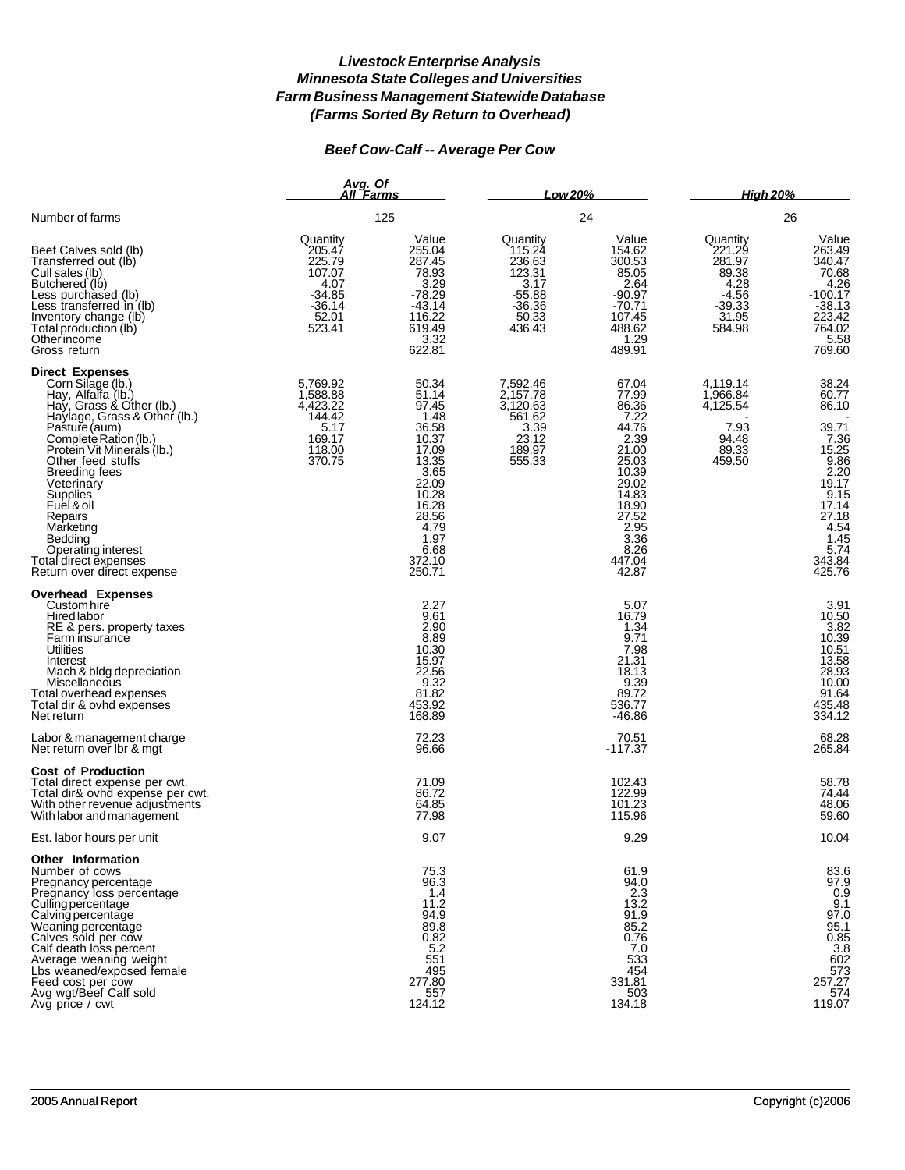# *Beef Cow-Calf -- Average Per Cow*

|                                                                                                                                                                                                                                                                                                                                                                                                     | Avg. Of<br>All Farms                                                                      |                                                                                                                                                             | Low 20%                                                                                   |                                                                                                                                                            | <b>High 20%</b>                                                                         |                                                                                                                                                          |  |
|-----------------------------------------------------------------------------------------------------------------------------------------------------------------------------------------------------------------------------------------------------------------------------------------------------------------------------------------------------------------------------------------------------|-------------------------------------------------------------------------------------------|-------------------------------------------------------------------------------------------------------------------------------------------------------------|-------------------------------------------------------------------------------------------|------------------------------------------------------------------------------------------------------------------------------------------------------------|-----------------------------------------------------------------------------------------|----------------------------------------------------------------------------------------------------------------------------------------------------------|--|
| Number of farms                                                                                                                                                                                                                                                                                                                                                                                     |                                                                                           | 125                                                                                                                                                         |                                                                                           | 24                                                                                                                                                         |                                                                                         | 26                                                                                                                                                       |  |
| Beef Calves sold (lb)<br>Transferred out (lb)<br>Cull sales (lb)<br>Butchered (lb)<br>Less purchased (lb)<br>Less transferred in (lb)<br>Inventory change (lb)<br>Total production (lb)<br>Otherincome<br>Gross return                                                                                                                                                                              | Quantity<br>205.47<br>225.79<br>107.07<br>4.07<br>$-34.85$<br>$-36.14$<br>52.01<br>523.41 | Value<br>255.04<br>287.45<br>78.93<br>3.29<br>$-78.29$<br>$-43.14$<br>116.22<br>619.49<br>3.32<br>622.81                                                    | Quantity<br>115.24<br>236.63<br>123.31<br>3.17<br>$-55.88$<br>$-36.36$<br>50.33<br>436.43 | Value<br>154.62<br>300.53<br>85.05<br>2.64<br>$-90.97$<br>$-70.71$<br>107.45<br>488.62<br>1.29<br>489.91                                                   | Quantity<br>221.29<br>281.97<br>89.38<br>4.28<br>$-4.56$<br>$-39.33$<br>31.95<br>584.98 | Value<br>263.49<br>340.47<br>70.68<br>4.26<br>$-100.17$<br>$-38.13$<br>223.42<br>764.02<br>5.58<br>769.60                                                |  |
| Direct Expenses<br>Corn Silage (lb.)<br>Hay, Alfalfa (lb.)<br>Hay, Grass & Other (lb.)<br>Haylage, Grass & Other (lb.)<br>Pasture (aum)<br>Complete Ration (lb.)<br>Protein Vit Minerals (Ib.)<br>Other feed stuffs<br><b>Breeding fees</b><br>Veterinary<br>Supplies<br>Fuel & oil<br>Repairs<br>Marketing<br>Bedding<br>Operating interest<br>Total direct expenses<br>Return over direct expense | 5,769.92<br>1,588.88<br>4,423.22<br>144.42<br>5.17<br>169.17<br>118.00<br>370.75          | 50.34<br>51.14<br>97.45<br>1.48<br>36.58<br>10.37<br>17.09<br>13.35<br>3.65<br>22.09<br>10.28<br>16.28<br>28.56<br>4.79<br>1.97<br>6.68<br>372.10<br>250.71 | 7,592.46<br>2,157.78<br>3,120.63<br>561.62<br>3.39<br>23.12<br>189.97<br>555.33           | 67.04<br>77.99<br>86.36<br>7.22<br>44.76<br>2.39<br>21.00<br>25.03<br>10.39<br>29.02<br>14.83<br>18.90<br>27.52<br>2.95<br>3.36<br>8.26<br>447.04<br>42.87 | 4,119.14<br>1,966.84<br>4,125.54<br>7.93<br>94.48<br>89.33<br>459.50                    | 38.24<br>60.77<br>86.10<br>39.71<br>$7.36$<br>15.25<br>9.86<br>2.20<br>19.17<br>9.15<br>17.14<br>27.18<br>$4.54$<br>$1.45$<br>$5.74$<br>343.84<br>425.76 |  |
| <b>Overhead Expenses</b><br>Custom hire<br>Hired labor<br>RE & pers. property taxes<br>Farm insurance<br>Utilities<br>Interest<br>Mach & bldg depreciation<br>Miscellaneous<br>Total overhead expenses<br>Total dir & ovhd expenses<br>Net return                                                                                                                                                   |                                                                                           | 2.27<br>9.61<br>2.90<br>8.89<br>10.30<br>15.97<br>22.56<br>9.32<br>81.82<br>453.92<br>168.89                                                                |                                                                                           | 5.07<br>16.79<br>1.34<br>9.71<br>7.98<br>21.31<br>18.13<br>9.39<br>89.72<br>536.77<br>$-46.86$                                                             |                                                                                         | 3.91<br>10.50<br>3.82<br>10.39<br>10.51<br>13.58<br>28.93<br>10.00<br>91.64<br>435.48<br>334.12                                                          |  |
| Labor & management charge<br>Net return over Ibr & mat                                                                                                                                                                                                                                                                                                                                              |                                                                                           | 72.23<br>96.66                                                                                                                                              |                                                                                           | 70.51<br>$-117.37$                                                                                                                                         |                                                                                         | 68.28<br>265.84                                                                                                                                          |  |
| <b>Cost of Production</b><br>Total direct expense per cwt.<br>Total dir& ovhd expense per cwt.<br>With other revenue adjustments<br>With labor and management                                                                                                                                                                                                                                       |                                                                                           | 71.09<br>86.72<br>64.85<br>77.98                                                                                                                            |                                                                                           | 102.43<br>122.99<br>101.23<br>115.96                                                                                                                       |                                                                                         | 58.78<br>74.44<br>48.06<br>59.60                                                                                                                         |  |
| Est. labor hours per unit                                                                                                                                                                                                                                                                                                                                                                           |                                                                                           | 9.07                                                                                                                                                        |                                                                                           | 9.29                                                                                                                                                       |                                                                                         | 10.04                                                                                                                                                    |  |
| <b>Other Information</b><br>Number of cows<br>Pregnancy percentage<br>Pregnancy loss percentage<br>Culling percentage<br>Calving percentage<br>Weaning percentage<br>Calves sold per cow<br>Calf death loss percent<br>Average weaning weight<br>Lbs weaned/exposed female<br>Feed cost per cow<br>Avg wgt/Beef Calf sold<br>Avg price / cwt                                                        |                                                                                           | 75.3<br>96.3<br>1.4<br>11.2<br>94.9<br>89.8<br>0.82<br>5.2<br>551<br>495<br>277.80<br>557<br>124.12                                                         |                                                                                           | 61.9<br>94.0<br>2.3<br>13.2<br>91.9<br>85.2<br>0.76<br>7.0<br>533<br>454<br>331.81<br>503<br>134.18                                                        |                                                                                         | 83.6<br>97.9<br>0.9<br>9.1<br>$97.0$<br>$95.1$<br>$0.85$<br>$3.8$<br>$602$<br>$\frac{573}{257.27}$<br>574<br>119.07                                      |  |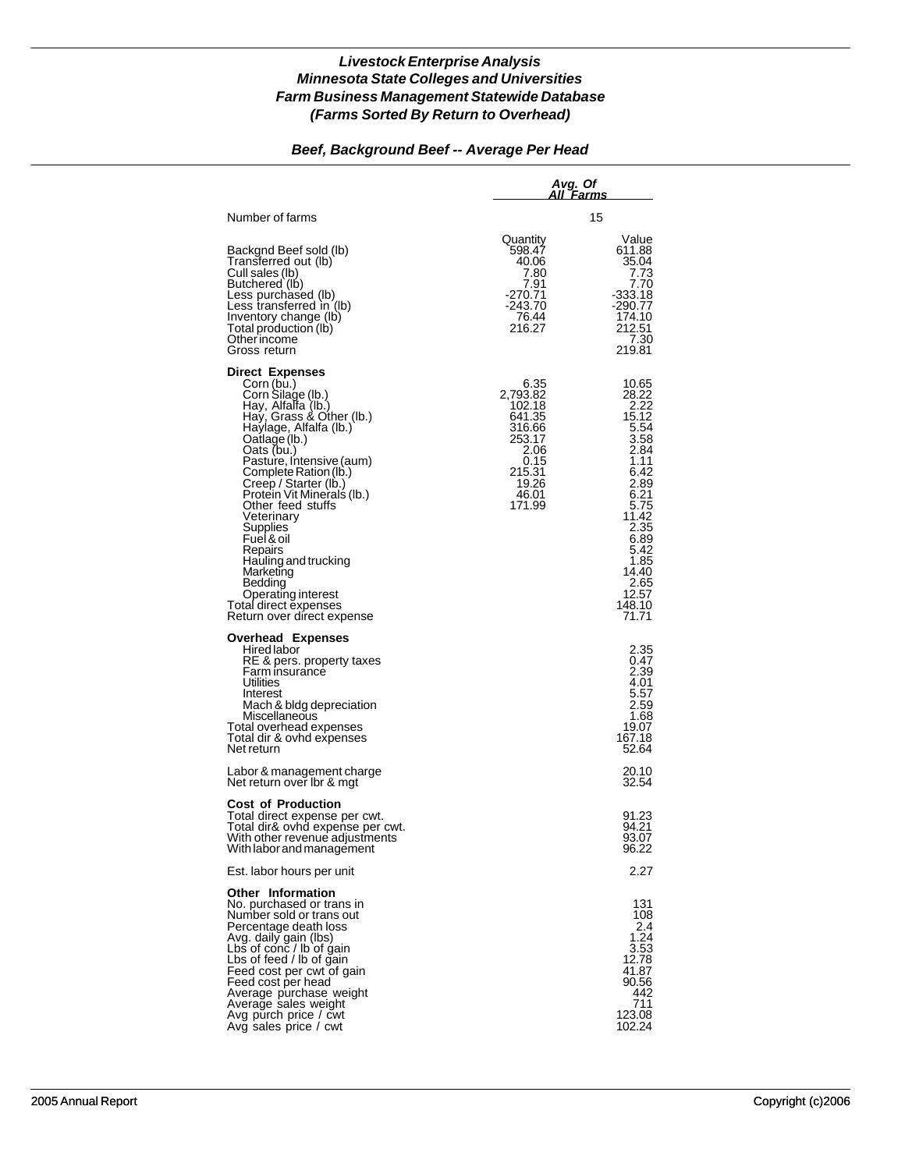#### *Beef, Background Beef -- Average Per Head*

|                                                                                                                                                                                                                                                                                                                                                                                                                                                                                       |                                                                                                                | Avg. Of<br>All Farms                                                                                                                                                                  |  |  |
|---------------------------------------------------------------------------------------------------------------------------------------------------------------------------------------------------------------------------------------------------------------------------------------------------------------------------------------------------------------------------------------------------------------------------------------------------------------------------------------|----------------------------------------------------------------------------------------------------------------|---------------------------------------------------------------------------------------------------------------------------------------------------------------------------------------|--|--|
| Number of farms                                                                                                                                                                                                                                                                                                                                                                                                                                                                       |                                                                                                                | 15                                                                                                                                                                                    |  |  |
| Backgnd Beef sold (lb)<br>Transferred out (lb)<br>Cull sales (lb)<br>Butchered (lb)<br>Less purchased (lb)<br>Less transferred in (lb)<br>Inventory change (lb)<br>Total production (lb)<br>Other income<br>Gross return                                                                                                                                                                                                                                                              | Quantity<br>598.47<br>40.06<br>7.80<br>7.91<br>$-270.71$<br>-243.70<br>76.44<br>216.27                         | Value<br>611.88<br>35.04<br>7.73<br>7.70<br>$-333.18$<br>$-290.77$<br>174.10<br>212.51<br>7.30<br>219.81                                                                              |  |  |
| <b>Direct Expenses</b><br>Corn (bu.)<br>Corn Silage (lb.)<br>Hay, Alfalfa (lb.)<br>Hay, Grass & Other (lb.)<br>Haylage, Alfalfa (lb.)<br>Oatlage (lb.)<br>Oats (bu.)<br>Pasture, Intensive (aum)<br>Complete Ration (lb.)<br>Creep / Starter (lb.)<br>Protein Vit Minerals (Ib.)<br>Other feed stuffs<br>Veterinary<br>Supplies<br>Fuel & oil<br>Repairs<br>Hauling and trucking<br>Marketing<br>Bedding<br>Operating interest<br>Total direct expenses<br>Return over direct expense | 6.35<br>2,793.82<br>102.18<br>641.35<br>316.66<br>253.17<br>2.06<br>0.15<br>215.31<br>19.26<br>46.01<br>171.99 | 10.65<br>28.22<br>2.22<br>15.12<br>5.54<br>3.58<br>2.84<br>1.11<br>6.42<br>2.89<br>6.21<br>5.75<br>11.42<br>2.35<br>6.89<br>5.42<br>1.85<br>14.40<br>2.65<br>12.57<br>148.10<br>71.71 |  |  |
| <b>Overhead Expenses</b><br>Hired labor<br>RE & pers. property taxes<br>Farm insurance<br>Utilities<br>Interest<br>Mach & bidg depreciation<br>Miscellaneous<br>Total overhead expenses<br>Total dir & ovhd expenses<br>Net return                                                                                                                                                                                                                                                    |                                                                                                                | 2.35<br>0.47<br>2.39<br>4.01<br>5.57<br>2.59<br>1.68<br>19.07<br>167.18<br>52.64                                                                                                      |  |  |
| Labor & management charge<br>Net return over Ibr & mgt                                                                                                                                                                                                                                                                                                                                                                                                                                |                                                                                                                | 20.10<br>32.54                                                                                                                                                                        |  |  |
| <b>Cost of Production</b><br>Total direct expense per cwt.<br>Total dir& ovhd expense per cwt.<br>With other revenue adjustments<br>With labor and management                                                                                                                                                                                                                                                                                                                         |                                                                                                                | 91.23<br>94.21<br>93.07<br>96.22                                                                                                                                                      |  |  |
| Est. labor hours per unit                                                                                                                                                                                                                                                                                                                                                                                                                                                             |                                                                                                                | 2.27                                                                                                                                                                                  |  |  |
| <b>Other Information</b><br>No. purchased or trans in<br>Number sold or trans out<br>Percentage death loss<br>Avg. daily gain (lbs)<br>Lbs of conc / lb of gain<br>Lbs of feed / lb of gain<br>Feed cost per cwt of gain<br>Feed cost per head<br>Average purchase weight<br>Average sales weight<br>Avg purch price / cwt<br>Avg sales price / cwt                                                                                                                                   |                                                                                                                | 131<br>108<br>2.4<br>1.24<br>3.53<br>12.78<br>41.87<br>90.56<br>442<br>711<br>123.08<br>102.24                                                                                        |  |  |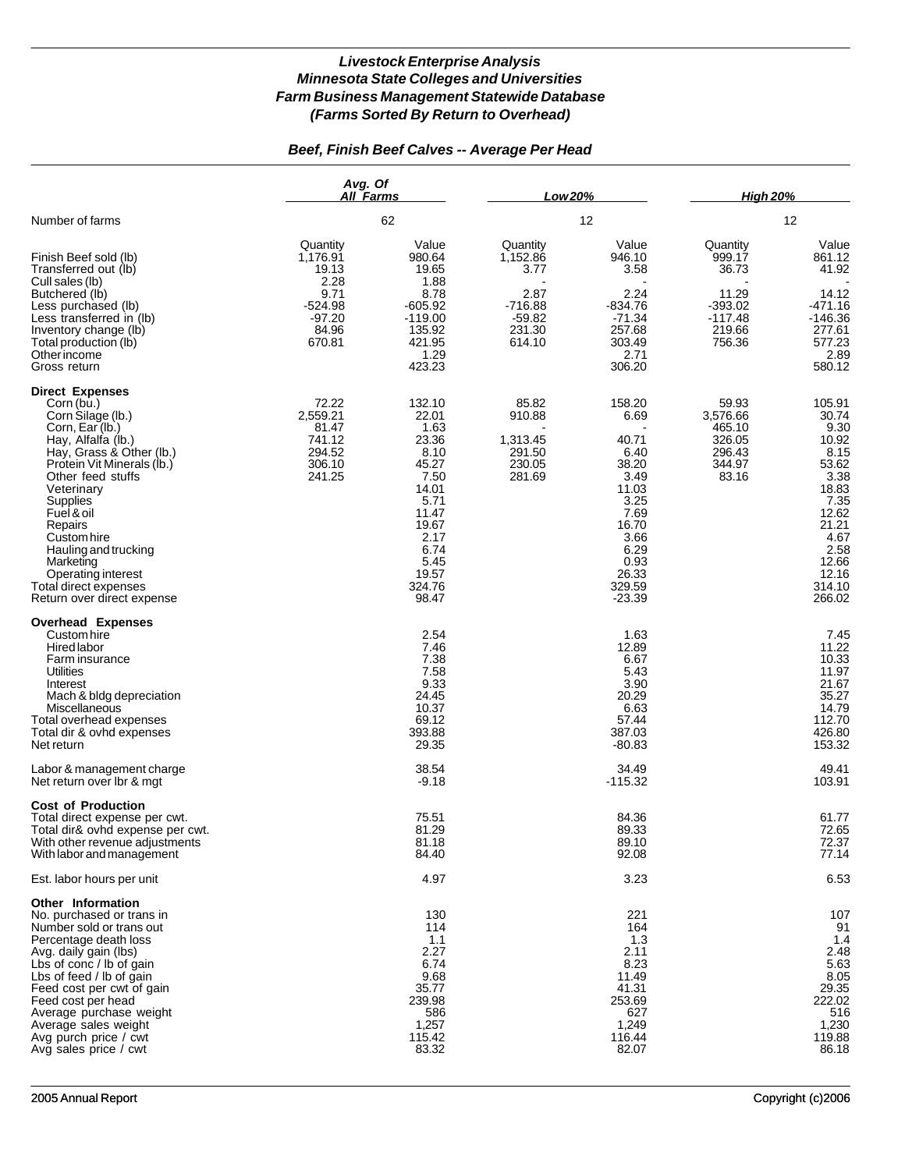# *Beef, Finish Beef Calves -- Average Per Head*

|                                                                                                                                                                                                                                                                                                                                                                       | Avg. Of<br>All Farms                                                                      |                                                                                                                                                  | Low 20%                                                                           |                                                                                                                                           | <b>High 20%</b>                                                                    |                                                                                                                                                    |  |
|-----------------------------------------------------------------------------------------------------------------------------------------------------------------------------------------------------------------------------------------------------------------------------------------------------------------------------------------------------------------------|-------------------------------------------------------------------------------------------|--------------------------------------------------------------------------------------------------------------------------------------------------|-----------------------------------------------------------------------------------|-------------------------------------------------------------------------------------------------------------------------------------------|------------------------------------------------------------------------------------|----------------------------------------------------------------------------------------------------------------------------------------------------|--|
| Number of farms                                                                                                                                                                                                                                                                                                                                                       |                                                                                           | 62                                                                                                                                               |                                                                                   | 12                                                                                                                                        |                                                                                    | 12                                                                                                                                                 |  |
| Finish Beef sold (lb)<br>Transferred out (lb)<br>Cull sales (lb)<br>Butchered (lb)<br>Less purchased (lb)<br>Less transferred in (lb)<br>Inventory change (lb)<br>Total production (lb)<br>Otherincome<br>Gross return                                                                                                                                                | Quantity<br>1,176.91<br>19.13<br>2.28<br>9.71<br>$-524.98$<br>$-97.20$<br>84.96<br>670.81 | Value<br>980.64<br>19.65<br>1.88<br>8.78<br>$-605.92$<br>$-119.00$<br>135.92<br>421.95<br>1.29<br>423.23                                         | Quantity<br>1,152.86<br>3.77<br>2.87<br>$-716.88$<br>$-59.82$<br>231.30<br>614.10 | Value<br>946.10<br>3.58<br>2.24<br>$-834.76$<br>$-71.34$<br>257.68<br>303.49<br>2.71<br>306.20                                            | Quantity<br>999.17<br>36.73<br>11.29<br>$-393.02$<br>$-117.48$<br>219.66<br>756.36 | Value<br>861.12<br>41.92<br>14.12<br>-471.16<br>-146.36<br>277.61<br>577.23<br>2.89<br>580.12                                                      |  |
| <b>Direct Expenses</b><br>Corn (bu.)<br>Corn Silage (lb.)<br>Corn, Ear (lb.)<br>Hay, Alfalfa (Ib.)<br>Hay, Grass & Other (lb.)<br>Protein Vit Minerals (lb.)<br>Other feed stuffs<br>Veterinary<br>Supplies<br>Fuel & oil<br>Repairs<br>Custom hire<br>Hauling and trucking<br>Marketing<br>Operating interest<br>Total direct expenses<br>Return over direct expense | 72.22<br>2,559.21<br>81.47<br>741.12<br>294.52<br>306.10<br>241.25                        | 132.10<br>22.01<br>1.63<br>23.36<br>8.10<br>45.27<br>7.50<br>14.01<br>5.71<br>11.47<br>19.67<br>2.17<br>6.74<br>5.45<br>19.57<br>324.76<br>98.47 | 85.82<br>910.88<br>1,313.45<br>291.50<br>230.05<br>281.69                         | 158.20<br>6.69<br>40.71<br>6.40<br>38.20<br>3.49<br>11.03<br>3.25<br>7.69<br>16.70<br>3.66<br>6.29<br>0.93<br>26.33<br>329.59<br>$-23.39$ | 59.93<br>3,576.66<br>465.10<br>326.05<br>296.43<br>344.97<br>83.16                 | 105.91<br>30.74<br>9.30<br>10.92<br>8.15<br>53.62<br>3.38<br>18.83<br>7.35<br>12.62<br>21.21<br>4.67<br>2.58<br>12.66<br>12.16<br>314.10<br>266.02 |  |
| <b>Overhead Expenses</b><br>Custom hire<br>Hired labor<br>Farm insurance<br>Utilities<br>Interest<br>Mach & bldg depreciation<br>Miscellaneous<br>Total overhead expenses<br>Total dir & ovhd expenses<br>Net return                                                                                                                                                  |                                                                                           | 2.54<br>7.46<br>7.38<br>7.58<br>9.33<br>24.45<br>10.37<br>69.12<br>393.88<br>29.35                                                               |                                                                                   | 1.63<br>12.89<br>6.67<br>5.43<br>3.90<br>20.29<br>6.63<br>57.44<br>387.03<br>$-80.83$                                                     |                                                                                    | 7.45<br>11.22<br>10.33<br>11.97<br>21.67<br>35.27<br>14.79<br>112.70<br>426.80<br>153.32                                                           |  |
| Labor & management charge<br>Net return over Ibr & mgt                                                                                                                                                                                                                                                                                                                |                                                                                           | 38.54<br>$-9.18$                                                                                                                                 |                                                                                   | 34.49<br>$-115.32$                                                                                                                        |                                                                                    | 49.41<br>103.91                                                                                                                                    |  |
| <b>Cost of Production</b><br>Total direct expense per cwt.<br>Total dir& ovhd expense per cwt.<br>With other revenue adjustments<br>With labor and management                                                                                                                                                                                                         |                                                                                           | 75.51<br>81.29<br>81.18<br>84.40                                                                                                                 |                                                                                   | 84.36<br>89.33<br>89.10<br>92.08                                                                                                          |                                                                                    | 61.77<br>72.65<br>72.37<br>77.14                                                                                                                   |  |
| Est. labor hours per unit                                                                                                                                                                                                                                                                                                                                             |                                                                                           | 4.97                                                                                                                                             |                                                                                   | 3.23                                                                                                                                      |                                                                                    | 6.53                                                                                                                                               |  |
| Other Information<br>No. purchased or trans in<br>Number sold or trans out<br>Percentage death loss<br>Avg. daily gain (lbs)<br>Lbs of conc / lb of gain<br>Lbs of feed / lb of gain<br>Feed cost per cwt of gain<br>Feed cost per head<br>Average purchase weight<br>Average sales weight<br>Avg purch price / cwt<br>Avg sales price / cwt                          |                                                                                           | 130<br>114<br>1.1<br>2.27<br>6.74<br>9.68<br>35.77<br>239.98<br>586<br>1,257<br>115.42<br>83.32                                                  |                                                                                   | 221<br>164<br>1.3<br>2.11<br>8.23<br>11.49<br>41.31<br>253.69<br>627<br>1,249<br>116.44<br>82.07                                          |                                                                                    | 107<br>91<br>1.4<br>2.48<br>5.63<br>8.05<br>29.35<br>222.02<br>516<br>1,230<br>119.88<br>86.18                                                     |  |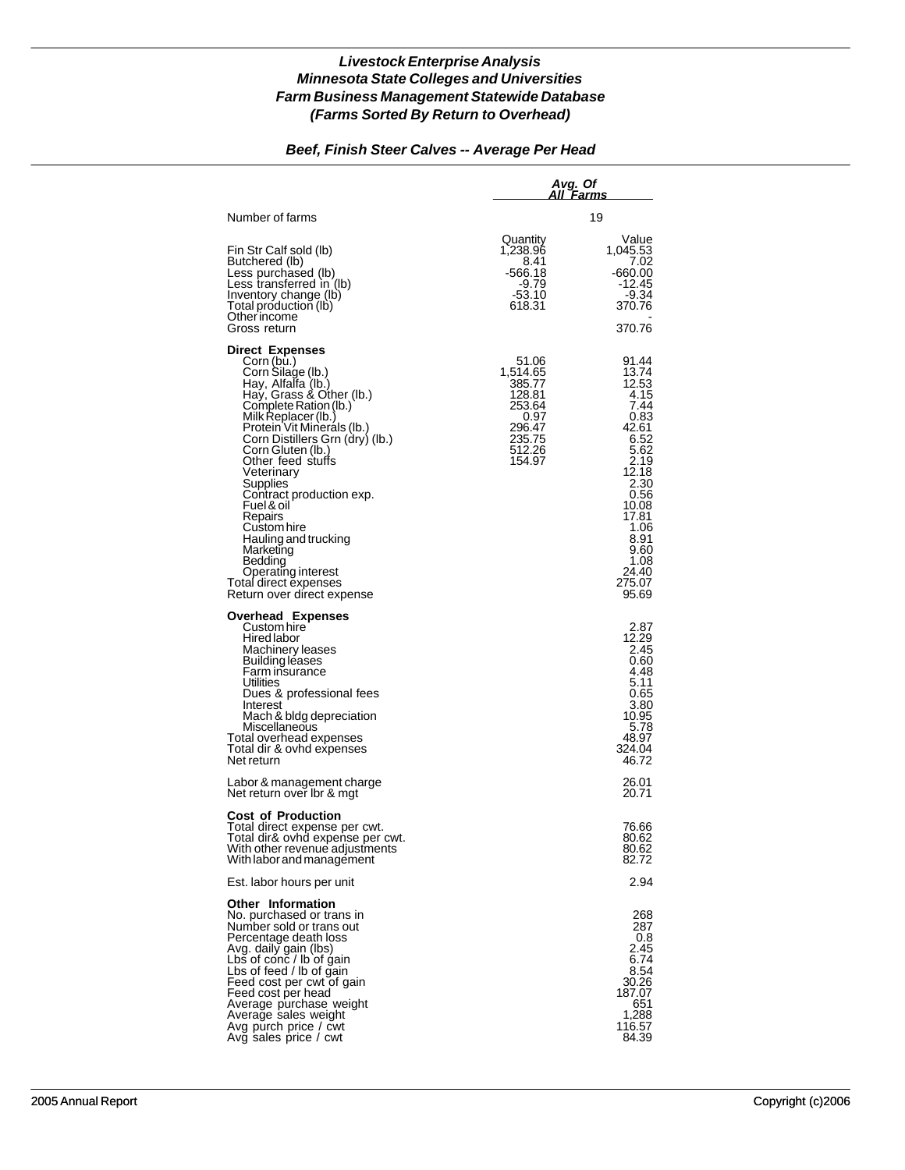## *Beef, Finish Steer Calves -- Average Per Head*

|                                                                                                                                                                                                                                                                                                                                                                                                                                                                                                   | Avg. Of<br>All Farms                                                                            |                                                                                                                                                                                         |  |
|---------------------------------------------------------------------------------------------------------------------------------------------------------------------------------------------------------------------------------------------------------------------------------------------------------------------------------------------------------------------------------------------------------------------------------------------------------------------------------------------------|-------------------------------------------------------------------------------------------------|-----------------------------------------------------------------------------------------------------------------------------------------------------------------------------------------|--|
| Number of farms                                                                                                                                                                                                                                                                                                                                                                                                                                                                                   |                                                                                                 | 19                                                                                                                                                                                      |  |
| Fin Str Calf sold (lb)<br>Butchered (lb)<br>Less purchased (lb)<br>Less transferred in (lb)<br>Inventory change (lb)<br>Total production (lb)<br>Other income<br>Gross return                                                                                                                                                                                                                                                                                                                     | Quantity<br>1.238.96<br>8.41<br>-566.18<br>-9.79<br>-53.10<br>618.31                            | Value<br>1,045.53<br>7.02<br>-660.00<br>-12.45<br>-9.34<br>370.76<br>370.76                                                                                                             |  |
| <b>Direct Expenses</b><br>Corn (bu.)<br>Corn Silage (lb.)<br>Hay, Alfalfa (lb.)<br>Hay, Grass & Other (lb.)<br>Complete Ration (lb.)<br>Milk Replacer (lb.)<br>Protein Vit Minerals (lb.)<br>Corn Distillers Grn (dry) (lb.)<br>Corn Gluten (lb.)<br>Other feed stuffs<br>Veterinary<br>Supplies<br>Contract production exp.<br>Fuel & oil<br>Repairs<br>Custom hire<br>Hauling and trucking<br>Marketing<br>Bedding<br>Operating interest<br>Total direct expenses<br>Return over direct expense | 51.06<br>1,514.65<br>385.77<br>128.81<br>253.64<br>0.97<br>296.47<br>235.75<br>512.26<br>154.97 | 91.44<br>13.74<br>12.53<br>4.15<br>7.44<br>0.83<br>42.61<br>6.52<br>5.62<br>2.19<br>12.18<br>2.30<br>0.56<br>10.08<br>17.81<br>1.06<br>8.91<br>9.60<br>1.08<br>24.40<br>275.07<br>95.69 |  |
| Overhead Expenses<br>Custom hire<br>Hired labor<br>Machinery leases<br>Building leases<br>Farm insurance<br>Utilities<br>Dues & professional fees<br>Interest<br>Mach & bldg depreciation<br>Miscellaneous<br>Total overhead expenses<br>Total dir & ovhd expenses<br>Net return                                                                                                                                                                                                                  |                                                                                                 | 2.87<br>12.29<br>2.45<br>0.60<br>4.48<br>5.11<br>0.65<br>3.80<br>10.95<br>5.78<br>48.97<br>324.04<br>46.72                                                                              |  |
| Labor & management charge<br>Net return over Ibr & mgt                                                                                                                                                                                                                                                                                                                                                                                                                                            |                                                                                                 | 26.01<br>20.71                                                                                                                                                                          |  |
| <b>Cost of Production</b><br>Total direct expense per cwt.<br>Total dir& ovhd expense per cwt.<br>With other revenue adjustments<br>With labor and management                                                                                                                                                                                                                                                                                                                                     |                                                                                                 | 76.66<br>80.62<br>80.62<br>82.72                                                                                                                                                        |  |
| Est. labor hours per unit                                                                                                                                                                                                                                                                                                                                                                                                                                                                         |                                                                                                 | 2.94                                                                                                                                                                                    |  |
| <b>Other Information</b><br>No. purchased or trans in<br>Number sold or trans out<br>Percentage death loss<br>Avg. daily gain (lbs)<br>Lbs of $\cosh$ / lb of gain<br>Lbs of feed / lb of gain<br>Feed cost per cwt of gain<br>Feed cost per head<br>Average purchase weight<br>Average sales weight<br>Avg purch price / cwt<br>Avg sales price / cwt                                                                                                                                            |                                                                                                 | 268<br>287<br>0.8<br>2.45<br>6.74<br>8.54<br>30.26<br>187.07<br>651<br>1,288<br>116.57<br>84.39                                                                                         |  |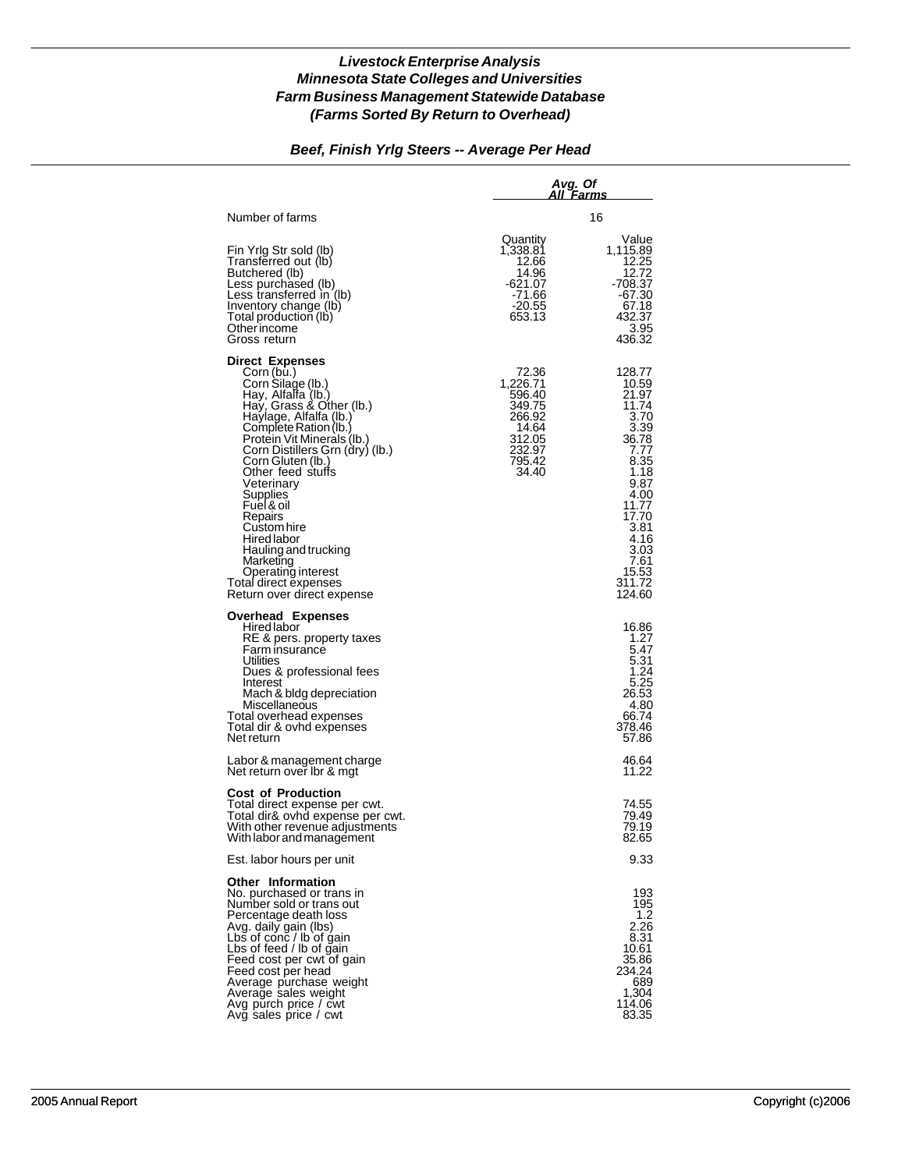#### *Beef, Finish Yrlg Steers -- Average Per Head*

|                                                                                                                                                                                                                                                                                                                                                                                                                                                                              | Avg. Of                                                                                         | All Farms                                                                                                                                                                         |
|------------------------------------------------------------------------------------------------------------------------------------------------------------------------------------------------------------------------------------------------------------------------------------------------------------------------------------------------------------------------------------------------------------------------------------------------------------------------------|-------------------------------------------------------------------------------------------------|-----------------------------------------------------------------------------------------------------------------------------------------------------------------------------------|
| Number of farms                                                                                                                                                                                                                                                                                                                                                                                                                                                              |                                                                                                 | 16                                                                                                                                                                                |
| Fin Yrig Str sold (lb)<br>Transferred out (lb)<br>Butchered (lb)<br>Less purchased (lb)<br>Less transferred in (lb)<br>Inventory change (lb)<br>Total production (lb)<br>Other income<br>Gross return                                                                                                                                                                                                                                                                        | Quantity<br>1,338.81<br>12.66<br>14.96<br>-621.07<br>$-71.66$<br>-20.55<br>653.13               | Value<br>1,115.89<br>12.25<br>12.72<br>-708.37<br>-67.30<br>67.18<br>432.37<br>3.95<br>436.32                                                                                     |
| <b>Direct Expenses</b><br>Corn (bu.)<br>Corn Silage (lb.)<br>Hay, Alfalfa (lb.)<br>Hay, Grass & Other (lb.)<br>Haylage, Alfalfa (lb.)<br>Complete Ration (lb.)<br>Protein Vit Minerals (lb.)<br>Corn Distillers Grn (dry) (lb.)<br>Corn Gluten (lb.)<br>Other feed stuffs<br>Veterinary<br>Supplies<br>Fuel & oil<br>Repairs<br>Custom hire<br>Hired labor<br>Hauling and trucking<br>Marketing<br>Operating interest<br>Total direct expenses<br>Return over direct expense | 72.36<br>1,226.71<br>596.40<br>349.75<br>266.92<br>14.64<br>312.05<br>232.97<br>795.42<br>34.40 | 128.77<br>10.59<br>21.97<br>11.74<br>3.70<br>3.39<br>36.78<br>7.77<br>8.35<br>1.18<br>9.87<br>4.00<br>11.77<br>17.70<br>3.81<br>4.16<br>3.03<br>7.61<br>15.53<br>311.72<br>124.60 |
| <b>Overhead Expenses</b><br>Hired labor<br>RE & pers. property taxes<br>Farm insurance<br><b>Utilities</b><br>Dues & professional fees<br>Interest<br>Mach & bidg depreciation<br>Miscellaneous<br>Total overhead expenses<br>Total dir & ovhd expenses<br>Net return                                                                                                                                                                                                        |                                                                                                 | 16.86<br>1.27<br>5.47<br>5.31<br>1.24<br>5.25<br>26.53<br>4.80<br>66.74<br>378.46<br>57.86                                                                                        |
| Labor & management charge<br>Net return over Ibr & mgt                                                                                                                                                                                                                                                                                                                                                                                                                       |                                                                                                 | 46.64<br>11.22                                                                                                                                                                    |
| <b>Cost of Production</b><br>Total direct expense per cwt.<br>Total dir& ovhd expense per cwt.<br>With other revenue adjustments<br>With labor and management                                                                                                                                                                                                                                                                                                                |                                                                                                 | 74.55<br>79.49<br>79.19<br>82.65                                                                                                                                                  |
| Est. labor hours per unit                                                                                                                                                                                                                                                                                                                                                                                                                                                    |                                                                                                 | 9.33                                                                                                                                                                              |
| <b>Other Information</b><br>No. purchased or trans in<br>Number sold or trans out<br>Percentage death loss<br>Avg. daily gain (lbs)<br>Lbs of conc / lb of gain<br>Lbs of feed / lb of gain<br>Feed cost per cwt of gain<br>Feed cost per head<br>Average purchase weight<br>Average sales weight<br>Avg purch price / cwt<br>Avg sales price / cwt                                                                                                                          |                                                                                                 | 193<br>195<br>1.2<br>2.26<br>8.31<br>10.61<br>35.86<br>234.24<br>689<br>1,304<br>114.06<br>83.35                                                                                  |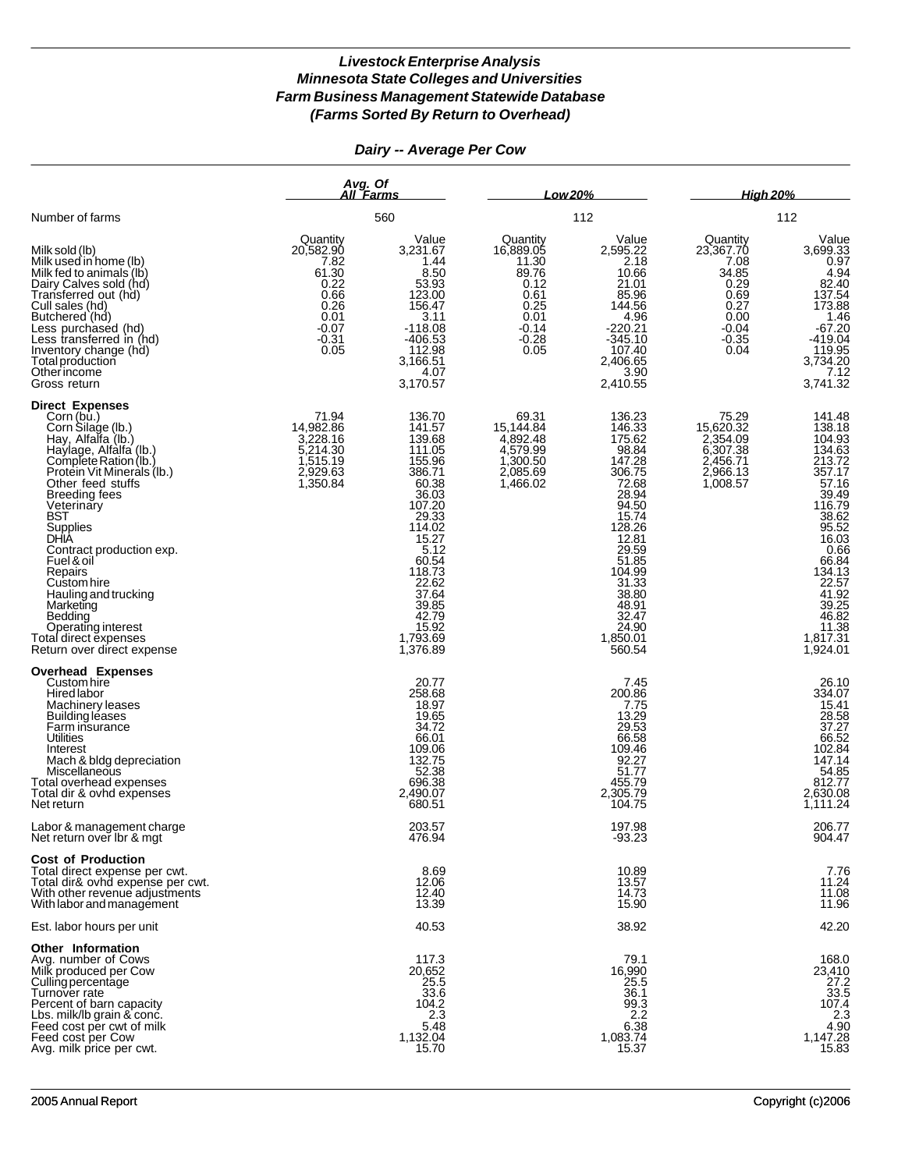# *Dairy -- Average Per Cow*

|                                                                                                                                                                                                                                                                                                                                                                                                                                                         | Avg. Of<br>All Farms                                                                                 |                                                                                                                                                                                                                  | Low 20%                                                                                             |                                                                                                                                                                                                               | <b>High 20%</b>                                                                                      |                                                                                                                                                                                                    |
|---------------------------------------------------------------------------------------------------------------------------------------------------------------------------------------------------------------------------------------------------------------------------------------------------------------------------------------------------------------------------------------------------------------------------------------------------------|------------------------------------------------------------------------------------------------------|------------------------------------------------------------------------------------------------------------------------------------------------------------------------------------------------------------------|-----------------------------------------------------------------------------------------------------|---------------------------------------------------------------------------------------------------------------------------------------------------------------------------------------------------------------|------------------------------------------------------------------------------------------------------|----------------------------------------------------------------------------------------------------------------------------------------------------------------------------------------------------|
| Number of farms                                                                                                                                                                                                                                                                                                                                                                                                                                         |                                                                                                      | 560                                                                                                                                                                                                              | 112                                                                                                 |                                                                                                                                                                                                               | 112                                                                                                  |                                                                                                                                                                                                    |
| Milk sold (lb)<br>Milk used in home (lb)<br>Milk fed to animals (lb)<br>Dairy Calves sold (hd)<br>Transferred out (hd)<br>Cull sales (hd)<br>Butchered (hd)<br>Less purchased (hd)<br>Less transferred in (hd)<br>Inventory change (hd)<br>Total production<br>Otherincome<br>Gross return                                                                                                                                                              | Quantity<br>20,582.90<br>7.82<br>61.30<br>0.22<br>0.66<br>0.26<br>0.01<br>$-0.07$<br>$-0.31$<br>0.05 | Value<br>3,231.67<br>1.44<br>8.50<br>53.93<br>123.00<br>156.47<br>3.11<br>$-118.08$<br>$-406.53$<br>112.98<br>3,166.51<br>4.07<br>3,170.57                                                                       | Quantity<br>16,889.05<br>11.30<br>89.76<br>0.12<br>0.61<br>0.25<br>0.01<br>-0.14<br>$-0.28$<br>0.05 | Value<br>2,595.22<br>2.18<br>10.66<br>21.01<br>85.96<br>144.56<br>4.96<br>$-220.21$<br>$-345.10$<br>107.40<br>2,406.65<br>3.90<br>2,410.55                                                                    | Quantity<br>23,367.70<br>7.08<br>34.85<br>0.29<br>0.69<br>0.27<br>0.00<br>$-0.04$<br>$-0.35$<br>0.04 | Value<br>3,699.33<br>0.97<br>4.94<br>82.40<br>137.54<br>173.88<br>1.46<br>$-67.20$<br>$-419.04$<br>119.95<br>3,734.20<br>7.12<br>3,741.32                                                          |
| <b>Direct Expenses</b><br>Corn (bu.)<br>Corn Silage (lb.)<br>Hay, Alfalfa (lb.)<br>Haylage, Alfalfa (lb.)<br>Complete Ration (lb.)<br>Protein Vit Minerals (lb.)<br>Other feed stuffs<br>Breeding fees<br>Veterinary<br><b>BST</b><br>Supplies<br>DHIA<br>Contract production exp.<br>Fuel & oil<br>Repairs<br>Custom hire<br>Hauling and trucking<br>Marketing<br>Bedding<br>Operating interest<br>Total direct expenses<br>Return over direct expense | 71.94<br>14,982.86<br>3,228.16<br>5,214.30<br>1,515.19<br>2,929.63<br>1.350.84                       | 136.70<br>141.57<br>139.68<br>111.05<br>155.96<br>386.71<br>60.38<br>36.03<br>107.20<br>29.33<br>114.02<br>15.27<br>5.12<br>60.54<br>118.73<br>22.62<br>37.64<br>39.85<br>42.79<br>15.92<br>1,793.69<br>1,376.89 | 69.31<br>15,144.84<br>4,892.48<br>4,579.99<br>1,300.50<br>2,085.69<br>1,466.02                      | 136.23<br>146.33<br>175.62<br>98.84<br>147.28<br>306.75<br>72.68<br>28.94<br>94.50<br>15.74<br>128.26<br>12.81<br>29.59<br>51.85<br>104.99<br>31.33<br>38.80<br>48.91<br>32.47<br>24.90<br>1,850.01<br>560.54 | 75.29<br>15,620.32<br>2,354.09<br>6,307.38<br>2,456.71<br>2,966.13<br>1,008.57                       | 141.48<br>138.18<br>104.93<br>$134.63$<br>$213.72$<br>357.17<br>57.16<br>39.49<br>116.79<br>38.62<br>16.03<br>66.84<br>134.13<br>22.57<br>41.92<br>39.25<br>46.82<br>11.38<br>1,817.31<br>1,924.01 |
| <b>Overhead Expenses</b><br>Custom hire<br>Hired labor<br>Machinery leases<br><b>Building leases</b><br>Farm insurance<br>Utilities<br>Interest<br>Mach & bldg depreciation<br>Miscellaneous<br>Total overhead expenses<br>Total dir & ovhd expenses<br>Net return                                                                                                                                                                                      |                                                                                                      | 20.77<br>258.68<br>18.97<br>19.65<br>34.72<br>66.01<br>109.06<br>132.75<br>52.38<br>696.38<br>2,490.07<br>680.51                                                                                                 |                                                                                                     | 7.45<br>200.86<br>7.75<br>13.29<br>29.53<br>66.58<br>109.46<br>92.27<br>51.77<br>455.79<br>2,305.79<br>104.75                                                                                                 |                                                                                                      | 26.10<br>334.07<br>$\frac{15.41}{28.58}$<br>37.27<br>66.52<br>102.84<br>147.14<br>54.85<br>812.77<br>2,630.08<br>1,111.24                                                                          |
| Labor & management charge<br>Net return over lbr & mgt                                                                                                                                                                                                                                                                                                                                                                                                  |                                                                                                      | 203.57<br>476.94                                                                                                                                                                                                 |                                                                                                     | 197.98<br>-93.23                                                                                                                                                                                              |                                                                                                      | 206.77<br>904.47                                                                                                                                                                                   |
| <b>Cost of Production</b><br>Total direct expense per cwt.<br>Total dir& ovhd expense per cwt.<br>With other revenue adjustments<br>With labor and management                                                                                                                                                                                                                                                                                           |                                                                                                      | 8.69<br>12.06<br>12.40<br>13.39                                                                                                                                                                                  |                                                                                                     | 10.89<br>13.57<br>14.73<br>15.90                                                                                                                                                                              |                                                                                                      | 7.76<br>11.24<br>11.08<br>11.96                                                                                                                                                                    |
| Est. labor hours per unit                                                                                                                                                                                                                                                                                                                                                                                                                               |                                                                                                      | 40.53                                                                                                                                                                                                            |                                                                                                     | 38.92                                                                                                                                                                                                         |                                                                                                      | 42.20                                                                                                                                                                                              |
| <b>Other Information</b><br>Avg. number of Cows<br>Milk produced per Cow<br>Culling percentage<br>Turnover rate<br>Percent of barn capacity<br>Lbs. milk/lb grain & conc.<br>Feed cost per cwt of milk<br>Feed cost per Cow<br>Avg. milk price per cwt.                                                                                                                                                                                                 |                                                                                                      | 117.3<br>20,652<br>25.5<br>33.6<br>104.2<br>2.3<br>5.48<br>1,132.04<br>15.70                                                                                                                                     |                                                                                                     | 79.1<br>16,990<br>25.5<br>36.1<br>99.3<br>2.2<br>6.38<br>1,083.74<br>15.37                                                                                                                                    |                                                                                                      | 168.0<br>23,410<br>27.2<br>33.5<br>107.4<br>2.3<br>4.90<br>1,147.28<br>15.83                                                                                                                       |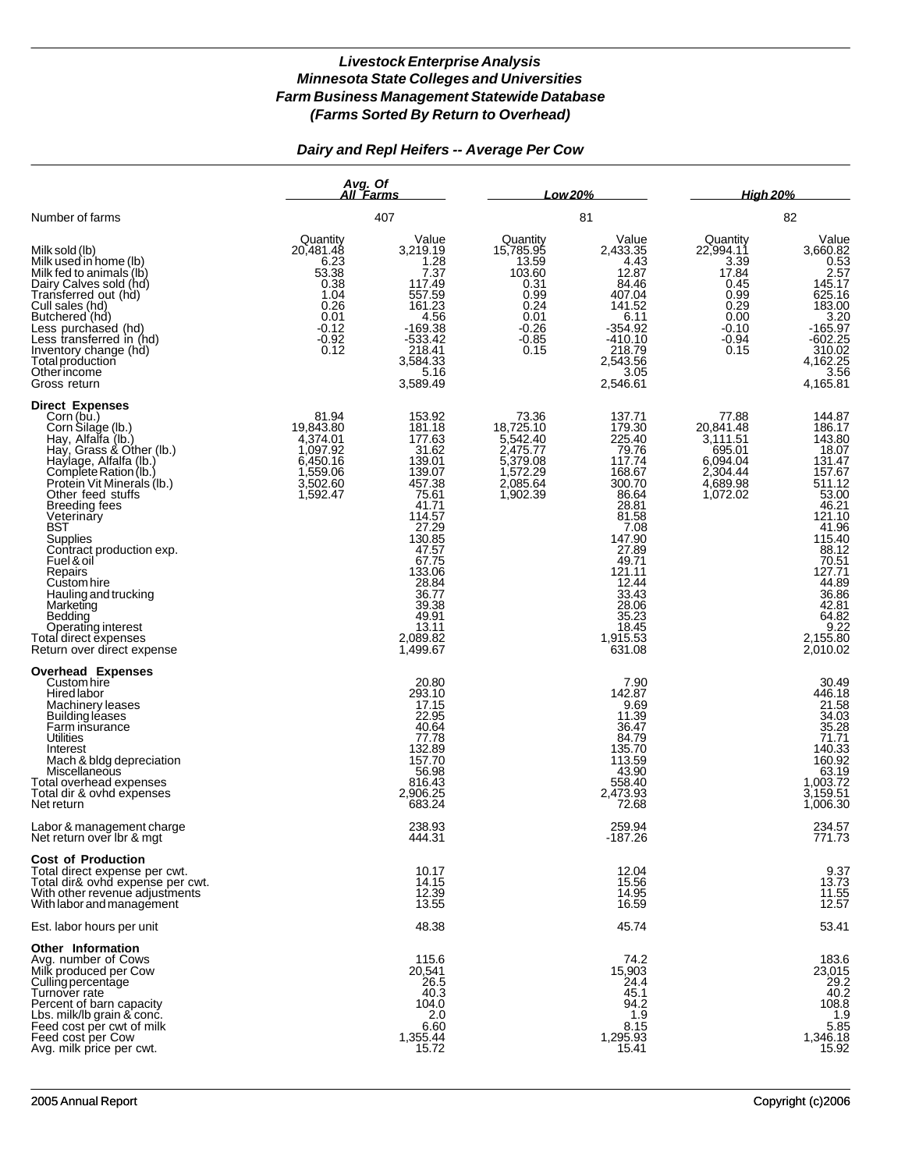# *Dairy and Repl Heifers -- Average Per Cow*

|                                                                                                                                                                                                                                                                                                                                                                                                                                                                                           | Avg. Of<br>All Farms<br>407                                                                          |                                                                                                                                                                                                                   | Low 20%<br>81                                                                                          |                                                                                                                                                                                                               | <b>High 20%</b><br>82                                                                                |                                                                                                                                                                                                                    |
|-------------------------------------------------------------------------------------------------------------------------------------------------------------------------------------------------------------------------------------------------------------------------------------------------------------------------------------------------------------------------------------------------------------------------------------------------------------------------------------------|------------------------------------------------------------------------------------------------------|-------------------------------------------------------------------------------------------------------------------------------------------------------------------------------------------------------------------|--------------------------------------------------------------------------------------------------------|---------------------------------------------------------------------------------------------------------------------------------------------------------------------------------------------------------------|------------------------------------------------------------------------------------------------------|--------------------------------------------------------------------------------------------------------------------------------------------------------------------------------------------------------------------|
| Number of farms                                                                                                                                                                                                                                                                                                                                                                                                                                                                           |                                                                                                      |                                                                                                                                                                                                                   |                                                                                                        |                                                                                                                                                                                                               |                                                                                                      |                                                                                                                                                                                                                    |
| Milk sold (lb)<br>Milk used in home (lb)<br>Milk fed to animals (lb)<br>Dairy Calves sold (hd)<br>Transferred out (hd)<br>Cull sales (hd)<br>Butchered (hd)<br>Less purchased (hd)<br>Less transferred in (hd)<br>Inventory change (hd)<br>Total production<br>Otherincome<br>Gross return                                                                                                                                                                                                | Quantity<br>20,481.48<br>6.23<br>53.38<br>0.38<br>1.04<br>0.26<br>0.01<br>$-0.12$<br>$-0.92$<br>0.12 | Value<br>3,219.19<br>1.28<br>7.37<br>117.49<br>557.59<br>161.23<br>4.56<br>$-169.38$<br>$-533.42$<br>218.41<br>3,584.33<br>5.16<br>3,589.49                                                                       | Quantity<br>15,785.95<br>13.59<br>103.60<br>0.31<br>0.99<br>0.24<br>0.01<br>$-0.26$<br>$-0.85$<br>0.15 | Value<br>2,433.35<br>4.43<br>12.87<br>84.46<br>407.04<br>141.52<br>6.11<br>$-354.92$<br>$-410.10$<br>218.79<br>2,543.56<br>3.05<br>2,546.61                                                                   | Quantity<br>22,994.11<br>3.39<br>17.84<br>0.45<br>0.99<br>0.29<br>0.00<br>$-0.10$<br>$-0.94$<br>0.15 | Value<br>3,660.82<br>$\frac{0.53}{2.57}$<br>145.17<br>625.16<br>183.00<br>3.20<br>$-165.97$<br>$-602.25$<br>310.02<br>4,162.25<br>3.56<br>4,165.81                                                                 |
| <b>Direct Expenses</b><br>Corn (bu.)<br>Corn Silage (lb.)<br>Hay, Alfalfa (lb.)<br>Hay, Grass & Other (lb.)<br>Haylage, Alfalfa (lb.)<br>Complete Ration (lb.)<br>Protein Vit Minerals (Ib.)<br>Other feed stuffs<br><b>Breeding fees</b><br>Veterinary<br><b>BST</b><br><b>Supplies</b><br>Contract production exp.<br>Fuel & oil<br>Repairs<br>Custom hire<br>Hauling and trucking<br>Marketing<br>Bedding<br>Operating interest<br>Total direct expenses<br>Return over direct expense | 81.94<br>19,843.80<br>4,374.01<br>1,097.92<br>6,450.16<br>1,559.06<br>3,502.60<br>1,592.47           | 153.92<br>181.18<br>177.63<br>31.62<br>139.01<br>139.07<br>457.38<br>75.61<br>41.71<br>114.57<br>27.29<br>130.85<br>47.57<br>67.75<br>133.06<br>28.84<br>36.77<br>39.38<br>49.91<br>13.11<br>2,089.82<br>1,499.67 | 73.36<br>18,725.10<br>5,542.40<br>2,475.77<br>5,379.08<br>2,085.64<br>1,902.39                         | 137.71<br>179.30<br>225.40<br>79.76<br>117.74<br>168.67<br>300.70<br>86.64<br>28.81<br>81.58<br>7.08<br>147.90<br>27.89<br>49.71<br>121.11<br>12.44<br>33.43<br>28.06<br>35.23<br>18.45<br>1,915.53<br>631.08 | 77.88<br>20,841.48<br>3,111.51<br>695.01<br>6,094.04<br>2,304.44<br>4,689.98<br>1,072.02             | 144.87<br>186.17<br>143.80<br>18.07<br>131.47<br>157.67<br>511.12<br>53.00<br>46.21<br>121.10<br>41.96<br>115.40<br>88.12<br>$70.51$<br>127.71<br>44.89<br>36.86<br>42.81<br>64.82<br>9.22<br>2,155.80<br>2,010.02 |
| <b>Overhead Expenses</b><br>Custom hire<br>Hired labor<br>Machinery leases<br>Building leases<br>Farm insurance<br>Utilities<br>Interest<br>Mach & bldg depreciation<br>Miscellaneous<br>Total overhead expenses<br>Total dir & ovhd expenses<br>Net return                                                                                                                                                                                                                               |                                                                                                      | 20.80<br>293.10<br>17.15<br>22.95<br>40.64<br>77.78<br>132.89<br>157.70<br>56.98<br>816.43<br>2,906.25<br>683.24                                                                                                  |                                                                                                        | 7.90<br>142.87<br>9.69<br>11.39<br>36.47<br>84.79<br>135.70<br>113.59<br>43.90<br>558.40<br>2,473.93<br>72.68                                                                                                 |                                                                                                      | 30.49<br>446.18<br>$\frac{21.58}{34.03}$<br>$\frac{35.28}{71.71}$<br>$140.33$<br>160.92<br>63.19<br>1,003.72<br>3,159.51<br>1,006.30                                                                               |
| Labor & management charge<br>Net return over Ibr & mgt                                                                                                                                                                                                                                                                                                                                                                                                                                    |                                                                                                      | 238.93<br>444.31                                                                                                                                                                                                  |                                                                                                        | 259.94<br>$-187.26$                                                                                                                                                                                           |                                                                                                      | 234.57<br>771.73                                                                                                                                                                                                   |
| <b>Cost of Production</b><br>Total direct expense per cwt.<br>Total dir& ovhd expense per cwt.<br>With other revenue adjustments<br>With labor and management                                                                                                                                                                                                                                                                                                                             |                                                                                                      | 10.17<br>14.15<br>12.39<br>13.55                                                                                                                                                                                  |                                                                                                        | 12.04<br>15.56<br>14.95<br>16.59                                                                                                                                                                              |                                                                                                      | 9.37<br>13.73<br>11.55<br>12.57                                                                                                                                                                                    |
| Est. labor hours per unit                                                                                                                                                                                                                                                                                                                                                                                                                                                                 |                                                                                                      | 48.38                                                                                                                                                                                                             |                                                                                                        | 45.74                                                                                                                                                                                                         |                                                                                                      | 53.41                                                                                                                                                                                                              |
| Other Information<br>Avg. number of Cows<br>Milk produced per Cow<br>Culling percentage<br>Turnover rate<br>Percent of barn capacity<br>Lbs. milk/lb grain & conc.<br>Feed cost per cwt of milk<br>Feed cost per Cow<br>Avg. milk price per cwt.                                                                                                                                                                                                                                          |                                                                                                      | 115.6<br>20,541<br>26.5<br>40.3<br>104.0<br>2.0<br>6.60<br>1,355.44<br>15.72                                                                                                                                      |                                                                                                        | 74.2<br>15,903<br>24.4<br>45.1<br>94.2<br>1.9<br>8.15<br>1,295.93<br>15.41                                                                                                                                    |                                                                                                      | 183.6<br>23,015<br>29.2<br>40.2<br>108.8<br>1.9<br>5.85<br>1,346.18<br>15.92                                                                                                                                       |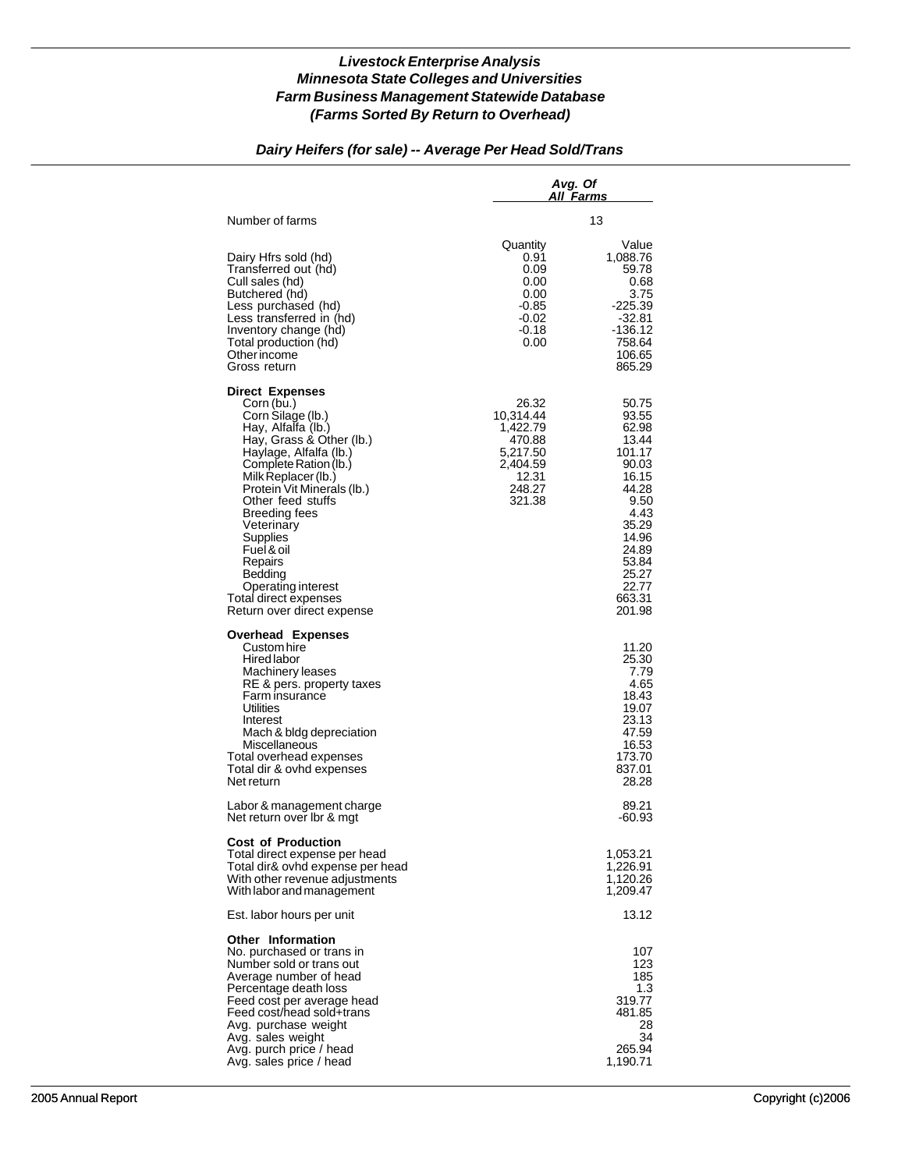# *Dairy Heifers (for sale) -- Average Per Head Sold/Trans*

|                                                                                                                                                                                                                                                                                                                                                                                                      | Avg. Of<br>All Farms                                                                          |                                                                                                                                                                 |  |
|------------------------------------------------------------------------------------------------------------------------------------------------------------------------------------------------------------------------------------------------------------------------------------------------------------------------------------------------------------------------------------------------------|-----------------------------------------------------------------------------------------------|-----------------------------------------------------------------------------------------------------------------------------------------------------------------|--|
| Number of farms                                                                                                                                                                                                                                                                                                                                                                                      |                                                                                               | 13                                                                                                                                                              |  |
| Dairy Hfrs sold (hd)<br>Transferred out (hd)<br>Cull sales (hd)<br>Butchered (hd)<br>Less purchased (hd)<br>Less transferred in (hd)<br>Inventory change (hd)<br>Total production (hd)<br>Other income<br>Gross return                                                                                                                                                                               | Quantity<br>0.91<br>0.09<br>0.00<br>0.00<br>$-0.85$<br>$-0.02$<br>$-0.18$<br>0.00             | Value<br>1,088.76<br>59.78<br>0.68<br>3.75<br>$-225.39$<br>$-32.81$<br>-136.12<br>758.64<br>106.65<br>865.29                                                    |  |
| <b>Direct Expenses</b><br>Corn (bu.)<br>Corn Silage (lb.)<br>Hay, Alfalfa (lb.)<br>Hay, Grass & Other (lb.)<br>Haylage, Alfalfa (lb.)<br>Complete Ration (lb.)<br>Milk Replacer (lb.)<br>Protein Vit Minerals (lb.)<br>Other feed stuffs<br>Breeding fees<br>Veterinary<br>Supplies<br>Fuel & oil<br>Repairs<br>Bedding<br>Operating interest<br>Total direct expenses<br>Return over direct expense | 26.32<br>10.314.44<br>1,422.79<br>470.88<br>5,217.50<br>2.404.59<br>12.31<br>248.27<br>321.38 | 50.75<br>93.55<br>62.98<br>13.44<br>101.17<br>90.03<br>16.15<br>44.28<br>9.50<br>4.43<br>35.29<br>14.96<br>24.89<br>53.84<br>25.27<br>22.77<br>663.31<br>201.98 |  |
| <b>Overhead Expenses</b><br>Custom hire<br>Hired labor<br>Machinery leases<br>RE & pers. property taxes<br>Farm insurance<br>Utilities<br>Interest<br>Mach & bldg depreciation<br>Miscellaneous<br>Total overhead expenses<br>Total dir & ovhd expenses<br>Net return                                                                                                                                |                                                                                               | 11.20<br>25.30<br>7.79<br>4.65<br>18.43<br>19.07<br>23.13<br>47.59<br>16.53<br>173.70<br>837.01<br>28.28                                                        |  |
| Labor & management charge<br>Net return over Ibr & mgt                                                                                                                                                                                                                                                                                                                                               |                                                                                               | 89.21<br>-60.93                                                                                                                                                 |  |
| <b>Cost of Production</b><br>Total direct expense per head<br>Total dir& ovhd expense per head<br>With other revenue adjustments<br>With labor and management                                                                                                                                                                                                                                        |                                                                                               | 1,053.21<br>1,226.91<br>1,120.26<br>1,209.47                                                                                                                    |  |
| Est. labor hours per unit                                                                                                                                                                                                                                                                                                                                                                            |                                                                                               | 13.12                                                                                                                                                           |  |
| <b>Other Information</b><br>No. purchased or trans in<br>Number sold or trans out<br>Average number of head<br>Percentage death loss<br>Feed cost per average head<br>Feed cost/head sold+trans<br>Avg. purchase weight<br>Avg. sales weight<br>Avg. purch price / head<br>Avg. sales price / head                                                                                                   |                                                                                               | 107<br>123<br>185<br>1.3<br>319.77<br>481.85<br>28<br>34<br>265.94<br>1,190.71                                                                                  |  |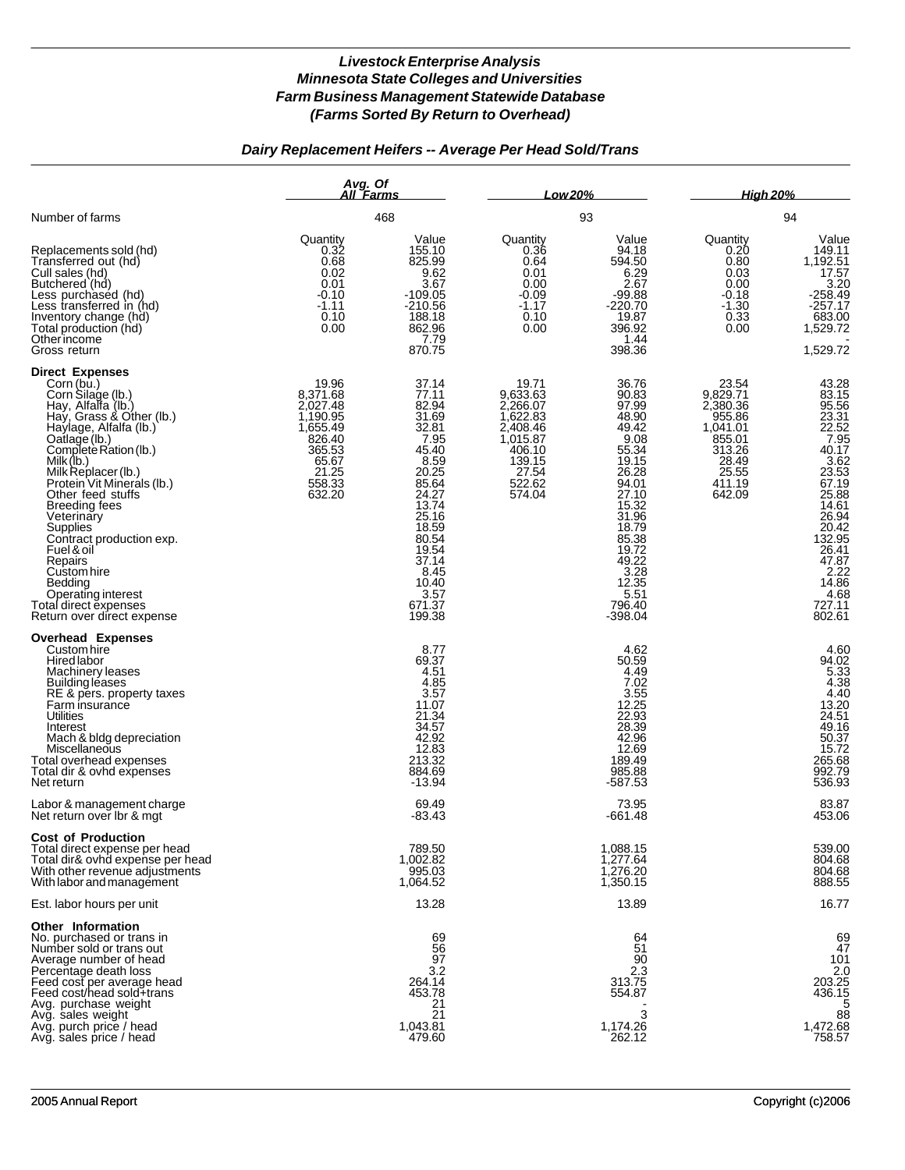# *Dairy Replacement Heifers -- Average Per Head Sold/Trans*

|                                                                                                                                                                                                                                                                                                                                                                                                                                                                                        | Avg. Of<br>All Farms                                                                                            |                                                                                                                                                                                                  | Low 20%                                                                                                            |                                                                                                                                                                                                      | <b>High 20%</b>                                                                                               |                                                                                                                                                                                                                    |
|----------------------------------------------------------------------------------------------------------------------------------------------------------------------------------------------------------------------------------------------------------------------------------------------------------------------------------------------------------------------------------------------------------------------------------------------------------------------------------------|-----------------------------------------------------------------------------------------------------------------|--------------------------------------------------------------------------------------------------------------------------------------------------------------------------------------------------|--------------------------------------------------------------------------------------------------------------------|------------------------------------------------------------------------------------------------------------------------------------------------------------------------------------------------------|---------------------------------------------------------------------------------------------------------------|--------------------------------------------------------------------------------------------------------------------------------------------------------------------------------------------------------------------|
| Number of farms                                                                                                                                                                                                                                                                                                                                                                                                                                                                        |                                                                                                                 | 468                                                                                                                                                                                              | 93                                                                                                                 |                                                                                                                                                                                                      | 94                                                                                                            |                                                                                                                                                                                                                    |
| Replacements sold (hd)<br>Transferred out (hd)<br>Cull sales (hd)<br>Butchered (hd)<br>Less purchased (hd)<br>Less transferred in (hd)<br>Inventory change (hd)<br>Total production (hd)<br>Other income<br>Gross return                                                                                                                                                                                                                                                               | Quantity<br>0.32<br>0.68<br>0.02<br>0.01<br>$-0.10$<br>$-1.11$<br>0.10<br>0.00                                  | Value<br>155.10<br>825.99<br>9.62<br>3.67<br>$-109.05$<br>$-210.56$<br>188.18<br>862.96<br>7.79<br>870.75                                                                                        | Quantity<br>0.36<br>0.64<br>0.01<br>0.00<br>$-0.09$<br>$-1.17$<br>0.10<br>0.00                                     | Value<br>94.18<br>594.50<br>6.29<br>2.67<br>$-99.88$<br>-220.70<br>19.87<br>396.92<br>1.44<br>398.36                                                                                                 | Quantity<br>0.20<br>0.80<br>0.03<br>0.00<br>$-0.18$<br>$-1.30$<br>0.33<br>0.00                                | Value<br>149.11<br>1,192.51<br>17.57<br>3.20<br>$-258.49$<br>$-257.17$<br>683.00<br>1,529.72<br>1,529.72                                                                                                           |
| <b>Direct Expenses</b><br>Corn (bu.)<br>Corn Silage (lb.)<br>Hay, Alfalfa (lb.)<br>Hay, Grass & Other (lb.)<br>Haylage, Alfalfa (lb.)<br>Fraylage (lb.)<br>Complete Ration (lb.)<br>Milk (lb.)<br>Milk Replacer (lb.)<br>Protein Vit Minerals (lb.)<br>Other feed stuffs<br>Breeding fees<br>Veterinary<br><b>Supplies</b><br>Contract production exp.<br>Fuel & oil<br>Repairs<br>Custom hire<br>Bedding<br>Operating interest<br>Total direct expenses<br>Return over direct expense | 19.96<br>8,371.68<br>2,027.48<br>1,190.95<br>1,655.49<br>826.40<br>365.53<br>65.67<br>21.25<br>558.33<br>632.20 | 37.14<br>77.11<br>82.94<br>31.69<br>32.81<br>7.95<br>45.40<br>8.59<br>20.25<br>85.64<br>24.27<br>13.74<br>25.16<br>18.59<br>80.54<br>19.54<br>37.14<br>8.45<br>10.40<br>3.57<br>671.37<br>199.38 | 19.71<br>9,633.63<br>2,266.07<br>1,622.83<br>2,408.46<br>1,015.87<br>406.10<br>139.15<br>27.54<br>522.62<br>574.04 | 36.76<br>90.83<br>97.99<br>48.90<br>49.42<br>9.08<br>55.34<br>19.15<br>26.28<br>94.01<br>27.10<br>15.32<br>31.96<br>18.79<br>85.38<br>19.72<br>49.22<br>3.28<br>12.35<br>5.51<br>796.40<br>$-398.04$ | 23.54<br>9,829.71<br>2,380.36<br>955.86<br>1,041.01<br>855.01<br>313.26<br>28.49<br>25.55<br>411.19<br>642.09 | 43.28<br>$83.15$<br>$95.56$<br>$23.31$<br>$22.52$<br>7.95<br>40.17<br>$\frac{3.62}{23.53}$<br>67.19<br>25.88<br>14.61<br>26.94<br>20.42<br>132.95<br>26.41<br>47.87<br>$2.22$<br>14.86<br>4.68<br>727.11<br>802.61 |
| <b>Overhead Expenses</b><br>Custom hire<br>Hired labor<br>Machinery leases<br><b>Building leases</b><br>RE & pers. property taxes<br>Farm insurance<br><b>Utilities</b><br>Interest<br>Mach & bldg depreciation<br>Miscellaneous<br>Total overhead expenses<br>Total dir & ovhd expenses<br>Net return                                                                                                                                                                                 |                                                                                                                 | 8.77<br>69.37<br>4.51<br>4.85<br>3.57<br>11.07<br>21.34<br>34.57<br>42.92<br>12.83<br>213.32<br>884.69<br>$-13.94$                                                                               |                                                                                                                    | 4.62<br>50.59<br>4.49<br>7.02<br>3.55<br>12.25<br>22.93<br>28.39<br>42.96<br>12.69<br>189.49<br>985.88<br>-587.53                                                                                    |                                                                                                               | 4.60<br>94.02<br>5.33<br>4.38<br>4.40<br>13.20<br>24.51<br>49.16<br>50.37<br>15.72<br>265.68<br>992.79<br>536.93                                                                                                   |
| Labor & management charge<br>Net return over Ibr & mgt                                                                                                                                                                                                                                                                                                                                                                                                                                 |                                                                                                                 | 69.49<br>$-83.43$                                                                                                                                                                                |                                                                                                                    | 73.95<br>-661.48                                                                                                                                                                                     |                                                                                                               | 83.87<br>453.06                                                                                                                                                                                                    |
| <b>Cost of Production</b><br>Total direct expense per head<br>Total dir& ovhd expense per head<br>With other revenue adjustments<br>With labor and management                                                                                                                                                                                                                                                                                                                          |                                                                                                                 | 789.50<br>1,002.82<br>995.03<br>1,064.52                                                                                                                                                         |                                                                                                                    | 1,088.15<br>1,277.64<br>1.276.20<br>1,350.15                                                                                                                                                         |                                                                                                               | 539.00<br>804.68<br>804.68<br>888.55                                                                                                                                                                               |
| Est. labor hours per unit                                                                                                                                                                                                                                                                                                                                                                                                                                                              |                                                                                                                 | 13.28                                                                                                                                                                                            |                                                                                                                    | 13.89                                                                                                                                                                                                |                                                                                                               | 16.77                                                                                                                                                                                                              |
| <b>Other Information</b><br>No. purchased or trans in<br>Number sold or trans out<br>Average number of head<br>Percentage death loss<br>Feed cost per average head<br>Feed cost/head sold+trans<br>Avg. purchase weight<br>Avg. sales weight<br>Avg. purch price / head<br>Avg. sales price / head                                                                                                                                                                                     |                                                                                                                 | 69<br>56<br>97<br>3.2<br>264.14<br>453.78<br>21<br>21<br>1,043.81<br>479.60                                                                                                                      |                                                                                                                    | 64<br>51<br>90<br>2.3<br>313.75<br>554.87<br>3<br>1,174.26<br>262.12                                                                                                                                 |                                                                                                               | 69<br>47<br>$\frac{101}{2.0}$<br>203.25<br>436.15<br>5<br>88<br>1,472.68<br>758.57                                                                                                                                 |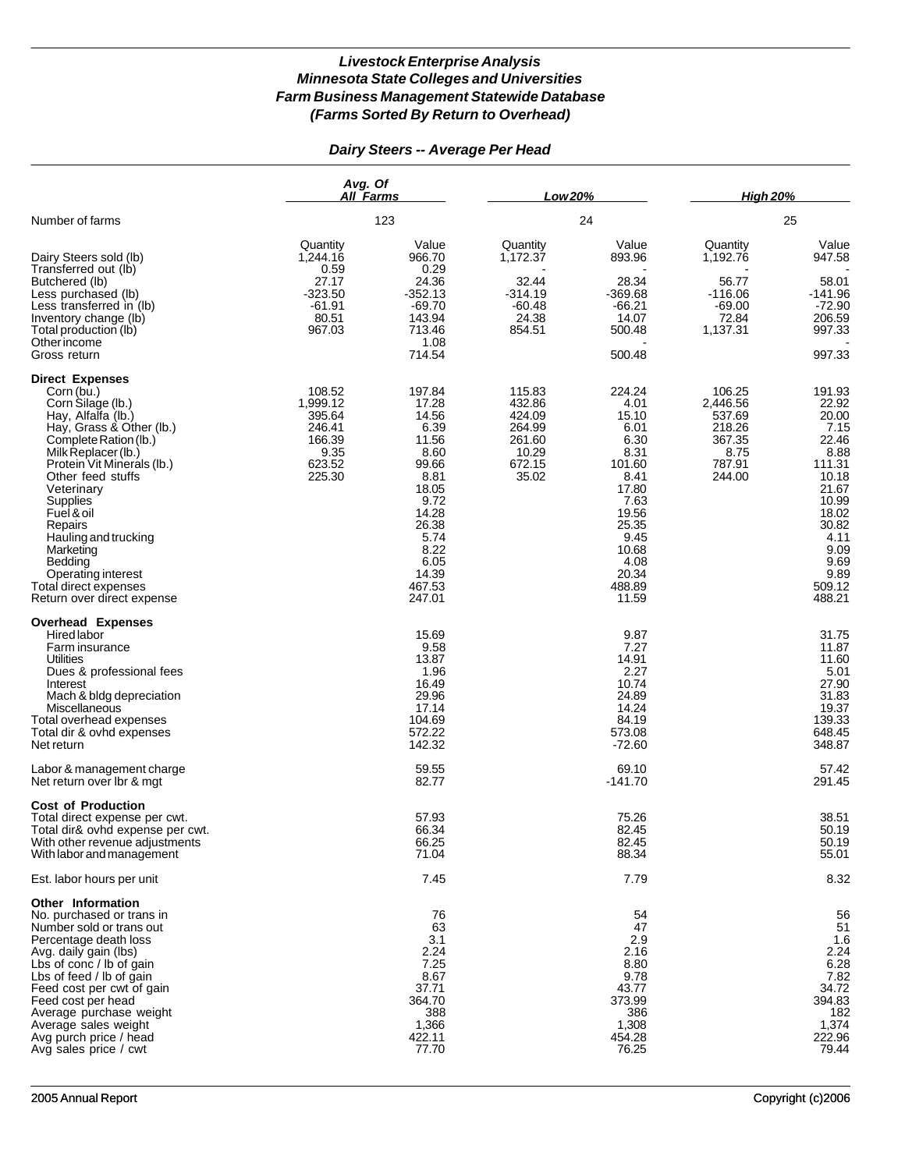# *Dairy Steers -- Average Per Head*

|                                                                                                                                                                                                                                                                                                                                                                                                       | Avg. Of<br>All Farms                                                         |                                                                                                                                                            | Low 20%                                                                    |                                                                                                                                                           | <b>High 20%</b>                                                              |                                                                                                                                                              |
|-------------------------------------------------------------------------------------------------------------------------------------------------------------------------------------------------------------------------------------------------------------------------------------------------------------------------------------------------------------------------------------------------------|------------------------------------------------------------------------------|------------------------------------------------------------------------------------------------------------------------------------------------------------|----------------------------------------------------------------------------|-----------------------------------------------------------------------------------------------------------------------------------------------------------|------------------------------------------------------------------------------|--------------------------------------------------------------------------------------------------------------------------------------------------------------|
| Number of farms                                                                                                                                                                                                                                                                                                                                                                                       |                                                                              | 123                                                                                                                                                        |                                                                            | 24                                                                                                                                                        |                                                                              | 25                                                                                                                                                           |
| Dairy Steers sold (lb)<br>Transferred out (lb)                                                                                                                                                                                                                                                                                                                                                        | Quantity<br>1.244.16<br>0.59                                                 | Value<br>966.70<br>0.29                                                                                                                                    | Quantity<br>1,172.37                                                       | Value<br>893.96                                                                                                                                           | Quantity<br>1,192.76                                                         | Value<br>947.58                                                                                                                                              |
| Butchered (lb)<br>Less purchased (lb)<br>Less transferred in (lb)<br>Inventory change (lb)<br>Total production (lb)<br>Other income                                                                                                                                                                                                                                                                   | 27.17<br>$-323.50$<br>$-61.91$<br>80.51<br>967.03                            | 24.36<br>$-352.13$<br>$-69.70$<br>143.94<br>713.46<br>1.08                                                                                                 | 32.44<br>$-314.19$<br>$-60.48$<br>24.38<br>854.51                          | 28.34<br>$-369.68$<br>$-66.21$<br>14.07<br>500.48                                                                                                         | 56.77<br>$-116.06$<br>$-69.00$<br>72.84<br>1,137.31                          | 58.01<br>$-141.96$<br>$-72.90$<br>206.59<br>997.33                                                                                                           |
| Gross return                                                                                                                                                                                                                                                                                                                                                                                          |                                                                              | 714.54                                                                                                                                                     |                                                                            | 500.48                                                                                                                                                    |                                                                              | 997.33                                                                                                                                                       |
| <b>Direct Expenses</b><br>Corn (bu.)<br>Corn Silage (lb.)<br>Hay, Alfalfa (lb.)<br>Hay, Grass & Other (lb.)<br>Complete Ration (lb.)<br>Milk Replacer (lb.)<br>Protein Vit Minerals (lb.)<br>Other feed stuffs<br>Veterinary<br><b>Supplies</b><br>Fuel & oil<br>Repairs<br>Hauling and trucking<br>Marketing<br>Bedding<br>Operating interest<br>Total direct expenses<br>Return over direct expense | 108.52<br>1,999.12<br>395.64<br>246.41<br>166.39<br>9.35<br>623.52<br>225.30 | 197.84<br>17.28<br>14.56<br>6.39<br>11.56<br>8.60<br>99.66<br>8.81<br>18.05<br>9.72<br>14.28<br>26.38<br>5.74<br>8.22<br>6.05<br>14.39<br>467.53<br>247.01 | 115.83<br>432.86<br>424.09<br>264.99<br>261.60<br>10.29<br>672.15<br>35.02 | 224.24<br>4.01<br>15.10<br>6.01<br>6.30<br>8.31<br>101.60<br>8.41<br>17.80<br>7.63<br>19.56<br>25.35<br>9.45<br>10.68<br>4.08<br>20.34<br>488.89<br>11.59 | 106.25<br>2,446.56<br>537.69<br>218.26<br>367.35<br>8.75<br>787.91<br>244.00 | 191.93<br>22.92<br>20.00<br>7.15<br>22.46<br>8.88<br>111.31<br>10.18<br>21.67<br>10.99<br>18.02<br>30.82<br>4.11<br>9.09<br>9.69<br>9.89<br>509.12<br>488.21 |
| <b>Overhead Expenses</b><br>Hired labor<br>Farm insurance<br><b>Utilities</b><br>Dues & professional fees<br>Interest<br>Mach & bldg depreciation<br>Miscellaneous<br>Total overhead expenses<br>Total dir & ovhd expenses<br>Net return                                                                                                                                                              |                                                                              | 15.69<br>9.58<br>13.87<br>1.96<br>16.49<br>29.96<br>17.14<br>104.69<br>572.22<br>142.32                                                                    |                                                                            | 9.87<br>7.27<br>14.91<br>2.27<br>10.74<br>24.89<br>14.24<br>84.19<br>573.08<br>$-72.60$                                                                   |                                                                              | 31.75<br>11.87<br>11.60<br>5.01<br>27.90<br>31.83<br>19.37<br>139.33<br>648.45<br>348.87                                                                     |
| Labor & management charge<br>Net return over Ibr & mgt                                                                                                                                                                                                                                                                                                                                                |                                                                              | 59.55<br>82.77                                                                                                                                             |                                                                            | 69.10<br>$-141.70$                                                                                                                                        |                                                                              | 57.42<br>291.45                                                                                                                                              |
| <b>Cost of Production</b><br>Total direct expense per cwt.<br>Total dir& ovhd expense per cwt.<br>With other revenue adjustments<br>With labor and management                                                                                                                                                                                                                                         |                                                                              | 57.93<br>66.34<br>66.25<br>71.04                                                                                                                           |                                                                            | 75.26<br>82.45<br>82.45<br>88.34                                                                                                                          |                                                                              | 38.51<br>50.19<br>50.19<br>55.01                                                                                                                             |
| Est. labor hours per unit                                                                                                                                                                                                                                                                                                                                                                             |                                                                              | 7.45                                                                                                                                                       |                                                                            | 7.79                                                                                                                                                      |                                                                              | 8.32                                                                                                                                                         |
| <b>Other Information</b><br>No. purchased or trans in<br>Number sold or trans out<br>Percentage death loss<br>Avg. daily gain (lbs)<br>Lbs of conc / lb of gain<br>Lbs of feed / lb of gain<br>Feed cost per cwt of gain<br>Feed cost per head<br>Average purchase weight<br>Average sales weight<br>Avg purch price / head<br>Avg sales price / cwt                                                  |                                                                              | 76<br>63<br>3.1<br>2.24<br>7.25<br>8.67<br>37.71<br>364.70<br>388<br>1,366<br>422.11<br>77.70                                                              |                                                                            | 54<br>47<br>2.9<br>2.16<br>8.80<br>9.78<br>43.77<br>373.99<br>386<br>1,308<br>454.28<br>76.25                                                             |                                                                              | 56<br>51<br>1.6<br>2.24<br>6.28<br>7.82<br>34.72<br>394.83<br>182<br>1,374<br>222.96<br>79.44                                                                |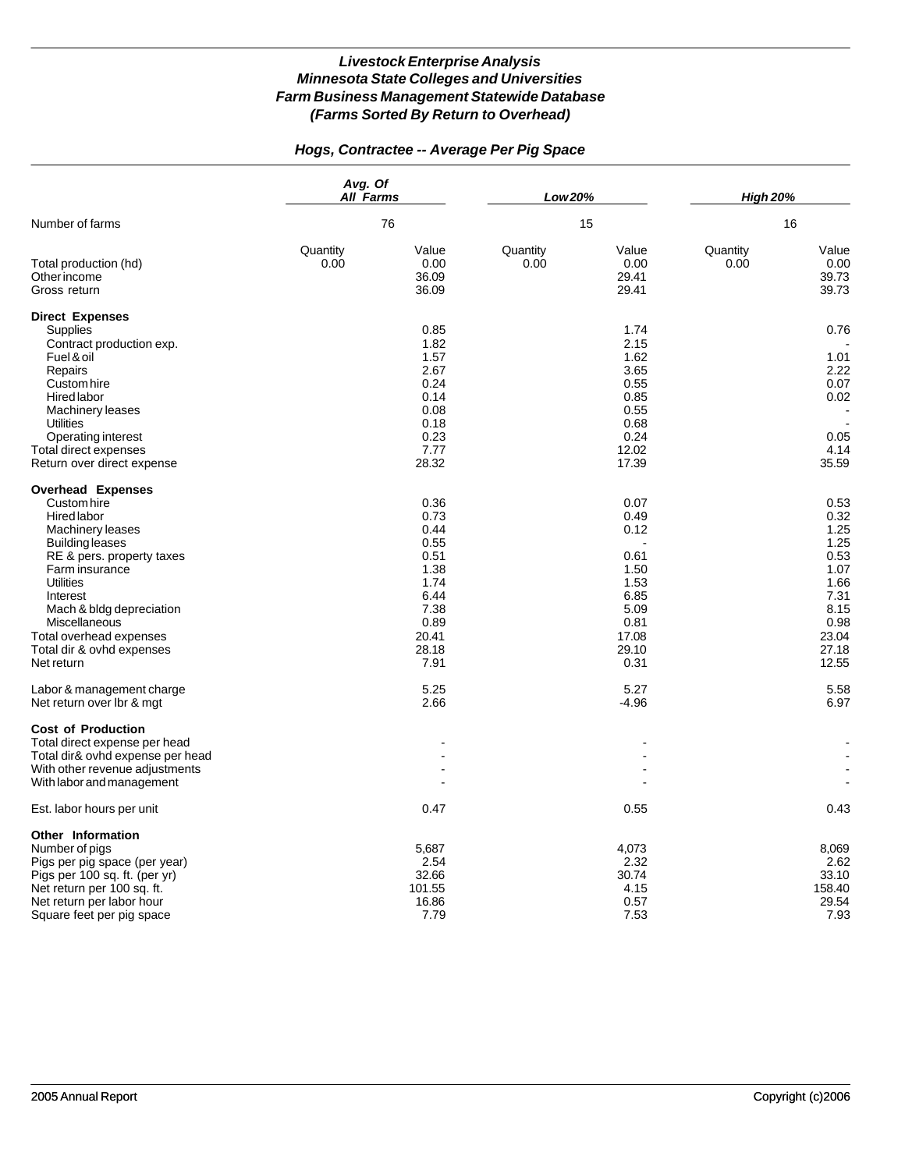# *Hogs, Contractee -- Average Per Pig Space*

|                                                                                                                                                                                                                                                                                                                                                                  | Avg. Of<br><b>All Farms</b><br>76 |                                                                                                                        | Low 20%<br>15    |                                                                                                                   | <b>High 20%</b><br>16 |                                                                                                                         |
|------------------------------------------------------------------------------------------------------------------------------------------------------------------------------------------------------------------------------------------------------------------------------------------------------------------------------------------------------------------|-----------------------------------|------------------------------------------------------------------------------------------------------------------------|------------------|-------------------------------------------------------------------------------------------------------------------|-----------------------|-------------------------------------------------------------------------------------------------------------------------|
| Number of farms                                                                                                                                                                                                                                                                                                                                                  |                                   |                                                                                                                        |                  |                                                                                                                   |                       |                                                                                                                         |
| Total production (hd)<br>Other income<br>Gross return                                                                                                                                                                                                                                                                                                            | Quantity<br>0.00                  | Value<br>0.00<br>36.09<br>36.09                                                                                        | Quantity<br>0.00 | Value<br>0.00<br>29.41<br>29.41                                                                                   | Quantity<br>0.00      | Value<br>0.00<br>39.73<br>39.73                                                                                         |
| <b>Direct Expenses</b><br>Supplies<br>Contract production exp.<br>Fuel & oil<br>Repairs<br>Custom hire<br>Hired labor<br>Machinery leases<br><b>Utilities</b><br>Operating interest<br>Total direct expenses                                                                                                                                                     |                                   | 0.85<br>1.82<br>1.57<br>2.67<br>0.24<br>0.14<br>0.08<br>0.18<br>0.23<br>7.77                                           |                  | 1.74<br>2.15<br>1.62<br>3.65<br>0.55<br>0.85<br>0.55<br>0.68<br>0.24<br>12.02                                     |                       | 0.76<br>1.01<br>2.22<br>0.07<br>0.02<br>0.05<br>4.14                                                                    |
| Return over direct expense                                                                                                                                                                                                                                                                                                                                       |                                   | 28.32                                                                                                                  |                  | 17.39                                                                                                             |                       | 35.59                                                                                                                   |
| <b>Overhead Expenses</b><br>Custom hire<br>Hired labor<br>Machinery leases<br><b>Building leases</b><br>RE & pers. property taxes<br>Farm insurance<br><b>Utilities</b><br>Interest<br>Mach & bldg depreciation<br>Miscellaneous<br>Total overhead expenses<br>Total dir & ovhd expenses<br>Net return<br>Labor & management charge<br>Net return over Ibr & mgt |                                   | 0.36<br>0.73<br>0.44<br>0.55<br>0.51<br>1.38<br>1.74<br>6.44<br>7.38<br>0.89<br>20.41<br>28.18<br>7.91<br>5.25<br>2.66 |                  | 0.07<br>0.49<br>0.12<br>0.61<br>1.50<br>1.53<br>6.85<br>5.09<br>0.81<br>17.08<br>29.10<br>0.31<br>5.27<br>$-4.96$ |                       | 0.53<br>0.32<br>1.25<br>1.25<br>0.53<br>1.07<br>1.66<br>7.31<br>8.15<br>0.98<br>23.04<br>27.18<br>12.55<br>5.58<br>6.97 |
| <b>Cost of Production</b><br>Total direct expense per head<br>Total dir& ovhd expense per head<br>With other revenue adjustments<br>With labor and management<br>Est. labor hours per unit                                                                                                                                                                       |                                   | 0.47                                                                                                                   |                  | 0.55                                                                                                              |                       | $\blacksquare$<br>0.43                                                                                                  |
|                                                                                                                                                                                                                                                                                                                                                                  |                                   |                                                                                                                        |                  |                                                                                                                   |                       |                                                                                                                         |
| Other Information<br>Number of pigs<br>Pigs per pig space (per year)<br>Pigs per 100 sq. ft. (per yr)<br>Net return per 100 sq. ft.<br>Net return per labor hour<br>Square feet per pig space                                                                                                                                                                    |                                   | 5,687<br>2.54<br>32.66<br>101.55<br>16.86<br>7.79                                                                      |                  | 4,073<br>2.32<br>30.74<br>4.15<br>0.57<br>7.53                                                                    |                       | 8,069<br>2.62<br>33.10<br>158.40<br>29.54<br>7.93                                                                       |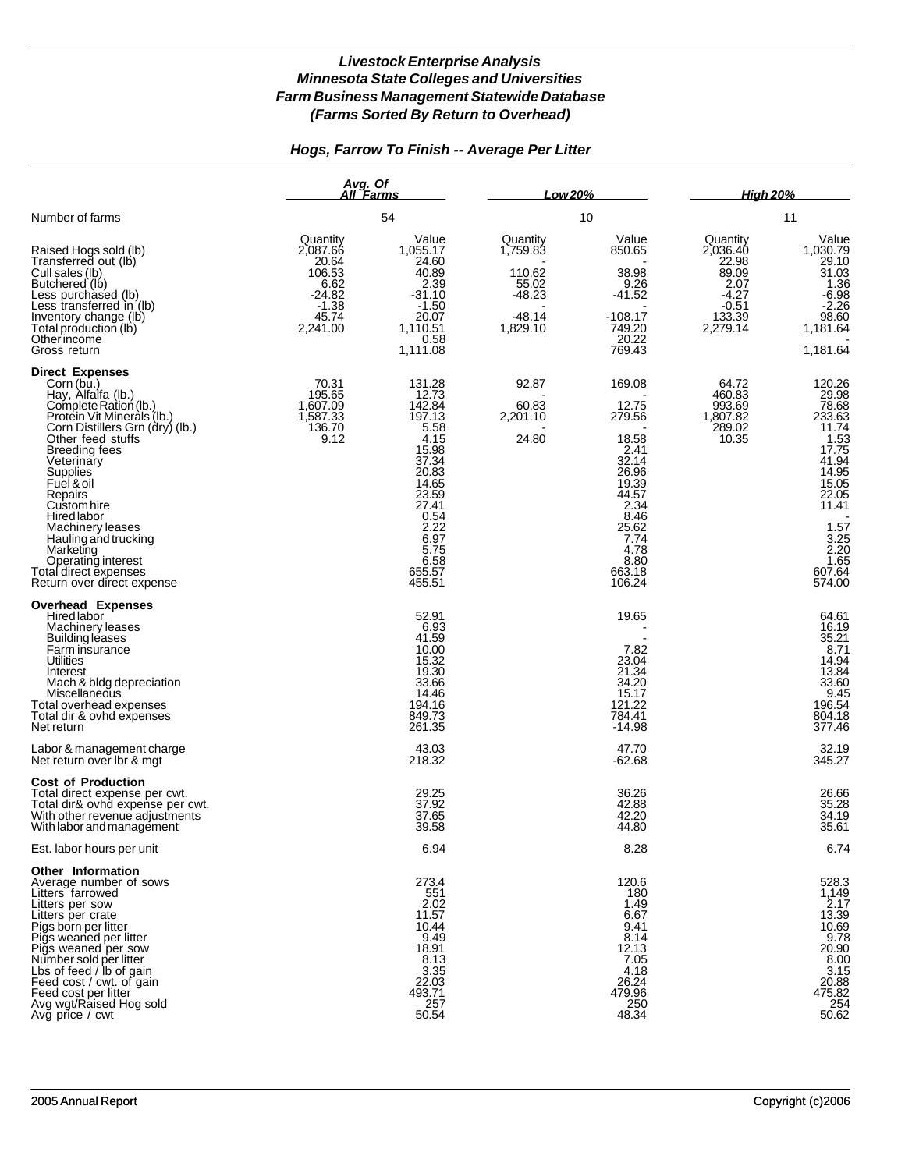# *Hogs, Farrow To Finish -- Average Per Litter*

|                                                                                                                                                                                                                                                                                                                                                                                                                   | Avg. Of<br>All Farms                                                                        |                                                                                                                                                                       | Low 20%                                                                     |                                                                                                                                                     | <b>High 20%</b>                                                                            |                                                                                                                                                                                                                             |
|-------------------------------------------------------------------------------------------------------------------------------------------------------------------------------------------------------------------------------------------------------------------------------------------------------------------------------------------------------------------------------------------------------------------|---------------------------------------------------------------------------------------------|-----------------------------------------------------------------------------------------------------------------------------------------------------------------------|-----------------------------------------------------------------------------|-----------------------------------------------------------------------------------------------------------------------------------------------------|--------------------------------------------------------------------------------------------|-----------------------------------------------------------------------------------------------------------------------------------------------------------------------------------------------------------------------------|
| Number of farms                                                                                                                                                                                                                                                                                                                                                                                                   |                                                                                             | 54                                                                                                                                                                    | 10                                                                          |                                                                                                                                                     | 11                                                                                         |                                                                                                                                                                                                                             |
| Raised Hogs sold (lb)<br>Transferred out (lb)<br>Cull sales (lb)<br>Butchered (lb)<br>Less purchased (lb)<br>Less transferred in (lb)<br>Inventory change (lb)<br>Total production (lb)<br>Otherincome<br>Gross return                                                                                                                                                                                            | Quantity<br>2,087.66<br>20.64<br>106.53<br>6.62<br>$-24.82$<br>$-1.38$<br>45.74<br>2,241.00 | Value<br>1,055.17<br>24.60<br>40.89<br>2.39<br>$-31.10$<br>$-1.50$<br>20.07<br>1,110.51<br>0.58<br>1,111.08                                                           | Quantity<br>1,759.83<br>110.62<br>55.02<br>$-48.23$<br>$-48.14$<br>1,829.10 | Value<br>850.65<br>38.98<br>9.26<br>$-41.52$<br>$-108.17$<br>749.20<br>20.22<br>769.43                                                              | Quantity<br>2,036.40<br>22.98<br>89.09<br>2.07<br>$-4.27$<br>$-0.51$<br>133.39<br>2,279.14 | Value<br>1,030.79<br>29.10<br>$\frac{31.03}{1.36}$<br>$-6.98$<br>$-2.26$<br>98.60<br>1,181.64<br>1.181.64                                                                                                                   |
| <b>Direct Expenses</b><br>Corn (bu.)<br>Hay, Alfalfa (lb.)<br>Complete Ration (lb.)<br>Protein Vit Minerals (lb.)<br>Corn Distillers Grn (dry) (lb.)<br>Other feed stuffs<br>Breeding fees<br>Veterinary<br>Supplies<br>Fuel & oil<br>Repairs<br>Custom hire<br>Hired labor<br>Machinery leases<br>Hauling and trucking<br>Marketing<br>Operating interest<br>Total direct expenses<br>Return over direct expense | 70.31<br>195.65<br>1,607.09<br>1,587.33<br>136.70<br>9.12                                   | 131.28<br>12.73<br>142.84<br>197.13<br>5.58<br>4.15<br>15.98<br>37.34<br>20.83<br>14.65<br>23.59<br>27.41<br>0.54<br>2.22<br>6.97<br>5.75<br>6.58<br>655.57<br>455.51 | 92.87<br>60.83<br>2,201.10<br>24.80                                         | 169.08<br>12.75<br>279.56<br>18.58<br>2.41<br>32.14<br>26.96<br>19.39<br>44.57<br>2.34<br>8.46<br>25.62<br>7.74<br>4.78<br>8.80<br>663.18<br>106.24 | 64.72<br>460.83<br>993.69<br>1,807.82<br>289.02<br>10.35                                   | 120.26<br>$\begin{array}{r} 29.98 \\ 78.68 \\ 233.63 \end{array}$<br>11.74<br>$11.75$<br>$1.53$<br>$17.75$<br>$41.94$<br>$14.95$<br>$15.05$<br>$22.05$<br>11.41<br>$1.57$<br>$3.25$<br>$2.20$<br>$1.65$<br>607.64<br>574.00 |
| <b>Overhead Expenses</b><br><b>Hired labor</b><br>Machinery leases<br><b>Building leases</b><br>Farm insurance<br>Utilities<br>Interest<br>Mach & bldg depreciation<br>Miscellaneous<br>Total overhead expenses<br>Total dir & ovhd expenses<br>Net return                                                                                                                                                        |                                                                                             | 52.91<br>6.93<br>41.59<br>10.00<br>15.32<br>19.30<br>33.66<br>14.46<br>194.16<br>849.73<br>261.35                                                                     |                                                                             | 19.65<br>7.82<br>23.04<br>21.34<br>34.20<br>15.17<br>121.22<br>784.41<br>$-14.98$                                                                   |                                                                                            | 64.61<br>16.19<br>35.21<br>8.71<br>14.94<br>13.84<br>33.60<br>9.45<br>196.54<br>804.18<br>377.46                                                                                                                            |
| Labor & management charge<br>Net return over Ibr & mgt                                                                                                                                                                                                                                                                                                                                                            |                                                                                             | 43.03<br>218.32                                                                                                                                                       |                                                                             | 47.70<br>-62.68                                                                                                                                     |                                                                                            | 32.19<br>345.27                                                                                                                                                                                                             |
| <b>Cost of Production</b><br>Total direct expense per cwt.<br>Total dir& ovhd expense per cwt.<br>With other revenue adjustments<br>With labor and management                                                                                                                                                                                                                                                     |                                                                                             | 29.25<br>37.92<br>37.65<br>39.58                                                                                                                                      |                                                                             | 36.26<br>42.88<br>42.20<br>44.80                                                                                                                    |                                                                                            | 26.66<br>35.28<br>34.19<br>35.61                                                                                                                                                                                            |
| Est. labor hours per unit                                                                                                                                                                                                                                                                                                                                                                                         |                                                                                             | 6.94                                                                                                                                                                  |                                                                             | 8.28                                                                                                                                                |                                                                                            | 6.74                                                                                                                                                                                                                        |
| <b>Other Information</b><br>Average number of sows<br>Litters farrowed<br>Litters per sow<br>Litters per crate<br>Pigs born per litter<br>Pigs weaned per litter<br>Pigs weaned per sow<br>Number sold per litter<br>Lbs of feed / lb of gain<br>Feed cost / cwt. of gain<br>Feed cost per litter<br>Avg wgt/Raised Hog sold<br>Avg price / cwt                                                                   |                                                                                             | 273.4<br>551<br>2.02<br>11.57<br>10.44<br>9.49<br>18.91<br>8.13<br>3.35<br>22.03<br>493.71<br>257<br>50.54                                                            |                                                                             | 120.6<br>180<br>1.49<br>6.67<br>9.41<br>8.14<br>12.13<br>7.05<br>4.18<br>26.24<br>479.96<br>250<br>48.34                                            |                                                                                            | 528.3<br>1,149<br>2.17<br>13.39<br>10.69<br>9.78<br>20.90<br>8.00<br>3.15<br>20.88<br>475.82<br>254<br>50.62                                                                                                                |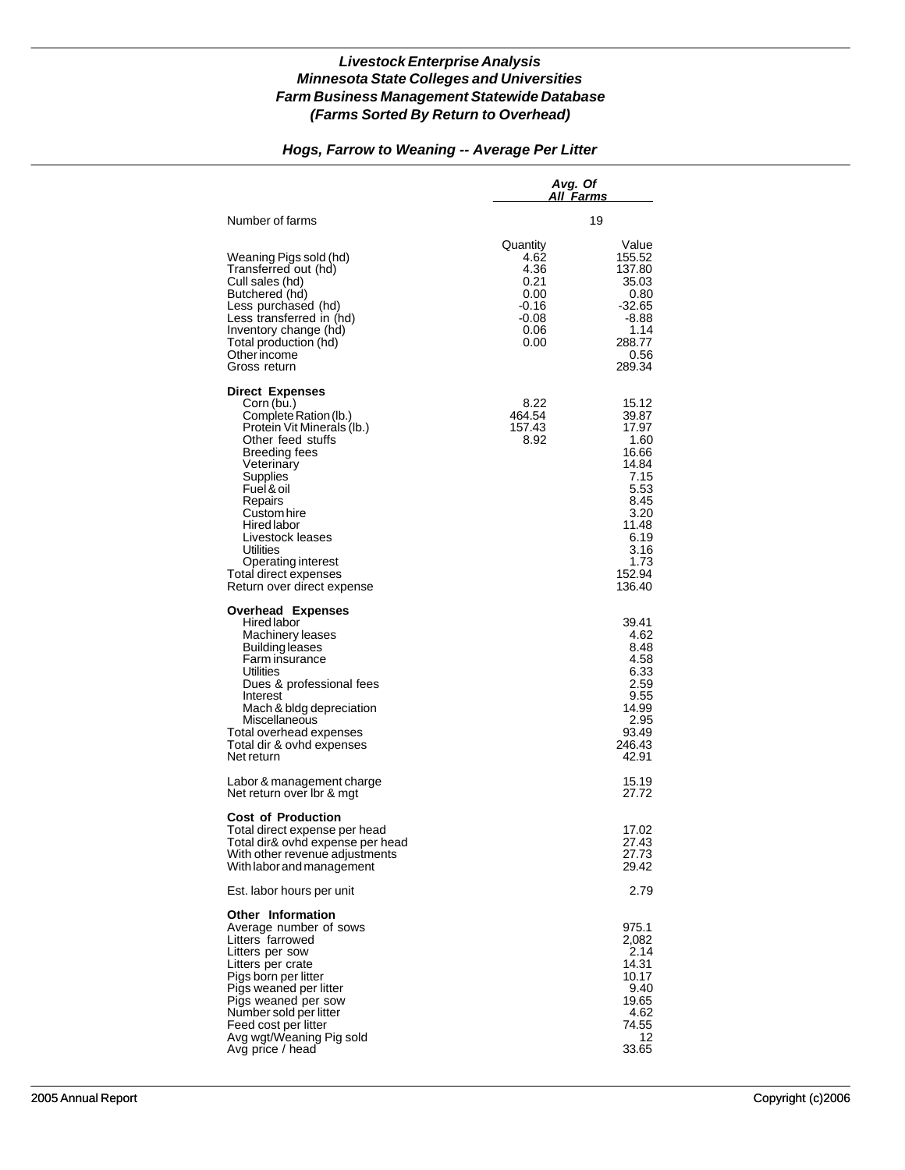# *Hogs, Farrow to Weaning -- Average Per Litter*

|                                                                                                                                                                                                                                                                                                                                                |                                                                                | Avg. Of<br>All Farms                                                                                                                   |  |  |
|------------------------------------------------------------------------------------------------------------------------------------------------------------------------------------------------------------------------------------------------------------------------------------------------------------------------------------------------|--------------------------------------------------------------------------------|----------------------------------------------------------------------------------------------------------------------------------------|--|--|
| Number of farms                                                                                                                                                                                                                                                                                                                                |                                                                                | 19                                                                                                                                     |  |  |
| Weaning Pigs sold (hd)<br>Transferred out (hd)<br>Cull sales (hd)<br>Butchered (hd)<br>Less purchased (hd)<br>Less transferred in (hd)<br>Inventory change (hd)<br>Total production (hd)<br>Other income<br>Gross return                                                                                                                       | Quantity<br>4.62<br>4.36<br>0.21<br>0.00<br>$-0.16$<br>$-0.08$<br>0.06<br>0.00 | Value<br>155.52<br>137.80<br>35.03<br>0.80<br>$-32.65$<br>-8.88<br>1.14<br>288.77<br>0.56<br>289.34                                    |  |  |
| <b>Direct Expenses</b><br>Corn (bu.)<br>Complete Ration (lb.)<br>Protein Vit Minerals (Ib.)<br>Other feed stuffs<br>Breeding fees<br>Veterinary<br>Supplies<br>Fuel & oil<br>Repairs<br>Custom hire<br><b>Hired labor</b><br>Livestock leases<br><b>Utilities</b><br>Operating interest<br>Total direct expenses<br>Return over direct expense | 8.22<br>464.54<br>157.43<br>8.92                                               | 15.12<br>39.87<br>17.97<br>1.60<br>16.66<br>14.84<br>7.15<br>5.53<br>8.45<br>3.20<br>11.48<br>6.19<br>3.16<br>1.73<br>152.94<br>136.40 |  |  |
| <b>Overhead Expenses</b><br>Hired labor<br>Machinery leases<br>Building leases<br>Farm insurance<br>Utilities<br>Dues & professional fees<br>Interest<br>Mach & bldg depreciation<br>Miscellaneous<br>Total overhead expenses<br>Total dir & ovhd expenses<br>Net return                                                                       |                                                                                | 39.41<br>4.62<br>8.48<br>4.58<br>6.33<br>2.59<br>9.55<br>14.99<br>2.95<br>93.49<br>246.43<br>42.91                                     |  |  |
| Labor & management charge<br>Net return over Ibr & mgt                                                                                                                                                                                                                                                                                         |                                                                                | 15.19<br>27.72                                                                                                                         |  |  |
| <b>Cost of Production</b><br>Total direct expense per head<br>Total dir& ovhd expense per head<br>With other revenue adjustments<br>With labor and management                                                                                                                                                                                  |                                                                                | 17.02<br>27.43<br>27.73<br>29.42                                                                                                       |  |  |
| Est. labor hours per unit                                                                                                                                                                                                                                                                                                                      |                                                                                | 2.79                                                                                                                                   |  |  |
| Other Information<br>Average number of sows<br>Litters farrowed<br>Litters per sow<br>Litters per crate<br>Pigs born per litter<br>Pigs weaned per litter<br>Pigs weaned per sow<br>Number sold per litter<br>Feed cost per litter<br>Avg wgt/Weaning Pig sold<br>Avg price / head                                                             |                                                                                | 975.1<br>2,082<br>2.14<br>14.31<br>10.17<br>9.40<br>19.65<br>4.62<br>74.55<br>12<br>33.65                                              |  |  |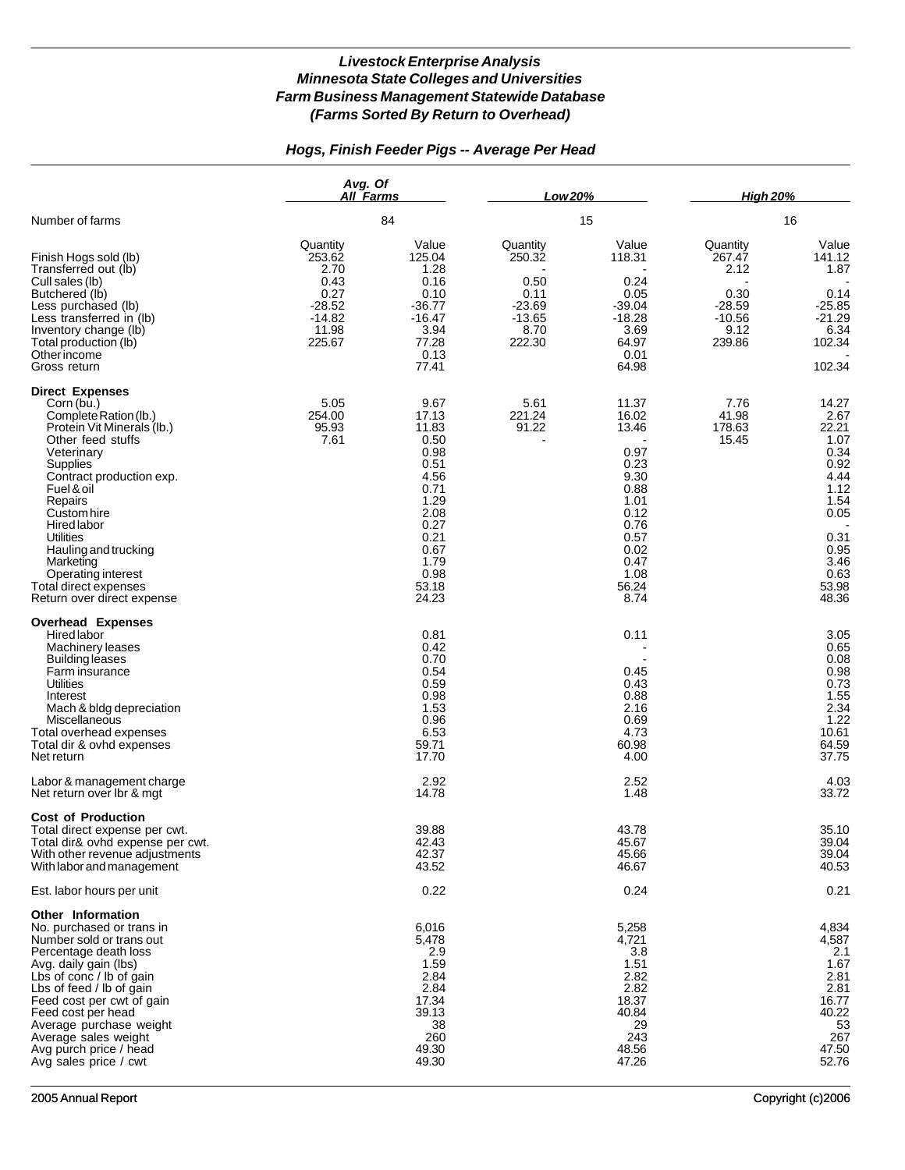# *Hogs, Finish Feeder Pigs -- Average Per Head*

|                                                                                                                                                                                                                                                                                                                                                              | Avg. Of<br><b>All Farms</b>                                                           |                                                                                                                                          | Low 20%                                                                      |                                                                                                                                  | <b>High 20%</b><br>16                                                        |                                                                                                                                  |
|--------------------------------------------------------------------------------------------------------------------------------------------------------------------------------------------------------------------------------------------------------------------------------------------------------------------------------------------------------------|---------------------------------------------------------------------------------------|------------------------------------------------------------------------------------------------------------------------------------------|------------------------------------------------------------------------------|----------------------------------------------------------------------------------------------------------------------------------|------------------------------------------------------------------------------|----------------------------------------------------------------------------------------------------------------------------------|
| Number of farms                                                                                                                                                                                                                                                                                                                                              |                                                                                       | 84                                                                                                                                       | 15                                                                           |                                                                                                                                  |                                                                              |                                                                                                                                  |
| Finish Hogs sold (lb)<br>Transferred out (lb)<br>Cull sales (lb)<br>Butchered (lb)<br>Less purchased (lb)<br>Less transferred in (lb)<br>Inventory change (lb)<br>Total production (lb)<br>Other income<br>Gross return                                                                                                                                      | Quantity<br>253.62<br>2.70<br>0.43<br>0.27<br>$-28.52$<br>$-14.82$<br>11.98<br>225.67 | Value<br>125.04<br>1.28<br>0.16<br>0.10<br>$-36.77$<br>$-16.47$<br>3.94<br>77.28<br>0.13<br>77.41                                        | Quantity<br>250.32<br>0.50<br>0.11<br>$-23.69$<br>$-13.65$<br>8.70<br>222.30 | Value<br>118.31<br>0.24<br>0.05<br>$-39.04$<br>$-18.28$<br>3.69<br>64.97<br>0.01<br>64.98                                        | Quantity<br>267.47<br>2.12<br>0.30<br>$-28.59$<br>$-10.56$<br>9.12<br>239.86 | Value<br>141.12<br>1.87<br>0.14<br>$-25.85$<br>$-21.29$<br>6.34<br>102.34<br>102.34                                              |
| <b>Direct Expenses</b><br>Corn (bu.)<br>Complete Ration (lb.)<br>Protein Vit Minerals (lb.)<br>Other feed stuffs<br>Veterinary<br>Supplies<br>Contract production exp.<br>Fuel & oil<br>Repairs<br>Custom hire<br>Hired labor<br>Utilities<br>Hauling and trucking<br>Marketing<br>Operating interest<br>Total direct expenses<br>Return over direct expense | 5.05<br>254.00<br>95.93<br>7.61                                                       | 9.67<br>17.13<br>11.83<br>0.50<br>0.98<br>0.51<br>4.56<br>0.71<br>1.29<br>2.08<br>0.27<br>0.21<br>0.67<br>1.79<br>0.98<br>53.18<br>24.23 | 5.61<br>221.24<br>91.22                                                      | 11.37<br>16.02<br>13.46<br>0.97<br>0.23<br>9.30<br>0.88<br>1.01<br>0.12<br>0.76<br>0.57<br>0.02<br>0.47<br>1.08<br>56.24<br>8.74 | 7.76<br>41.98<br>178.63<br>15.45                                             | 14.27<br>2.67<br>22.21<br>1.07<br>0.34<br>0.92<br>4.44<br>1.12<br>1.54<br>0.05<br>0.31<br>0.95<br>3.46<br>0.63<br>53.98<br>48.36 |
| <b>Overhead Expenses</b><br><b>Hired labor</b><br>Machinery leases<br><b>Building leases</b><br>Farm insurance<br>Utilities<br>Interest<br>Mach & bldg depreciation<br>Miscellaneous<br>Total overhead expenses<br>Total dir & ovhd expenses<br>Net return<br>Labor & management charge                                                                      |                                                                                       | 0.81<br>0.42<br>0.70<br>0.54<br>0.59<br>0.98<br>1.53<br>0.96<br>6.53<br>59.71<br>17.70<br>2.92                                           |                                                                              | 0.11<br>0.45<br>0.43<br>0.88<br>2.16<br>0.69<br>4.73<br>60.98<br>4.00<br>2.52                                                    |                                                                              | 3.05<br>0.65<br>0.08<br>0.98<br>0.73<br>1.55<br>2.34<br>1.22<br>10.61<br>64.59<br>37.75<br>4.03                                  |
| Net return over Ibr & mgt                                                                                                                                                                                                                                                                                                                                    |                                                                                       | 14.78                                                                                                                                    |                                                                              | 1.48                                                                                                                             |                                                                              | 33.72                                                                                                                            |
| <b>Cost of Production</b><br>Total direct expense per cwt.<br>Total dir& ovhd expense per cwt.<br>With other revenue adjustments<br>With labor and management                                                                                                                                                                                                |                                                                                       | 39.88<br>42.43<br>42.37<br>43.52                                                                                                         |                                                                              | 43.78<br>45.67<br>45.66<br>46.67                                                                                                 |                                                                              | 35.10<br>39.04<br>39.04<br>40.53                                                                                                 |
| Est. labor hours per unit                                                                                                                                                                                                                                                                                                                                    |                                                                                       | 0.22                                                                                                                                     |                                                                              | 0.24                                                                                                                             |                                                                              | 0.21                                                                                                                             |
| <b>Other Information</b><br>No. purchased or trans in<br>Number sold or trans out<br>Percentage death loss<br>Avg. daily gain (lbs)<br>Lbs of conc / lb of gain<br>Lbs of feed / lb of gain<br>Feed cost per cwt of gain<br>Feed cost per head<br>Average purchase weight<br>Average sales weight<br>Avg purch price / head<br>Avg sales price / cwt         |                                                                                       | 6,016<br>5,478<br>2.9<br>1.59<br>2.84<br>2.84<br>17.34<br>39.13<br>38<br>260<br>49.30<br>49.30                                           |                                                                              | 5,258<br>4,721<br>3.8<br>1.51<br>2.82<br>2.82<br>18.37<br>40.84<br>29<br>243<br>48.56<br>47.26                                   |                                                                              | 4,834<br>4,587<br>2.1<br>1.67<br>2.81<br>2.81<br>16.77<br>40.22<br>53<br>267<br>47.50<br>52.76                                   |